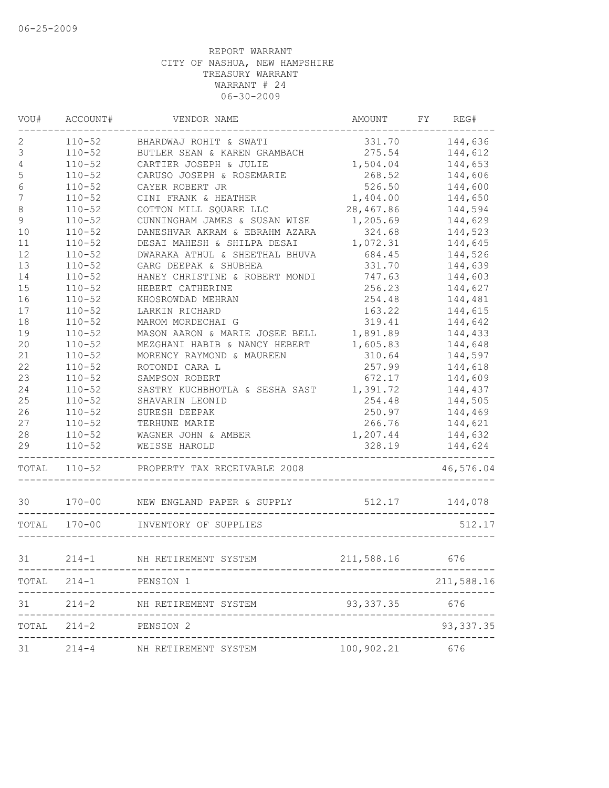| VOU#             | ACCOUNT#     | VENDOR NAME                                      | AMOUNT         | FY REG#    |
|------------------|--------------|--------------------------------------------------|----------------|------------|
| 2                | $110 - 52$   | BHARDWAJ ROHIT & SWATI                           | 331.70         | 144,636    |
| 3                | $110 - 52$   | BUTLER SEAN & KAREN GRAMBACH                     | 275.54         | 144,612    |
| 4                | $110 - 52$   | CARTIER JOSEPH & JULIE                           | 1,504.04       | 144,653    |
| $\mathbb S$      | $110 - 52$   | CARUSO JOSEPH & ROSEMARIE                        | 268.52         | 144,606    |
| $6\,$            | $110 - 52$   | CAYER ROBERT JR                                  | 526.50         | 144,600    |
| $\boldsymbol{7}$ | $110 - 52$   | CINI FRANK & HEATHER                             | 1,404.00       | 144,650    |
| $\,8\,$          | $110 - 52$   | COTTON MILL SQUARE LLC                           | 28,467.86      | 144,594    |
| $\mathsf 9$      | $110 - 52$   | CUNNINGHAM JAMES & SUSAN WISE                    | 1,205.69       | 144,629    |
| 10               | $110 - 52$   | DANESHVAR AKRAM & EBRAHM AZARA                   | 324.68         | 144,523    |
| 11               | $110 - 52$   | DESAI MAHESH & SHILPA DESAI                      | 1,072.31       | 144,645    |
| 12               | $110 - 52$   | DWARAKA ATHUL & SHEETHAL BHUVA                   | 684.45         | 144,526    |
| 13               | $110 - 52$   | GARG DEEPAK & SHUBHEA                            | 331.70         | 144,639    |
| 14               | $110 - 52$   | HANEY CHRISTINE & ROBERT MONDI                   | 747.63         | 144,603    |
| 15               | $110 - 52$   | HEBERT CATHERINE                                 | 256.23         | 144,627    |
| 16               | $110 - 52$   | KHOSROWDAD MEHRAN                                | 254.48         | 144,481    |
| 17               | $110 - 52$   | LARKIN RICHARD                                   | 163.22         | 144,615    |
| 18               | $110 - 52$   | MAROM MORDECHAI G                                | 319.41         | 144,642    |
| 19               | $110 - 52$   | MASON AARON & MARIE JOSEE BELL                   | 1,891.89       | 144,433    |
| 20               | $110 - 52$   | MEZGHANI HABIB & NANCY HEBERT                    | 1,605.83       | 144,648    |
| 21               | $110 - 52$   | MORENCY RAYMOND & MAUREEN                        | 310.64         | 144,597    |
| 22               | $110 - 52$   | ROTONDI CARA L                                   | 257.99         | 144,618    |
| 23               | $110 - 52$   | SAMPSON ROBERT                                   | 672.17         | 144,609    |
| 24               | $110 - 52$   | SASTRY KUCHBHOTLA & SESHA SAST                   | 1,391.72       | 144,437    |
| 25               | $110 - 52$   | SHAVARIN LEONID                                  | 254.48         | 144,505    |
| 26               | $110 - 52$   | SURESH DEEPAK                                    | 250.97         | 144,469    |
| 27               | $110 - 52$   | TERHUNE MARIE                                    | 266.76         | 144,621    |
| 28               | $110 - 52$   | WAGNER JOHN & AMBER                              | 1,207.44       | 144,632    |
| 29               | $110 - 52$   | WEISSE HAROLD                                    | 328.19         | 144,624    |
|                  | TOTAL 110-52 | PROPERTY TAX RECEIVABLE 2008                     |                | 46,576.04  |
| 30               |              | 170-00 NEW ENGLAND PAPER & SUPPLY 512.17 144,078 |                |            |
|                  | TOTAL 170-00 | INVENTORY OF SUPPLIES                            |                | 512.17     |
| 31               |              | 214-1 NH RETIREMENT SYSTEM                       | 211,588.16 676 |            |
|                  |              |                                                  |                |            |
|                  |              | TOTAL 214-1 PENSION 1                            |                | 211,588.16 |
| 31               |              | 214-2 NH RETIREMENT SYSTEM                       | 93, 337.35 676 |            |
| TOTAL            |              | 214-2 PENSION 2                                  |                | 93, 337.35 |
| 31               |              | 214-4 NH RETIREMENT SYSTEM                       | 100,902.21 676 |            |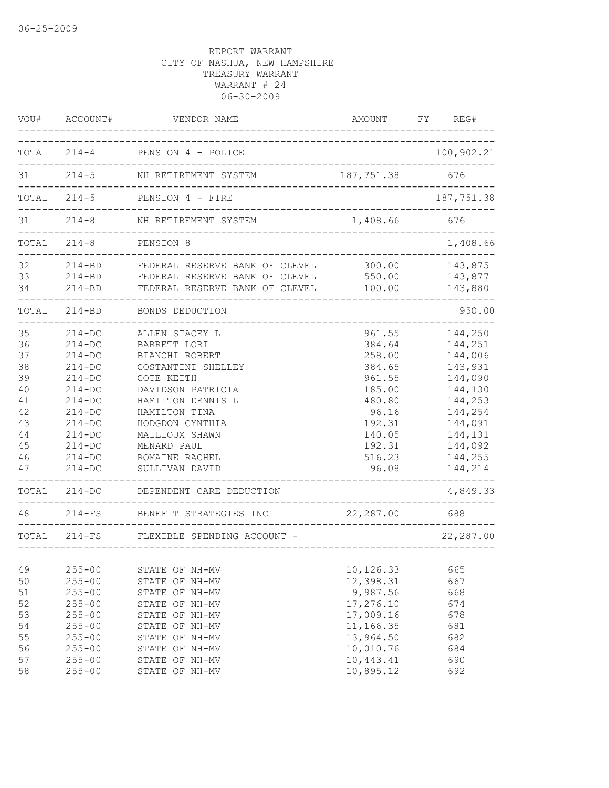| VOU#                                                                                 | ACCOUNT#                                                                                                                                                                                 | VENDOR NAME                                                                                                                                                                                                                                                                                   | AMOUNT                                                                                                                                                              | FY<br>REG#                                                                                                                                              |
|--------------------------------------------------------------------------------------|------------------------------------------------------------------------------------------------------------------------------------------------------------------------------------------|-----------------------------------------------------------------------------------------------------------------------------------------------------------------------------------------------------------------------------------------------------------------------------------------------|---------------------------------------------------------------------------------------------------------------------------------------------------------------------|---------------------------------------------------------------------------------------------------------------------------------------------------------|
|                                                                                      |                                                                                                                                                                                          | TOTAL 214-4 PENSION 4 - POLICE                                                                                                                                                                                                                                                                |                                                                                                                                                                     | 100,902.21                                                                                                                                              |
| 31                                                                                   | $214 - 5$                                                                                                                                                                                | NH RETIREMENT SYSTEM                                                                                                                                                                                                                                                                          | 187,751.38                                                                                                                                                          | 676                                                                                                                                                     |
|                                                                                      | TOTAL 214-5                                                                                                                                                                              | PENSION 4 - FIRE                                                                                                                                                                                                                                                                              |                                                                                                                                                                     | 187,751.38                                                                                                                                              |
| 31                                                                                   | $214 - 8$                                                                                                                                                                                | NH RETIREMENT SYSTEM                                                                                                                                                                                                                                                                          | 1,408.66                                                                                                                                                            | 676                                                                                                                                                     |
|                                                                                      | $TOTAL 214-8$                                                                                                                                                                            | PENSION 8                                                                                                                                                                                                                                                                                     |                                                                                                                                                                     | 1,408.66                                                                                                                                                |
| 32<br>33<br>34                                                                       |                                                                                                                                                                                          | 214-BD FEDERAL RESERVE BANK OF CLEVEL<br>214-BD FEDERAL RESERVE BANK OF CLEVEL<br>214-BD FEDERAL RESERVE BANK OF CLEVEL                                                                                                                                                                       | 300.00<br>550.00<br>100.00                                                                                                                                          | 143,875<br>143,877<br>143,880                                                                                                                           |
|                                                                                      | TOTAL 214-BD                                                                                                                                                                             | BONDS DEDUCTION                                                                                                                                                                                                                                                                               |                                                                                                                                                                     | 950.00                                                                                                                                                  |
| 35<br>36<br>37<br>38<br>39<br>40<br>41<br>42<br>43<br>$4\,4$<br>45<br>46<br>47<br>48 | $214-DC$<br>$214-DC$<br>$214-DC$<br>$214 - DC$<br>$214-DC$<br>$214-DC$<br>$214-DC$<br>$214 - DC$<br>$214-DC$<br>$214-DC$<br>$214-DC$<br>$214-DC$<br>$214-DC$<br>TOTAL 214-DC<br>$214-FS$ | ALLEN STACEY L<br>BARRETT LORI<br>BIANCHI ROBERT<br>COSTANTINI SHELLEY<br>COTE KEITH<br>DAVIDSON PATRICIA<br>HAMILTON DENNIS L<br>HAMILTON TINA<br>HODGDON CYNTHIA<br>MAILLOUX SHAWN<br>MENARD PAUL<br>ROMAINE RACHEL<br>SULLIVAN DAVID<br>DEPENDENT CARE DEDUCTION<br>BENEFIT STRATEGIES INC | 961.55<br>384.64<br>258.00<br>384.65<br>961.55<br>185.00<br>480.80<br>96.16<br>192.31<br>140.05<br>192.31<br>516.23<br>96.08<br>------------------<br>22,287.00 688 | 144,250<br>144,251<br>144,006<br>143,931<br>144,090<br>144,130<br>144,253<br>144,254<br>144,091<br>144,131<br>144,092<br>144,255<br>144,214<br>4,849.33 |
|                                                                                      | TOTAL 214-FS                                                                                                                                                                             | FLEXIBLE SPENDING ACCOUNT -                                                                                                                                                                                                                                                                   |                                                                                                                                                                     | 22,287.00                                                                                                                                               |
| 49<br>50<br>51<br>52                                                                 | $255 - 00$<br>$255 - 00$<br>$255 - 00$<br>$255 - 00$                                                                                                                                     | STATE OF NH-MV<br>STATE OF NH-MV<br>STATE OF NH-MV<br>STATE OF NH-MV                                                                                                                                                                                                                          | -----------------------<br>10,126.33<br>12,398.31<br>9,987.56<br>17,276.10                                                                                          | 665<br>667<br>668<br>674                                                                                                                                |
| 53<br>54<br>55<br>56<br>57<br>58                                                     | $255 - 00$<br>$255 - 00$<br>$255 - 00$<br>$255 - 00$<br>$255 - 00$<br>$255 - 00$                                                                                                         | STATE OF NH-MV<br>STATE OF NH-MV<br>STATE OF NH-MV<br>STATE OF NH-MV<br>STATE OF NH-MV<br>STATE OF NH-MV                                                                                                                                                                                      | 17,009.16<br>11,166.35<br>13,964.50<br>10,010.76<br>10,443.41<br>10,895.12                                                                                          | 678<br>681<br>682<br>684<br>690<br>692                                                                                                                  |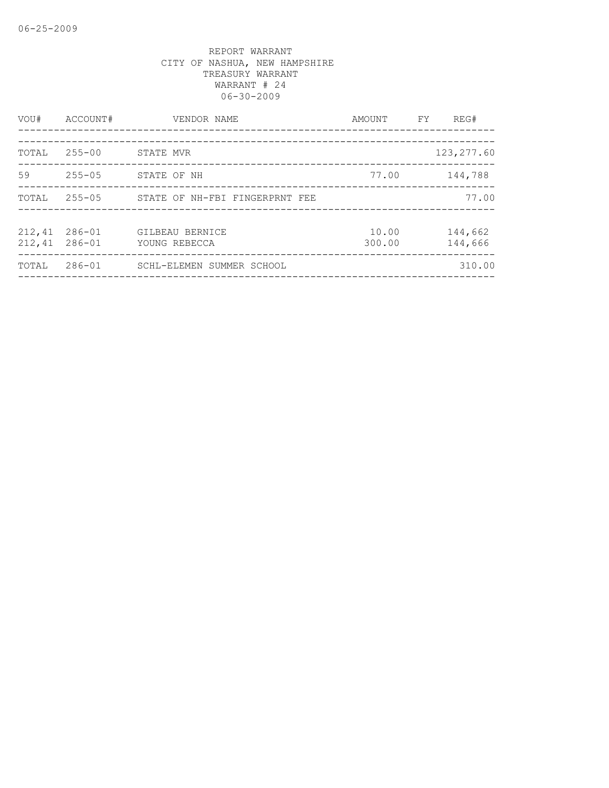| VOU#             | ACCOUNT#                 | VENDOR NAME                      | AMOUNT          | FY. | REG#               |
|------------------|--------------------------|----------------------------------|-----------------|-----|--------------------|
| TOTAL            | $255 - 00$               | STATE MVR                        |                 |     | 123, 277.60        |
| 59               | $255 - 05$               | STATE OF NH                      | 77.00           |     | 144,788            |
| TOTAL            | $255 - 05$               | STATE OF NH-FBI FINGERPRNT FEE   |                 |     | 77.00              |
| 212,41<br>212,41 | $286 - 01$<br>$286 - 01$ | GILBEAU BERNICE<br>YOUNG REBECCA | 10.00<br>300.00 |     | 144,662<br>144,666 |
| TOTAL            | $286 - 01$               | SCHL-ELEMEN SUMMER SCHOOL        |                 |     | 310.00             |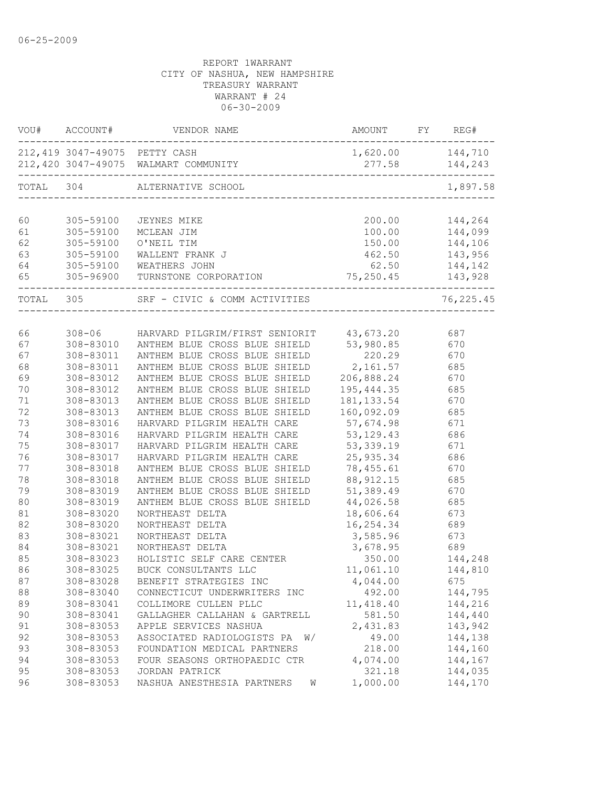| VOU#      | ACCOUNT#  | VENDOR NAME                                                           | <b>AMOUNT</b>    | FY | REG#           |
|-----------|-----------|-----------------------------------------------------------------------|------------------|----|----------------|
|           |           | 212,419 3047-49075 PETTY CASH<br>212,420 3047-49075 WALMART COMMUNITY | 1,620.00 144,710 |    | 277.58 144,243 |
| TOTAL 304 |           | ALTERNATIVE SCHOOL                                                    |                  |    | 1,897.58       |
| 60        | 305-59100 | JEYNES MIKE                                                           | 200.00           |    | 144,264        |
| 61        | 305-59100 | MCLEAN JIM                                                            | 100.00           |    | 144,099        |
| 62        | 305-59100 | O'NEIL TIM                                                            | 150.00           |    | 144,106        |
| 63        | 305-59100 | WALLENT FRANK J                                                       |                  |    | 462.50 143,956 |
| 64        | 305-59100 | WEATHERS JOHN                                                         | 62.50            |    | 144,142        |
| 65        | 305-96900 | TURNSTONE CORPORATION 75, 250.45 143, 928                             |                  |    |                |
| TOTAL 305 |           | SRF - CIVIC & COMM ACTIVITIES                                         |                  |    | 76,225.45      |
|           |           |                                                                       |                  |    |                |
| 66        |           | 308-06 HARVARD PILGRIM/FIRST SENIORIT 43,673.20                       |                  |    | 687            |
| 67        | 308-83010 | ANTHEM BLUE CROSS BLUE SHIELD                                         | 53,980.85        |    | 670            |
| 67        | 308-83011 | ANTHEM BLUE CROSS BLUE SHIELD                                         | 220.29           |    | 670            |
| 68        | 308-83011 | ANTHEM BLUE CROSS BLUE SHIELD                                         | 2,161.57         |    | 685            |
| 69        | 308-83012 | ANTHEM BLUE CROSS BLUE SHIELD                                         | 206,888.24       |    | 670            |
| 70        | 308-83012 | ANTHEM BLUE CROSS BLUE SHIELD                                         | 195, 444.35      |    | 685            |
| 71        | 308-83013 | ANTHEM BLUE CROSS BLUE SHIELD                                         | 181, 133.54      |    | 670            |
| 72        | 308-83013 | ANTHEM BLUE CROSS BLUE SHIELD                                         | 160,092.09       |    | 685            |
| 73        | 308-83016 | HARVARD PILGRIM HEALTH CARE                                           | 57,674.98        |    | 671            |
| 74        | 308-83016 | HARVARD PILGRIM HEALTH CARE                                           | 53, 129. 43      |    | 686            |
| 75        | 308-83017 | HARVARD PILGRIM HEALTH CARE                                           | 53, 339.19       |    | 671            |
| 76        | 308-83017 | HARVARD PILGRIM HEALTH CARE                                           | 25,935.34        |    | 686            |
| 77        | 308-83018 | ANTHEM BLUE CROSS BLUE SHIELD                                         | 78,455.61        |    | 670            |
| 78        | 308-83018 | ANTHEM BLUE CROSS BLUE SHIELD                                         | 88, 912.15       |    | 685            |
| 79        | 308-83019 | ANTHEM BLUE CROSS BLUE SHIELD                                         | 51,389.49        |    | 670            |
| 80        | 308-83019 | ANTHEM BLUE CROSS BLUE SHIELD                                         | 44,026.58        |    | 685            |
| 81        | 308-83020 | NORTHEAST DELTA                                                       | 18,606.64        |    | 673            |
| 82        | 308-83020 | NORTHEAST DELTA                                                       | 16,254.34        |    | 689            |
| 83        | 308-83021 | NORTHEAST DELTA                                                       | 3,585.96         |    | 673            |
| 84        | 308-83021 | NORTHEAST DELTA                                                       | 3,678.95         |    | 689            |
| 85        | 308-83023 | HOLISTIC SELF CARE CENTER                                             | 350.00           |    | 144,248        |
| 86        | 308-83025 | BUCK CONSULTANTS LLC                                                  | 11,061.10        |    | 144,810        |
| 87        | 308-83028 | BENEFIT STRATEGIES INC                                                | 4,044.00         |    | 675            |
| 88        | 308-83040 | CONNECTICUT UNDERWRITERS INC                                          | 492.00           |    | 144,795        |
| 89        | 308-83041 | COLLIMORE CULLEN PLLC                                                 | 11, 418.40       |    | 144,216        |
| 90        | 308-83041 | GALLAGHER CALLAHAN & GARTRELL                                         | 581.50           |    | 144,440        |
| 91        | 308-83053 | APPLE SERVICES NASHUA                                                 | 2,431.83         |    | 143,942        |
| 92        | 308-83053 | ASSOCIATED RADIOLOGISTS PA<br>W/                                      | 49.00            |    | 144,138        |
| 93        | 308-83053 | FOUNDATION MEDICAL PARTNERS                                           | 218.00           |    | 144,160        |
| 94        | 308-83053 | FOUR SEASONS ORTHOPAEDIC CTR                                          | 4,074.00         |    | 144,167        |
| 95        | 308-83053 | JORDAN PATRICK                                                        | 321.18           |    | 144,035        |
| 96        | 308-83053 | NASHUA ANESTHESIA PARTNERS<br>W                                       | 1,000.00         |    | 144,170        |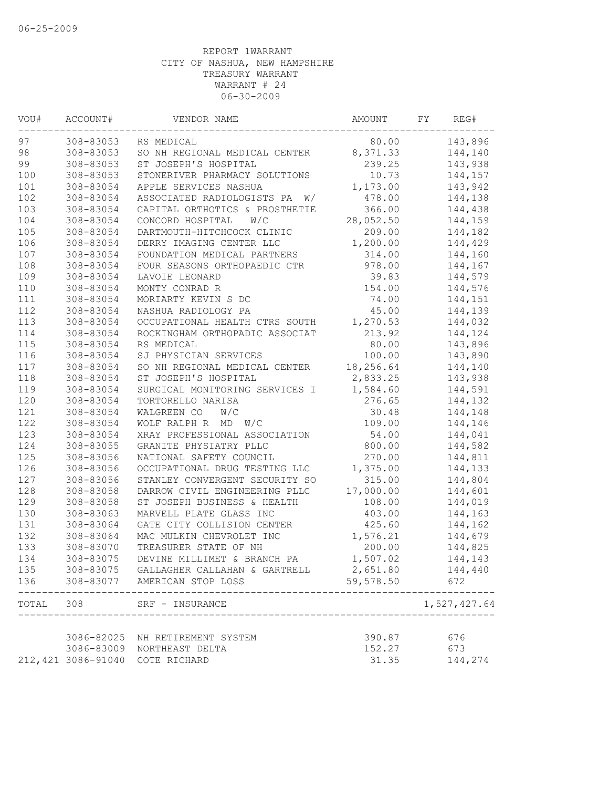| WOU#      | ACCOUNT#           | VENDOR NAME                                  | AMOUNT    | FY | REG#         |
|-----------|--------------------|----------------------------------------------|-----------|----|--------------|
| 97        | 308-83053          | RS MEDICAL                                   | 80.00     |    | 143,896      |
| 98        | 308-83053          | SO NH REGIONAL MEDICAL CENTER 8,371.33       |           |    | 144,140      |
| 99        | 308-83053          | ST JOSEPH'S HOSPITAL                         | 239.25    |    | 143,938      |
| 100       | 308-83053          | STONERIVER PHARMACY SOLUTIONS                | 10.73     |    | 144,157      |
| 101       | 308-83054          | APPLE SERVICES NASHUA                        | 1,173.00  |    | 143,942      |
| 102       | 308-83054          | ASSOCIATED RADIOLOGISTS PA W/                | 478.00    |    | 144,138      |
| 103       | 308-83054          | CAPITAL ORTHOTICS & PROSTHETIE               | 366.00    |    | 144,438      |
| 104       | 308-83054          | CONCORD HOSPITAL<br>W/C                      | 28,052.50 |    | 144,159      |
| 105       | 308-83054          | DARTMOUTH-HITCHCOCK CLINIC                   | 209.00    |    | 144,182      |
| 106       | 308-83054          | DERRY IMAGING CENTER LLC                     | 1,200.00  |    | 144,429      |
| 107       | 308-83054          | FOUNDATION MEDICAL PARTNERS                  | 314.00    |    | 144,160      |
| 108       | 308-83054          | FOUR SEASONS ORTHOPAEDIC CTR                 | 978.00    |    | 144,167      |
| 109       | 308-83054          | LAVOIE LEONARD                               | 39.83     |    | 144,579      |
| 110       | 308-83054          | MONTY CONRAD R                               | 154.00    |    | 144,576      |
| 111       | 308-83054          | MORIARTY KEVIN S DC                          | 74.00     |    | 144,151      |
| 112       | 308-83054          | NASHUA RADIOLOGY PA                          | 45.00     |    | 144,139      |
| 113       | 308-83054          | OCCUPATIONAL HEALTH CTRS SOUTH               | 1,270.53  |    | 144,032      |
| 114       | 308-83054          | ROCKINGHAM ORTHOPADIC ASSOCIAT               | 213.92    |    | 144,124      |
| 115       | 308-83054          | RS MEDICAL                                   | 80.00     |    | 143,896      |
| 116       | 308-83054          | SJ PHYSICIAN SERVICES                        | 100.00    |    | 143,890      |
| 117       | 308-83054          | SO NH REGIONAL MEDICAL CENTER                | 18,256.64 |    | 144,140      |
| 118       | 308-83054          | ST JOSEPH'S HOSPITAL                         | 2,833.25  |    | 143,938      |
| 119       | 308-83054          | SURGICAL MONITORING SERVICES I               | 1,584.60  |    | 144,591      |
| 120       | 308-83054          | TORTORELLO NARISA                            | 276.65    |    | 144,132      |
| 121       | 308-83054          | WALGREEN CO<br>W/C                           | 30.48     |    | 144,148      |
| 122       | 308-83054          | WOLF RALPH R MD W/C                          | 109.00    |    | 144,146      |
| 123       | 308-83054          | XRAY PROFESSIONAL ASSOCIATION                | 54.00     |    | 144,041      |
| 124       | 308-83055          | GRANITE PHYSIATRY PLLC                       | 800.00    |    | 144,582      |
| 125       | 308-83056          | NATIONAL SAFETY COUNCIL                      | 270.00    |    | 144,811      |
| 126       | 308-83056          | OCCUPATIONAL DRUG TESTING LLC                | 1,375.00  |    | 144,133      |
| 127       | 308-83056          | STANLEY CONVERGENT SECURITY SO               | 315.00    |    | 144,804      |
| 128       | 308-83058          | DARROW CIVIL ENGINEERING PLLC                | 17,000.00 |    | 144,601      |
| 129       | 308-83058          | ST JOSEPH BUSINESS & HEALTH                  | 108.00    |    | 144,019      |
| 130       | 308-83063          | MARVELL PLATE GLASS INC                      | 403.00    |    | 144,163      |
| 131       | 308-83064          | GATE CITY COLLISION CENTER                   | 425.60    |    | 144,162      |
| 132       | 308-83064          | MAC MULKIN CHEVROLET INC                     | 1,576.21  |    | 144,679      |
| 133       | 308-83070          | TREASURER STATE OF NH                        | 200.00    |    | 144,825      |
| 134       | 308-83075          | DEVINE MILLIMET & BRANCH PA                  | 1,507.02  |    | 144,143      |
|           |                    |                                              |           |    | 144,440      |
|           |                    | 136 308-83077 AMERICAN STOP LOSS             | 59,578.50 |    | 672          |
| TOTAL 308 |                    | SRF - INSURANCE<br>------------------------- |           |    | 1,527,427.64 |
|           |                    |                                              |           |    |              |
|           | 3086-82025         | NH RETIREMENT SYSTEM                         | 390.87    |    | 676          |
|           | 3086-83009         | NORTHEAST DELTA                              | 152.27    |    | 673          |
|           | 212,421 3086-91040 | COTE RICHARD                                 | 31.35     |    | 144,274      |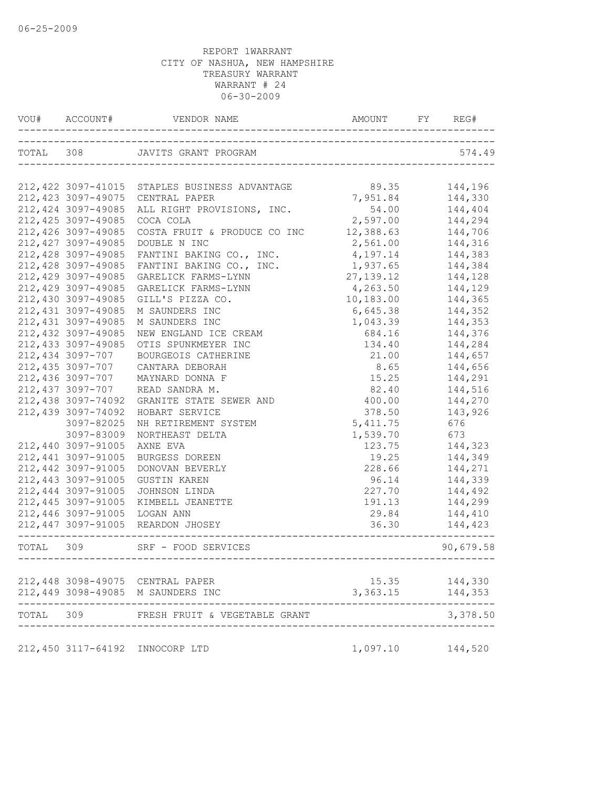|       | VOU# ACCOUNT#       |                                                                    | AMOUNT FY REG# |           |
|-------|---------------------|--------------------------------------------------------------------|----------------|-----------|
|       |                     | TOTAL 308 JAVITS GRANT PROGRAM                                     | 574.49         |           |
|       |                     |                                                                    |                |           |
|       |                     | 212, 422 3097-41015 STAPLES BUSINESS ADVANTAGE                     | 89.35          | 144,196   |
|       | 212, 423 3097-49075 | CENTRAL PAPER                                                      | 7,951.84       | 144,330   |
|       | 212, 424 3097-49085 | ALL RIGHT PROVISIONS, INC.                                         | 54.00          | 144,404   |
|       | 212, 425 3097-49085 | COCA COLA                                                          | 2,597.00       | 144,294   |
|       | 212,426 3097-49085  | COSTA FRUIT & PRODUCE CO INC                                       | 12,388.63      | 144,706   |
|       | 212, 427 3097-49085 | DOUBLE N INC                                                       | 2,561.00       | 144,316   |
|       | 212,428 3097-49085  | FANTINI BAKING CO., INC.                                           | 4,197.14       | 144,383   |
|       | 212,428 3097-49085  | FANTINI BAKING CO., INC.                                           | 1,937.65       | 144,384   |
|       | 212,429 3097-49085  | GARELICK FARMS-LYNN                                                | 27, 139. 12    | 144,128   |
|       | 212,429 3097-49085  | GARELICK FARMS-LYNN                                                | 4,263.50       | 144,129   |
|       | 212,430 3097-49085  | GILL'S PIZZA CO.                                                   | 10,183.00      | 144,365   |
|       | 212, 431 3097-49085 | M SAUNDERS INC                                                     | 6,645.38       | 144,352   |
|       | 212,431 3097-49085  | M SAUNDERS INC                                                     | 1,043.39       | 144,353   |
|       | 212, 432 3097-49085 | NEW ENGLAND ICE CREAM                                              | 684.16         | 144,376   |
|       | 212, 433 3097-49085 | OTIS SPUNKMEYER INC                                                | 134.40         | 144,284   |
|       | 212,434 3097-707    | BOURGEOIS CATHERINE                                                | 21.00          | 144,657   |
|       | 212,435 3097-707    | CANTARA DEBORAH                                                    | 8.65           | 144,656   |
|       | 212,436 3097-707    | MAYNARD DONNA F                                                    | 15.25          | 144,291   |
|       | 212,437 3097-707    | READ SANDRA M.                                                     | 82.40          | 144,516   |
|       | 212,438 3097-74092  | GRANITE STATE SEWER AND                                            | 400.00         | 144,270   |
|       | 212,439 3097-74092  | HOBART SERVICE                                                     | 378.50         | 143,926   |
|       | 3097-82025          | NH RETIREMENT SYSTEM                                               | 5, 411.75      | 676       |
|       | 3097-83009          | NORTHEAST DELTA                                                    | 1,539.70       | 673       |
|       | 212,440 3097-91005  | AXNE EVA                                                           | 123.75         | 144,323   |
|       | 212,441 3097-91005  |                                                                    |                |           |
|       | 212,442 3097-91005  | BURGESS DOREEN                                                     | 19.25          | 144,349   |
|       |                     | DONOVAN BEVERLY                                                    | 228.66         | 144,271   |
|       | 212,443 3097-91005  | <b>GUSTIN KAREN</b>                                                | 96.14          | 144,339   |
|       | 212,444 3097-91005  | JOHNSON LINDA                                                      | 227.70         | 144,492   |
|       | 212,445 3097-91005  | KIMBELL JEANETTE                                                   | 191.13         | 144,299   |
|       | 212,446 3097-91005  | LOGAN ANN                                                          | 29.84          | 144,410   |
|       |                     | 212,447 3097-91005 REARDON JHOSEY                                  | 36.30          | 144,423   |
|       |                     | TOTAL 309 SRF - FOOD SERVICES<br>--------------------------------- |                | 90,679.58 |
|       |                     |                                                                    |                |           |
|       |                     | 212,448 3098-49075 CENTRAL PAPER                                   | 15.35          | 144,330   |
|       |                     | 212,449 3098-49085 M SAUNDERS INC                                  | 3,363.15       | 144,353   |
| TOTAL | 309                 | FRESH FRUIT & VEGETABLE GRANT                                      |                | 3,378.50  |
|       |                     | 212,450 3117-64192 INNOCORP LTD                                    | 1,097.10       | 144,520   |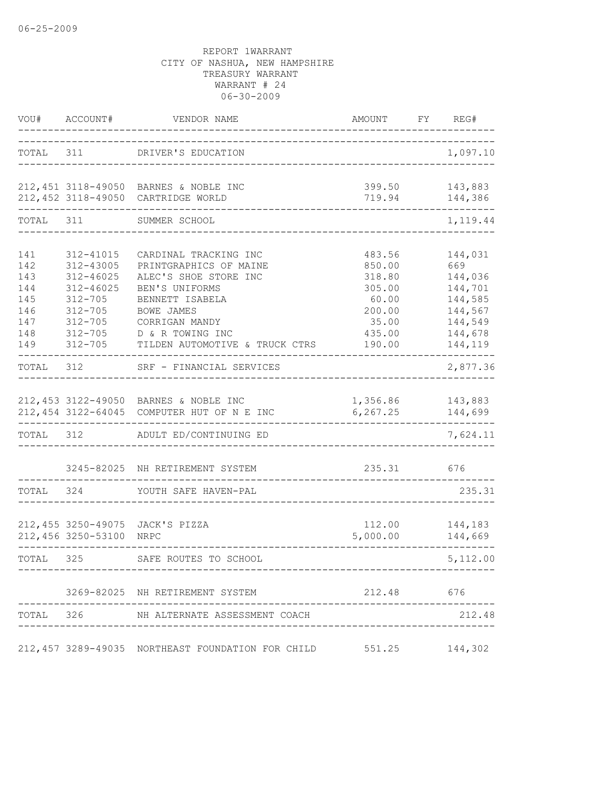|                                                             | VOU# ACCOUNT#                                                                                     | VENDOR NAME                                                                                                                                                                                                                | AMOUNT FY REG#<br>______________                                                     |                                                                                             |
|-------------------------------------------------------------|---------------------------------------------------------------------------------------------------|----------------------------------------------------------------------------------------------------------------------------------------------------------------------------------------------------------------------------|--------------------------------------------------------------------------------------|---------------------------------------------------------------------------------------------|
| TOTAL 311                                                   |                                                                                                   | DRIVER'S EDUCATION                                                                                                                                                                                                         |                                                                                      | 1,097.10                                                                                    |
|                                                             |                                                                                                   | 212,451 3118-49050 BARNES & NOBLE INC<br>212,452 3118-49050 CARTRIDGE WORLD                                                                                                                                                |                                                                                      | 399.50 143,883<br>719.94 144,386                                                            |
| TOTAL 311                                                   |                                                                                                   | SUMMER SCHOOL                                                                                                                                                                                                              |                                                                                      | 1,119.44                                                                                    |
| 141<br>142<br>143<br>144<br>145<br>146<br>147<br>148<br>149 | 312-41015<br>312-43005<br>$312 - 46025$<br>312-46025<br>$312 - 705$<br>$312 - 705$<br>$312 - 705$ | CARDINAL TRACKING INC<br>PRINTGRAPHICS OF MAINE<br>ALEC'S SHOE STORE INC<br>BEN'S UNIFORMS<br>BENNETT ISABELA<br><b>BOWE JAMES</b><br>CORRIGAN MANDY<br>312-705 D & R TOWING INC<br>312-705 TILDEN AUTOMOTIVE & TRUCK CTRS | 483.56<br>850.00<br>318.80<br>305.00<br>60.00<br>200.00<br>35.00<br>435.00<br>190.00 | 144,031<br>669<br>144,036<br>144,701<br>144,585<br>144,567<br>144,549<br>144,678<br>144,119 |
| TOTAL 312                                                   |                                                                                                   | SRF - FINANCIAL SERVICES                                                                                                                                                                                                   |                                                                                      | 2,877.36                                                                                    |
| TOTAL 312                                                   |                                                                                                   | 212,453 3122-49050 BARNES & NOBLE INC<br>212,454 3122-64045 COMPUTER HUT OF N E INC<br>ADULT ED/CONTINUING ED                                                                                                              | 1,356.86 143,883<br>6, 267.25                                                        | 144,699<br>7,624.11                                                                         |
| TOTAL 324                                                   |                                                                                                   | 3245-82025 NH RETIREMENT SYSTEM<br>YOUTH SAFE HAVEN-PAL                                                                                                                                                                    | 235.31 676                                                                           | 235.31                                                                                      |
|                                                             | 212,456 3250-53100 NRPC                                                                           | 212,455 3250-49075 JACK'S PIZZA                                                                                                                                                                                            | 5,000.00                                                                             | 112.00 144,183<br>144,669                                                                   |
| TOTAL 325                                                   |                                                                                                   | SAFE ROUTES TO SCHOOL                                                                                                                                                                                                      |                                                                                      | 5,112.00                                                                                    |
|                                                             |                                                                                                   | 3269-82025 NH RETIREMENT SYSTEM                                                                                                                                                                                            | 212.48 676                                                                           |                                                                                             |
|                                                             |                                                                                                   | TOTAL 326 NH ALTERNATE ASSESSMENT COACH                                                                                                                                                                                    |                                                                                      | 212.48                                                                                      |
|                                                             |                                                                                                   | 212,457 3289-49035 NORTHEAST FOUNDATION FOR CHILD 551.25                                                                                                                                                                   |                                                                                      | 144,302                                                                                     |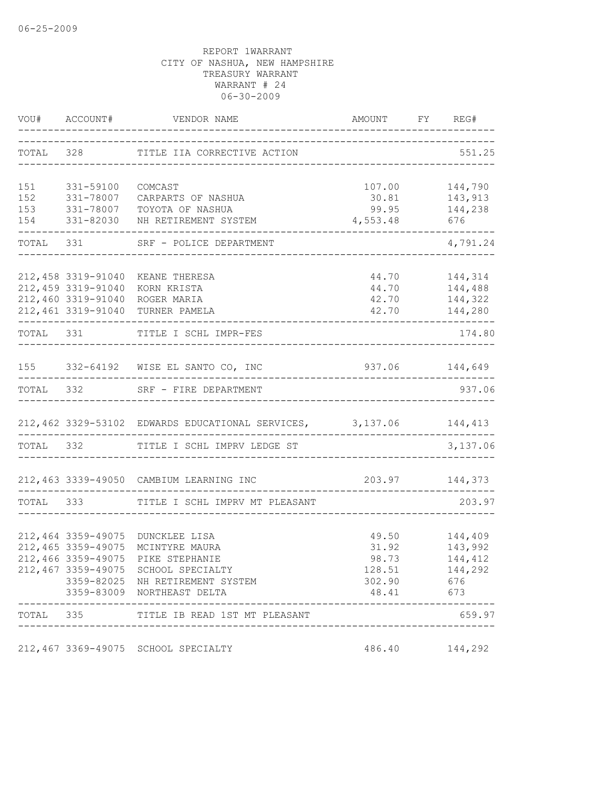|           |                             | VOU# ACCOUNT# VENDOR NAME                                                | AMOUNT FY REG# |                          |
|-----------|-----------------------------|--------------------------------------------------------------------------|----------------|--------------------------|
|           |                             | TOTAL 328 TITLE IIA CORRECTIVE ACTION                                    |                | 551.25                   |
| 151       | 331-59100                   | COMCAST                                                                  | 107.00         | 144,790                  |
| 152       | 331-78007                   | CARPARTS OF NASHUA                                                       | 30.81 143,913  |                          |
|           | 153 331-78007               | TOYOTA OF NASHUA                                                         |                | 99.95 144,238            |
|           | 154 331-82030               | NH RETIREMENT SYSTEM                                                     | 4,553.48       | 676                      |
|           |                             | TOTAL 331 SRF - POLICE DEPARTMENT                                        |                | 4,791.24                 |
|           | 212,458 3319-91040          | KEANE THERESA                                                            | 44.70          | 144,314                  |
|           | 212,459 3319-91040          | KORN KRISTA                                                              |                | 44.70 144,488            |
|           | 212,460 3319-91040          | ROGER MARIA                                                              |                | 42.70 144,322            |
|           |                             | 212,461 3319-91040 TURNER PAMELA                                         |                | 42.70    144,280         |
| TOTAL 331 |                             | TITLE I SCHL IMPR-FES                                                    |                | 174.80                   |
|           |                             | 155 332-64192 WISE EL SANTO CO, INC                                      | 937.06 144,649 |                          |
|           |                             | TOTAL 332 SRF - FIRE DEPARTMENT                                          |                | 937.06                   |
|           |                             | 212,462 3329-53102 EDWARDS EDUCATIONAL SERVICES, 3,137.06 144,413        |                |                          |
|           |                             | TOTAL 332 TITLE I SCHL IMPRV LEDGE ST                                    |                | 3,137.06                 |
|           |                             | 212,463 3339-49050 CAMBIUM LEARNING INC                                  | 203.97 144,373 |                          |
|           |                             | TOTAL 333 TITLE I SCHL IMPRV MT PLEASANT                                 |                | 203.97                   |
|           |                             |                                                                          |                |                          |
|           |                             | 212,464 3359-49075 DUNCKLEE LISA                                         | 49.50          | 144,409                  |
|           | 212, 465 3359-49075         | MCINTYRE MAURA                                                           | 31.92          | 143,992                  |
|           |                             | 212,466 3359-49075 PIKE STEPHANIE<br>212,467 3359-49075 SCHOOL SPECIALTY | 128.51         | 98.73 144,412<br>144,292 |
|           |                             | 3359-82025 NH RETIREMENT SYSTEM                                          | 302.90 676     |                          |
|           |                             | 3359-83009 NORTHEAST DELTA                                               | 48.41 673      |                          |
|           | --------------------------- | TOTAL 335 TITLE IB READ 1ST MT PLEASANT                                  |                | 659.97                   |
|           |                             | 212,467 3369-49075 SCHOOL SPECIALTY                                      |                | 486.40 144,292           |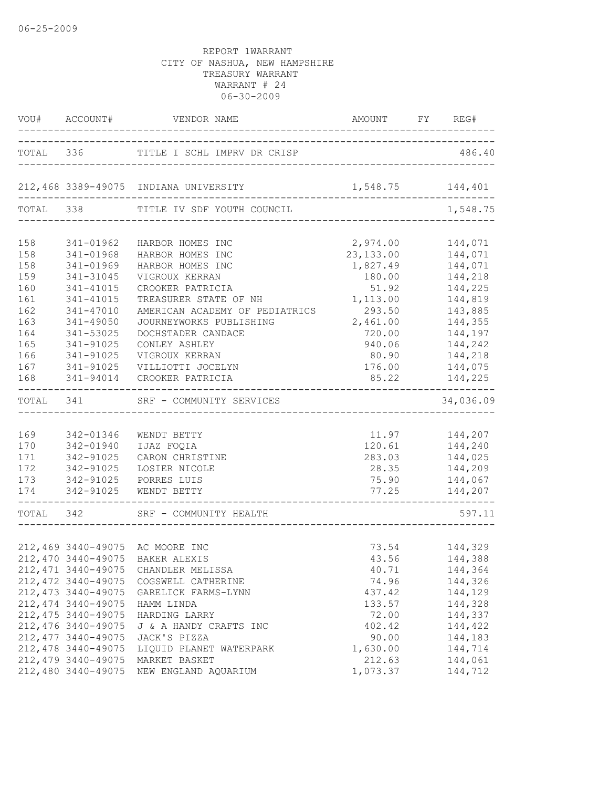|                            |                                           | VOU# ACCOUNT# VENDOR NAME             | AMOUNT FY REG#                                                           |                    |
|----------------------------|-------------------------------------------|---------------------------------------|--------------------------------------------------------------------------|--------------------|
| TOTAL 336<br>------------- |                                           | TITLE I SCHL IMPRV DR CRISP           | __________________________________<br>__________________________________ | 486.40             |
|                            |                                           | 212,468 3389-49075 INDIANA UNIVERSITY | 1,548.75 144,401                                                         |                    |
| TOTAL 338                  |                                           | TITLE IV SDF YOUTH COUNCIL            |                                                                          | 1,548.75           |
| 158                        | 341-01962                                 | HARBOR HOMES INC                      | 2,974.00                                                                 | 144,071            |
| 158                        | 341-01968                                 | HARBOR HOMES INC                      | 23, 133.00                                                               | 144,071            |
| 158                        | 341-01969                                 | HARBOR HOMES INC                      | 1,827.49                                                                 | 144,071            |
| 159                        | 341-31045                                 | VIGROUX KERRAN                        | 180.00                                                                   | 144,218            |
| 160                        | 341-41015                                 | CROOKER PATRICIA                      | 51.92                                                                    | 144,225            |
| 161                        | 341-41015                                 | TREASURER STATE OF NH                 | 1,113.00                                                                 | 144,819            |
| 162                        | 341-47010                                 | AMERICAN ACADEMY OF PEDIATRICS        | 293.50                                                                   | 143,885            |
| 163                        | 341-49050                                 | JOURNEYWORKS PUBLISHING               | 2,461.00                                                                 | 144,355            |
| 164                        | 341-53025                                 | DOCHSTADER CANDACE                    | 720.00                                                                   | 144,197            |
| 165                        | 341-91025                                 | CONLEY ASHLEY                         | 940.06                                                                   | 144,242            |
| 166                        | 341-91025                                 | VIGROUX KERRAN                        | 80.90                                                                    | 144,218            |
| 167                        | 341-91025                                 | VILLIOTTI JOCELYN                     | 176.00                                                                   | 144,075            |
| 168                        | 341-94014                                 | CROOKER PATRICIA                      | 85.22                                                                    | 144,225            |
| TOTAL 341                  |                                           | SRF - COMMUNITY SERVICES              |                                                                          | 34,036.09          |
| 169                        | 342-01346                                 | WENDT BETTY                           |                                                                          | 11.97 144,207      |
| 170                        | 342-01940                                 | IJAZ FOQIA                            |                                                                          | 120.61 144,240     |
| 171                        | 342-91025                                 | CARON CHRISTINE                       | 283.03                                                                   | 144,025            |
| 172                        | 342-91025                                 | LOSIER NICOLE                         | 28.35                                                                    | 144,209            |
| 173                        | 342-91025                                 | PORRES LUIS                           | 75.90                                                                    | 144,067            |
| 174                        | 342-91025                                 | WENDT BETTY                           | 77.25<br>_________________________________                               | 144,207            |
|                            | __________________<br>TOTAL 342           | SRF - COMMUNITY HEALTH                |                                                                          | 597.11             |
|                            |                                           |                                       |                                                                          |                    |
|                            |                                           | 212,469 3440-49075 AC MOORE INC       | 73.54                                                                    | 144,329            |
|                            |                                           | 212,470 3440-49075 BAKER ALEXIS       | 43.56                                                                    | 144,388            |
|                            | 212, 471 3440-49075                       | CHANDLER MELISSA                      | 40.71                                                                    | 144,364            |
|                            | 212, 472 3440-49075                       | COGSWELL CATHERINE                    | 74.96                                                                    | 144,326            |
|                            | 212, 473 3440-49075                       | GARELICK FARMS-LYNN                   | 437.42                                                                   | 144,129            |
|                            | 212, 474 3440-49075                       | HAMM LINDA                            | 133.57                                                                   | 144,328            |
|                            | 212, 475 3440-49075                       | HARDING LARRY                         | 72.00                                                                    | 144,337            |
|                            | 212,476 3440-49075                        | J & A HANDY CRAFTS INC                | 402.42                                                                   | 144,422            |
|                            | 212, 477 3440-49075                       | JACK'S PIZZA                          | 90.00                                                                    | 144,183            |
|                            | 212, 478 3440-49075                       | LIQUID PLANET WATERPARK               | 1,630.00                                                                 | 144,714            |
|                            | 212, 479 3440-49075<br>212,480 3440-49075 | MARKET BASKET<br>NEW ENGLAND AQUARIUM | 212.63<br>1,073.37                                                       | 144,061<br>144,712 |
|                            |                                           |                                       |                                                                          |                    |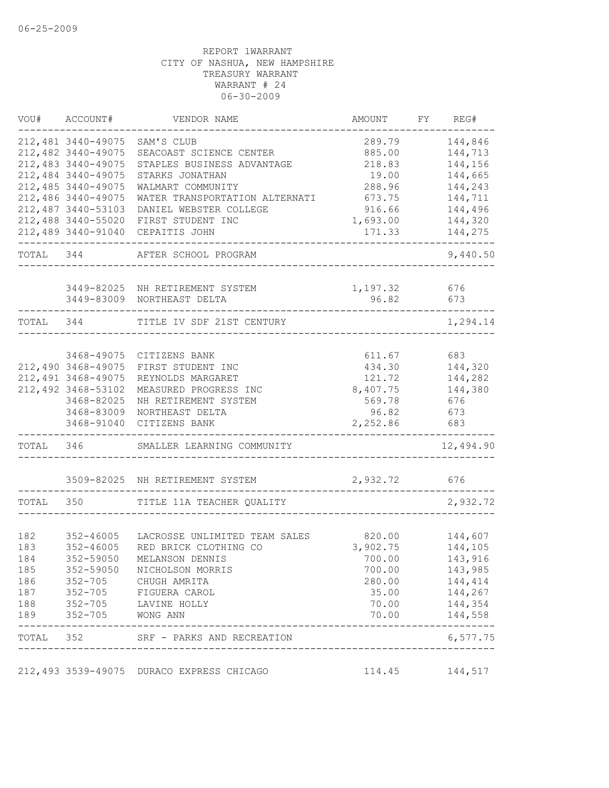| VOU#      | ACCOUNT#           | VENDOR NAME                               | AMOUNT                     | FY | REG#      |
|-----------|--------------------|-------------------------------------------|----------------------------|----|-----------|
|           | 212,481 3440-49075 | SAM'S CLUB                                | 289.79                     |    | 144,846   |
|           | 212,482 3440-49075 | SEACOAST SCIENCE CENTER                   | 885.00                     |    | 144,713   |
|           | 212,483 3440-49075 | STAPLES BUSINESS ADVANTAGE                | 218.83                     |    | 144,156   |
|           | 212,484 3440-49075 | STARKS JONATHAN                           | 19.00                      |    | 144,665   |
|           | 212,485 3440-49075 | WALMART COMMUNITY                         | 288.96                     |    | 144,243   |
|           | 212,486 3440-49075 | WATER TRANSPORTATION ALTERNATI            | 673.75                     |    | 144,711   |
|           | 212,487 3440-53103 | DANIEL WEBSTER COLLEGE                    | 916.66                     |    | 144,496   |
|           | 212,488 3440-55020 | FIRST STUDENT INC                         | 1,693.00                   |    | 144,320   |
|           | 212,489 3440-91040 | CEPAITIS JOHN                             | 171.33                     |    | 144,275   |
| TOTAL 344 |                    | AFTER SCHOOL PROGRAM                      |                            |    | 9,440.50  |
|           | 3449-82025         | NH RETIREMENT SYSTEM                      | 1,197.32                   |    | 676       |
|           | 3449-83009         | NORTHEAST DELTA                           | 96.82                      |    | 673       |
| TOTAL     | 344                | TITLE IV SDF 21ST CENTURY                 |                            |    | 1,294.14  |
|           |                    |                                           |                            |    |           |
|           | 3468-49075         | CITIZENS BANK                             | 611.67                     |    | 683       |
|           | 212,490 3468-49075 | FIRST STUDENT INC                         | 434.30                     |    | 144,320   |
|           | 212,491 3468-49075 | REYNOLDS MARGARET                         | 121.72                     |    | 144,282   |
|           | 212,492 3468-53102 | MEASURED PROGRESS INC                     | 8,407.75                   |    | 144,380   |
|           | 3468-82025         | NH RETIREMENT SYSTEM                      | 569.78                     |    | 676       |
|           | 3468-83009         | NORTHEAST DELTA                           | 96.82                      |    | 673       |
|           | 3468-91040         | CITIZENS BANK                             | 2,252.86                   |    | 683       |
| TOTAL     | 346                | SMALLER LEARNING COMMUNITY                |                            |    | 12,494.90 |
|           |                    | 3509-82025 NH RETIREMENT SYSTEM           | 2,932.72                   |    | 676       |
| TOTAL     | 350                | TITLE 11A TEACHER QUALITY                 |                            |    | 2,932.72  |
|           |                    |                                           |                            |    |           |
| 182       | $352 - 46005$      | LACROSSE UNLIMITED TEAM SALES             | 820.00                     |    | 144,607   |
| 183       | $352 - 46005$      | RED BRICK CLOTHING CO                     | 3,902.75                   |    | 144,105   |
| 184       | 352-59050          | MELANSON DENNIS                           | 700.00                     |    | 143,916   |
| 185       |                    | 352-59050 NICHOLSON MORRIS                | 700.00                     |    | 143,985   |
| 186       |                    | 352-705 CHUGH AMRITA                      | 280.00                     |    | 144,414   |
| 187       |                    | 352-705 FIGUERA CAROL                     | 35.00                      |    | 144,267   |
| 188       |                    | 352-705 LAVINE HOLLY                      | 70.00                      |    | 144,354   |
| 189       | 352-705 WONG ANN   |                                           | 70.00                      |    | 144,558   |
|           |                    | TOTAL 352 SRF - PARKS AND RECREATION      | -------------------------- |    | 6,577.75  |
|           |                    | 212,493 3539-49075 DURACO EXPRESS CHICAGO | 114.45                     |    | 144,517   |
|           |                    |                                           |                            |    |           |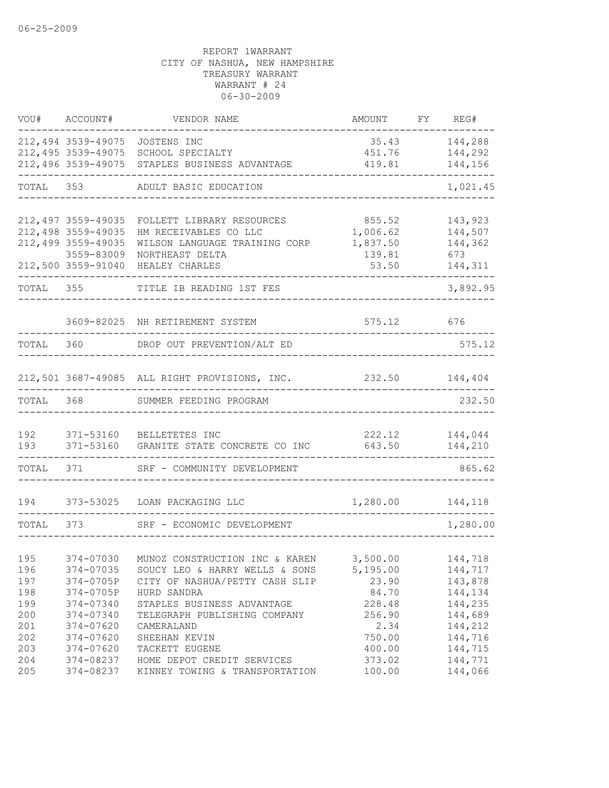| VOU#      | ACCOUNT#                                 | VENDOR NAME                                               | AMOUNT             | FY | REG#               |
|-----------|------------------------------------------|-----------------------------------------------------------|--------------------|----|--------------------|
|           |                                          | 212,494 3539-49075 JOSTENS INC                            | 35.43              |    | 144,288            |
|           |                                          | 212,495 3539-49075 SCHOOL SPECIALTY                       | 451.76             |    | 144,292            |
|           | 212,496 3539-49075                       | STAPLES BUSINESS ADVANTAGE                                | 419.81             |    | 144,156            |
| TOTAL 353 |                                          | ADULT BASIC EDUCATION                                     |                    |    | 1,021.45           |
|           |                                          |                                                           |                    |    |                    |
|           | 212,497 3559-49035<br>212,498 3559-49035 | FOLLETT LIBRARY RESOURCES<br>HM RECEIVABLES CO LLC        | 855.52<br>1,006.62 |    | 143,923<br>144,507 |
|           | 212,499 3559-49035                       | WILSON LANGUAGE TRAINING CORP                             | 1,837.50           |    | 144,362            |
|           | 3559-83009                               | NORTHEAST DELTA                                           | 139.81             |    | 673                |
|           | 212,500 3559-91040                       | HEALEY CHARLES                                            | 53.50              |    | 144,311            |
| TOTAL     | 355                                      | TITLE IB READING 1ST FES                                  |                    |    | 3,892.95           |
|           |                                          |                                                           |                    |    |                    |
|           |                                          | 3609-82025 NH RETIREMENT SYSTEM                           | 575.12 676         |    |                    |
| TOTAL     | 360                                      | DROP OUT PREVENTION/ALT ED                                |                    |    | 575.12             |
|           |                                          |                                                           |                    |    |                    |
|           |                                          | 212,501 3687-49085 ALL RIGHT PROVISIONS, INC.             | 232.50             |    | 144,404            |
| TOTAL     | 368                                      | SUMMER FEEDING PROGRAM                                    |                    |    | 232.50             |
| 192       |                                          | 371-53160 BELLETETES INC                                  | 222.12             |    | 144,044            |
| 193       |                                          | 371-53160 GRANITE STATE CONCRETE CO INC                   | 643.50             |    | 144,210            |
| TOTAL     | 371                                      | SRF - COMMUNITY DEVELOPMENT                               |                    |    | 865.62             |
| 194       | 373-53025                                | LOAN PACKAGING LLC                                        | 1,280.00           |    | 144,118            |
| TOTAL     | 373                                      | SRF - ECONOMIC DEVELOPMENT                                |                    |    | 1,280.00           |
|           |                                          |                                                           |                    |    |                    |
| 195       |                                          | 374-07030 MUNOZ CONSTRUCTION INC & KAREN 3,500.00 144,718 |                    |    |                    |
| 196       | 374-07035                                | SOUCY LEO & HARRY WELLS & SONS                            | 5,195.00           |    | 144,717            |
| 197       | 374-0705P                                | CITY OF NASHUA/PETTY CASH SLIP                            | 23.90              |    | 143,878            |
| 198       | 374-0705P                                | HURD SANDRA                                               | 84.70              |    | 144,134            |
| 199       | 374-07340                                | STAPLES BUSINESS ADVANTAGE                                | 228.48             |    | 144,235            |
| 200       | 374-07340                                | TELEGRAPH PUBLISHING COMPANY                              | 256.90             |    | 144,689            |
| 201       | 374-07620                                | CAMERALAND                                                | 2.34               |    | 144,212            |
| 202       | 374-07620                                | SHEEHAN KEVIN                                             | 750.00             |    | 144,716            |
| 203       | 374-07620                                | TACKETT EUGENE                                            | 400.00             |    | 144,715            |
| 204       | 374-08237                                | HOME DEPOT CREDIT SERVICES                                | 373.02             |    | 144,771            |
| 205       |                                          | 374-08237 KINNEY TOWING & TRANSPORTATION                  | 100.00             |    | 144,066            |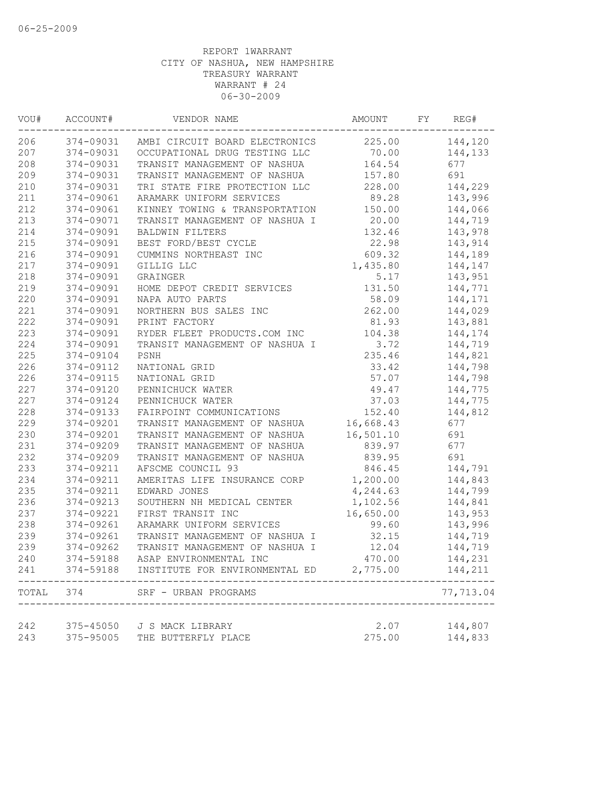| VOU#  | ACCOUNT#  | VENDOR NAME                              | AMOUNT    | FY | REG#      |
|-------|-----------|------------------------------------------|-----------|----|-----------|
| 206   |           | 374-09031 AMBI CIRCUIT BOARD ELECTRONICS | 225.00    |    | 144,120   |
| 207   | 374-09031 | OCCUPATIONAL DRUG TESTING LLC 70.00      |           |    | 144,133   |
| 208   | 374-09031 | TRANSIT MANAGEMENT OF NASHUA             | 164.54    |    | 677       |
| 209   | 374-09031 | TRANSIT MANAGEMENT OF NASHUA             | 157.80    |    | 691       |
| 210   | 374-09031 | TRI STATE FIRE PROTECTION LLC            | 228.00    |    | 144,229   |
| 211   | 374-09061 | ARAMARK UNIFORM SERVICES                 | 89.28     |    | 143,996   |
| 212   | 374-09061 | KINNEY TOWING & TRANSPORTATION           | 150.00    |    | 144,066   |
| 213   | 374-09071 | TRANSIT MANAGEMENT OF NASHUA I           | 20.00     |    | 144,719   |
| 214   | 374-09091 | BALDWIN FILTERS                          | 132.46    |    | 143,978   |
| 215   | 374-09091 | BEST FORD/BEST CYCLE                     | 22.98     |    | 143,914   |
| 216   | 374-09091 | CUMMINS NORTHEAST INC                    | 609.32    |    | 144,189   |
| 217   | 374-09091 | GILLIG LLC                               | 1,435.80  |    | 144,147   |
| 218   | 374-09091 | GRAINGER                                 | 5.17      |    | 143,951   |
| 219   | 374-09091 | HOME DEPOT CREDIT SERVICES               | 131.50    |    | 144,771   |
| 220   | 374-09091 | NAPA AUTO PARTS                          | 58.09     |    | 144,171   |
| 221   | 374-09091 | NORTHERN BUS SALES INC                   | 262.00    |    | 144,029   |
| 222   | 374-09091 | PRINT FACTORY                            | 81.93     |    | 143,881   |
| 223   | 374-09091 | RYDER FLEET PRODUCTS.COM INC             | 104.38    |    | 144,174   |
| 224   | 374-09091 | TRANSIT MANAGEMENT OF NASHUA I           | 3.72      |    | 144,719   |
| 225   | 374-09104 | PSNH                                     | 235.46    |    | 144,821   |
| 226   | 374-09112 | NATIONAL GRID                            | 33.42     |    | 144,798   |
| 226   | 374-09115 | NATIONAL GRID                            | 57.07     |    | 144,798   |
| 227   | 374-09120 | PENNICHUCK WATER                         | 49.47     |    | 144,775   |
| 227   | 374-09124 | PENNICHUCK WATER                         | 37.03     |    | 144,775   |
| 228   | 374-09133 | FAIRPOINT COMMUNICATIONS                 | 152.40    |    | 144,812   |
| 229   | 374-09201 | TRANSIT MANAGEMENT OF NASHUA             | 16,668.43 |    | 677       |
| 230   | 374-09201 | TRANSIT MANAGEMENT OF NASHUA             | 16,501.10 |    | 691       |
| 231   | 374-09209 | TRANSIT MANAGEMENT OF NASHUA             | 839.97    |    | 677       |
| 232   | 374-09209 | TRANSIT MANAGEMENT OF NASHUA             | 839.95    |    | 691       |
| 233   | 374-09211 | AFSCME COUNCIL 93                        | 846.45    |    | 144,791   |
| 234   | 374-09211 | AMERITAS LIFE INSURANCE CORP             | 1,200.00  |    | 144,843   |
| 235   | 374-09211 | EDWARD JONES                             | 4,244.63  |    | 144,799   |
| 236   | 374-09213 | SOUTHERN NH MEDICAL CENTER               | 1,102.56  |    | 144,841   |
| 237   | 374-09221 | FIRST TRANSIT INC                        | 16,650.00 |    | 143,953   |
| 238   | 374-09261 | ARAMARK UNIFORM SERVICES                 | 99.60     |    | 143,996   |
| 239   | 374-09261 | TRANSIT MANAGEMENT OF NASHUA I           | 32.15     |    | 144,719   |
| 239   | 374-09262 | TRANSIT MANAGEMENT OF NASHUA I           | 12.04     |    | 144,719   |
| 240   | 374-59188 | ASAP ENVIRONMENTAL INC                   | 470.00    |    | 144,231   |
| 241   | 374-59188 | INSTITUTE FOR ENVIRONMENTAL ED           | 2,775.00  |    | 144,211   |
| TOTAL | 374       | SRF - URBAN PROGRAMS                     |           |    | 77,713.04 |
|       |           |                                          |           |    |           |
| 242   | 375-45050 | J S MACK LIBRARY                         | 2.07      |    | 144,807   |
| 243   | 375-95005 | THE BUTTERFLY PLACE                      | 275.00    |    | 144,833   |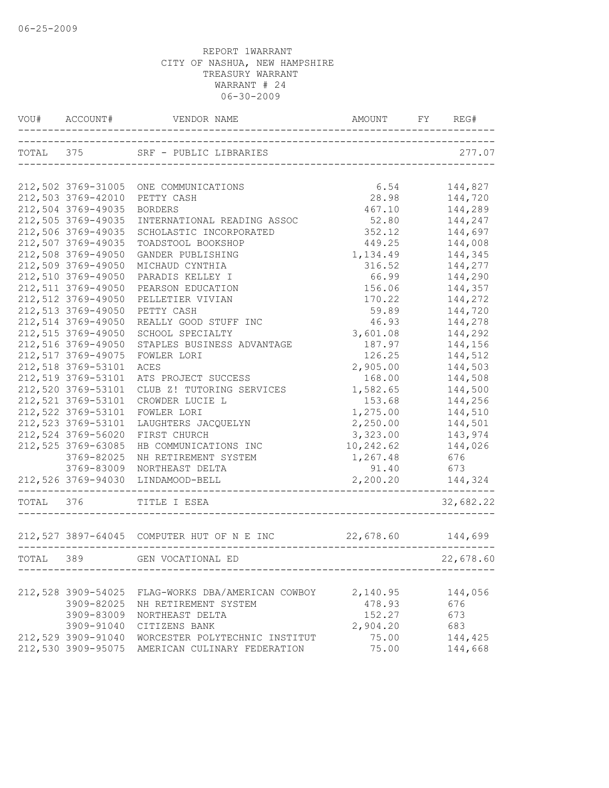| TOTAL 375 SRF - PUBLIC LIBRARIES<br>277.07<br>-----------------------------<br>6.54<br>144,827<br>212,502 3769-31005<br>ONE COMMUNICATIONS<br>212,503 3769-42010<br>28.98<br>144,720<br>PETTY CASH<br>212,504 3769-49035<br>467.10<br>144,289<br><b>BORDERS</b><br>212,505 3769-49035<br>INTERNATIONAL READING ASSOC<br>52.80<br>144,247<br>212,506 3769-49035<br>144,697<br>352.12<br>SCHOLASTIC INCORPORATED<br>212,507 3769-49035<br>449.25<br>144,008<br>TOADSTOOL BOOKSHOP<br>212,508 3769-49050<br>1,134.49<br>144,345<br>GANDER PUBLISHING<br>212,509 3769-49050<br>316.52<br>144,277<br>MICHAUD CYNTHIA<br>212,510 3769-49050<br>144,290<br>PARADIS KELLEY I<br>66.99<br>212,511 3769-49050<br>PEARSON EDUCATION<br>156.06<br>144,357<br>212,512 3769-49050<br>170.22<br>144,272<br>PELLETIER VIVIAN<br>212,513 3769-49050<br>PETTY CASH<br>59.89<br>144,720<br>212,514 3769-49050<br>46.93<br>REALLY GOOD STUFF INC<br>144,278<br>3,601.08<br>144,292<br>212,515 3769-49050<br>SCHOOL SPECIALTY<br>212,516 3769-49050<br>187.97<br>144,156<br>STAPLES BUSINESS ADVANTAGE<br>212,517 3769-49075<br>144,512<br>126.25<br>FOWLER LORI<br>212,518 3769-53101<br>2,905.00<br>144,503<br>ACES<br>212,519 3769-53101<br>144,508<br>ATS PROJECT SUCCESS<br>168.00<br>212,520 3769-53101<br>1,582.65<br>CLUB Z! TUTORING SERVICES<br>144,500<br>212,521 3769-53101<br>CROWDER LUCIE L<br>153.68<br>144,256<br>212,522 3769-53101<br>1,275.00<br>144,510<br>FOWLER LORI<br>212,523 3769-53101<br>2,250.00<br>LAUGHTERS JACQUELYN<br>144,501<br>212,524 3769-56020<br>3,323.00<br>FIRST CHURCH<br>143,974<br>212,525 3769-63085<br>144,026<br>HB COMMUNICATIONS INC<br>10,242.62<br>1,267.48<br>3769-82025<br>NH RETIREMENT SYSTEM<br>676<br>3769-83009<br>91.40<br>NORTHEAST DELTA<br>673<br>212,526 3769-94030<br>2,200.20<br>144,324<br>LINDAMOOD-BELL<br>TOTAL 376<br>32,682.22<br>TITLE I ESEA<br>22,678.60 144,699<br>212,527 3897-64045 COMPUTER HUT OF N E INC<br>TOTAL 389<br>GEN VOCATIONAL ED<br>22,678.60<br>212,528 3909-54025<br>2,140.95<br>FLAG-WORKS DBA/AMERICAN COWBOY<br>144,056<br>3909-82025<br>478.93<br>676<br>NH RETIREMENT SYSTEM<br>3909-83009<br>NORTHEAST DELTA<br>152.27<br>673<br>3909-91040<br>CITIZENS BANK<br>2,904.20<br>683<br>212,529 3909-91040<br>75.00<br>WORCESTER POLYTECHNIC INSTITUT<br>144,425<br>212,530 3909-95075 AMERICAN CULINARY FEDERATION<br>75.00<br>144,668 | VOU# ACCOUNT# | )U# ACCOUNT# VENDOR_NAME AND AMOUNT FY REC |  | FY REG# |
|------------------------------------------------------------------------------------------------------------------------------------------------------------------------------------------------------------------------------------------------------------------------------------------------------------------------------------------------------------------------------------------------------------------------------------------------------------------------------------------------------------------------------------------------------------------------------------------------------------------------------------------------------------------------------------------------------------------------------------------------------------------------------------------------------------------------------------------------------------------------------------------------------------------------------------------------------------------------------------------------------------------------------------------------------------------------------------------------------------------------------------------------------------------------------------------------------------------------------------------------------------------------------------------------------------------------------------------------------------------------------------------------------------------------------------------------------------------------------------------------------------------------------------------------------------------------------------------------------------------------------------------------------------------------------------------------------------------------------------------------------------------------------------------------------------------------------------------------------------------------------------------------------------------------------------------------------------------------------------------------------------------------------------------------------------------------------------------------------------------------------------------------------------------------------------------------------------------------------------------------------------------------------------------------------------------------------------------------------------------------------------------------------------------|---------------|--------------------------------------------|--|---------|
|                                                                                                                                                                                                                                                                                                                                                                                                                                                                                                                                                                                                                                                                                                                                                                                                                                                                                                                                                                                                                                                                                                                                                                                                                                                                                                                                                                                                                                                                                                                                                                                                                                                                                                                                                                                                                                                                                                                                                                                                                                                                                                                                                                                                                                                                                                                                                                                                                  |               |                                            |  |         |
|                                                                                                                                                                                                                                                                                                                                                                                                                                                                                                                                                                                                                                                                                                                                                                                                                                                                                                                                                                                                                                                                                                                                                                                                                                                                                                                                                                                                                                                                                                                                                                                                                                                                                                                                                                                                                                                                                                                                                                                                                                                                                                                                                                                                                                                                                                                                                                                                                  |               |                                            |  |         |
|                                                                                                                                                                                                                                                                                                                                                                                                                                                                                                                                                                                                                                                                                                                                                                                                                                                                                                                                                                                                                                                                                                                                                                                                                                                                                                                                                                                                                                                                                                                                                                                                                                                                                                                                                                                                                                                                                                                                                                                                                                                                                                                                                                                                                                                                                                                                                                                                                  |               |                                            |  |         |
|                                                                                                                                                                                                                                                                                                                                                                                                                                                                                                                                                                                                                                                                                                                                                                                                                                                                                                                                                                                                                                                                                                                                                                                                                                                                                                                                                                                                                                                                                                                                                                                                                                                                                                                                                                                                                                                                                                                                                                                                                                                                                                                                                                                                                                                                                                                                                                                                                  |               |                                            |  |         |
|                                                                                                                                                                                                                                                                                                                                                                                                                                                                                                                                                                                                                                                                                                                                                                                                                                                                                                                                                                                                                                                                                                                                                                                                                                                                                                                                                                                                                                                                                                                                                                                                                                                                                                                                                                                                                                                                                                                                                                                                                                                                                                                                                                                                                                                                                                                                                                                                                  |               |                                            |  |         |
|                                                                                                                                                                                                                                                                                                                                                                                                                                                                                                                                                                                                                                                                                                                                                                                                                                                                                                                                                                                                                                                                                                                                                                                                                                                                                                                                                                                                                                                                                                                                                                                                                                                                                                                                                                                                                                                                                                                                                                                                                                                                                                                                                                                                                                                                                                                                                                                                                  |               |                                            |  |         |
|                                                                                                                                                                                                                                                                                                                                                                                                                                                                                                                                                                                                                                                                                                                                                                                                                                                                                                                                                                                                                                                                                                                                                                                                                                                                                                                                                                                                                                                                                                                                                                                                                                                                                                                                                                                                                                                                                                                                                                                                                                                                                                                                                                                                                                                                                                                                                                                                                  |               |                                            |  |         |
|                                                                                                                                                                                                                                                                                                                                                                                                                                                                                                                                                                                                                                                                                                                                                                                                                                                                                                                                                                                                                                                                                                                                                                                                                                                                                                                                                                                                                                                                                                                                                                                                                                                                                                                                                                                                                                                                                                                                                                                                                                                                                                                                                                                                                                                                                                                                                                                                                  |               |                                            |  |         |
|                                                                                                                                                                                                                                                                                                                                                                                                                                                                                                                                                                                                                                                                                                                                                                                                                                                                                                                                                                                                                                                                                                                                                                                                                                                                                                                                                                                                                                                                                                                                                                                                                                                                                                                                                                                                                                                                                                                                                                                                                                                                                                                                                                                                                                                                                                                                                                                                                  |               |                                            |  |         |
|                                                                                                                                                                                                                                                                                                                                                                                                                                                                                                                                                                                                                                                                                                                                                                                                                                                                                                                                                                                                                                                                                                                                                                                                                                                                                                                                                                                                                                                                                                                                                                                                                                                                                                                                                                                                                                                                                                                                                                                                                                                                                                                                                                                                                                                                                                                                                                                                                  |               |                                            |  |         |
|                                                                                                                                                                                                                                                                                                                                                                                                                                                                                                                                                                                                                                                                                                                                                                                                                                                                                                                                                                                                                                                                                                                                                                                                                                                                                                                                                                                                                                                                                                                                                                                                                                                                                                                                                                                                                                                                                                                                                                                                                                                                                                                                                                                                                                                                                                                                                                                                                  |               |                                            |  |         |
|                                                                                                                                                                                                                                                                                                                                                                                                                                                                                                                                                                                                                                                                                                                                                                                                                                                                                                                                                                                                                                                                                                                                                                                                                                                                                                                                                                                                                                                                                                                                                                                                                                                                                                                                                                                                                                                                                                                                                                                                                                                                                                                                                                                                                                                                                                                                                                                                                  |               |                                            |  |         |
|                                                                                                                                                                                                                                                                                                                                                                                                                                                                                                                                                                                                                                                                                                                                                                                                                                                                                                                                                                                                                                                                                                                                                                                                                                                                                                                                                                                                                                                                                                                                                                                                                                                                                                                                                                                                                                                                                                                                                                                                                                                                                                                                                                                                                                                                                                                                                                                                                  |               |                                            |  |         |
|                                                                                                                                                                                                                                                                                                                                                                                                                                                                                                                                                                                                                                                                                                                                                                                                                                                                                                                                                                                                                                                                                                                                                                                                                                                                                                                                                                                                                                                                                                                                                                                                                                                                                                                                                                                                                                                                                                                                                                                                                                                                                                                                                                                                                                                                                                                                                                                                                  |               |                                            |  |         |
|                                                                                                                                                                                                                                                                                                                                                                                                                                                                                                                                                                                                                                                                                                                                                                                                                                                                                                                                                                                                                                                                                                                                                                                                                                                                                                                                                                                                                                                                                                                                                                                                                                                                                                                                                                                                                                                                                                                                                                                                                                                                                                                                                                                                                                                                                                                                                                                                                  |               |                                            |  |         |
|                                                                                                                                                                                                                                                                                                                                                                                                                                                                                                                                                                                                                                                                                                                                                                                                                                                                                                                                                                                                                                                                                                                                                                                                                                                                                                                                                                                                                                                                                                                                                                                                                                                                                                                                                                                                                                                                                                                                                                                                                                                                                                                                                                                                                                                                                                                                                                                                                  |               |                                            |  |         |
|                                                                                                                                                                                                                                                                                                                                                                                                                                                                                                                                                                                                                                                                                                                                                                                                                                                                                                                                                                                                                                                                                                                                                                                                                                                                                                                                                                                                                                                                                                                                                                                                                                                                                                                                                                                                                                                                                                                                                                                                                                                                                                                                                                                                                                                                                                                                                                                                                  |               |                                            |  |         |
|                                                                                                                                                                                                                                                                                                                                                                                                                                                                                                                                                                                                                                                                                                                                                                                                                                                                                                                                                                                                                                                                                                                                                                                                                                                                                                                                                                                                                                                                                                                                                                                                                                                                                                                                                                                                                                                                                                                                                                                                                                                                                                                                                                                                                                                                                                                                                                                                                  |               |                                            |  |         |
|                                                                                                                                                                                                                                                                                                                                                                                                                                                                                                                                                                                                                                                                                                                                                                                                                                                                                                                                                                                                                                                                                                                                                                                                                                                                                                                                                                                                                                                                                                                                                                                                                                                                                                                                                                                                                                                                                                                                                                                                                                                                                                                                                                                                                                                                                                                                                                                                                  |               |                                            |  |         |
|                                                                                                                                                                                                                                                                                                                                                                                                                                                                                                                                                                                                                                                                                                                                                                                                                                                                                                                                                                                                                                                                                                                                                                                                                                                                                                                                                                                                                                                                                                                                                                                                                                                                                                                                                                                                                                                                                                                                                                                                                                                                                                                                                                                                                                                                                                                                                                                                                  |               |                                            |  |         |
|                                                                                                                                                                                                                                                                                                                                                                                                                                                                                                                                                                                                                                                                                                                                                                                                                                                                                                                                                                                                                                                                                                                                                                                                                                                                                                                                                                                                                                                                                                                                                                                                                                                                                                                                                                                                                                                                                                                                                                                                                                                                                                                                                                                                                                                                                                                                                                                                                  |               |                                            |  |         |
|                                                                                                                                                                                                                                                                                                                                                                                                                                                                                                                                                                                                                                                                                                                                                                                                                                                                                                                                                                                                                                                                                                                                                                                                                                                                                                                                                                                                                                                                                                                                                                                                                                                                                                                                                                                                                                                                                                                                                                                                                                                                                                                                                                                                                                                                                                                                                                                                                  |               |                                            |  |         |
|                                                                                                                                                                                                                                                                                                                                                                                                                                                                                                                                                                                                                                                                                                                                                                                                                                                                                                                                                                                                                                                                                                                                                                                                                                                                                                                                                                                                                                                                                                                                                                                                                                                                                                                                                                                                                                                                                                                                                                                                                                                                                                                                                                                                                                                                                                                                                                                                                  |               |                                            |  |         |
|                                                                                                                                                                                                                                                                                                                                                                                                                                                                                                                                                                                                                                                                                                                                                                                                                                                                                                                                                                                                                                                                                                                                                                                                                                                                                                                                                                                                                                                                                                                                                                                                                                                                                                                                                                                                                                                                                                                                                                                                                                                                                                                                                                                                                                                                                                                                                                                                                  |               |                                            |  |         |
|                                                                                                                                                                                                                                                                                                                                                                                                                                                                                                                                                                                                                                                                                                                                                                                                                                                                                                                                                                                                                                                                                                                                                                                                                                                                                                                                                                                                                                                                                                                                                                                                                                                                                                                                                                                                                                                                                                                                                                                                                                                                                                                                                                                                                                                                                                                                                                                                                  |               |                                            |  |         |
|                                                                                                                                                                                                                                                                                                                                                                                                                                                                                                                                                                                                                                                                                                                                                                                                                                                                                                                                                                                                                                                                                                                                                                                                                                                                                                                                                                                                                                                                                                                                                                                                                                                                                                                                                                                                                                                                                                                                                                                                                                                                                                                                                                                                                                                                                                                                                                                                                  |               |                                            |  |         |
|                                                                                                                                                                                                                                                                                                                                                                                                                                                                                                                                                                                                                                                                                                                                                                                                                                                                                                                                                                                                                                                                                                                                                                                                                                                                                                                                                                                                                                                                                                                                                                                                                                                                                                                                                                                                                                                                                                                                                                                                                                                                                                                                                                                                                                                                                                                                                                                                                  |               |                                            |  |         |
|                                                                                                                                                                                                                                                                                                                                                                                                                                                                                                                                                                                                                                                                                                                                                                                                                                                                                                                                                                                                                                                                                                                                                                                                                                                                                                                                                                                                                                                                                                                                                                                                                                                                                                                                                                                                                                                                                                                                                                                                                                                                                                                                                                                                                                                                                                                                                                                                                  |               |                                            |  |         |
|                                                                                                                                                                                                                                                                                                                                                                                                                                                                                                                                                                                                                                                                                                                                                                                                                                                                                                                                                                                                                                                                                                                                                                                                                                                                                                                                                                                                                                                                                                                                                                                                                                                                                                                                                                                                                                                                                                                                                                                                                                                                                                                                                                                                                                                                                                                                                                                                                  |               |                                            |  |         |
|                                                                                                                                                                                                                                                                                                                                                                                                                                                                                                                                                                                                                                                                                                                                                                                                                                                                                                                                                                                                                                                                                                                                                                                                                                                                                                                                                                                                                                                                                                                                                                                                                                                                                                                                                                                                                                                                                                                                                                                                                                                                                                                                                                                                                                                                                                                                                                                                                  |               |                                            |  |         |
|                                                                                                                                                                                                                                                                                                                                                                                                                                                                                                                                                                                                                                                                                                                                                                                                                                                                                                                                                                                                                                                                                                                                                                                                                                                                                                                                                                                                                                                                                                                                                                                                                                                                                                                                                                                                                                                                                                                                                                                                                                                                                                                                                                                                                                                                                                                                                                                                                  |               |                                            |  |         |
|                                                                                                                                                                                                                                                                                                                                                                                                                                                                                                                                                                                                                                                                                                                                                                                                                                                                                                                                                                                                                                                                                                                                                                                                                                                                                                                                                                                                                                                                                                                                                                                                                                                                                                                                                                                                                                                                                                                                                                                                                                                                                                                                                                                                                                                                                                                                                                                                                  |               |                                            |  |         |
|                                                                                                                                                                                                                                                                                                                                                                                                                                                                                                                                                                                                                                                                                                                                                                                                                                                                                                                                                                                                                                                                                                                                                                                                                                                                                                                                                                                                                                                                                                                                                                                                                                                                                                                                                                                                                                                                                                                                                                                                                                                                                                                                                                                                                                                                                                                                                                                                                  |               |                                            |  |         |
|                                                                                                                                                                                                                                                                                                                                                                                                                                                                                                                                                                                                                                                                                                                                                                                                                                                                                                                                                                                                                                                                                                                                                                                                                                                                                                                                                                                                                                                                                                                                                                                                                                                                                                                                                                                                                                                                                                                                                                                                                                                                                                                                                                                                                                                                                                                                                                                                                  |               |                                            |  |         |
|                                                                                                                                                                                                                                                                                                                                                                                                                                                                                                                                                                                                                                                                                                                                                                                                                                                                                                                                                                                                                                                                                                                                                                                                                                                                                                                                                                                                                                                                                                                                                                                                                                                                                                                                                                                                                                                                                                                                                                                                                                                                                                                                                                                                                                                                                                                                                                                                                  |               |                                            |  |         |
|                                                                                                                                                                                                                                                                                                                                                                                                                                                                                                                                                                                                                                                                                                                                                                                                                                                                                                                                                                                                                                                                                                                                                                                                                                                                                                                                                                                                                                                                                                                                                                                                                                                                                                                                                                                                                                                                                                                                                                                                                                                                                                                                                                                                                                                                                                                                                                                                                  |               |                                            |  |         |
|                                                                                                                                                                                                                                                                                                                                                                                                                                                                                                                                                                                                                                                                                                                                                                                                                                                                                                                                                                                                                                                                                                                                                                                                                                                                                                                                                                                                                                                                                                                                                                                                                                                                                                                                                                                                                                                                                                                                                                                                                                                                                                                                                                                                                                                                                                                                                                                                                  |               |                                            |  |         |
|                                                                                                                                                                                                                                                                                                                                                                                                                                                                                                                                                                                                                                                                                                                                                                                                                                                                                                                                                                                                                                                                                                                                                                                                                                                                                                                                                                                                                                                                                                                                                                                                                                                                                                                                                                                                                                                                                                                                                                                                                                                                                                                                                                                                                                                                                                                                                                                                                  |               |                                            |  |         |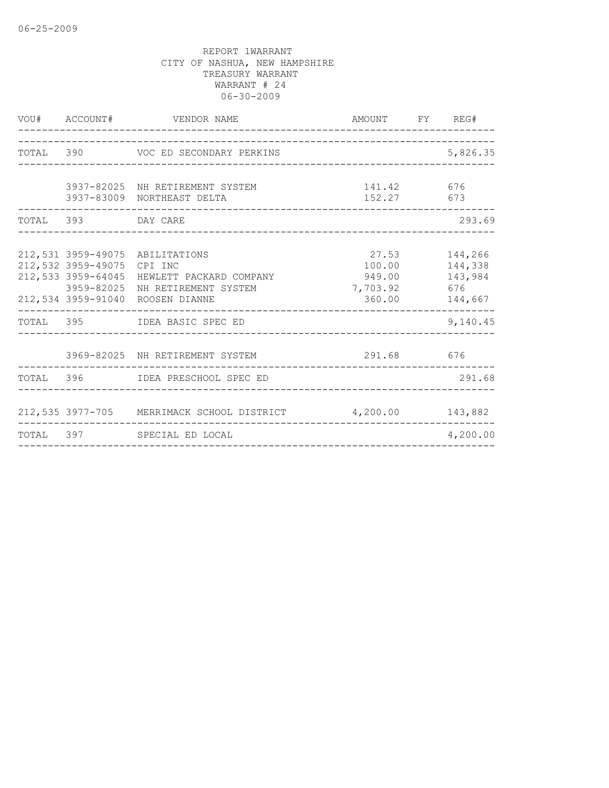| VOU# ACCOUNT#                                          | VENDOR NAME                                                                                                                       | AMOUNT FY REG#                                             |                                      |
|--------------------------------------------------------|-----------------------------------------------------------------------------------------------------------------------------------|------------------------------------------------------------|--------------------------------------|
|                                                        | TOTAL 390 VOC ED SECONDARY PERKINS                                                                                                |                                                            | 5,826.35                             |
|                                                        | 3937-82025 NH RETIREMENT SYSTEM<br>3937-83009 NORTHEAST DELTA                                                                     | 141.42 676<br>152.27 673                                   |                                      |
| TOTAL 393 DAY CARE                                     |                                                                                                                                   |                                                            | 293.69                               |
| 212,532 3959-49075<br>212,533 3959-64045<br>3959-82025 | 212,531 3959-49075 ABILITATIONS<br>CPI INC<br>HEWLETT PACKARD COMPANY<br>NH RETIREMENT SYSTEM<br>212,534 3959-91040 ROOSEN DIANNE | 27.53<br>100.00    144,338<br>949.00<br>7,703.92<br>360.00 | 144,266<br>143,984<br>676<br>144,667 |
|                                                        | TOTAL 395 IDEA BASIC SPEC ED                                                                                                      |                                                            | 9,140.45                             |
|                                                        | 3969-82025 NH RETIREMENT SYSTEM<br>-------------------                                                                            | 291.68 676                                                 |                                      |
|                                                        | TOTAL 396 IDEA PRESCHOOL SPEC ED                                                                                                  |                                                            | 291.68                               |
|                                                        | 212,535 3977-705 MERRIMACK SCHOOL DISTRICT 4,200.00 143,882                                                                       |                                                            |                                      |
|                                                        | TOTAL 397 SPECIAL ED LOCAL                                                                                                        |                                                            | 4,200.00                             |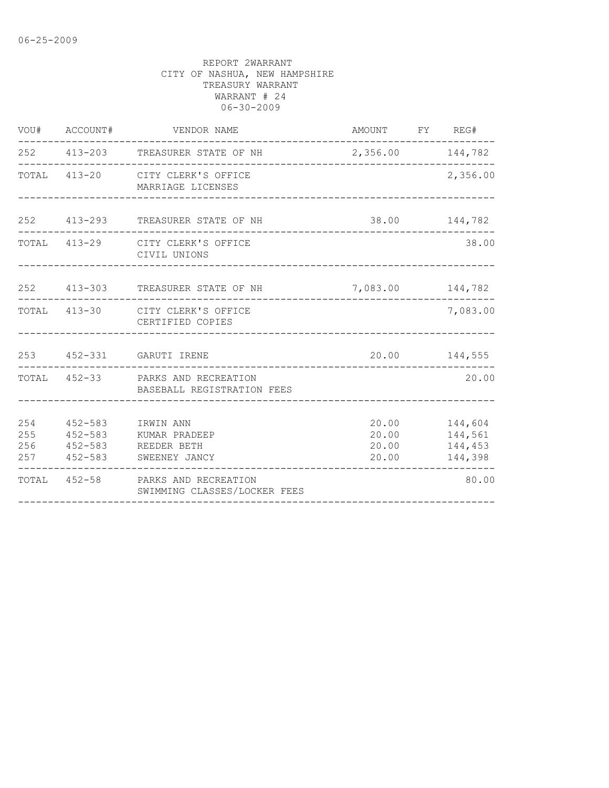|                          | VOU# ACCOUNT#                                    | VENDOR NAME                                                     | AMOUNT FY REG#                   |                                          |
|--------------------------|--------------------------------------------------|-----------------------------------------------------------------|----------------------------------|------------------------------------------|
|                          |                                                  | 252 413-203 TREASURER STATE OF NH                               | 2,356.00 144,782                 |                                          |
|                          |                                                  | TOTAL 413-20 CITY CLERK'S OFFICE<br>MARRIAGE LICENSES           |                                  | 2,356.00                                 |
|                          |                                                  | 252 413-293 TREASURER STATE OF NH                               |                                  | 38.00 144,782                            |
|                          |                                                  | TOTAL 413-29 CITY CLERK'S OFFICE<br>CIVIL UNIONS                |                                  | 38.00                                    |
|                          |                                                  | 252 413-303 TREASURER STATE OF NH                               | 7,083.00 144,782                 |                                          |
|                          |                                                  | TOTAL 413-30 CITY CLERK'S OFFICE<br>CERTIFIED COPIES            |                                  | 7,083.00                                 |
|                          |                                                  | 253   452-331   GARUTI IRENE                                    |                                  | 20.00 144,555                            |
|                          |                                                  | TOTAL 452-33 PARKS AND RECREATION<br>BASEBALL REGISTRATION FEES |                                  | 20.00                                    |
| 254<br>255<br>256<br>257 | $452 - 583$<br>452-583<br>$452 - 583$<br>452-583 | IRWIN ANN<br>KUMAR PRADEEP<br>REEDER BETH<br>SWEENEY JANCY      | 20.00<br>20.00<br>20.00<br>20.00 | 144,604<br>144,561<br>144,453<br>144,398 |
| TOTAL                    |                                                  | 452-58 PARKS AND RECREATION<br>SWIMMING CLASSES/LOCKER FEES     |                                  | 80.00                                    |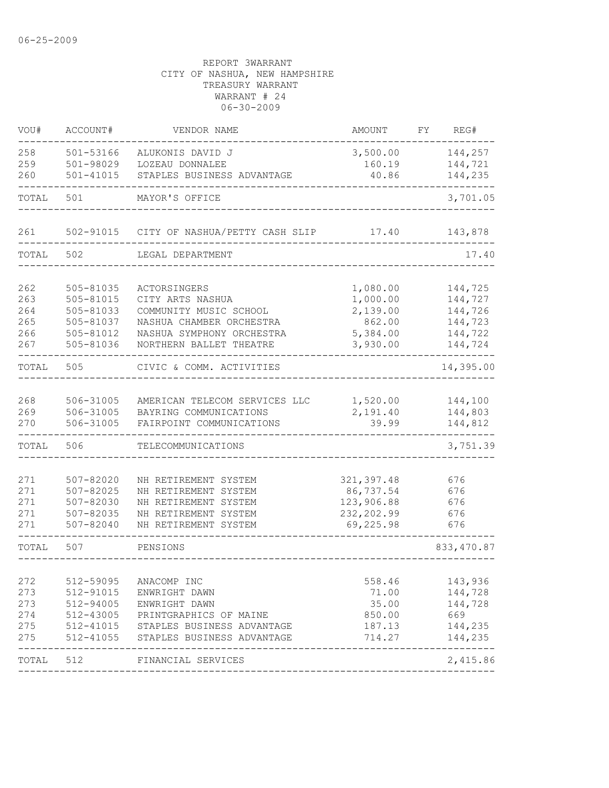| VOU#       | ACCOUNT#               | VENDOR NAME                    | <b>AMOUNT</b>    | REG#<br>FΥ     |
|------------|------------------------|--------------------------------|------------------|----------------|
| 258        | 501-53166              | ALUKONIS DAVID J               | 3,500.00         | 144,257        |
| 259        | 501-98029              | LOZEAU DONNALEE                | 160.19           | 144,721        |
| 260        | $501 - 41015$          | STAPLES BUSINESS ADVANTAGE     | 40.86            | 144,235        |
| TOTAL      | 501                    | MAYOR'S OFFICE                 |                  | 3,701.05       |
| 261        | 502-91015              | CITY OF NASHUA/PETTY CASH SLIP | 17.40            | 143,878        |
| TOTAL      | 502                    | LEGAL DEPARTMENT               |                  | 17.40          |
| 262        | 505-81035              | <b>ACTORSINGERS</b>            | 1,080.00         | 144,725        |
| 263        | 505-81015              | CITY ARTS NASHUA               | 1,000.00         | 144,727        |
| 264        | 505-81033              | COMMUNITY MUSIC SCHOOL         | 2,139.00         | 144,726        |
| 265        | 505-81037              | NASHUA CHAMBER ORCHESTRA       | 862.00           | 144,723        |
| 266        | 505-81012              | NASHUA SYMPHONY ORCHESTRA      | 5,384.00         | 144,722        |
| 267        | 505-81036              | NORTHERN BALLET THEATRE        | 3,930.00         | 144,724        |
| TOTAL      | 505                    | CIVIC & COMM. ACTIVITIES       |                  | 14,395.00      |
|            |                        |                                |                  |                |
| 268        | 506-31005              | AMERICAN TELECOM SERVICES LLC  | 1,520.00         | 144,100        |
| 269        | 506-31005              | BAYRING COMMUNICATIONS         | 2,191.40         | 144,803        |
| 270        | 506-31005              | FAIRPOINT COMMUNICATIONS       | 39.99            | 144,812        |
| TOTAL      | 506                    | TELECOMMUNICATIONS             |                  | 3,751.39       |
| 271        | $507 - 82020$          | NH RETIREMENT SYSTEM           | 321, 397.48      | 676            |
| 271        | $507 - 82025$          | NH RETIREMENT SYSTEM           | 86,737.54        | 676            |
| 271        | 507-82030              | NH RETIREMENT SYSTEM           | 123,906.88       | 676            |
| 271        | 507-82035              | NH RETIREMENT SYSTEM           | 232, 202.99      | 676            |
| 271        | $507 - 82040$          | NH RETIREMENT SYSTEM           | 69,225.98        | 676            |
| TOTAL      | 507                    | PENSIONS                       |                  | 833, 470.87    |
|            |                        |                                |                  |                |
| 272        | 512-59095              | ANACOMP INC                    | 558.46           | 143,936        |
| 273        | 512-91015              | ENWRIGHT DAWN<br>ENWRIGHT DAWN | 71.00            | 144,728        |
| 273<br>274 | 512-94005<br>512-43005 | PRINTGRAPHICS OF MAINE         | 35.00            | 144,728<br>669 |
| 275        | 512-41015              | STAPLES BUSINESS ADVANTAGE     | 850.00<br>187.13 | 144,235        |
| 275        | 512-41055              | STAPLES BUSINESS ADVANTAGE     | 714.27           | 144,235        |
| TOTAL 512  |                        | FINANCIAL SERVICES             |                  | 2,415.86       |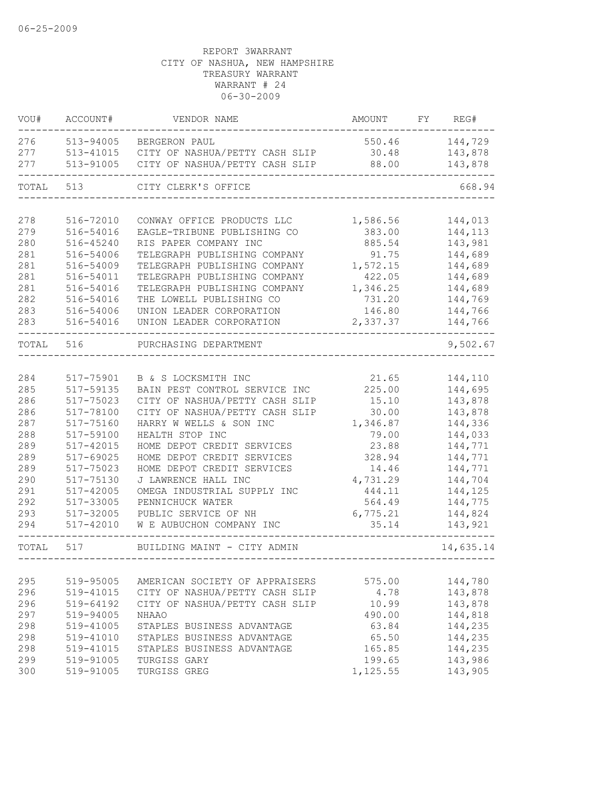| VOU#  | ACCOUNT#      | VENDOR NAME                    | AMOUNT   | FY. | REG#      |
|-------|---------------|--------------------------------|----------|-----|-----------|
| 276   | 513-94005     | BERGERON PAUL                  | 550.46   |     | 144,729   |
| 277   | 513-41015     | CITY OF NASHUA/PETTY CASH SLIP | 30.48    |     | 143,878   |
| 277   | 513-91005     | CITY OF NASHUA/PETTY CASH SLIP | 88.00    |     | 143,878   |
| TOTAL | 513           | CITY CLERK'S OFFICE            |          |     | 668.94    |
|       |               |                                |          |     |           |
| 278   | 516-72010     | CONWAY OFFICE PRODUCTS LLC     | 1,586.56 |     | 144,013   |
| 279   | 516-54016     | EAGLE-TRIBUNE PUBLISHING CO    | 383.00   |     | 144,113   |
| 280   | $516 - 45240$ | RIS PAPER COMPANY INC          | 885.54   |     | 143,981   |
| 281   | 516-54006     | TELEGRAPH PUBLISHING COMPANY   | 91.75    |     | 144,689   |
| 281   | 516-54009     | TELEGRAPH PUBLISHING COMPANY   | 1,572.15 |     | 144,689   |
| 281   | 516-54011     | TELEGRAPH PUBLISHING COMPANY   | 422.05   |     | 144,689   |
| 281   | 516-54016     | TELEGRAPH PUBLISHING COMPANY   | 1,346.25 |     | 144,689   |
| 282   | 516-54016     | THE LOWELL PUBLISHING CO       | 731.20   |     | 144,769   |
| 283   | 516-54006     | UNION LEADER CORPORATION       | 146.80   |     | 144,766   |
| 283   | 516-54016     | UNION LEADER CORPORATION       | 2,337.37 |     | 144,766   |
| TOTAL | 516           | PURCHASING DEPARTMENT          |          |     | 9,502.67  |
|       |               |                                |          |     |           |
| 284   | 517-75901     | B & S LOCKSMITH INC            | 21.65    |     | 144,110   |
| 285   | 517-59135     | BAIN PEST CONTROL SERVICE INC  | 225.00   |     | 144,695   |
| 286   | $517 - 75023$ | CITY OF NASHUA/PETTY CASH SLIP | 15.10    |     | 143,878   |
| 286   | 517-78100     | CITY OF NASHUA/PETTY CASH SLIP | 30.00    |     | 143,878   |
| 287   | 517-75160     | HARRY W WELLS & SON INC        | 1,346.87 |     | 144,336   |
| 288   | 517-59100     | HEALTH STOP INC                | 79.00    |     | 144,033   |
| 289   | 517-42015     | HOME DEPOT CREDIT SERVICES     | 23.88    |     | 144,771   |
| 289   | 517-69025     | HOME DEPOT CREDIT SERVICES     | 328.94   |     | 144,771   |
| 289   | 517-75023     | HOME DEPOT CREDIT SERVICES     | 14.46    |     | 144,771   |
| 290   | 517-75130     | J LAWRENCE HALL INC            | 4,731.29 |     | 144,704   |
| 291   | 517-42005     | OMEGA INDUSTRIAL SUPPLY INC    | 444.11   |     | 144,125   |
| 292   | 517-33005     | PENNICHUCK WATER               | 564.49   |     | 144,775   |
| 293   | 517-32005     | PUBLIC SERVICE OF NH           | 6,775.21 |     | 144,824   |
| 294   | 517-42010     | W E AUBUCHON COMPANY INC       | 35.14    |     | 143,921   |
| TOTAL | 517           | BUILDING MAINT - CITY ADMIN    |          |     | 14,635.14 |
|       |               |                                |          |     |           |
| 295   | 519-95005     | AMERICAN SOCIETY OF APPRAISERS | 575.00   |     | 144,780   |
| 296   | 519-41015     | CITY OF NASHUA/PETTY CASH SLIP | 4.78     |     | 143,878   |
| 296   | 519-64192     | CITY OF NASHUA/PETTY CASH SLIP | 10.99    |     | 143,878   |
| 297   | 519-94005     | <b>NHAAO</b>                   | 490.00   |     | 144,818   |
| 298   | 519-41005     | STAPLES BUSINESS ADVANTAGE     | 63.84    |     | 144,235   |
| 298   | 519-41010     | STAPLES BUSINESS ADVANTAGE     | 65.50    |     | 144,235   |
| 298   | 519-41015     | STAPLES BUSINESS ADVANTAGE     | 165.85   |     | 144,235   |
| 299   | 519-91005     | TURGISS GARY                   | 199.65   |     | 143,986   |
| 300   | 519-91005     | TURGISS GREG                   | 1,125.55 |     | 143,905   |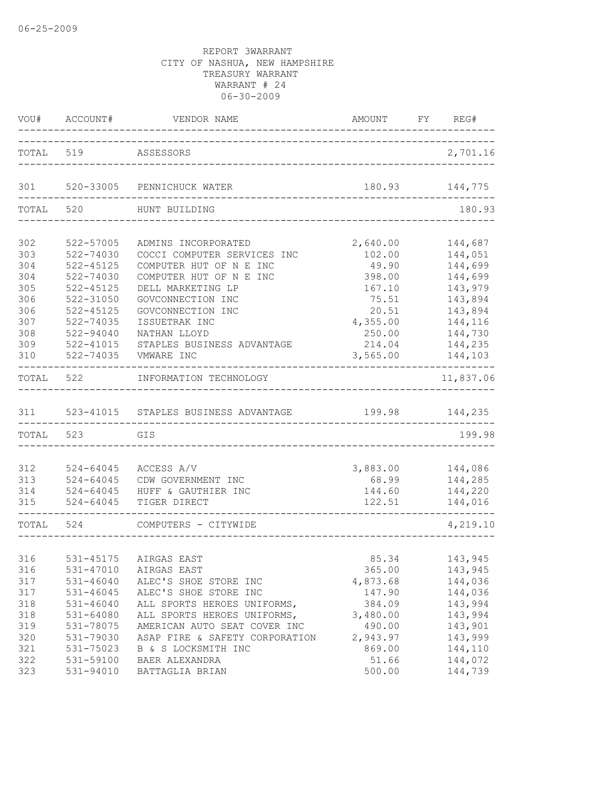|       | VOU# ACCOUNT#<br>________. | VENDOR NAME<br>____________________  | AMOUNT FY REG#<br>_______________ |           |
|-------|----------------------------|--------------------------------------|-----------------------------------|-----------|
|       | TOTAL 519                  | ASSESSORS                            |                                   | 2,701.16  |
| 301   |                            | 520-33005 PENNICHUCK WATER           | 180.93                            | 144,775   |
| TOTAL | 520                        | HUNT BUILDING                        |                                   | 180.93    |
| 302   | 522-57005                  | ADMINS INCORPORATED                  | 2,640.00                          | 144,687   |
| 303   | 522-74030                  | COCCI COMPUTER SERVICES INC          | 102.00                            | 144,051   |
| 304   | $522 - 45125$              | COMPUTER HUT OF N E INC              | 49.90                             | 144,699   |
| 304   | 522-74030                  | COMPUTER HUT OF N E INC              | 398.00                            | 144,699   |
| 305   | 522-45125                  | DELL MARKETING LP                    | 167.10                            | 143,979   |
| 306   | 522-31050                  | GOVCONNECTION INC                    | 75.51                             | 143,894   |
| 306   | $522 - 45125$              | GOVCONNECTION INC                    | 20.51                             | 143,894   |
| 307   | 522-74035                  | ISSUETRAK INC                        | 4,355.00                          | 144,116   |
| 308   | $522 - 94040$              | NATHAN LLOYD                         | 250.00                            | 144,730   |
| 309   | $522 - 41015$              | STAPLES BUSINESS ADVANTAGE           | 214.04                            | 144,235   |
| 310   | $522 - 74035$              | VMWARE INC                           | 3,565.00                          | 144,103   |
| TOTAL | 522                        | INFORMATION TECHNOLOGY               |                                   | 11,837.06 |
| 311   |                            | 523-41015 STAPLES BUSINESS ADVANTAGE | 199.98                            | 144,235   |
| TOTAL | 523                        | GIS                                  |                                   | 199.98    |
|       |                            |                                      |                                   |           |
| 312   | 524-64045                  | ACCESS A/V                           | 3,883.00                          | 144,086   |
| 313   | $524 - 64045$              | CDW GOVERNMENT INC                   | 68.99                             | 144,285   |
| 314   | 524-64045                  | HUFF & GAUTHIER INC                  | 144.60                            | 144,220   |
| 315   | $524 - 64045$              | TIGER DIRECT                         | 122.51                            | 144,016   |
| TOTAL | 524                        | COMPUTERS - CITYWIDE                 |                                   | 4,219.10  |
|       |                            |                                      |                                   |           |
| 316   |                            | 531-45175 AIRGAS EAST                | 85.34                             | 143,945   |
| 316   | 531-47010                  | AIRGAS EAST                          | 365.00                            | 143,945   |
| 317   | $531 - 46040$              | ALEC'S SHOE STORE INC                | 4,873.68                          | 144,036   |
| 317   | $531 - 46045$              | ALEC'S SHOE STORE INC                | 147.90                            | 144,036   |
| 318   | $531 - 46040$              | ALL SPORTS HEROES UNIFORMS,          | 384.09                            | 143,994   |
| 318   | 531-64080                  | ALL SPORTS HEROES UNIFORMS,          | 3,480.00                          | 143,994   |
| 319   | 531-78075                  | AMERICAN AUTO SEAT COVER INC         | 490.00                            | 143,901   |
| 320   | 531-79030                  | ASAP FIRE & SAFETY CORPORATION       | 2,943.97                          | 143,999   |
| 321   | 531-75023                  | B & S LOCKSMITH INC                  | 869.00                            | 144,110   |
| 322   | 531-59100                  | BAER ALEXANDRA                       | 51.66                             | 144,072   |
| 323   | 531-94010                  | BATTAGLIA BRIAN                      | 500.00                            | 144,739   |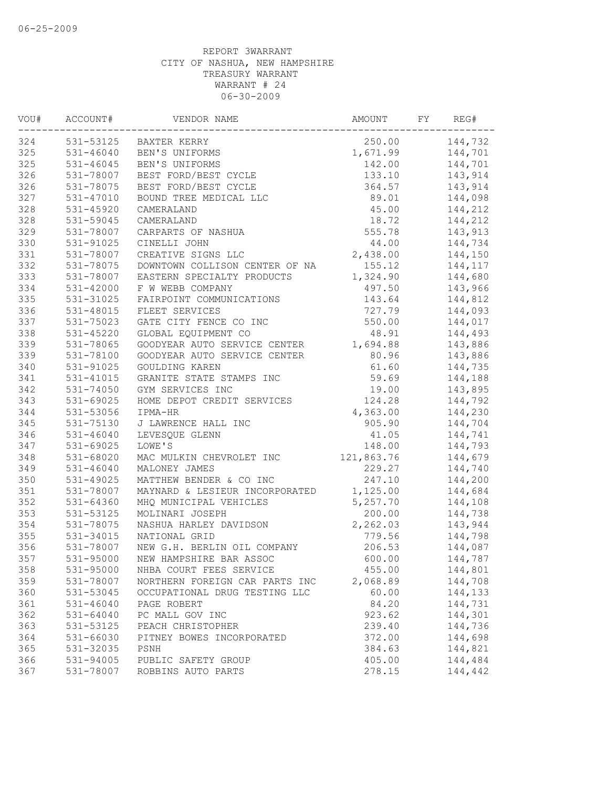| VOU# | ACCOUNT#      | VENDOR NAME                    | AMOUNT     | FY | REG#    |
|------|---------------|--------------------------------|------------|----|---------|
| 324  |               | 531-53125 BAXTER KERRY         | 250.00     |    | 144,732 |
| 325  | 531-46040     | BEN'S UNIFORMS                 | 1,671.99   |    | 144,701 |
| 325  | $531 - 46045$ | BEN'S UNIFORMS                 | 142.00     |    | 144,701 |
| 326  | 531-78007     | BEST FORD/BEST CYCLE           | 133.10     |    | 143,914 |
| 326  | 531-78075     | BEST FORD/BEST CYCLE           | 364.57     |    | 143,914 |
| 327  | 531-47010     | BOUND TREE MEDICAL LLC         | 89.01      |    | 144,098 |
| 328  | 531-45920     | CAMERALAND                     | 45.00      |    | 144,212 |
| 328  | 531-59045     | CAMERALAND                     | 18.72      |    | 144,212 |
| 329  | 531-78007     | CARPARTS OF NASHUA             | 555.78     |    | 143,913 |
| 330  | 531-91025     | CINELLI JOHN                   | 44.00      |    | 144,734 |
| 331  | 531-78007     | CREATIVE SIGNS LLC             | 2,438.00   |    | 144,150 |
| 332  | 531-78075     | DOWNTOWN COLLISON CENTER OF NA | 155.12     |    | 144,117 |
| 333  | 531-78007     | EASTERN SPECIALTY PRODUCTS     | 1,324.90   |    | 144,680 |
| 334  | $531 - 42000$ | F W WEBB COMPANY               | 497.50     |    | 143,966 |
| 335  | 531-31025     | FAIRPOINT COMMUNICATIONS       | 143.64     |    | 144,812 |
| 336  | 531-48015     | FLEET SERVICES                 | 727.79     |    | 144,093 |
| 337  | 531-75023     | GATE CITY FENCE CO INC         | 550.00     |    | 144,017 |
| 338  | 531-45220     | GLOBAL EQUIPMENT CO            | 48.91      |    | 144,493 |
| 339  | 531-78065     | GOODYEAR AUTO SERVICE CENTER   | 1,694.88   |    | 143,886 |
| 339  | 531-78100     | GOODYEAR AUTO SERVICE CENTER   | 80.96      |    | 143,886 |
| 340  | 531-91025     | GOULDING KAREN                 | 61.60      |    | 144,735 |
| 341  | $531 - 41015$ | GRANITE STATE STAMPS INC       | 59.69      |    | 144,188 |
| 342  | 531-74050     | GYM SERVICES INC               | 19.00      |    | 143,895 |
| 343  | 531-69025     | HOME DEPOT CREDIT SERVICES     | 124.28     |    | 144,792 |
| 344  | 531-53056     | IPMA-HR                        | 4,363.00   |    | 144,230 |
| 345  | 531-75130     | J LAWRENCE HALL INC            | 905.90     |    | 144,704 |
| 346  | 531-46040     | LEVESQUE GLENN                 | 41.05      |    | 144,741 |
| 347  | $531 - 69025$ | LOWE'S                         | 148.00     |    | 144,793 |
| 348  | 531-68020     | MAC MULKIN CHEVROLET INC       | 121,863.76 |    | 144,679 |
| 349  | $531 - 46040$ | MALONEY JAMES                  | 229.27     |    | 144,740 |
| 350  | $531 - 49025$ | MATTHEW BENDER & CO INC        | 247.10     |    | 144,200 |
| 351  | 531-78007     | MAYNARD & LESIEUR INCORPORATED | 1,125.00   |    | 144,684 |
| 352  | 531-64360     | MHQ MUNICIPAL VEHICLES         | 5,257.70   |    | 144,108 |
| 353  | 531-53125     | MOLINARI JOSEPH                | 200.00     |    | 144,738 |
| 354  | 531-78075     | NASHUA HARLEY DAVIDSON         | 2,262.03   |    | 143,944 |
| 355  | 531-34015     | NATIONAL GRID                  | 779.56     |    | 144,798 |
| 356  | 531-78007     | NEW G.H. BERLIN OIL COMPANY    | 206.53     |    | 144,087 |
| 357  | 531-95000     | NEW HAMPSHIRE BAR ASSOC        | 600.00     |    | 144,787 |
| 358  | 531-95000     | NHBA COURT FEES SERVICE        | 455.00     |    | 144,801 |
| 359  | 531-78007     | NORTHERN FOREIGN CAR PARTS INC | 2,068.89   |    | 144,708 |
| 360  | 531-53045     | OCCUPATIONAL DRUG TESTING LLC  | 60.00      |    | 144,133 |
| 361  | $531 - 46040$ | PAGE ROBERT                    | 84.20      |    | 144,731 |
| 362  | 531-64040     | PC MALL GOV INC                | 923.62     |    | 144,301 |
| 363  | 531-53125     | PEACH CHRISTOPHER              | 239.40     |    | 144,736 |
| 364  | 531-66030     | PITNEY BOWES INCORPORATED      | 372.00     |    | 144,698 |
| 365  | 531-32035     | PSNH                           | 384.63     |    | 144,821 |
| 366  | 531-94005     | PUBLIC SAFETY GROUP            | 405.00     |    | 144,484 |
| 367  | 531-78007     | ROBBINS AUTO PARTS             | 278.15     |    | 144,442 |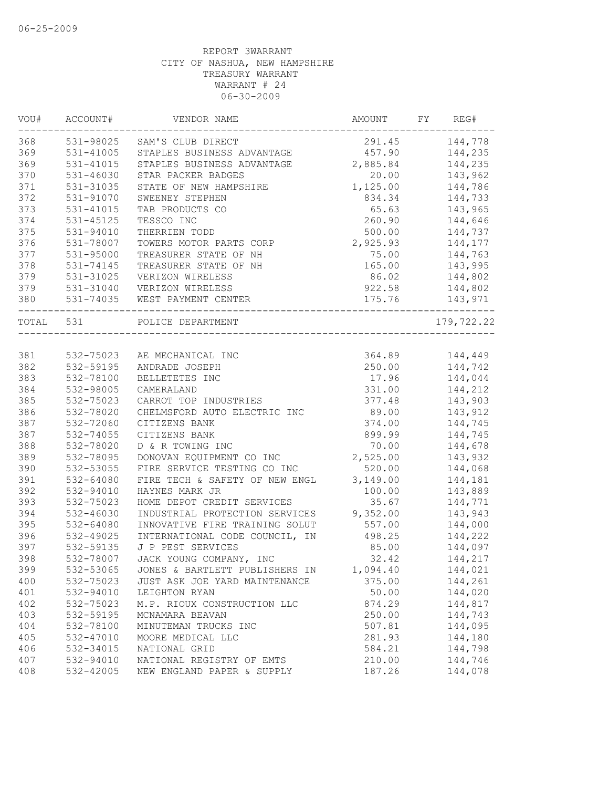| 531-98025<br>144,778<br>SAM'S CLUB DIRECT<br>291.45<br>531-41005<br>STAPLES BUSINESS ADVANTAGE<br>457.90<br>144,235<br>531-41015<br>2,885.84<br>144,235<br>STAPLES BUSINESS ADVANTAGE<br>$531 - 46030$<br>20.00<br>143,962<br>STAR PACKER BADGES<br>531-31035<br>1,125.00<br>STATE OF NEW HAMPSHIRE<br>144,786<br>144,733<br>531-91070<br>SWEENEY STEPHEN<br>834.34<br>531-41015<br>TAB PRODUCTS CO<br>65.63<br>143,965<br>260.90<br>144,646<br>$531 - 45125$<br>TESSCO INC<br>531-94010<br>500.00<br>THERRIEN TODD<br>144,737<br>531-78007<br>TOWERS MOTOR PARTS CORP<br>2,925.93<br>144,177<br>531-95000<br>TREASURER STATE OF NH<br>75.00<br>144,763<br>$531 - 74145$<br>TREASURER STATE OF NH<br>165.00<br>143,995<br>531-31025<br>86.02<br>144,802<br>VERIZON WIRELESS<br>922.58<br>144,802<br>531-31040<br>VERIZON WIRELESS<br>531-74035<br>175.76<br>143,971<br>WEST PAYMENT CENTER<br>TOTAL 531<br>POLICE DEPARTMENT<br>-------------------------<br>532-75023<br>364.89<br>144,449<br>AE MECHANICAL INC<br>532-59195<br>250.00<br>144,742<br>ANDRADE JOSEPH<br>532-78100<br>17.96<br>144,044<br>BELLETETES INC<br>532-98005<br>331.00<br>144,212<br>CAMERALAND<br>532-75023<br>CARROT TOP INDUSTRIES<br>377.48<br>143,903<br>532-78020<br>CHELMSFORD AUTO ELECTRIC INC<br>89.00<br>143,912<br>532-72060<br>374.00<br>144,745<br>CITIZENS BANK<br>532-74055<br>899.99<br>CITIZENS BANK<br>144,745<br>532-78020<br>D & R TOWING INC<br>70.00<br>144,678<br>389<br>2,525.00<br>532-78095<br>DONOVAN EQUIPMENT CO INC<br>143,932<br>390<br>532-53055<br>FIRE SERVICE TESTING CO INC<br>520.00<br>144,068<br>391<br>532-64080<br>FIRE TECH & SAFETY OF NEW ENGL<br>3,149.00<br>144,181<br>392<br>532-94010<br>143,889<br>HAYNES MARK JR<br>100.00<br>393<br>532-75023<br>HOME DEPOT CREDIT SERVICES<br>35.67<br>144,771<br>394<br>9,352.00<br>532-46030<br>INDUSTRIAL PROTECTION SERVICES<br>143,943<br>395<br>532-64080<br>INNOVATIVE FIRE TRAINING SOLUT<br>557.00<br>144,000<br>396<br>532-49025<br>INTERNATIONAL CODE COUNCIL, IN<br>144,222<br>498.25<br>397<br>532-59135<br>J P PEST SERVICES<br>85.00<br>144,097<br>398<br>532-78007<br>JACK YOUNG COMPANY, INC<br>32.42<br>144,217<br>532-53065<br>1,094.40<br>144,021<br>399<br>JONES & BARTLETT PUBLISHERS IN<br>400<br>532-75023<br>JUST ASK JOE YARD MAINTENANCE<br>375.00<br>144,261<br>401<br>144,020<br>532-94010<br>50.00<br>LEIGHTON RYAN<br>402<br>144,817<br>532-75023<br>M.P. RIOUX CONSTRUCTION LLC<br>874.29<br>403<br>532-59195<br>250.00<br>144,743<br>MCNAMARA BEAVAN<br>404<br>144,095<br>532-78100<br>MINUTEMAN TRUCKS INC<br>507.81<br>405<br>532-47010<br>MOORE MEDICAL LLC<br>281.93<br>144,180<br>406<br>532-34015<br>NATIONAL GRID<br>584.21<br>144,798<br>407<br>532-94010<br>NATIONAL REGISTRY OF EMTS<br>210.00<br>144,746<br>532-42005<br>NEW ENGLAND PAPER & SUPPLY<br>187.26<br>144,078 | VOU# | ACCOUNT# | VENDOR NAME | AMOUNT | FY<br>REG# |
|-----------------------------------------------------------------------------------------------------------------------------------------------------------------------------------------------------------------------------------------------------------------------------------------------------------------------------------------------------------------------------------------------------------------------------------------------------------------------------------------------------------------------------------------------------------------------------------------------------------------------------------------------------------------------------------------------------------------------------------------------------------------------------------------------------------------------------------------------------------------------------------------------------------------------------------------------------------------------------------------------------------------------------------------------------------------------------------------------------------------------------------------------------------------------------------------------------------------------------------------------------------------------------------------------------------------------------------------------------------------------------------------------------------------------------------------------------------------------------------------------------------------------------------------------------------------------------------------------------------------------------------------------------------------------------------------------------------------------------------------------------------------------------------------------------------------------------------------------------------------------------------------------------------------------------------------------------------------------------------------------------------------------------------------------------------------------------------------------------------------------------------------------------------------------------------------------------------------------------------------------------------------------------------------------------------------------------------------------------------------------------------------------------------------------------------------------------------------------------------------------------------------------------------------------------------------------------------------------------------------------------------------------------------------------------------------------------------------------------------------------------------------------------------------------------------------------------------------------------------------------------------|------|----------|-------------|--------|------------|
|                                                                                                                                                                                                                                                                                                                                                                                                                                                                                                                                                                                                                                                                                                                                                                                                                                                                                                                                                                                                                                                                                                                                                                                                                                                                                                                                                                                                                                                                                                                                                                                                                                                                                                                                                                                                                                                                                                                                                                                                                                                                                                                                                                                                                                                                                                                                                                                                                                                                                                                                                                                                                                                                                                                                                                                                                                                                                   | 368  |          |             |        |            |
|                                                                                                                                                                                                                                                                                                                                                                                                                                                                                                                                                                                                                                                                                                                                                                                                                                                                                                                                                                                                                                                                                                                                                                                                                                                                                                                                                                                                                                                                                                                                                                                                                                                                                                                                                                                                                                                                                                                                                                                                                                                                                                                                                                                                                                                                                                                                                                                                                                                                                                                                                                                                                                                                                                                                                                                                                                                                                   | 369  |          |             |        |            |
|                                                                                                                                                                                                                                                                                                                                                                                                                                                                                                                                                                                                                                                                                                                                                                                                                                                                                                                                                                                                                                                                                                                                                                                                                                                                                                                                                                                                                                                                                                                                                                                                                                                                                                                                                                                                                                                                                                                                                                                                                                                                                                                                                                                                                                                                                                                                                                                                                                                                                                                                                                                                                                                                                                                                                                                                                                                                                   | 369  |          |             |        |            |
|                                                                                                                                                                                                                                                                                                                                                                                                                                                                                                                                                                                                                                                                                                                                                                                                                                                                                                                                                                                                                                                                                                                                                                                                                                                                                                                                                                                                                                                                                                                                                                                                                                                                                                                                                                                                                                                                                                                                                                                                                                                                                                                                                                                                                                                                                                                                                                                                                                                                                                                                                                                                                                                                                                                                                                                                                                                                                   | 370  |          |             |        |            |
|                                                                                                                                                                                                                                                                                                                                                                                                                                                                                                                                                                                                                                                                                                                                                                                                                                                                                                                                                                                                                                                                                                                                                                                                                                                                                                                                                                                                                                                                                                                                                                                                                                                                                                                                                                                                                                                                                                                                                                                                                                                                                                                                                                                                                                                                                                                                                                                                                                                                                                                                                                                                                                                                                                                                                                                                                                                                                   | 371  |          |             |        |            |
|                                                                                                                                                                                                                                                                                                                                                                                                                                                                                                                                                                                                                                                                                                                                                                                                                                                                                                                                                                                                                                                                                                                                                                                                                                                                                                                                                                                                                                                                                                                                                                                                                                                                                                                                                                                                                                                                                                                                                                                                                                                                                                                                                                                                                                                                                                                                                                                                                                                                                                                                                                                                                                                                                                                                                                                                                                                                                   | 372  |          |             |        |            |
|                                                                                                                                                                                                                                                                                                                                                                                                                                                                                                                                                                                                                                                                                                                                                                                                                                                                                                                                                                                                                                                                                                                                                                                                                                                                                                                                                                                                                                                                                                                                                                                                                                                                                                                                                                                                                                                                                                                                                                                                                                                                                                                                                                                                                                                                                                                                                                                                                                                                                                                                                                                                                                                                                                                                                                                                                                                                                   | 373  |          |             |        |            |
|                                                                                                                                                                                                                                                                                                                                                                                                                                                                                                                                                                                                                                                                                                                                                                                                                                                                                                                                                                                                                                                                                                                                                                                                                                                                                                                                                                                                                                                                                                                                                                                                                                                                                                                                                                                                                                                                                                                                                                                                                                                                                                                                                                                                                                                                                                                                                                                                                                                                                                                                                                                                                                                                                                                                                                                                                                                                                   | 374  |          |             |        |            |
|                                                                                                                                                                                                                                                                                                                                                                                                                                                                                                                                                                                                                                                                                                                                                                                                                                                                                                                                                                                                                                                                                                                                                                                                                                                                                                                                                                                                                                                                                                                                                                                                                                                                                                                                                                                                                                                                                                                                                                                                                                                                                                                                                                                                                                                                                                                                                                                                                                                                                                                                                                                                                                                                                                                                                                                                                                                                                   | 375  |          |             |        |            |
|                                                                                                                                                                                                                                                                                                                                                                                                                                                                                                                                                                                                                                                                                                                                                                                                                                                                                                                                                                                                                                                                                                                                                                                                                                                                                                                                                                                                                                                                                                                                                                                                                                                                                                                                                                                                                                                                                                                                                                                                                                                                                                                                                                                                                                                                                                                                                                                                                                                                                                                                                                                                                                                                                                                                                                                                                                                                                   | 376  |          |             |        |            |
|                                                                                                                                                                                                                                                                                                                                                                                                                                                                                                                                                                                                                                                                                                                                                                                                                                                                                                                                                                                                                                                                                                                                                                                                                                                                                                                                                                                                                                                                                                                                                                                                                                                                                                                                                                                                                                                                                                                                                                                                                                                                                                                                                                                                                                                                                                                                                                                                                                                                                                                                                                                                                                                                                                                                                                                                                                                                                   | 377  |          |             |        |            |
|                                                                                                                                                                                                                                                                                                                                                                                                                                                                                                                                                                                                                                                                                                                                                                                                                                                                                                                                                                                                                                                                                                                                                                                                                                                                                                                                                                                                                                                                                                                                                                                                                                                                                                                                                                                                                                                                                                                                                                                                                                                                                                                                                                                                                                                                                                                                                                                                                                                                                                                                                                                                                                                                                                                                                                                                                                                                                   | 378  |          |             |        |            |
|                                                                                                                                                                                                                                                                                                                                                                                                                                                                                                                                                                                                                                                                                                                                                                                                                                                                                                                                                                                                                                                                                                                                                                                                                                                                                                                                                                                                                                                                                                                                                                                                                                                                                                                                                                                                                                                                                                                                                                                                                                                                                                                                                                                                                                                                                                                                                                                                                                                                                                                                                                                                                                                                                                                                                                                                                                                                                   | 379  |          |             |        |            |
|                                                                                                                                                                                                                                                                                                                                                                                                                                                                                                                                                                                                                                                                                                                                                                                                                                                                                                                                                                                                                                                                                                                                                                                                                                                                                                                                                                                                                                                                                                                                                                                                                                                                                                                                                                                                                                                                                                                                                                                                                                                                                                                                                                                                                                                                                                                                                                                                                                                                                                                                                                                                                                                                                                                                                                                                                                                                                   | 379  |          |             |        |            |
|                                                                                                                                                                                                                                                                                                                                                                                                                                                                                                                                                                                                                                                                                                                                                                                                                                                                                                                                                                                                                                                                                                                                                                                                                                                                                                                                                                                                                                                                                                                                                                                                                                                                                                                                                                                                                                                                                                                                                                                                                                                                                                                                                                                                                                                                                                                                                                                                                                                                                                                                                                                                                                                                                                                                                                                                                                                                                   | 380  |          |             |        |            |
|                                                                                                                                                                                                                                                                                                                                                                                                                                                                                                                                                                                                                                                                                                                                                                                                                                                                                                                                                                                                                                                                                                                                                                                                                                                                                                                                                                                                                                                                                                                                                                                                                                                                                                                                                                                                                                                                                                                                                                                                                                                                                                                                                                                                                                                                                                                                                                                                                                                                                                                                                                                                                                                                                                                                                                                                                                                                                   |      |          |             |        | 179,722.22 |
|                                                                                                                                                                                                                                                                                                                                                                                                                                                                                                                                                                                                                                                                                                                                                                                                                                                                                                                                                                                                                                                                                                                                                                                                                                                                                                                                                                                                                                                                                                                                                                                                                                                                                                                                                                                                                                                                                                                                                                                                                                                                                                                                                                                                                                                                                                                                                                                                                                                                                                                                                                                                                                                                                                                                                                                                                                                                                   |      |          |             |        |            |
|                                                                                                                                                                                                                                                                                                                                                                                                                                                                                                                                                                                                                                                                                                                                                                                                                                                                                                                                                                                                                                                                                                                                                                                                                                                                                                                                                                                                                                                                                                                                                                                                                                                                                                                                                                                                                                                                                                                                                                                                                                                                                                                                                                                                                                                                                                                                                                                                                                                                                                                                                                                                                                                                                                                                                                                                                                                                                   | 381  |          |             |        |            |
|                                                                                                                                                                                                                                                                                                                                                                                                                                                                                                                                                                                                                                                                                                                                                                                                                                                                                                                                                                                                                                                                                                                                                                                                                                                                                                                                                                                                                                                                                                                                                                                                                                                                                                                                                                                                                                                                                                                                                                                                                                                                                                                                                                                                                                                                                                                                                                                                                                                                                                                                                                                                                                                                                                                                                                                                                                                                                   | 382  |          |             |        |            |
|                                                                                                                                                                                                                                                                                                                                                                                                                                                                                                                                                                                                                                                                                                                                                                                                                                                                                                                                                                                                                                                                                                                                                                                                                                                                                                                                                                                                                                                                                                                                                                                                                                                                                                                                                                                                                                                                                                                                                                                                                                                                                                                                                                                                                                                                                                                                                                                                                                                                                                                                                                                                                                                                                                                                                                                                                                                                                   | 383  |          |             |        |            |
|                                                                                                                                                                                                                                                                                                                                                                                                                                                                                                                                                                                                                                                                                                                                                                                                                                                                                                                                                                                                                                                                                                                                                                                                                                                                                                                                                                                                                                                                                                                                                                                                                                                                                                                                                                                                                                                                                                                                                                                                                                                                                                                                                                                                                                                                                                                                                                                                                                                                                                                                                                                                                                                                                                                                                                                                                                                                                   | 384  |          |             |        |            |
|                                                                                                                                                                                                                                                                                                                                                                                                                                                                                                                                                                                                                                                                                                                                                                                                                                                                                                                                                                                                                                                                                                                                                                                                                                                                                                                                                                                                                                                                                                                                                                                                                                                                                                                                                                                                                                                                                                                                                                                                                                                                                                                                                                                                                                                                                                                                                                                                                                                                                                                                                                                                                                                                                                                                                                                                                                                                                   | 385  |          |             |        |            |
|                                                                                                                                                                                                                                                                                                                                                                                                                                                                                                                                                                                                                                                                                                                                                                                                                                                                                                                                                                                                                                                                                                                                                                                                                                                                                                                                                                                                                                                                                                                                                                                                                                                                                                                                                                                                                                                                                                                                                                                                                                                                                                                                                                                                                                                                                                                                                                                                                                                                                                                                                                                                                                                                                                                                                                                                                                                                                   | 386  |          |             |        |            |
|                                                                                                                                                                                                                                                                                                                                                                                                                                                                                                                                                                                                                                                                                                                                                                                                                                                                                                                                                                                                                                                                                                                                                                                                                                                                                                                                                                                                                                                                                                                                                                                                                                                                                                                                                                                                                                                                                                                                                                                                                                                                                                                                                                                                                                                                                                                                                                                                                                                                                                                                                                                                                                                                                                                                                                                                                                                                                   | 387  |          |             |        |            |
|                                                                                                                                                                                                                                                                                                                                                                                                                                                                                                                                                                                                                                                                                                                                                                                                                                                                                                                                                                                                                                                                                                                                                                                                                                                                                                                                                                                                                                                                                                                                                                                                                                                                                                                                                                                                                                                                                                                                                                                                                                                                                                                                                                                                                                                                                                                                                                                                                                                                                                                                                                                                                                                                                                                                                                                                                                                                                   | 387  |          |             |        |            |
|                                                                                                                                                                                                                                                                                                                                                                                                                                                                                                                                                                                                                                                                                                                                                                                                                                                                                                                                                                                                                                                                                                                                                                                                                                                                                                                                                                                                                                                                                                                                                                                                                                                                                                                                                                                                                                                                                                                                                                                                                                                                                                                                                                                                                                                                                                                                                                                                                                                                                                                                                                                                                                                                                                                                                                                                                                                                                   | 388  |          |             |        |            |
|                                                                                                                                                                                                                                                                                                                                                                                                                                                                                                                                                                                                                                                                                                                                                                                                                                                                                                                                                                                                                                                                                                                                                                                                                                                                                                                                                                                                                                                                                                                                                                                                                                                                                                                                                                                                                                                                                                                                                                                                                                                                                                                                                                                                                                                                                                                                                                                                                                                                                                                                                                                                                                                                                                                                                                                                                                                                                   |      |          |             |        |            |
|                                                                                                                                                                                                                                                                                                                                                                                                                                                                                                                                                                                                                                                                                                                                                                                                                                                                                                                                                                                                                                                                                                                                                                                                                                                                                                                                                                                                                                                                                                                                                                                                                                                                                                                                                                                                                                                                                                                                                                                                                                                                                                                                                                                                                                                                                                                                                                                                                                                                                                                                                                                                                                                                                                                                                                                                                                                                                   |      |          |             |        |            |
|                                                                                                                                                                                                                                                                                                                                                                                                                                                                                                                                                                                                                                                                                                                                                                                                                                                                                                                                                                                                                                                                                                                                                                                                                                                                                                                                                                                                                                                                                                                                                                                                                                                                                                                                                                                                                                                                                                                                                                                                                                                                                                                                                                                                                                                                                                                                                                                                                                                                                                                                                                                                                                                                                                                                                                                                                                                                                   |      |          |             |        |            |
|                                                                                                                                                                                                                                                                                                                                                                                                                                                                                                                                                                                                                                                                                                                                                                                                                                                                                                                                                                                                                                                                                                                                                                                                                                                                                                                                                                                                                                                                                                                                                                                                                                                                                                                                                                                                                                                                                                                                                                                                                                                                                                                                                                                                                                                                                                                                                                                                                                                                                                                                                                                                                                                                                                                                                                                                                                                                                   |      |          |             |        |            |
|                                                                                                                                                                                                                                                                                                                                                                                                                                                                                                                                                                                                                                                                                                                                                                                                                                                                                                                                                                                                                                                                                                                                                                                                                                                                                                                                                                                                                                                                                                                                                                                                                                                                                                                                                                                                                                                                                                                                                                                                                                                                                                                                                                                                                                                                                                                                                                                                                                                                                                                                                                                                                                                                                                                                                                                                                                                                                   |      |          |             |        |            |
|                                                                                                                                                                                                                                                                                                                                                                                                                                                                                                                                                                                                                                                                                                                                                                                                                                                                                                                                                                                                                                                                                                                                                                                                                                                                                                                                                                                                                                                                                                                                                                                                                                                                                                                                                                                                                                                                                                                                                                                                                                                                                                                                                                                                                                                                                                                                                                                                                                                                                                                                                                                                                                                                                                                                                                                                                                                                                   |      |          |             |        |            |
|                                                                                                                                                                                                                                                                                                                                                                                                                                                                                                                                                                                                                                                                                                                                                                                                                                                                                                                                                                                                                                                                                                                                                                                                                                                                                                                                                                                                                                                                                                                                                                                                                                                                                                                                                                                                                                                                                                                                                                                                                                                                                                                                                                                                                                                                                                                                                                                                                                                                                                                                                                                                                                                                                                                                                                                                                                                                                   |      |          |             |        |            |
|                                                                                                                                                                                                                                                                                                                                                                                                                                                                                                                                                                                                                                                                                                                                                                                                                                                                                                                                                                                                                                                                                                                                                                                                                                                                                                                                                                                                                                                                                                                                                                                                                                                                                                                                                                                                                                                                                                                                                                                                                                                                                                                                                                                                                                                                                                                                                                                                                                                                                                                                                                                                                                                                                                                                                                                                                                                                                   |      |          |             |        |            |
|                                                                                                                                                                                                                                                                                                                                                                                                                                                                                                                                                                                                                                                                                                                                                                                                                                                                                                                                                                                                                                                                                                                                                                                                                                                                                                                                                                                                                                                                                                                                                                                                                                                                                                                                                                                                                                                                                                                                                                                                                                                                                                                                                                                                                                                                                                                                                                                                                                                                                                                                                                                                                                                                                                                                                                                                                                                                                   |      |          |             |        |            |
|                                                                                                                                                                                                                                                                                                                                                                                                                                                                                                                                                                                                                                                                                                                                                                                                                                                                                                                                                                                                                                                                                                                                                                                                                                                                                                                                                                                                                                                                                                                                                                                                                                                                                                                                                                                                                                                                                                                                                                                                                                                                                                                                                                                                                                                                                                                                                                                                                                                                                                                                                                                                                                                                                                                                                                                                                                                                                   |      |          |             |        |            |
|                                                                                                                                                                                                                                                                                                                                                                                                                                                                                                                                                                                                                                                                                                                                                                                                                                                                                                                                                                                                                                                                                                                                                                                                                                                                                                                                                                                                                                                                                                                                                                                                                                                                                                                                                                                                                                                                                                                                                                                                                                                                                                                                                                                                                                                                                                                                                                                                                                                                                                                                                                                                                                                                                                                                                                                                                                                                                   |      |          |             |        |            |
|                                                                                                                                                                                                                                                                                                                                                                                                                                                                                                                                                                                                                                                                                                                                                                                                                                                                                                                                                                                                                                                                                                                                                                                                                                                                                                                                                                                                                                                                                                                                                                                                                                                                                                                                                                                                                                                                                                                                                                                                                                                                                                                                                                                                                                                                                                                                                                                                                                                                                                                                                                                                                                                                                                                                                                                                                                                                                   |      |          |             |        |            |
|                                                                                                                                                                                                                                                                                                                                                                                                                                                                                                                                                                                                                                                                                                                                                                                                                                                                                                                                                                                                                                                                                                                                                                                                                                                                                                                                                                                                                                                                                                                                                                                                                                                                                                                                                                                                                                                                                                                                                                                                                                                                                                                                                                                                                                                                                                                                                                                                                                                                                                                                                                                                                                                                                                                                                                                                                                                                                   |      |          |             |        |            |
|                                                                                                                                                                                                                                                                                                                                                                                                                                                                                                                                                                                                                                                                                                                                                                                                                                                                                                                                                                                                                                                                                                                                                                                                                                                                                                                                                                                                                                                                                                                                                                                                                                                                                                                                                                                                                                                                                                                                                                                                                                                                                                                                                                                                                                                                                                                                                                                                                                                                                                                                                                                                                                                                                                                                                                                                                                                                                   |      |          |             |        |            |
|                                                                                                                                                                                                                                                                                                                                                                                                                                                                                                                                                                                                                                                                                                                                                                                                                                                                                                                                                                                                                                                                                                                                                                                                                                                                                                                                                                                                                                                                                                                                                                                                                                                                                                                                                                                                                                                                                                                                                                                                                                                                                                                                                                                                                                                                                                                                                                                                                                                                                                                                                                                                                                                                                                                                                                                                                                                                                   |      |          |             |        |            |
|                                                                                                                                                                                                                                                                                                                                                                                                                                                                                                                                                                                                                                                                                                                                                                                                                                                                                                                                                                                                                                                                                                                                                                                                                                                                                                                                                                                                                                                                                                                                                                                                                                                                                                                                                                                                                                                                                                                                                                                                                                                                                                                                                                                                                                                                                                                                                                                                                                                                                                                                                                                                                                                                                                                                                                                                                                                                                   |      |          |             |        |            |
|                                                                                                                                                                                                                                                                                                                                                                                                                                                                                                                                                                                                                                                                                                                                                                                                                                                                                                                                                                                                                                                                                                                                                                                                                                                                                                                                                                                                                                                                                                                                                                                                                                                                                                                                                                                                                                                                                                                                                                                                                                                                                                                                                                                                                                                                                                                                                                                                                                                                                                                                                                                                                                                                                                                                                                                                                                                                                   |      |          |             |        |            |
|                                                                                                                                                                                                                                                                                                                                                                                                                                                                                                                                                                                                                                                                                                                                                                                                                                                                                                                                                                                                                                                                                                                                                                                                                                                                                                                                                                                                                                                                                                                                                                                                                                                                                                                                                                                                                                                                                                                                                                                                                                                                                                                                                                                                                                                                                                                                                                                                                                                                                                                                                                                                                                                                                                                                                                                                                                                                                   |      |          |             |        |            |
|                                                                                                                                                                                                                                                                                                                                                                                                                                                                                                                                                                                                                                                                                                                                                                                                                                                                                                                                                                                                                                                                                                                                                                                                                                                                                                                                                                                                                                                                                                                                                                                                                                                                                                                                                                                                                                                                                                                                                                                                                                                                                                                                                                                                                                                                                                                                                                                                                                                                                                                                                                                                                                                                                                                                                                                                                                                                                   |      |          |             |        |            |
|                                                                                                                                                                                                                                                                                                                                                                                                                                                                                                                                                                                                                                                                                                                                                                                                                                                                                                                                                                                                                                                                                                                                                                                                                                                                                                                                                                                                                                                                                                                                                                                                                                                                                                                                                                                                                                                                                                                                                                                                                                                                                                                                                                                                                                                                                                                                                                                                                                                                                                                                                                                                                                                                                                                                                                                                                                                                                   | 408  |          |             |        |            |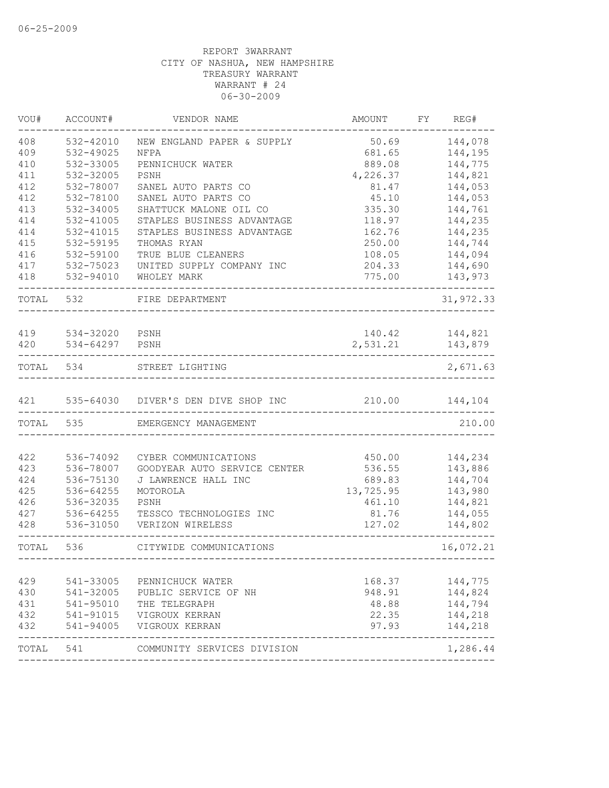| VOU#       | ACCOUNT#               | VENDOR NAME                                    | AMOUNT          | FY | REG#               |
|------------|------------------------|------------------------------------------------|-----------------|----|--------------------|
| 408        | 532-42010              | NEW ENGLAND PAPER & SUPPLY                     | 50.69           |    | 144,078            |
| 409        | 532-49025              | NFPA                                           | 681.65          |    | 144,195            |
| 410        | 532-33005              | PENNICHUCK WATER                               | 889.08          |    | 144,775            |
| 411        | 532-32005              | PSNH                                           | 4,226.37        |    | 144,821            |
| 412        | 532-78007              | SANEL AUTO PARTS CO                            | 81.47           |    | 144,053            |
| 412        | 532-78100              | SANEL AUTO PARTS CO                            | 45.10           |    | 144,053            |
| 413        | 532-34005              | SHATTUCK MALONE OIL CO                         | 335.30          |    | 144,761            |
| 414        | 532-41005              | STAPLES BUSINESS ADVANTAGE                     | 118.97          |    | 144,235            |
| 414        | 532-41015              | STAPLES BUSINESS ADVANTAGE                     | 162.76          |    | 144,235            |
| 415        | 532-59195              | THOMAS RYAN                                    | 250.00          |    | 144,744            |
| 416        | 532-59100              | TRUE BLUE CLEANERS                             | 108.05          |    | 144,094            |
| 417        | 532-75023              | UNITED SUPPLY COMPANY INC                      | 204.33          |    | 144,690            |
| 418        | 532-94010              | WHOLEY MARK                                    | 775.00          |    | 143,973            |
| TOTAL      | 532                    | FIRE DEPARTMENT                                |                 |    | 31,972.33          |
|            |                        |                                                |                 |    |                    |
| 419        | 534-32020 PSNH         |                                                | 140.42          |    | 144,821            |
| 420        | 534-64297              | PSNH                                           | 2,531.21        |    | 143,879            |
| TOTAL      | 534                    | STREET LIGHTING                                |                 |    | 2,671.63           |
|            |                        |                                                |                 |    |                    |
|            |                        | 421 535-64030 DIVER'S DEN DIVE SHOP INC 210.00 |                 |    | 144,104            |
|            | TOTAL 535              | EMERGENCY MANAGEMENT                           |                 |    | 210.00             |
|            |                        |                                                |                 |    |                    |
| 422        | 536-74092              | CYBER COMMUNICATIONS                           | 450.00          |    | 144,234            |
| 423        | 536-78007              | GOODYEAR AUTO SERVICE CENTER                   | 536.55          |    | 143,886            |
| 424        | 536-75130              | J LAWRENCE HALL INC                            | 689.83          |    | 144,704            |
| 425        | 536-64255              | MOTOROLA                                       | 13,725.95       |    | 143,980            |
| 426        | 536-32035              | PSNH                                           | 461.10          |    | 144,821            |
| 427        | 536-64255              | TESSCO TECHNOLOGIES INC                        | 81.76           |    | 144,055            |
| 428        | 536-31050              | VERIZON WIRELESS                               | 127.02          |    | 144,802            |
| TOTAL      | 536                    | CITYWIDE COMMUNICATIONS                        |                 |    | 16,072.21          |
|            |                        |                                                |                 |    |                    |
| 429        | 541-33005<br>541-32005 | PENNICHUCK WATER                               | 168.37          |    | 144,775            |
| 430        |                        | PUBLIC SERVICE OF NH                           | 948.91<br>48.88 |    | 144,824            |
| 431        | 541-95010              | THE TELEGRAPH                                  |                 |    | 144,794            |
| 432<br>432 | 541-91015<br>541-94005 | VIGROUX KERRAN                                 | 22.35<br>97.93  |    | 144,218<br>144,218 |
|            |                        | VIGROUX KERRAN                                 |                 |    |                    |
| TOTAL      | 541                    | COMMUNITY SERVICES DIVISION                    |                 |    | 1,286.44           |
|            |                        |                                                |                 |    |                    |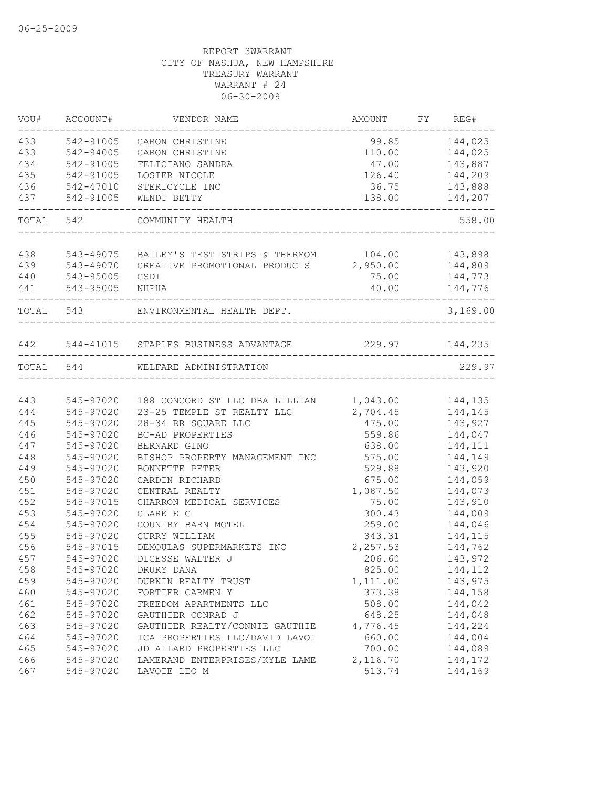| VOU#      | ACCOUNT#  | VENDOR NAME                                   | AMOUNT                     | FY REG#           |
|-----------|-----------|-----------------------------------------------|----------------------------|-------------------|
| 433       | 542-91005 | CARON CHRISTINE                               | 99.85                      | 144,025           |
| 433       | 542-94005 | CARON CHRISTINE                               | 110.00                     | 144,025           |
| 434       | 542-91005 | FELICIANO SANDRA                              | 47.00                      | 143,887           |
| 435       | 542-91005 | LOSIER NICOLE                                 | 126.40                     | 144,209           |
| 436       | 542-47010 | STERICYCLE INC                                | 36.75                      | 143,888           |
| 437       | 542-91005 | WENDT BETTY                                   | 138.00<br>________________ | 144,207           |
| TOTAL     | 542       | COMMUNITY HEALTH                              |                            | 558.00            |
|           |           |                                               |                            |                   |
| 438       | 543-49075 | BAILEY'S TEST STRIPS & THERMOM 104.00 143,898 |                            |                   |
| 439       | 543-49070 | CREATIVE PROMOTIONAL PRODUCTS                 | 2,950.00                   | 144,809           |
| 440       | 543-95005 | GSDI                                          | 75.00                      | 144,773           |
| 441       | 543-95005 | NHPHA                                         | 40.00                      | 144,776<br>------ |
|           | TOTAL 543 | ENVIRONMENTAL HEALTH DEPT.                    |                            | 3,169.00          |
| 442       |           | 544-41015 STAPLES BUSINESS ADVANTAGE          | 229.97 144,235             |                   |
| TOTAL 544 |           | WELFARE ADMINISTRATION                        |                            | 229.97            |
|           |           |                                               |                            |                   |
| 443       | 545-97020 | 188 CONCORD ST LLC DBA LILLIAN                | 1,043.00                   | 144,135           |
| 444       | 545-97020 | 23-25 TEMPLE ST REALTY LLC                    | 2,704.45                   | 144,145           |
| 445       | 545-97020 | 28-34 RR SQUARE LLC                           | 475.00                     | 143,927           |
| 446       | 545-97020 | BC-AD PROPERTIES                              | 559.86                     | 144,047           |
| 447       | 545-97020 | BERNARD GINO                                  | 638.00                     | 144,111           |
| 448       | 545-97020 | BISHOP PROPERTY MANAGEMENT INC                | 575.00                     | 144,149           |
| 449       | 545-97020 | BONNETTE PETER                                | 529.88                     | 143,920           |
| 450       | 545-97020 | CARDIN RICHARD                                | 675.00                     | 144,059           |
| 451       | 545-97020 | CENTRAL REALTY                                | 1,087.50                   | 144,073           |
| 452       | 545-97015 | CHARRON MEDICAL SERVICES                      | 75.00                      | 143,910           |
| 453       | 545-97020 | CLARK E G                                     | 300.43                     | 144,009           |
| 454       | 545-97020 | COUNTRY BARN MOTEL                            | 259.00                     | 144,046           |
| 455       | 545-97020 | CURRY WILLIAM                                 | 343.31                     | 144,115           |
| 456       | 545-97015 | DEMOULAS SUPERMARKETS INC                     | 2,257.53                   | 144,762           |
| 457       | 545-97020 | DIGESSE WALTER J                              | 206.60                     | 143,972           |
| 458       | 545-97020 | DRURY DANA                                    | 825.00                     | 144,112           |
| 459       | 545-97020 | DURKIN REALTY TRUST                           | 1,111.00                   | 143,975           |
| 460       | 545-97020 | FORTIER CARMEN Y                              | 373.38                     | 144,158           |
| 461       | 545-97020 | FREEDOM APARTMENTS LLC                        | 508.00                     | 144,042           |
| 462       | 545-97020 | GAUTHIER CONRAD J                             | 648.25                     | 144,048           |
| 463       | 545-97020 | GAUTHIER REALTY/CONNIE GAUTHIE                | 4,776.45                   | 144,224           |
| 464       | 545-97020 | ICA PROPERTIES LLC/DAVID LAVOI                | 660.00                     | 144,004           |
| 465       | 545-97020 | JD ALLARD PROPERTIES LLC                      | 700.00                     | 144,089           |
| 466       | 545-97020 | LAMERAND ENTERPRISES/KYLE LAME                | 2,116.70                   | 144,172           |
| 467       | 545-97020 | LAVOIE LEO M                                  | 513.74                     | 144,169           |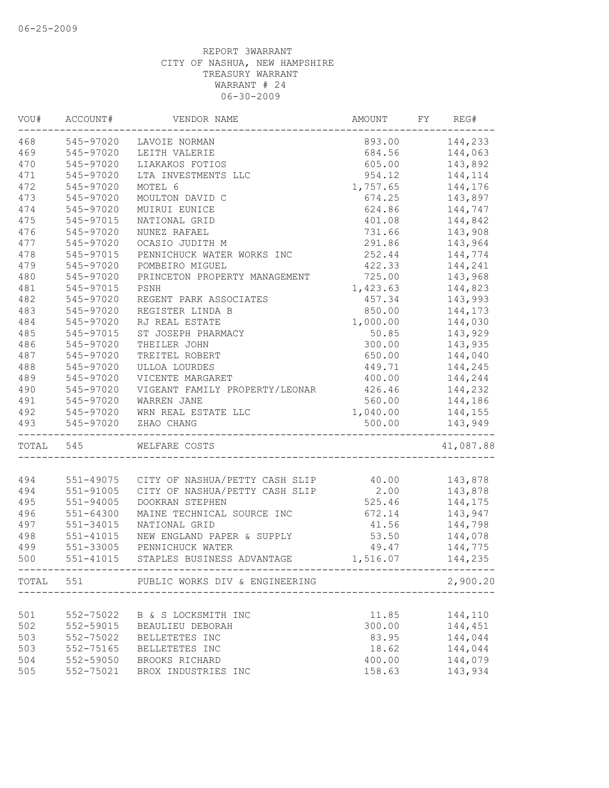| VOU#      | ACCOUNT#      | VENDOR NAME                                                                    | AMOUNT   | FY | REG#           |
|-----------|---------------|--------------------------------------------------------------------------------|----------|----|----------------|
|           |               | 468 545-97020 LAVOIE NORMAN                                                    |          |    | 893.00 144,233 |
| 469       | 545-97020     | LEITH VALERIE                                                                  |          |    | 684.56 144,063 |
| 470       | 545-97020     | LIAKAKOS FOTIOS                                                                | 605.00   |    | 143,892        |
| 471       | 545-97020     | LTA INVESTMENTS LLC                                                            | 954.12   |    | 144,114        |
| 472       | 545-97020     | MOTEL 6                                                                        | 1,757.65 |    | 144,176        |
| 473       | 545-97020     | MOULTON DAVID C                                                                | 674.25   |    | 143,897        |
| 474       | 545-97020     | MUIRUI EUNICE                                                                  | 624.86   |    | 144,747        |
| 475       | 545-97015     | NATIONAL GRID                                                                  | 401.08   |    | 144,842        |
| 476       | 545-97020     | NUNEZ RAFAEL                                                                   | 731.66   |    | 143,908        |
| 477       | 545-97020     | OCASIO JUDITH M                                                                | 291.86   |    | 143,964        |
| 478       | 545-97015     | PENNICHUCK WATER WORKS INC                                                     | 252.44   |    | 144,774        |
| 479       | 545-97020     | POMBEIRO MIGUEL                                                                | 422.33   |    | 144,241        |
| 480       | 545-97020     | PRINCETON PROPERTY MANAGEMENT                                                  | 725.00   |    | 143,968        |
| 481       | 545-97015     | PSNH                                                                           | 1,423.63 |    | 144,823        |
| 482       | 545-97020     | REGENT PARK ASSOCIATES                                                         | 457.34   |    | 143,993        |
| 483       | 545-97020     | REGISTER LINDA B                                                               | 850.00   |    | 144,173        |
| 484       | 545-97020     | RJ REAL ESTATE                                                                 | 1,000.00 |    | 144,030        |
| 485       | 545-97015     | ST JOSEPH PHARMACY                                                             | 50.85    |    | 143,929        |
| 486       | 545-97020     | THEILER JOHN                                                                   | 300.00   |    | 143,935        |
| 487       | 545-97020     | TREITEL ROBERT                                                                 | 650.00   |    | 144,040        |
| 488       | 545-97020     | ULLOA LOURDES                                                                  | 449.71   |    | 144,245        |
| 489       | 545-97020     | VICENTE MARGARET                                                               | 400.00   |    | 144,244        |
| 490       | 545-97020     | VIGEANT FAMILY PROPERTY/LEONAR                                                 | 426.46   |    | 144,232        |
| 491       |               |                                                                                | 560.00   |    | 144,186        |
| 492       |               |                                                                                | 1,040.00 |    | 144,155        |
| 493       |               | 545-97020 WAKKEN JANE<br>545-97020 WRN REAL ESTATE LLC<br>545-97020 ZHAO CHANG | 500.00   |    | 143,949        |
| TOTAL 545 |               | WELFARE COSTS                                                                  |          |    | 41,087.88      |
|           |               |                                                                                |          |    |                |
| 494       |               | 551-49075 CITY OF NASHUA/PETTY CASH SLIP 40.00                                 |          |    | 143,878        |
| 494       | 551-91005     | CITY OF NASHUA/PETTY CASH SLIP                                                 | 2.00     |    | 143,878        |
| 495       | $551 - 94005$ | DOOKRAN STEPHEN                                                                | 525.46   |    | 144,175        |
| 496       | 551-64300     | MAINE TECHNICAL SOURCE INC                                                     | 672.14   |    | 143,947        |
| 497       | 551-34015     | NATIONAL GRID                                                                  | 41.56    |    | 144,798        |
| 498       | 551-41015     | NEW ENGLAND PAPER & SUPPLY                                                     | 53.50    |    | 144,078        |
| 499       | 551-33005     | PENNICHUCK WATER                                                               |          |    | 49.47 144,775  |
| 500       | 551-41015     | STAPLES BUSINESS ADVANTAGE                                                     | 1,516.07 |    | 144,235        |
|           |               | TOTAL 551 PUBLIC WORKS DIV & ENGINEERING                                       |          |    | 2,900.20       |
|           |               |                                                                                |          |    |                |
| 501       | 552-75022     | B & S LOCKSMITH INC                                                            | 11.85    |    | 144,110        |
| 502       | 552-59015     | BEAULIEU DEBORAH                                                               | 300.00   |    | 144,451        |
| 503       | 552-75022     | BELLETETES INC                                                                 | 83.95    |    | 144,044        |
| 503       | 552-75165     | BELLETETES INC                                                                 | 18.62    |    | 144,044        |
| 504       | 552-59050     | BROOKS RICHARD                                                                 | 400.00   |    | 144,079        |
| 505       | 552-75021     | BROX INDUSTRIES INC                                                            | 158.63   |    | 143,934        |
|           |               |                                                                                |          |    |                |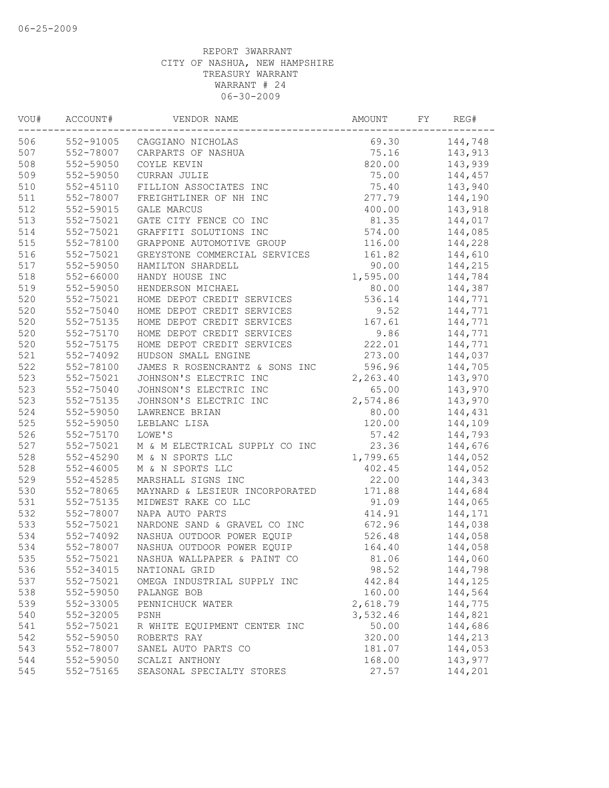| VOU# | ACCOUNT#      | VENDOR NAME                    | AMOUNT   | FY | REG#    |
|------|---------------|--------------------------------|----------|----|---------|
| 506  |               | 552-91005 CAGGIANO NICHOLAS    | 69.30    |    | 144,748 |
| 507  | 552-78007     | CARPARTS OF NASHUA             | 75.16    |    | 143,913 |
| 508  | 552-59050     | COYLE KEVIN                    | 820.00   |    | 143,939 |
| 509  | 552-59050     | CURRAN JULIE                   | 75.00    |    | 144,457 |
| 510  | $552 - 45110$ | FILLION ASSOCIATES INC         | 75.40    |    | 143,940 |
| 511  | 552-78007     | FREIGHTLINER OF NH INC         | 277.79   |    | 144,190 |
| 512  | 552-59015     | GALE MARCUS                    | 400.00   |    | 143,918 |
| 513  | 552-75021     | GATE CITY FENCE CO INC         | 81.35    |    | 144,017 |
| 514  | 552-75021     | GRAFFITI SOLUTIONS INC         | 574.00   |    | 144,085 |
| 515  | 552-78100     | GRAPPONE AUTOMOTIVE GROUP      | 116.00   |    | 144,228 |
| 516  | 552-75021     | GREYSTONE COMMERCIAL SERVICES  | 161.82   |    | 144,610 |
| 517  | 552-59050     | HAMILTON SHARDELL              | 90.00    |    | 144,215 |
| 518  | 552-66000     | HANDY HOUSE INC                | 1,595.00 |    | 144,784 |
| 519  | 552-59050     | HENDERSON MICHAEL              | 80.00    |    | 144,387 |
| 520  | 552-75021     | HOME DEPOT CREDIT SERVICES     | 536.14   |    | 144,771 |
| 520  | 552-75040     | HOME DEPOT CREDIT SERVICES     | 9.52     |    | 144,771 |
| 520  | 552-75135     | HOME DEPOT CREDIT SERVICES     | 167.61   |    | 144,771 |
| 520  | 552-75170     | HOME DEPOT CREDIT SERVICES     | 9.86     |    | 144,771 |
| 520  | 552-75175     | HOME DEPOT CREDIT SERVICES     | 222.01   |    | 144,771 |
| 521  | 552-74092     | HUDSON SMALL ENGINE            | 273.00   |    | 144,037 |
| 522  | 552-78100     | JAMES R ROSENCRANTZ & SONS INC | 596.96   |    | 144,705 |
| 523  | 552-75021     | JOHNSON'S ELECTRIC INC         | 2,263.40 |    | 143,970 |
| 523  | 552-75040     | JOHNSON'S ELECTRIC INC         | 65.00    |    | 143,970 |
| 523  | 552-75135     | JOHNSON'S ELECTRIC INC         | 2,574.86 |    | 143,970 |
| 524  | 552-59050     | LAWRENCE BRIAN                 | 80.00    |    | 144,431 |
| 525  | 552-59050     | LEBLANC LISA                   | 120.00   |    | 144,109 |
| 526  | 552-75170     | LOWE'S                         | 57.42    |    | 144,793 |
| 527  | 552-75021     | M & M ELECTRICAL SUPPLY CO INC | 23.36    |    | 144,676 |
| 528  | $552 - 45290$ | M & N SPORTS LLC               | 1,799.65 |    | 144,052 |
| 528  | $552 - 46005$ | M & N SPORTS LLC               | 402.45   |    | 144,052 |
| 529  | $552 - 45285$ | MARSHALL SIGNS INC             | 22.00    |    | 144,343 |
| 530  | 552-78065     | MAYNARD & LESIEUR INCORPORATED | 171.88   |    | 144,684 |
| 531  | 552-75135     | MIDWEST RAKE CO LLC            | 91.09    |    | 144,065 |
| 532  | 552-78007     | NAPA AUTO PARTS                | 414.91   |    | 144,171 |
| 533  | 552-75021     | NARDONE SAND & GRAVEL CO INC   | 672.96   |    | 144,038 |
| 534  | 552-74092     | NASHUA OUTDOOR POWER EQUIP     | 526.48   |    | 144,058 |
| 534  | 552-78007     | NASHUA OUTDOOR POWER EQUIP     | 164.40   |    | 144,058 |
| 535  | 552-75021     | NASHUA WALLPAPER & PAINT CO    | 81.06    |    | 144,060 |
| 536  | 552-34015     | NATIONAL GRID                  | 98.52    |    | 144,798 |
| 537  | 552-75021     | OMEGA INDUSTRIAL SUPPLY INC    | 442.84   |    | 144,125 |
| 538  | 552-59050     | PALANGE BOB                    | 160.00   |    | 144,564 |
| 539  | 552-33005     | PENNICHUCK WATER               | 2,618.79 |    | 144,775 |
| 540  | 552-32005     | PSNH                           | 3,532.46 |    | 144,821 |
| 541  | 552-75021     | R WHITE EQUIPMENT CENTER INC   | 50.00    |    | 144,686 |
| 542  | 552-59050     | ROBERTS RAY                    | 320.00   |    | 144,213 |
| 543  | 552-78007     | SANEL AUTO PARTS CO            | 181.07   |    | 144,053 |
| 544  | 552-59050     | SCALZI ANTHONY                 | 168.00   |    | 143,977 |
| 545  | 552-75165     | SEASONAL SPECIALTY STORES      | 27.57    |    | 144,201 |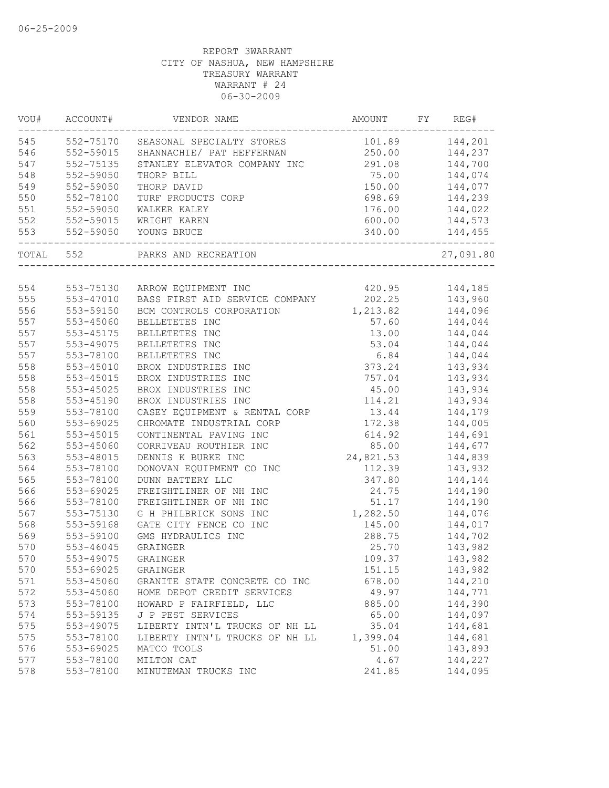| VOU#  | ACCOUNT#      | VENDOR NAME                             | AMOUNT    | FY | REG#           |
|-------|---------------|-----------------------------------------|-----------|----|----------------|
| 545   | 552-75170     | SEASONAL SPECIALTY STORES               |           |    | 101.89 144,201 |
| 546   | 552-59015     | SHANNACHIE/ PAT HEFFERNAN               | 250.00    |    | 144,237        |
| 547   | 552-75135     | STANLEY ELEVATOR COMPANY INC            | 291.08    |    | 144,700        |
| 548   | 552-59050     | THORP BILL                              | 75.00     |    | 144,074        |
| 549   | 552-59050     | THORP DAVID                             | 150.00    |    | 144,077        |
| 550   | 552-78100     | TURF PRODUCTS CORP                      | 698.69    |    | 144,239        |
| 551   | 552-59050     | WALKER KALEY                            | 176.00    |    | 144,022        |
| 552   | 552-59015     | WRIGHT KAREN                            | 600.00    |    | 144,573        |
| 553   | 552-59050     | YOUNG BRUCE<br>________________________ | 340.00    |    | 144,455        |
| TOTAL | 552           | PARKS AND RECREATION                    |           |    | 27,091.80      |
|       |               |                                         |           |    |                |
| 554   |               | 553-75130 ARROW EQUIPMENT INC           | 420.95    |    | 144,185        |
| 555   | 553-47010     | BASS FIRST AID SERVICE COMPANY          | 202.25    |    | 143,960        |
| 556   | 553-59150     | BCM CONTROLS CORPORATION                | 1,213.82  |    | 144,096        |
| 557   | 553-45060     | BELLETETES INC                          | 57.60     |    | 144,044        |
| 557   | 553-45175     | BELLETETES INC                          | 13.00     |    | 144,044        |
| 557   | 553-49075     | BELLETETES INC                          | 53.04     |    | 144,044        |
| 557   | 553-78100     | BELLETETES INC                          | 6.84      |    | 144,044        |
| 558   | $553 - 45010$ | BROX INDUSTRIES INC                     | 373.24    |    | 143,934        |
| 558   | 553-45015     | BROX INDUSTRIES INC                     | 757.04    |    | 143,934        |
| 558   | $553 - 45025$ | BROX INDUSTRIES INC                     | 45.00     |    | 143,934        |
| 558   | $553 - 45190$ | BROX INDUSTRIES INC                     | 114.21    |    | 143,934        |
| 559   | 553-78100     | CASEY EQUIPMENT & RENTAL CORP           | 13.44     |    | 144,179        |
| 560   | 553-69025     | CHROMATE INDUSTRIAL CORP                | 172.38    |    | 144,005        |
| 561   | $553 - 45015$ | CONTINENTAL PAVING INC                  | 614.92    |    | 144,691        |
| 562   | 553-45060     | CORRIVEAU ROUTHIER INC                  | 85.00     |    | 144,677        |
| 563   | 553-48015     | DENNIS K BURKE INC                      | 24,821.53 |    | 144,839        |
| 564   | 553-78100     | DONOVAN EQUIPMENT CO INC                | 112.39    |    | 143,932        |
| 565   | 553-78100     | DUNN BATTERY LLC                        | 347.80    |    | 144,144        |
| 566   | 553-69025     | FREIGHTLINER OF NH INC                  | 24.75     |    | 144,190        |
| 566   | 553-78100     | FREIGHTLINER OF NH INC                  | 51.17     |    | 144,190        |
| 567   | 553-75130     | G H PHILBRICK SONS INC                  | 1,282.50  |    | 144,076        |
| 568   | 553-59168     | GATE CITY FENCE CO INC                  | 145.00    |    | 144,017        |
| 569   | 553-59100     | GMS HYDRAULICS INC                      | 288.75    |    | 144,702        |
| 570   | 553-46045     | GRAINGER                                | 25.70     |    | 143,982        |
| 570   | 553-49075     | GRAINGER                                | 109.37    |    | 143,982        |
| 570   | 553-69025     | GRAINGER                                | 151.15    |    | 143,982        |
| 571   | 553-45060     | GRANITE STATE CONCRETE CO INC           | 678.00    |    | 144,210        |
| 572   | 553-45060     | HOME DEPOT CREDIT SERVICES              | 49.97     |    | 144,771        |
| 573   | 553-78100     | HOWARD P FAIRFIELD, LLC                 | 885.00    |    | 144,390        |
| 574   | 553-59135     | J P PEST SERVICES                       | 65.00     |    | 144,097        |
| 575   | 553-49075     | LIBERTY INTN'L TRUCKS OF NH LL          | 35.04     |    | 144,681        |
| 575   | 553-78100     | LIBERTY INTN'L TRUCKS OF NH LL          | 1,399.04  |    | 144,681        |
| 576   | 553-69025     | MATCO TOOLS                             | 51.00     |    | 143,893        |
| 577   | 553-78100     | MILTON CAT                              | 4.67      |    | 144,227        |
| 578   | 553-78100     | MINUTEMAN TRUCKS INC                    | 241.85    |    | 144,095        |
|       |               |                                         |           |    |                |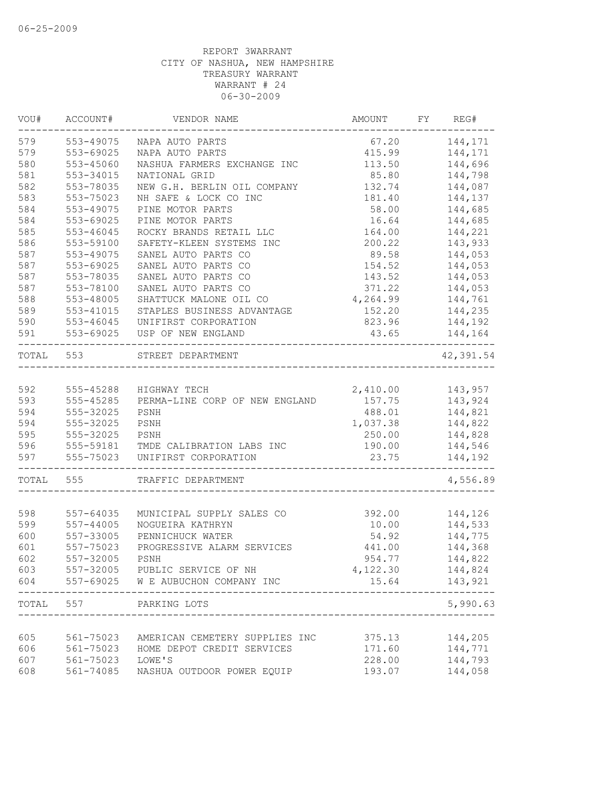| VOU#  | ACCOUNT#      | VENDOR NAME                        | AMOUNT   | FY | REG#              |
|-------|---------------|------------------------------------|----------|----|-------------------|
| 579   | 553-49075     | NAPA AUTO PARTS                    | 67.20    |    | 144,171           |
| 579   | 553-69025     | NAPA AUTO PARTS                    | 415.99   |    | 144,171           |
| 580   | 553-45060     | NASHUA FARMERS EXCHANGE INC        | 113.50   |    | 144,696           |
| 581   | 553-34015     | NATIONAL GRID                      | 85.80    |    | 144,798           |
| 582   | 553-78035     | NEW G.H. BERLIN OIL COMPANY        | 132.74   |    | 144,087           |
| 583   | 553-75023     | NH SAFE & LOCK CO INC              | 181.40   |    | 144,137           |
| 584   | 553-49075     | PINE MOTOR PARTS                   | 58.00    |    | 144,685           |
| 584   | 553-69025     | PINE MOTOR PARTS                   | 16.64    |    | 144,685           |
| 585   | 553-46045     | ROCKY BRANDS RETAIL LLC            | 164.00   |    | 144,221           |
| 586   | 553-59100     | SAFETY-KLEEN SYSTEMS INC           | 200.22   |    | 143,933           |
| 587   | 553-49075     | SANEL AUTO PARTS CO                | 89.58    |    | 144,053           |
| 587   | 553-69025     | SANEL AUTO PARTS CO                | 154.52   |    | 144,053           |
| 587   | 553-78035     | SANEL AUTO PARTS CO                | 143.52   |    | 144,053           |
| 587   | 553-78100     | SANEL AUTO PARTS CO                | 371.22   |    | 144,053           |
| 588   | 553-48005     | SHATTUCK MALONE OIL CO             | 4,264.99 |    | 144,761           |
| 589   | 553-41015     | STAPLES BUSINESS ADVANTAGE         | 152.20   |    | 144,235           |
| 590   | $553 - 46045$ | UNIFIRST CORPORATION               | 823.96   |    | 144,192           |
| 591   | 553-69025     | USP OF NEW ENGLAND                 | 43.65    |    | 144,164           |
| TOTAL | 553           | STREET DEPARTMENT                  |          |    | 42,391.54         |
| 592   | 555-45288     | HIGHWAY TECH                       | 2,410.00 |    | 143,957           |
| 593   | 555-45285     | PERMA-LINE CORP OF NEW ENGLAND     | 157.75   |    | 143,924           |
| 594   | 555-32025     | PSNH                               | 488.01   |    | 144,821           |
| 594   | 555-32025     | PSNH                               | 1,037.38 |    | 144,822           |
| 595   | 555-32025     | PSNH                               | 250.00   |    | 144,828           |
| 596   | 555-59181     | TMDE CALIBRATION LABS INC          | 190.00   |    | 144,546           |
| 597   | 555-75023     | UNIFIRST CORPORATION               | 23.75    |    | 144,192           |
| TOTAL | 555           | TRAFFIC DEPARTMENT                 |          |    | 4,556.89          |
|       |               |                                    |          |    |                   |
| 598   | 557-64035     | MUNICIPAL SUPPLY SALES CO          | 392.00   |    | 144,126           |
| 599   | 557-44005     | NOGUEIRA KATHRYN                   | 10.00    |    | 144,533           |
| 600   | 557-33005     | PENNICHUCK WATER                   | 54.92    |    | 144,775           |
| 601   | 557-75023     | PROGRESSIVE ALARM SERVICES         | 441.00   |    | 144,368           |
| 602   | 557-32005     | PSNH                               | 954.77   |    | 144,822           |
| 603   |               | 557-32005 PUBLIC SERVICE OF NH     | 4,122.30 |    | 144,824           |
| 604   |               | 557-69025 W E AUBUCHON COMPANY INC | 15.64    |    | 143,921           |
| TOTAL | 557           | PARKING LOTS                       |          |    | -----<br>5,990.63 |
|       |               |                                    |          |    |                   |
| 605   | 561-75023     | AMERICAN CEMETERY SUPPLIES INC     | 375.13   |    | 144,205           |
| 606   | 561-75023     | HOME DEPOT CREDIT SERVICES         | 171.60   |    | 144,771           |
| 607   | 561-75023     | LOWE'S                             | 228.00   |    | 144,793           |
| 608   | 561-74085     | NASHUA OUTDOOR POWER EQUIP         | 193.07   |    | 144,058           |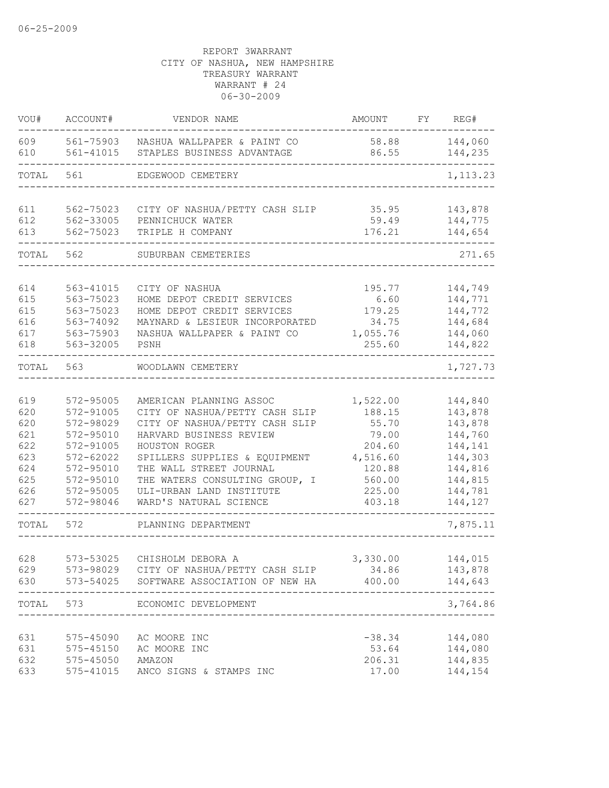| VOU#       | ACCOUNT#               | VENDOR NAME                                               | <b>AMOUNT</b>  | FY | REG#               |
|------------|------------------------|-----------------------------------------------------------|----------------|----|--------------------|
| 609<br>610 | 561-75903<br>561-41015 | NASHUA WALLPAPER & PAINT CO<br>STAPLES BUSINESS ADVANTAGE | 58.88<br>86.55 |    | 144,060<br>144,235 |
| TOTAL      | 561                    | EDGEWOOD CEMETERY                                         |                |    | 1, 113.23          |
| 611        | 562-75023              | CITY OF NASHUA/PETTY CASH SLIP                            | 35.95          |    | 143,878            |
| 612        | 562-33005              | PENNICHUCK WATER                                          | 59.49          |    | 144,775            |
| 613        | 562-75023              | TRIPLE H COMPANY                                          | 176.21         |    | 144,654            |
| TOTAL      | 562                    | SUBURBAN CEMETERIES                                       |                |    | 271.65             |
|            |                        |                                                           |                |    |                    |
| 614        | 563-41015              | CITY OF NASHUA                                            | 195.77         |    | 144,749            |
| 615        | 563-75023              | HOME DEPOT CREDIT SERVICES                                | 6.60           |    | 144,771            |
| 615        | 563-75023              | HOME DEPOT CREDIT SERVICES                                | 179.25         |    | 144,772            |
| 616        | 563-74092              | MAYNARD & LESIEUR INCORPORATED                            | 34.75          |    | 144,684            |
| 617        | 563-75903              | NASHUA WALLPAPER & PAINT CO                               | 1,055.76       |    | 144,060            |
| 618        | 563-32005              | PSNH                                                      | 255.60         |    | 144,822            |
| TOTAL      | 563                    | WOODLAWN CEMETERY                                         |                |    | 1,727.73           |
|            |                        |                                                           |                |    |                    |
| 619        | 572-95005              | AMERICAN PLANNING ASSOC                                   | 1,522.00       |    | 144,840            |
| 620        | 572-91005              | CITY OF NASHUA/PETTY CASH SLIP                            | 188.15         |    | 143,878            |
| 620        | 572-98029              | CITY OF NASHUA/PETTY CASH SLIP                            | 55.70          |    | 143,878            |
| 621        | 572-95010              | HARVARD BUSINESS REVIEW                                   | 79.00          |    | 144,760            |
| 622        | 572-91005              | HOUSTON ROGER                                             | 204.60         |    | 144,141            |
| 623        | 572-62022              | SPILLERS SUPPLIES & EQUIPMENT                             | 4,516.60       |    | 144,303            |
| 624        | 572-95010              | THE WALL STREET JOURNAL                                   | 120.88         |    | 144,816            |
| 625        | 572-95010              | THE WATERS CONSULTING GROUP, I                            | 560.00         |    | 144,815            |
| 626        | 572-95005              | ULI-URBAN LAND INSTITUTE                                  | 225.00         |    | 144,781            |
| 627        | 572-98046              | WARD'S NATURAL SCIENCE                                    | 403.18         |    | 144,127            |
| TOTAL      | 572                    | PLANNING DEPARTMENT                                       |                |    | 7,875.11           |
|            |                        |                                                           |                |    |                    |
| 628        | 573-53025              | CHISHOLM DEBORA A                                         | 3,330.00       |    | 144,015            |
| 629        |                        | 573-98029 CITY OF NASHUA/PETTY CASH SLIP                  | 34.86          |    | 143,878            |
| 630        |                        | 573-54025 SOFTWARE ASSOCIATION OF NEW HA                  | 400.00         |    | 144,643            |
| TOTAL      | 573                    | ECONOMIC DEVELOPMENT<br>____________                      |                |    | 3,764.86           |
|            |                        |                                                           |                |    |                    |
| 631        |                        | 575-45090 AC MOORE INC                                    | $-38.34$       |    | 144,080            |
| 631        | 575-45150              | AC MOORE INC                                              | 53.64          |    | 144,080            |
| 632        | 575-45050 AMAZON       |                                                           | 206.31         |    | 144,835            |
| 633        |                        | 575-41015 ANCO SIGNS & STAMPS INC                         | 17.00          |    | 144,154            |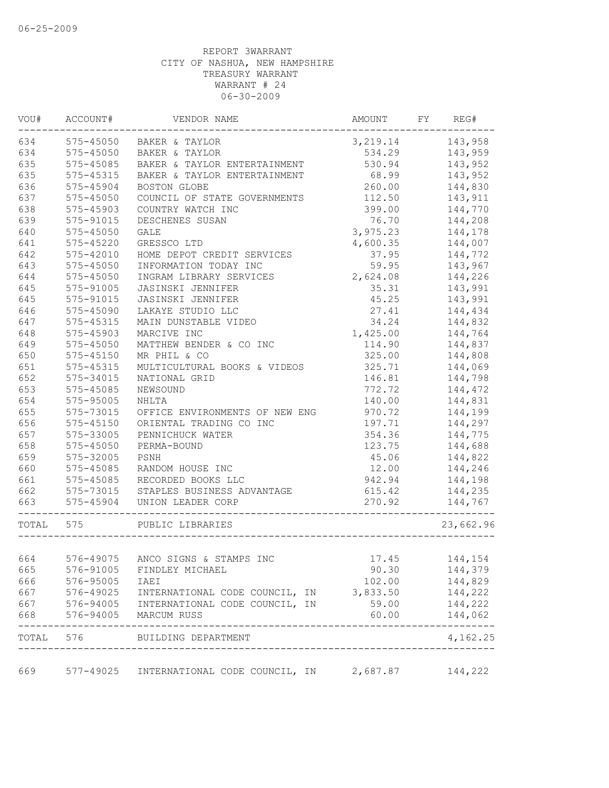| VOU#       | ACCOUNT#      | VENDOR NAME                                                                                                   | AMOUNT             | FY | REG#               |
|------------|---------------|---------------------------------------------------------------------------------------------------------------|--------------------|----|--------------------|
| 634        |               | 575-45050 BAKER & TAYLOR                                                                                      | 3, 219.14 143, 958 |    |                    |
| 634        | 575-45050     | BAKER & TAYLOR                                                                                                | 534.29             |    | 143,959            |
| 635        | 575-45085     | BAKER & TAYLOR ENTERTAINMENT                                                                                  | 530.94             |    | 143,952            |
| 635        | 575-45315     | BAKER & TAYLOR ENTERTAINMENT                                                                                  | 68.99              |    | 143,952            |
| 636        | 575-45904     | BOSTON GLOBE                                                                                                  | 260.00             |    | 144,830            |
| 637        | $575 - 45050$ | COUNCIL OF STATE GOVERNMENTS                                                                                  | 112.50             |    | 143,911            |
| 638        | 575-45903     | COUNTRY WATCH INC                                                                                             | 399.00             |    | 144,770            |
| 639        | 575-91015     | DESCHENES SUSAN                                                                                               | 76.70              |    | 144,208            |
| 640        | 575-45050     | <b>GALE</b>                                                                                                   | 3,975.23           |    | 144,178            |
| 641        | 575-45220     | GRESSCO LTD                                                                                                   | 4,600.35           |    | 144,007            |
| 642        | 575-42010     | HOME DEPOT CREDIT SERVICES                                                                                    | 37.95              |    | 144,772            |
| 643        | 575-45050     | INFORMATION TODAY INC                                                                                         | 59.95              |    | 143,967            |
| 644        | 575-45050     | INGRAM LIBRARY SERVICES                                                                                       | 2,624.08           |    | 144,226            |
| 645        | 575-91005     | JASINSKI JENNIFER                                                                                             | 35.31              |    | 143,991            |
| 645        | 575-91015     | JASINSKI JENNIFER                                                                                             | 45.25              |    | 143,991            |
| 646        | 575-45090     | LAKAYE STUDIO LLC                                                                                             | 27.41              |    | 144,434            |
| 647        | $575 - 45315$ | MAIN DUNSTABLE VIDEO                                                                                          | 34.24              |    | 144,832            |
| 648        | 575-45903     | MARCIVE INC                                                                                                   | 1,425.00           |    | 144,764            |
| 649        | $575 - 45050$ | MATTHEW BENDER & CO INC                                                                                       | 114.90             |    | 144,837            |
| 650        | $575 - 45150$ | MR PHIL & CO                                                                                                  | 325.00             |    | 144,808            |
| 651        | 575-45315     | MULTICULTURAL BOOKS & VIDEOS                                                                                  | 325.71             |    | 144,069            |
| 652        | 575-34015     | NATIONAL GRID                                                                                                 | 146.81             |    | 144,798            |
| 653        | 575-45085     | NEWSOUND                                                                                                      | 772.72             |    | 144,472            |
| 654        | 575-95005     | <b>NHLTA</b>                                                                                                  | 140.00             |    | 144,831            |
| 655        | 575-73015     | OFFICE ENVIRONMENTS OF NEW ENG                                                                                | 970.72             |    | 144,199            |
| 656        | $575 - 45150$ | ORIENTAL TRADING CO INC                                                                                       | 197.71             |    | 144,297            |
| 657        | 575-33005     | PENNICHUCK WATER                                                                                              | 354.36             |    | 144,775            |
| 658        | $575 - 45050$ | PERMA-BOUND                                                                                                   | 123.75             |    | 144,688            |
| 659        | 575-32005     | PSNH                                                                                                          | 45.06              |    | 144,822            |
| 660        | 575-45085     | RANDOM HOUSE INC                                                                                              | 12.00              |    | 144,246            |
| 661        | 575-45085     | RECORDED BOOKS LLC                                                                                            | 942.94             |    | 144,198            |
| 662        | 575-73015     | STAPLES BUSINESS ADVANTAGE                                                                                    | 615.42             |    | 144,235            |
| 663        | $575 - 45904$ | UNION LEADER CORP<br>---------------                                                                          | 270.92             |    | 144,767            |
| TOTAL 575  |               | PUBLIC LIBRARIES                                                                                              |                    |    | 23,662.96          |
|            |               |                                                                                                               |                    |    |                    |
| 664        |               | 576-49075 ANCO SIGNS & STAMPS INC                                                                             | 17.45              |    | 144,154            |
| 665        | 576-91005     | FINDLEY MICHAEL                                                                                               | 90.30              |    | 144,379            |
| 666        | 576-95005     | IAEI                                                                                                          | 102.00             |    | 144,829            |
| 667        |               | INTERNATIONAL CODE COUNCIL, IN 3,833.50                                                                       |                    |    | 144,222            |
| 667<br>668 |               | 576-49025 INTERNATIONAL CODE COUNCIL, IN<br>576-94005 INTERNATIONAL CODE COUNCIL, IN<br>576-94005 MARCUM RUSS | 59.00<br>60.00     |    | 144,222<br>144,062 |
|            |               | ---------------------------<br>TOTAL 576 BUILDING DEPARTMENT                                                  |                    |    | 4,162.25           |
|            |               |                                                                                                               |                    |    |                    |
| 669        |               | 577-49025 INTERNATIONAL CODE COUNCIL, IN 2,687.87 144,222                                                     |                    |    |                    |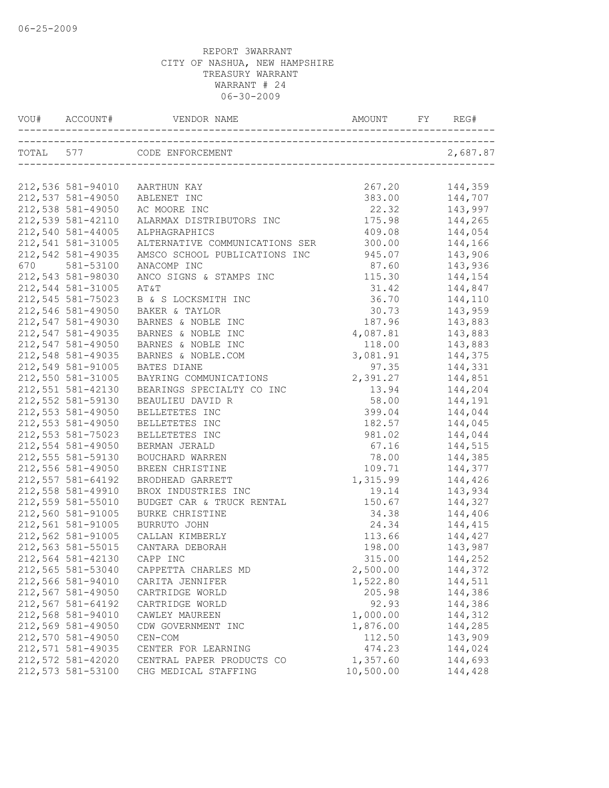|                            | 212,536 581-94010 AARTHUN KAY                 | 267.20           | 144,359            |
|----------------------------|-----------------------------------------------|------------------|--------------------|
| 212,537 581-49050          | ABLENET INC                                   | 383.00           | 144,707            |
| 212,538 581-49050          | AC MOORE INC                                  | 22.32            |                    |
| 212,539 581-42110          | ALARMAX DISTRIBUTORS INC                      | 175.98           | 143,997<br>144,265 |
| 212,540 581-44005          | ALPHAGRAPHICS                                 | 409.08 144,054   |                    |
| 212,541 581-31005          | ALTERNATIVE COMMUNICATIONS SER 300.00 144,166 |                  |                    |
| 212,542 581-49035          | AMSCO SCHOOL PUBLICATIONS INC 945.07 143,906  |                  |                    |
| 670 581-53100              | ANACOMP INC                                   | 87.60 143,936    |                    |
| 212,543 581-98030          | ANCO SIGNS & STAMPS INC                       |                  | 115.30 144,154     |
| 212,544 581-31005          | AT&T                                          | 31.42            | 144,847            |
| 212,545 581-75023          | B & S LOCKSMITH INC                           | 36.70            | 144,110            |
| 212,546 581-49050          | BAKER & TAYLOR                                | 30.73            |                    |
| 212,547 581-49030          | BARNES & NOBLE INC                            | 187.96           | 143,959<br>143,883 |
| 212,547 581-49035          | BARNES & NOBLE INC                            | 4,087.81 143,883 |                    |
| 212,547 581-49050          | BARNES & NOBLE INC                            | 118.00           | 143,883            |
| 212,548 581-49035          | BARNES & NOBLE.COM                            | 3,081.91 144,375 |                    |
| 212,549 581-91005          | BATES DIANE                                   |                  | 97.35 144,331      |
| 212,550 581-31005          | BAYRING COMMUNICATIONS                        | 2,391.27 144,851 |                    |
| 212,551 581-42130          | BEARINGS SPECIALTY CO INC                     | 13.94            | 144,204            |
| 212,552 581-59130          | BEAULIEU DAVID R                              | 58.00            | 144,191            |
| 212,553 581-49050          | BELLETETES INC                                | 399.04           |                    |
| 212,553 581-49050          | BELLETETES INC                                | 182.57           | 144,044<br>144,045 |
| 212,553 581-75023          | BELLETETES INC                                |                  | 981.02 144,044     |
| 212,554 581-49050          | BERMAN JERALD                                 | 67.16 144,515    |                    |
| 212,555 581-59130          | BOUCHARD WARREN                               | 78.00 144,385    |                    |
| 212,556 581-49050          | BREEN CHRISTINE                               |                  | 109.71 144,377     |
| 212,557 581-64192          | BRODHEAD GARRETT                              | 1,315.99 144,426 |                    |
| 212,558 581-49910          | BROX INDUSTRIES INC                           | 19.14            | 143,934            |
| 212,559 581-55010          | BUDGET CAR & TRUCK RENTAL                     | 150.67           | 144,327            |
| 212,560 581-91005          | BURKE CHRISTINE                               | 34.38            |                    |
| 212,561 581-91005          | BURRUTO JOHN                                  | 24.34            | 144,406<br>144,415 |
| 212,562 581-91005          | CALLAN KIMBERLY                               |                  | $113.66$ $144,427$ |
| 212,563 581-55015          | CANTARA DEBORAH                               |                  | 198.00 143,987     |
| 212,564 581-42130 CAPP INC |                                               | 315.00           | 144,252            |
| 212,565 581-53040          | CAPPETTA CHARLES MD                           | 2,500.00         | 144,372            |
| 212,566 581-94010          | CARITA JENNIFER                               | 1,522.80         | 144,511            |
| 212,567 581-49050          | CARTRIDGE WORLD                               | 205.98           | 144,386            |
| 212,567 581-64192          | CARTRIDGE WORLD                               | 92.93            | 144,386            |
| 212,568 581-94010          | CAWLEY MAUREEN                                | 1,000.00         | 144,312            |
| 212,569 581-49050          | CDW GOVERNMENT INC                            | 1,876.00         | 144,285            |
| 212,570 581-49050          | CEN-COM                                       | 112.50           | 143,909            |
| 212,571 581-49035          | CENTER FOR LEARNING                           | 474.23           | 144,024            |
| 212,572 581-42020          | CENTRAL PAPER PRODUCTS CO                     | 1,357.60         | 144,693            |
| 212,573 581-53100          | CHG MEDICAL STAFFING                          | 10,500.00        | 144,428            |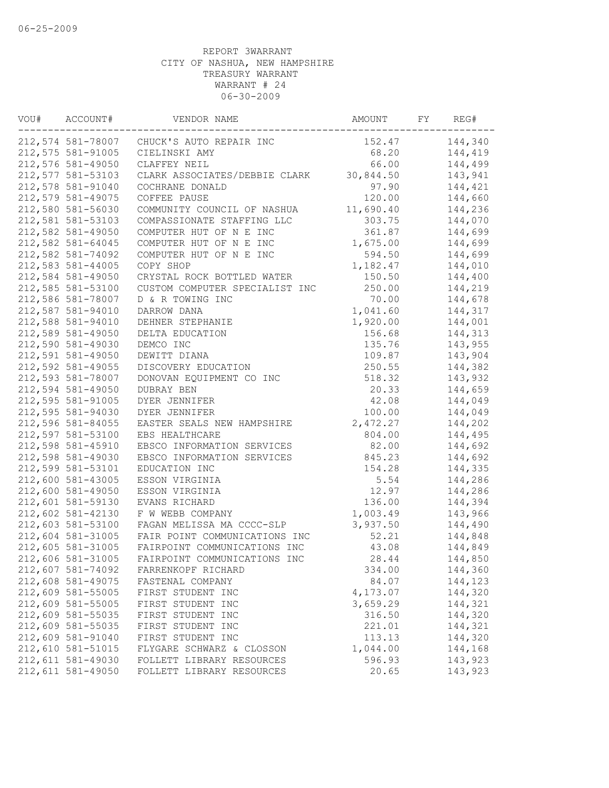| VOU# | ACCOUNT#          | VENDOR NAME                               | AMOUNT    | FY | REG#    |
|------|-------------------|-------------------------------------------|-----------|----|---------|
|      |                   | 212,574 581-78007 CHUCK'S AUTO REPAIR INC | 152.47    |    | 144,340 |
|      | 212,575 581-91005 | CIELINSKI AMY                             | 68.20     |    | 144,419 |
|      | 212,576 581-49050 | CLAFFEY NEIL                              | 66.00     |    | 144,499 |
|      | 212,577 581-53103 | CLARK ASSOCIATES/DEBBIE CLARK             | 30,844.50 |    | 143,941 |
|      | 212,578 581-91040 | COCHRANE DONALD                           | 97.90     |    | 144,421 |
|      | 212,579 581-49075 | COFFEE PAUSE                              | 120.00    |    | 144,660 |
|      | 212,580 581-56030 | COMMUNITY COUNCIL OF NASHUA               | 11,690.40 |    | 144,236 |
|      | 212,581 581-53103 | COMPASSIONATE STAFFING LLC                | 303.75    |    | 144,070 |
|      | 212,582 581-49050 | COMPUTER HUT OF N E INC                   | 361.87    |    | 144,699 |
|      | 212,582 581-64045 | COMPUTER HUT OF N E INC                   | 1,675.00  |    | 144,699 |
|      | 212,582 581-74092 | COMPUTER HUT OF N E INC                   | 594.50    |    | 144,699 |
|      | 212,583 581-44005 | COPY SHOP                                 | 1,182.47  |    | 144,010 |
|      | 212,584 581-49050 | CRYSTAL ROCK BOTTLED WATER                | 150.50    |    | 144,400 |
|      | 212,585 581-53100 | CUSTOM COMPUTER SPECIALIST INC            | 250.00    |    | 144,219 |
|      | 212,586 581-78007 | D & R TOWING INC                          | 70.00     |    | 144,678 |
|      | 212,587 581-94010 | DARROW DANA                               | 1,041.60  |    | 144,317 |
|      | 212,588 581-94010 | DEHNER STEPHANIE                          | 1,920.00  |    | 144,001 |
|      | 212,589 581-49050 | DELTA EDUCATION                           | 156.68    |    | 144,313 |
|      | 212,590 581-49030 | DEMCO INC                                 | 135.76    |    | 143,955 |
|      | 212,591 581-49050 | DEWITT DIANA                              | 109.87    |    | 143,904 |
|      | 212,592 581-49055 | DISCOVERY EDUCATION                       | 250.55    |    | 144,382 |
|      | 212,593 581-78007 | DONOVAN EQUIPMENT CO INC                  | 518.32    |    | 143,932 |
|      | 212,594 581-49050 | DUBRAY BEN                                | 20.33     |    | 144,659 |
|      | 212,595 581-91005 | DYER JENNIFER                             | 42.08     |    | 144,049 |
|      | 212,595 581-94030 | DYER JENNIFER                             | 100.00    |    | 144,049 |
|      | 212,596 581-84055 | EASTER SEALS NEW HAMPSHIRE                | 2,472.27  |    | 144,202 |
|      | 212,597 581-53100 | EBS HEALTHCARE                            | 804.00    |    | 144,495 |
|      | 212,598 581-45910 | EBSCO INFORMATION SERVICES                | 82.00     |    | 144,692 |
|      | 212,598 581-49030 | EBSCO INFORMATION SERVICES                | 845.23    |    | 144,692 |
|      | 212,599 581-53101 | EDUCATION INC                             | 154.28    |    | 144,335 |
|      | 212,600 581-43005 | ESSON VIRGINIA                            | 5.54      |    | 144,286 |
|      | 212,600 581-49050 | ESSON VIRGINIA                            | 12.97     |    | 144,286 |
|      | 212,601 581-59130 | EVANS RICHARD                             | 136.00    |    | 144,394 |
|      | 212,602 581-42130 | F W WEBB COMPANY                          | 1,003.49  |    | 143,966 |
|      | 212,603 581-53100 | FAGAN MELISSA MA CCCC-SLP                 | 3,937.50  |    | 144,490 |
|      | 212,604 581-31005 | FAIR POINT COMMUNICATIONS INC             | 52.21     |    | 144,848 |
|      | 212,605 581-31005 | FAIRPOINT COMMUNICATIONS INC              | 43.08     |    | 144,849 |
|      | 212,606 581-31005 | FAIRPOINT COMMUNICATIONS INC              | 28.44     |    | 144,850 |
|      | 212,607 581-74092 | FARRENKOPF RICHARD                        | 334.00    |    | 144,360 |
|      | 212,608 581-49075 | FASTENAL COMPANY                          | 84.07     |    | 144,123 |
|      | 212,609 581-55005 | FIRST STUDENT INC                         | 4,173.07  |    | 144,320 |
|      | 212,609 581-55005 | FIRST STUDENT INC                         | 3,659.29  |    | 144,321 |
|      | 212,609 581-55035 | FIRST STUDENT INC                         | 316.50    |    | 144,320 |
|      | 212,609 581-55035 | FIRST STUDENT INC                         | 221.01    |    | 144,321 |
|      | 212,609 581-91040 | FIRST STUDENT INC                         | 113.13    |    | 144,320 |
|      | 212,610 581-51015 | FLYGARE SCHWARZ & CLOSSON                 | 1,044.00  |    | 144,168 |
|      | 212,611 581-49030 | FOLLETT LIBRARY RESOURCES                 | 596.93    |    | 143,923 |
|      | 212,611 581-49050 | FOLLETT LIBRARY RESOURCES                 | 20.65     |    | 143,923 |
|      |                   |                                           |           |    |         |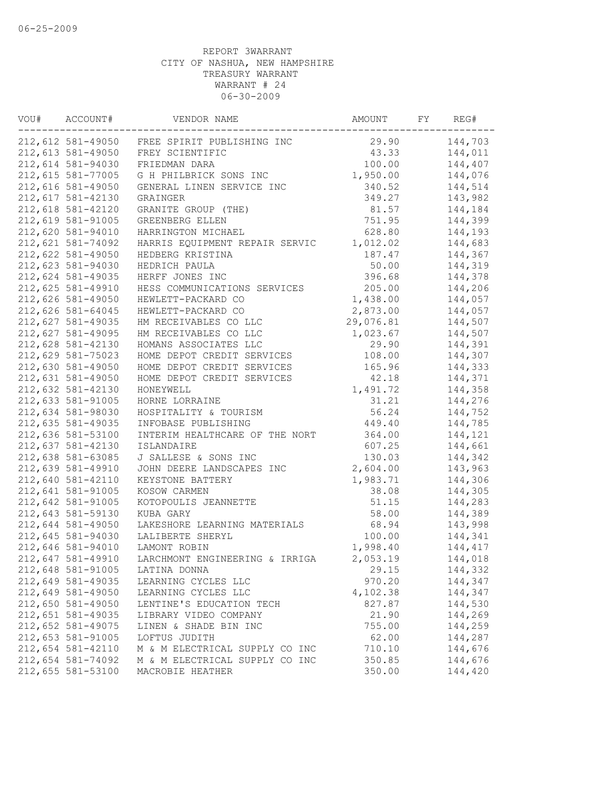| VOU# | ACCOUNT#          | VENDOR NAME                                  | AMOUNT    | FY | REG#    |
|------|-------------------|----------------------------------------------|-----------|----|---------|
|      |                   | 212,612 581-49050 FREE SPIRIT PUBLISHING INC | 29.90     |    | 144,703 |
|      | 212,613 581-49050 | FREY SCIENTIFIC                              | 43.33     |    | 144,011 |
|      | 212,614 581-94030 | FRIEDMAN DARA                                | 100.00    |    | 144,407 |
|      | 212,615 581-77005 | G H PHILBRICK SONS INC                       | 1,950.00  |    | 144,076 |
|      | 212,616 581-49050 | GENERAL LINEN SERVICE INC                    | 340.52    |    | 144,514 |
|      | 212,617 581-42130 | GRAINGER                                     | 349.27    |    | 143,982 |
|      | 212,618 581-42120 | GRANITE GROUP (THE)                          | 81.57     |    | 144,184 |
|      | 212,619 581-91005 | GREENBERG ELLEN                              | 751.95    |    | 144,399 |
|      | 212,620 581-94010 | HARRINGTON MICHAEL                           | 628.80    |    | 144,193 |
|      | 212,621 581-74092 | HARRIS EQUIPMENT REPAIR SERVIC               | 1,012.02  |    | 144,683 |
|      | 212,622 581-49050 | HEDBERG KRISTINA                             | 187.47    |    | 144,367 |
|      | 212,623 581-94030 | HEDRICH PAULA                                | 50.00     |    | 144,319 |
|      | 212,624 581-49035 | HERFF JONES INC                              | 396.68    |    | 144,378 |
|      | 212,625 581-49910 | HESS COMMUNICATIONS SERVICES                 | 205.00    |    | 144,206 |
|      | 212,626 581-49050 | HEWLETT-PACKARD CO                           | 1,438.00  |    | 144,057 |
|      | 212,626 581-64045 | HEWLETT-PACKARD CO                           | 2,873.00  |    | 144,057 |
|      | 212,627 581-49035 | HM RECEIVABLES CO LLC                        | 29,076.81 |    | 144,507 |
|      | 212,627 581-49095 | HM RECEIVABLES CO LLC                        | 1,023.67  |    | 144,507 |
|      | 212,628 581-42130 | HOMANS ASSOCIATES LLC                        | 29.90     |    | 144,391 |
|      | 212,629 581-75023 | HOME DEPOT CREDIT SERVICES                   | 108.00    |    | 144,307 |
|      | 212,630 581-49050 | HOME DEPOT CREDIT SERVICES                   | 165.96    |    | 144,333 |
|      | 212,631 581-49050 | HOME DEPOT CREDIT SERVICES                   | 42.18     |    | 144,371 |
|      | 212,632 581-42130 | HONEYWELL                                    | 1,491.72  |    | 144,358 |
|      | 212,633 581-91005 | HORNE LORRAINE                               | 31.21     |    | 144,276 |
|      | 212,634 581-98030 | HOSPITALITY & TOURISM                        | 56.24     |    | 144,752 |
|      | 212,635 581-49035 | INFOBASE PUBLISHING                          | 449.40    |    | 144,785 |
|      | 212,636 581-53100 | INTERIM HEALTHCARE OF THE NORT               | 364.00    |    | 144,121 |
|      | 212,637 581-42130 | ISLANDAIRE                                   | 607.25    |    | 144,661 |
|      | 212,638 581-63085 | J SALLESE & SONS INC                         | 130.03    |    | 144,342 |
|      | 212,639 581-49910 | JOHN DEERE LANDSCAPES INC                    | 2,604.00  |    | 143,963 |
|      | 212,640 581-42110 | KEYSTONE BATTERY                             | 1,983.71  |    | 144,306 |
|      | 212,641 581-91005 | KOSOW CARMEN                                 | 38.08     |    | 144,305 |
|      | 212,642 581-91005 | KOTOPOULIS JEANNETTE                         | 51.15     |    | 144,283 |
|      | 212,643 581-59130 | KUBA GARY                                    | 58.00     |    | 144,389 |
|      | 212,644 581-49050 | LAKESHORE LEARNING MATERIALS                 | 68.94     |    | 143,998 |
|      | 212,645 581-94030 | LALIBERTE SHERYL                             | 100.00    |    | 144,341 |
|      | 212,646 581-94010 | LAMONT ROBIN                                 | 1,998.40  |    | 144,417 |
|      | 212,647 581-49910 | LARCHMONT ENGINEERING & IRRIGA               | 2,053.19  |    | 144,018 |
|      | 212,648 581-91005 | LATINA DONNA                                 | 29.15     |    | 144,332 |
|      | 212,649 581-49035 | LEARNING CYCLES LLC                          | 970.20    |    | 144,347 |
|      | 212,649 581-49050 | LEARNING CYCLES LLC                          | 4,102.38  |    | 144,347 |
|      | 212,650 581-49050 | LENTINE'S EDUCATION TECH                     | 827.87    |    | 144,530 |
|      | 212,651 581-49035 | LIBRARY VIDEO COMPANY                        | 21.90     |    | 144,269 |
|      | 212,652 581-49075 | LINEN & SHADE BIN INC                        | 755.00    |    | 144,259 |
|      | 212,653 581-91005 | LOFTUS JUDITH                                | 62.00     |    | 144,287 |
|      | 212,654 581-42110 | M & M ELECTRICAL SUPPLY CO INC               | 710.10    |    | 144,676 |
|      | 212,654 581-74092 | M & M ELECTRICAL SUPPLY CO INC               | 350.85    |    | 144,676 |
|      | 212,655 581-53100 | MACROBIE HEATHER                             | 350.00    |    | 144,420 |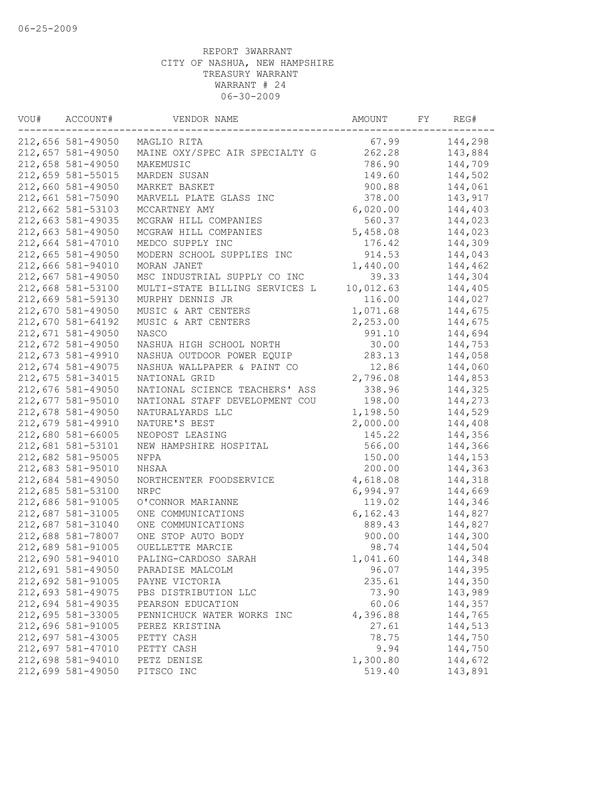| VOU# | ACCOUNT#          | VENDOR NAME                    | AMOUNT    | FY | REG#    |
|------|-------------------|--------------------------------|-----------|----|---------|
|      | 212,656 581-49050 | MAGLIO RITA                    | 67.99     |    | 144,298 |
|      | 212,657 581-49050 | MAINE OXY/SPEC AIR SPECIALTY G | 262.28    |    | 143,884 |
|      | 212,658 581-49050 | MAKEMUSIC                      | 786.90    |    | 144,709 |
|      | 212,659 581-55015 | MARDEN SUSAN                   | 149.60    |    | 144,502 |
|      | 212,660 581-49050 | MARKET BASKET                  | 900.88    |    | 144,061 |
|      | 212,661 581-75090 | MARVELL PLATE GLASS INC        | 378.00    |    | 143,917 |
|      | 212,662 581-53103 | MCCARTNEY AMY                  | 6,020.00  |    | 144,403 |
|      | 212,663 581-49035 | MCGRAW HILL COMPANIES          | 560.37    |    | 144,023 |
|      | 212,663 581-49050 | MCGRAW HILL COMPANIES          | 5,458.08  |    | 144,023 |
|      | 212,664 581-47010 | MEDCO SUPPLY INC               | 176.42    |    | 144,309 |
|      | 212,665 581-49050 | MODERN SCHOOL SUPPLIES INC     | 914.53    |    | 144,043 |
|      | 212,666 581-94010 | MORAN JANET                    | 1,440.00  |    | 144,462 |
|      | 212,667 581-49050 | MSC INDUSTRIAL SUPPLY CO INC   | 39.33     |    | 144,304 |
|      | 212,668 581-53100 | MULTI-STATE BILLING SERVICES L | 10,012.63 |    | 144,405 |
|      | 212,669 581-59130 | MURPHY DENNIS JR               | 116.00    |    | 144,027 |
|      | 212,670 581-49050 | MUSIC & ART CENTERS            | 1,071.68  |    | 144,675 |
|      | 212,670 581-64192 | MUSIC & ART CENTERS            | 2,253.00  |    | 144,675 |
|      | 212,671 581-49050 | NASCO                          | 991.10    |    | 144,694 |
|      | 212,672 581-49050 | NASHUA HIGH SCHOOL NORTH       | 30.00     |    | 144,753 |
|      | 212,673 581-49910 | NASHUA OUTDOOR POWER EQUIP     | 283.13    |    | 144,058 |
|      | 212,674 581-49075 | NASHUA WALLPAPER & PAINT CO    | 12.86     |    | 144,060 |
|      | 212,675 581-34015 | NATIONAL GRID                  | 2,796.08  |    | 144,853 |
|      | 212,676 581-49050 | NATIONAL SCIENCE TEACHERS' ASS | 338.96    |    | 144,325 |
|      | 212,677 581-95010 | NATIONAL STAFF DEVELOPMENT COU | 198.00    |    | 144,273 |
|      | 212,678 581-49050 | NATURALYARDS LLC               | 1,198.50  |    | 144,529 |
|      | 212,679 581-49910 | NATURE'S BEST                  | 2,000.00  |    | 144,408 |
|      | 212,680 581-66005 | NEOPOST LEASING                | 145.22    |    | 144,356 |
|      | 212,681 581-53101 | NEW HAMPSHIRE HOSPITAL         | 566.00    |    | 144,366 |
|      | 212,682 581-95005 | NFPA                           | 150.00    |    | 144,153 |
|      | 212,683 581-95010 | NHSAA                          | 200.00    |    | 144,363 |
|      | 212,684 581-49050 | NORTHCENTER FOODSERVICE        | 4,618.08  |    | 144,318 |
|      | 212,685 581-53100 | <b>NRPC</b>                    | 6,994.97  |    | 144,669 |
|      | 212,686 581-91005 | O'CONNOR MARIANNE              | 119.02    |    | 144,346 |
|      | 212,687 581-31005 | ONE COMMUNICATIONS             | 6, 162.43 |    | 144,827 |
|      | 212,687 581-31040 | ONE COMMUNICATIONS             | 889.43    |    | 144,827 |
|      | 212,688 581-78007 | ONE STOP AUTO BODY             | 900.00    |    | 144,300 |
|      | 212,689 581-91005 | OUELLETTE MARCIE               | 98.74     |    | 144,504 |
|      | 212,690 581-94010 | PALING-CARDOSO SARAH           | 1,041.60  |    | 144,348 |
|      | 212,691 581-49050 | PARADISE MALCOLM               | 96.07     |    | 144,395 |
|      | 212,692 581-91005 | PAYNE VICTORIA                 | 235.61    |    | 144,350 |
|      | 212,693 581-49075 | PBS DISTRIBUTION LLC           | 73.90     |    | 143,989 |
|      | 212,694 581-49035 | PEARSON EDUCATION              | 60.06     |    | 144,357 |
|      | 212,695 581-33005 | PENNICHUCK WATER WORKS INC     | 4,396.88  |    | 144,765 |
|      | 212,696 581-91005 | PEREZ KRISTINA                 | 27.61     |    | 144,513 |
|      | 212,697 581-43005 | PETTY CASH                     | 78.75     |    | 144,750 |
|      | 212,697 581-47010 | PETTY CASH                     | 9.94      |    | 144,750 |
|      | 212,698 581-94010 | PETZ DENISE                    | 1,300.80  |    | 144,672 |
|      | 212,699 581-49050 | PITSCO INC                     | 519.40    |    | 143,891 |
|      |                   |                                |           |    |         |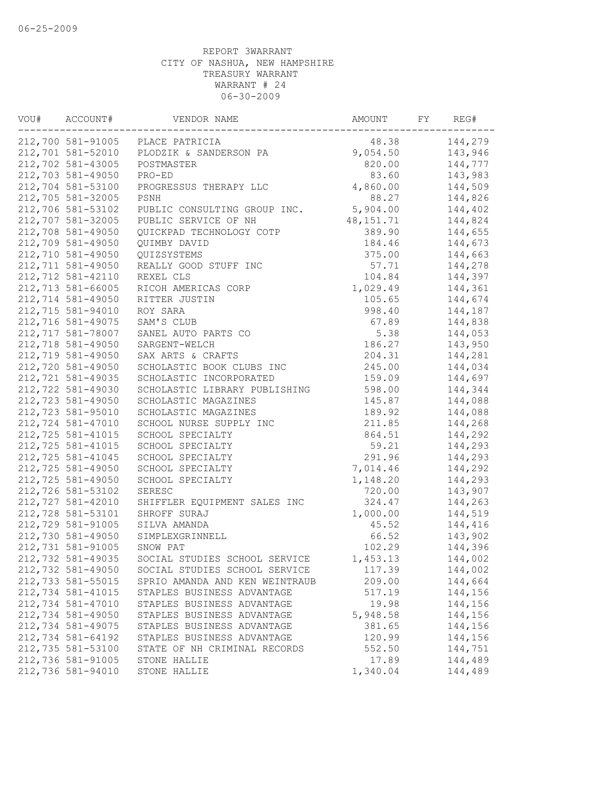| VOU# | ACCOUNT#          | VENDOR NAME                      | AMOUNT      | FY | REG#    |
|------|-------------------|----------------------------------|-------------|----|---------|
|      |                   | 212,700 581-91005 PLACE PATRICIA | 48.38       |    | 144,279 |
|      | 212,701 581-52010 | PLODZIK & SANDERSON PA           | 9,054.50    |    | 143,946 |
|      | 212,702 581-43005 | POSTMASTER                       | 820.00      |    | 144,777 |
|      | 212,703 581-49050 | PRO-ED                           | 83.60       |    | 143,983 |
|      | 212,704 581-53100 | PROGRESSUS THERAPY LLC           | 4,860.00    |    | 144,509 |
|      | 212,705 581-32005 | PSNH                             | 88.27       |    | 144,826 |
|      | 212,706 581-53102 | PUBLIC CONSULTING GROUP INC.     | 5,904.00    |    | 144,402 |
|      | 212,707 581-32005 | PUBLIC SERVICE OF NH             | 48, 151. 71 |    | 144,824 |
|      | 212,708 581-49050 | QUICKPAD TECHNOLOGY COTP         | 389.90      |    | 144,655 |
|      | 212,709 581-49050 | QUIMBY DAVID                     | 184.46      |    | 144,673 |
|      | 212,710 581-49050 | QUIZSYSTEMS                      | 375.00      |    | 144,663 |
|      | 212,711 581-49050 | REALLY GOOD STUFF INC            | 57.71       |    | 144,278 |
|      | 212,712 581-42110 | REXEL CLS                        | 104.84      |    | 144,397 |
|      | 212,713 581-66005 | RICOH AMERICAS CORP              | 1,029.49    |    | 144,361 |
|      | 212,714 581-49050 | RITTER JUSTIN                    | 105.65      |    | 144,674 |
|      | 212,715 581-94010 | ROY SARA                         | 998.40      |    | 144,187 |
|      | 212,716 581-49075 | SAM'S CLUB                       | 67.89       |    | 144,838 |
|      | 212,717 581-78007 | SANEL AUTO PARTS CO              | 5.38        |    | 144,053 |
|      | 212,718 581-49050 | SARGENT-WELCH                    | 186.27      |    | 143,950 |
|      | 212,719 581-49050 | SAX ARTS & CRAFTS                | 204.31      |    | 144,281 |
|      | 212,720 581-49050 | SCHOLASTIC BOOK CLUBS INC        | 245.00      |    | 144,034 |
|      | 212,721 581-49035 | SCHOLASTIC INCORPORATED          | 159.09      |    | 144,697 |
|      | 212,722 581-49030 | SCHOLASTIC LIBRARY PUBLISHING    | 598.00      |    | 144,344 |
|      | 212,723 581-49050 | SCHOLASTIC MAGAZINES             | 145.87      |    | 144,088 |
|      | 212,723 581-95010 | SCHOLASTIC MAGAZINES             | 189.92      |    | 144,088 |
|      | 212,724 581-47010 | SCHOOL NURSE SUPPLY INC          | 211.85      |    | 144,268 |
|      | 212,725 581-41015 | SCHOOL SPECIALTY                 | 864.51      |    | 144,292 |
|      | 212,725 581-41015 | SCHOOL SPECIALTY                 | 59.21       |    | 144,293 |
|      | 212,725 581-41045 | SCHOOL SPECIALTY                 | 291.96      |    | 144,293 |
|      | 212,725 581-49050 | SCHOOL SPECIALTY                 | 7,014.46    |    | 144,292 |
|      | 212,725 581-49050 | SCHOOL SPECIALTY                 | 1,148.20    |    | 144,293 |
|      | 212,726 581-53102 | SERESC                           | 720.00      |    | 143,907 |
|      | 212,727 581-42010 | SHIFFLER EQUIPMENT SALES INC     | 324.47      |    | 144,263 |
|      | 212,728 581-53101 | SHROFF SURAJ                     | 1,000.00    |    | 144,519 |
|      | 212,729 581-91005 | SILVA AMANDA                     | 45.52       |    | 144,416 |
|      | 212,730 581-49050 | SIMPLEXGRINNELL                  | 66.52       |    | 143,902 |
|      | 212,731 581-91005 | SNOW PAT                         | 102.29      |    | 144,396 |
|      | 212,732 581-49035 | SOCIAL STUDIES SCHOOL SERVICE    | 1,453.13    |    | 144,002 |
|      | 212,732 581-49050 | SOCIAL STUDIES SCHOOL SERVICE    | 117.39      |    | 144,002 |
|      | 212,733 581-55015 | SPRIO AMANDA AND KEN WEINTRAUB   | 209.00      |    | 144,664 |
|      | 212,734 581-41015 | STAPLES BUSINESS ADVANTAGE       | 517.19      |    | 144,156 |
|      | 212,734 581-47010 | STAPLES BUSINESS ADVANTAGE       | 19.98       |    | 144,156 |
|      | 212,734 581-49050 | STAPLES BUSINESS ADVANTAGE       | 5,948.58    |    | 144,156 |
|      | 212,734 581-49075 | STAPLES BUSINESS ADVANTAGE       | 381.65      |    | 144,156 |
|      | 212,734 581-64192 | STAPLES BUSINESS ADVANTAGE       | 120.99      |    | 144,156 |
|      | 212,735 581-53100 | STATE OF NH CRIMINAL RECORDS     | 552.50      |    | 144,751 |
|      | 212,736 581-91005 | STONE HALLIE                     | 17.89       |    | 144,489 |
|      | 212,736 581-94010 | STONE HALLIE                     | 1,340.04    |    | 144,489 |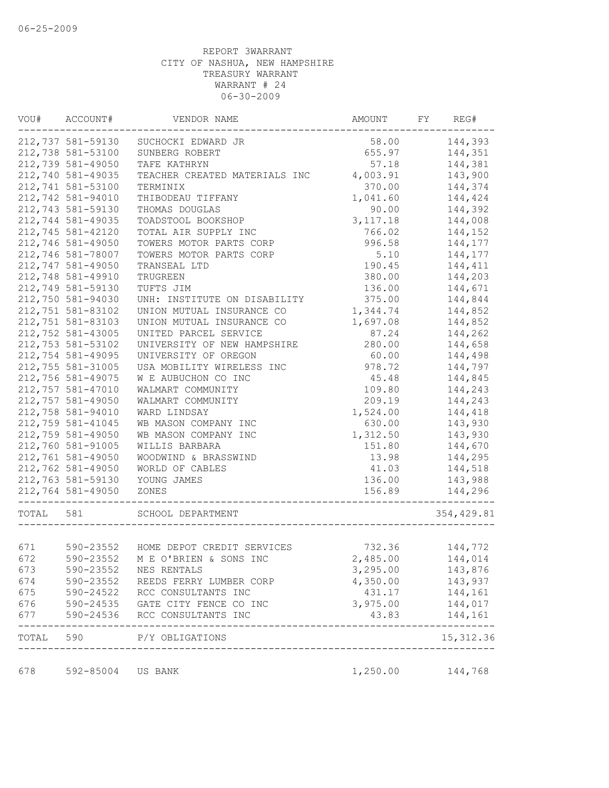| VOU#      | ACCOUNT#          | VENDOR NAME                                              | AMOUNT   | FY | REG#       |
|-----------|-------------------|----------------------------------------------------------|----------|----|------------|
|           | 212,737 581-59130 | SUCHOCKI EDWARD JR                                       | 58.00    |    | 144,393    |
|           | 212,738 581-53100 | SUNBERG ROBERT                                           | 655.97   |    | 144,351    |
|           | 212,739 581-49050 | TAFE KATHRYN                                             | 57.18    |    | 144,381    |
|           | 212,740 581-49035 | TEACHER CREATED MATERIALS INC                            | 4,003.91 |    | 143,900    |
|           | 212,741 581-53100 | TERMINIX                                                 | 370.00   |    | 144,374    |
|           | 212,742 581-94010 | THIBODEAU TIFFANY                                        | 1,041.60 |    | 144,424    |
|           | 212,743 581-59130 | THOMAS DOUGLAS                                           | 90.00    |    | 144,392    |
|           | 212,744 581-49035 | TOADSTOOL BOOKSHOP                                       | 3,117.18 |    | 144,008    |
|           | 212,745 581-42120 | TOTAL AIR SUPPLY INC                                     | 766.02   |    | 144,152    |
|           | 212,746 581-49050 | TOWERS MOTOR PARTS CORP                                  | 996.58   |    | 144,177    |
|           | 212,746 581-78007 | TOWERS MOTOR PARTS CORP                                  | 5.10     |    | 144,177    |
|           | 212,747 581-49050 | TRANSEAL LTD                                             | 190.45   |    | 144,411    |
|           | 212,748 581-49910 | TRUGREEN                                                 | 380.00   |    | 144,203    |
|           | 212,749 581-59130 | TUFTS JIM                                                | 136.00   |    | 144,671    |
|           | 212,750 581-94030 | UNH: INSTITUTE ON DISABILITY                             | 375.00   |    | 144,844    |
|           | 212,751 581-83102 | UNION MUTUAL INSURANCE CO                                | 1,344.74 |    | 144,852    |
|           | 212,751 581-83103 | UNION MUTUAL INSURANCE CO                                | 1,697.08 |    | 144,852    |
|           | 212,752 581-43005 | UNITED PARCEL SERVICE                                    | 87.24    |    | 144,262    |
|           | 212,753 581-53102 | UNIVERSITY OF NEW HAMPSHIRE                              | 280.00   |    | 144,658    |
|           | 212,754 581-49095 | UNIVERSITY OF OREGON                                     | 60.00    |    | 144,498    |
|           | 212,755 581-31005 | USA MOBILITY WIRELESS INC                                | 978.72   |    | 144,797    |
|           | 212,756 581-49075 | W E AUBUCHON CO INC                                      | 45.48    |    | 144,845    |
|           | 212,757 581-47010 | WALMART COMMUNITY                                        | 109.80   |    | 144,243    |
|           | 212,757 581-49050 | WALMART COMMUNITY                                        | 209.19   |    | 144,243    |
|           | 212,758 581-94010 | WARD LINDSAY                                             | 1,524.00 |    | 144,418    |
|           | 212,759 581-41045 | WB MASON COMPANY INC                                     | 630.00   |    | 143,930    |
|           | 212,759 581-49050 | WB MASON COMPANY INC                                     | 1,312.50 |    | 143,930    |
|           | 212,760 581-91005 | WILLIS BARBARA                                           | 151.80   |    | 144,670    |
|           | 212,761 581-49050 | WOODWIND & BRASSWIND                                     | 13.98    |    | 144,295    |
|           | 212,762 581-49050 | WORLD OF CABLES                                          | 41.03    |    | 144,518    |
|           | 212,763 581-59130 | YOUNG JAMES                                              | 136.00   |    | 143,988    |
|           | 212,764 581-49050 | ZONES                                                    | 156.89   |    | 144,296    |
| TOTAL 581 |                   | SCHOOL DEPARTMENT                                        |          |    | 354,429.81 |
|           |                   |                                                          |          |    |            |
| 671       |                   | 590-23552 HOME DEPOT CREDIT SERVICES                     | 732.36   |    | 144,772    |
| 672       |                   | 590-23552 M E O'BRIEN & SONS INC                         | 2,485.00 |    | 144,014    |
| 673       | 590-23552         | NES RENTALS                                              | 3,295.00 |    | 143,876    |
| 674       | 590-23552         | REEDS FERRY LUMBER CORP                                  | 4,350.00 |    | 143,937    |
| 675       | 590-24522         | RCC CONSULTANTS INC                                      | 431.17   |    | 144,161    |
| 676       | $590 - 24535$     | GATE CITY FENCE CO INC                                   | 3,975.00 |    | 144,017    |
| 677       | 590-24536         | RCC CONSULTANTS INC                                      | 43.83    |    | 144,161    |
| TOTAL     | 590               | P/Y OBLIGATIONS<br>------------------------------------- |          |    | 15, 312.36 |
| 678       | 592-85004 US BANK |                                                          | 1,250.00 |    | 144,768    |
|           |                   |                                                          |          |    |            |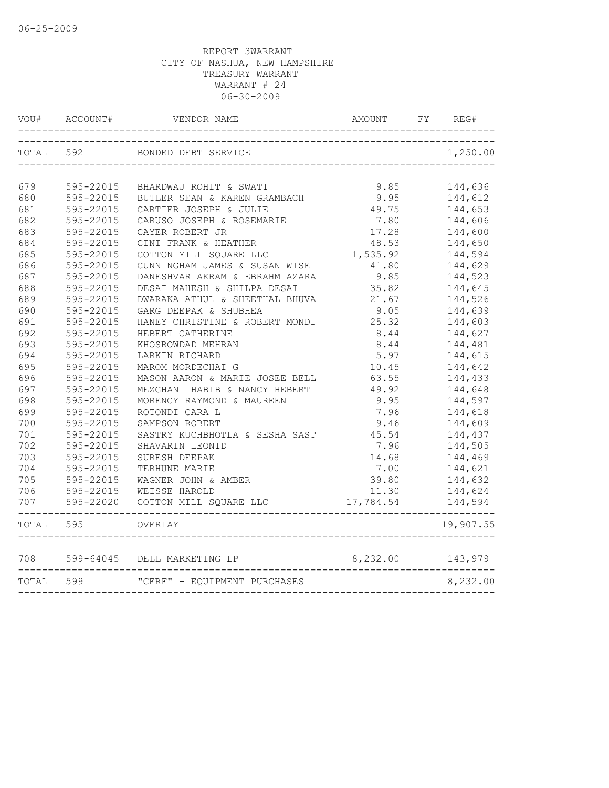| VOU#      | ACCOUNT#  | VENDOR NAME                    | AMOUNT    | FY | REG#      |
|-----------|-----------|--------------------------------|-----------|----|-----------|
| TOTAL 592 |           | BONDED DEBT SERVICE            |           |    | 1,250.00  |
|           |           |                                |           |    |           |
| 679       | 595-22015 | BHARDWAJ ROHIT & SWATI         | 9.85      |    | 144,636   |
| 680       | 595-22015 | BUTLER SEAN & KAREN GRAMBACH   | 9.95      |    | 144,612   |
| 681       | 595-22015 | CARTIER JOSEPH & JULIE         | 49.75     |    | 144,653   |
| 682       | 595-22015 | CARUSO JOSEPH & ROSEMARIE      | 7.80      |    | 144,606   |
| 683       | 595-22015 | CAYER ROBERT JR                | 17.28     |    | 144,600   |
| 684       | 595-22015 | CINI FRANK & HEATHER           | 48.53     |    | 144,650   |
| 685       | 595-22015 | COTTON MILL SQUARE LLC         | 1,535.92  |    | 144,594   |
| 686       | 595-22015 | CUNNINGHAM JAMES & SUSAN WISE  | 41.80     |    | 144,629   |
| 687       | 595-22015 | DANESHVAR AKRAM & EBRAHM AZARA | 9.85      |    | 144,523   |
| 688       | 595-22015 | DESAI MAHESH & SHILPA DESAI    | 35.82     |    | 144,645   |
| 689       | 595-22015 | DWARAKA ATHUL & SHEETHAL BHUVA | 21.67     |    | 144,526   |
| 690       | 595-22015 | GARG DEEPAK & SHUBHEA          | 9.05      |    | 144,639   |
| 691       | 595-22015 | HANEY CHRISTINE & ROBERT MONDI | 25.32     |    | 144,603   |
| 692       | 595-22015 | HEBERT CATHERINE               | 8.44      |    | 144,627   |
| 693       | 595-22015 | KHOSROWDAD MEHRAN              | 8.44      |    | 144,481   |
| 694       | 595-22015 | LARKIN RICHARD                 | 5.97      |    | 144,615   |
| 695       | 595-22015 | MAROM MORDECHAI G              | 10.45     |    | 144,642   |
| 696       | 595-22015 | MASON AARON & MARIE JOSEE BELL | 63.55     |    | 144,433   |
| 697       | 595-22015 | MEZGHANI HABIB & NANCY HEBERT  | 49.92     |    | 144,648   |
| 698       | 595-22015 | MORENCY RAYMOND & MAUREEN      | 9.95      |    | 144,597   |
| 699       | 595-22015 | ROTONDI CARA L                 | 7.96      |    | 144,618   |
| 700       | 595-22015 | SAMPSON ROBERT                 | 9.46      |    | 144,609   |
| 701       | 595-22015 | SASTRY KUCHBHOTLA & SESHA SAST | 45.54     |    | 144,437   |
| 702       | 595-22015 | SHAVARIN LEONID                | 7.96      |    | 144,505   |
| 703       | 595-22015 | SURESH DEEPAK                  | 14.68     |    | 144,469   |
| 704       | 595-22015 | TERHUNE MARIE                  | 7.00      |    | 144,621   |
| 705       | 595-22015 | WAGNER JOHN & AMBER            | 39.80     |    | 144,632   |
| 706       | 595-22015 | WEISSE HAROLD                  | 11.30     |    | 144,624   |
| 707       | 595-22020 | COTTON MILL SQUARE LLC         | 17,784.54 |    | 144,594   |
| TOTAL 595 |           | OVERLAY                        |           |    | 19,907.55 |
| 708 — 108 | 599-64045 | DELL MARKETING LP              | 8,232.00  |    | 143,979   |
| TOTAL 599 |           | "CERF" - EQUIPMENT PURCHASES   |           |    | 8,232.00  |
|           |           |                                |           |    |           |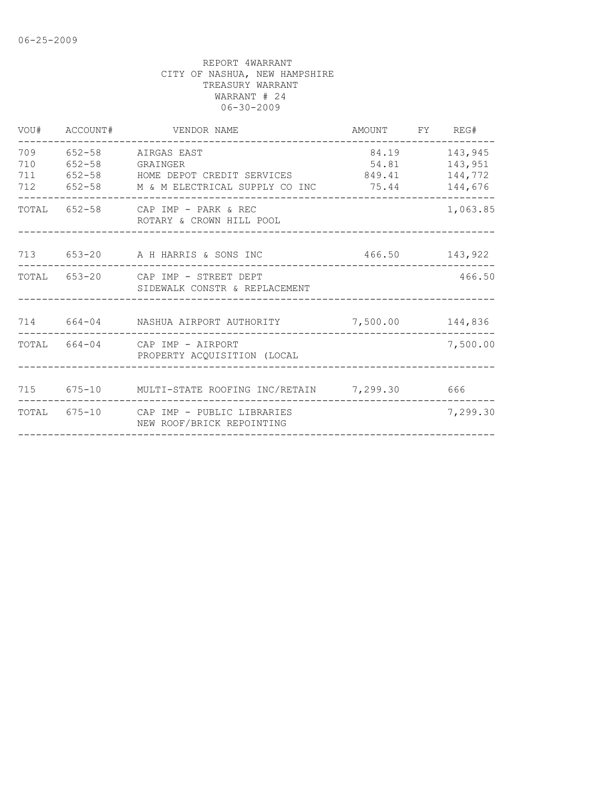| VOU#                     | ACCOUNT#   | VENDOR NAME                                                                                                        | AMOUNT                   | FY REG#                                  |
|--------------------------|------------|--------------------------------------------------------------------------------------------------------------------|--------------------------|------------------------------------------|
| 709<br>710<br>711<br>712 | $652 - 58$ | 652-58 AIRGAS EAST<br>652-58 GRAINGER<br>652-58 HOME DEPOT CREDIT SERVICES<br>M & M ELECTRICAL SUPPLY CO INC 75.44 | 84.19<br>54.81<br>849.41 | 143,945<br>143,951<br>144,772<br>144,676 |
| TOTAL                    |            | 652-58 CAP IMP - PARK & REC<br>ROTARY & CROWN HILL POOL                                                            |                          | 1,063.85                                 |
|                          |            | 713 653-20 A H HARRIS & SONS INC                                                                                   |                          | 466.50 143,922                           |
|                          |            | TOTAL 653-20 CAP IMP - STREET DEPT<br>SIDEWALK CONSTR & REPLACEMENT                                                |                          | 466.50                                   |
|                          |            | 714 664-04 NASHUA AIRPORT AUTHORITY                                                                                | 7,500.00 144,836         |                                          |
|                          |            | TOTAL 664-04 CAP IMP - AIRPORT<br>PROPERTY ACOUISITION (LOCAL                                                      |                          | 7,500.00                                 |
|                          |            | 715 675-10 MULTI-STATE ROOFING INC/RETAIN 7,299.30 666                                                             |                          |                                          |
|                          |            | TOTAL 675-10 CAP IMP - PUBLIC LIBRARIES<br>NEW ROOF/BRICK REPOINTING                                               |                          | 7,299.30                                 |
|                          |            |                                                                                                                    |                          |                                          |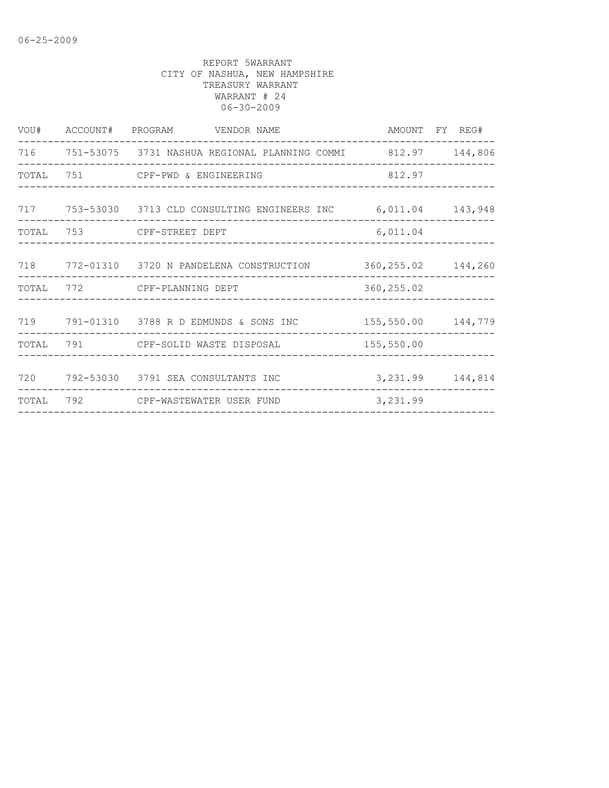|       | VOU# ACCOUNT# PROGRAM VENDOR NAME                                |                      | AMOUNT FY REG#     |
|-------|------------------------------------------------------------------|----------------------|--------------------|
|       | 716 751-53075 3731 NASHUA REGIONAL PLANNING COMMI 812.97 144,806 |                      |                    |
| TOTAL | 751 CPF-PWD & ENGINEERING                                        | 812.97               |                    |
|       | 717 753-53030 3713 CLD CONSULTING ENGINEERS INC 6,011.04 143,948 |                      |                    |
|       | TOTAL 753 CPF-STREET DEPT                                        | 6,011.04             |                    |
|       | 718 772-01310 3720 N PANDELENA CONSTRUCTION                      | 360, 255.02 144, 260 |                    |
| TOTAL | 772 CPF-PLANNING DEPT                                            | 360, 255.02          |                    |
| 719   | 791-01310 3788 R D EDMUNDS & SONS INC                            | 155,550.00 144,779   |                    |
| TOTAL | 791 CPF-SOLID WASTE DISPOSAL                                     | 155,550.00           |                    |
| 720   | 792-53030 3791 SEA CONSULTANTS INC                               |                      | 3, 231.99 144, 814 |
| TOTAL | 792 CPF-WASTEWATER USER FUND                                     | 3,231.99             |                    |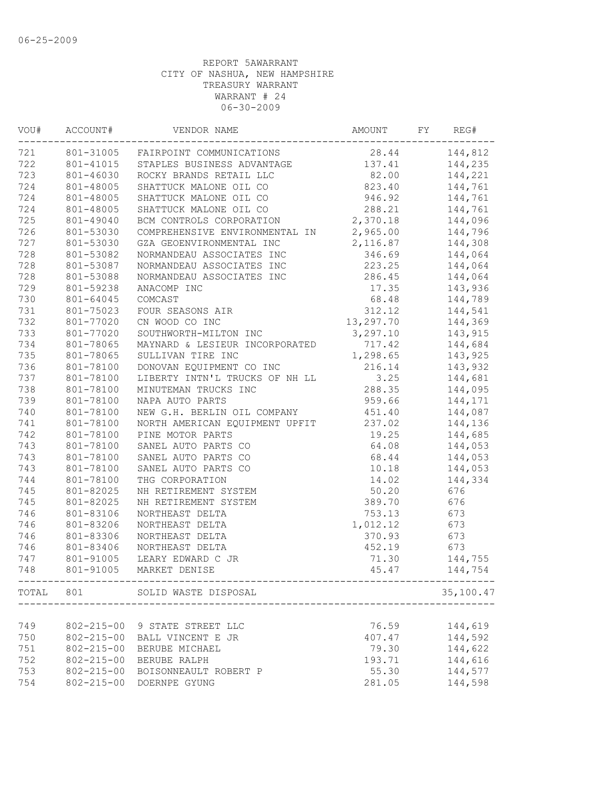| VOU# | ACCOUNT#         | VENDOR NAME                          | AMOUNT    | FY | REG#      |
|------|------------------|--------------------------------------|-----------|----|-----------|
| 721  |                  | 801-31005 FAIRPOINT COMMUNICATIONS   | 28.44     |    | 144,812   |
| 722  |                  | 801-41015 STAPLES BUSINESS ADVANTAGE | 137.41    |    | 144,235   |
| 723  | 801-46030        | ROCKY BRANDS RETAIL LLC              | 82.00     |    | 144,221   |
| 724  | 801-48005        | SHATTUCK MALONE OIL CO               | 823.40    |    | 144,761   |
| 724  | 801-48005        | SHATTUCK MALONE OIL CO               | 946.92    |    | 144,761   |
| 724  | 801-48005        | SHATTUCK MALONE OIL CO               | 288.21    |    | 144,761   |
| 725  | 801-49040        | BCM CONTROLS CORPORATION             | 2,370.18  |    | 144,096   |
| 726  | 801-53030        | COMPREHENSIVE ENVIRONMENTAL IN       | 2,965.00  |    | 144,796   |
| 727  | 801-53030        | GZA GEOENVIRONMENTAL INC             | 2,116.87  |    | 144,308   |
| 728  | 801-53082        | NORMANDEAU ASSOCIATES INC            | 346.69    |    | 144,064   |
| 728  | 801-53087        | NORMANDEAU ASSOCIATES INC            | 223.25    |    | 144,064   |
| 728  | 801-53088        | NORMANDEAU ASSOCIATES INC            | 286.45    |    | 144,064   |
| 729  | 801-59238        | ANACOMP INC                          | 17.35     |    | 143,936   |
| 730  | 801-64045        | COMCAST                              | 68.48     |    | 144,789   |
| 731  | 801-75023        | FOUR SEASONS AIR                     | 312.12    |    | 144,541   |
| 732  | 801-77020        | CN WOOD CO INC                       | 13,297.70 |    | 144,369   |
| 733  | 801-77020        | SOUTHWORTH-MILTON INC                | 3,297.10  |    | 143,915   |
| 734  | 801-78065        | MAYNARD & LESIEUR INCORPORATED       | 717.42    |    | 144,684   |
| 735  | 801-78065        | SULLIVAN TIRE INC                    | 1,298.65  |    | 143,925   |
| 736  | 801-78100        | DONOVAN EQUIPMENT CO INC             | 216.14    |    | 143,932   |
| 737  | 801-78100        | LIBERTY INTN'L TRUCKS OF NH LL       | 3.25      |    | 144,681   |
| 738  | 801-78100        | MINUTEMAN TRUCKS INC                 | 288.35    |    |           |
|      |                  |                                      |           |    | 144,095   |
| 739  | 801-78100        | NAPA AUTO PARTS                      | 959.66    |    | 144,171   |
| 740  | 801-78100        | NEW G.H. BERLIN OIL COMPANY          | 451.40    |    | 144,087   |
| 741  | 801-78100        | NORTH AMERICAN EQUIPMENT UPFIT       | 237.02    |    | 144,136   |
| 742  | 801-78100        | PINE MOTOR PARTS                     | 19.25     |    | 144,685   |
| 743  | 801-78100        | SANEL AUTO PARTS CO                  | 64.08     |    | 144,053   |
| 743  | 801-78100        | SANEL AUTO PARTS CO                  | 68.44     |    | 144,053   |
| 743  | 801-78100        | SANEL AUTO PARTS CO                  | 10.18     |    | 144,053   |
| 744  | 801-78100        | THG CORPORATION                      | 14.02     |    | 144,334   |
| 745  | 801-82025        | NH RETIREMENT SYSTEM                 | 50.20     |    | 676       |
| 745  | 801-82025        | NH RETIREMENT SYSTEM                 | 389.70    |    | 676       |
| 746  | 801-83106        | NORTHEAST DELTA                      | 753.13    |    | 673       |
| 746  | 801-83206        | NORTHEAST DELTA                      | 1,012.12  |    | 673       |
| 746  | 801-83306        | NORTHEAST DELTA                      | 370.93    |    | 673       |
| 746  | 801-83406        | NORTHEAST DELTA                      | 452.19    |    | 673       |
| 747  | 801-91005        | LEARY EDWARD C JR                    | 71.30     |    | 144,755   |
| 748  |                  | 801-91005 MARKET DENISE              | 45.47     |    | 144,754   |
|      |                  | TOTAL 801 SOLID WASTE DISPOSAL       |           |    | 35,100.47 |
|      |                  |                                      |           |    |           |
| 749  | $802 - 215 - 00$ | 9 STATE STREET LLC                   | 76.59     |    | 144,619   |
| 750  | $802 - 215 - 00$ | BALL VINCENT E JR                    | 407.47    |    | 144,592   |
| 751  | $802 - 215 - 00$ | BERUBE MICHAEL                       | 79.30     |    | 144,622   |
| 752  | $802 - 215 - 00$ | BERUBE RALPH                         | 193.71    |    | 144,616   |
| 753  | $802 - 215 - 00$ | BOISONNEAULT ROBERT P                | 55.30     |    | 144,577   |
| 754  | $802 - 215 - 00$ | DOERNPE GYUNG                        | 281.05    |    | 144,598   |
|      |                  |                                      |           |    |           |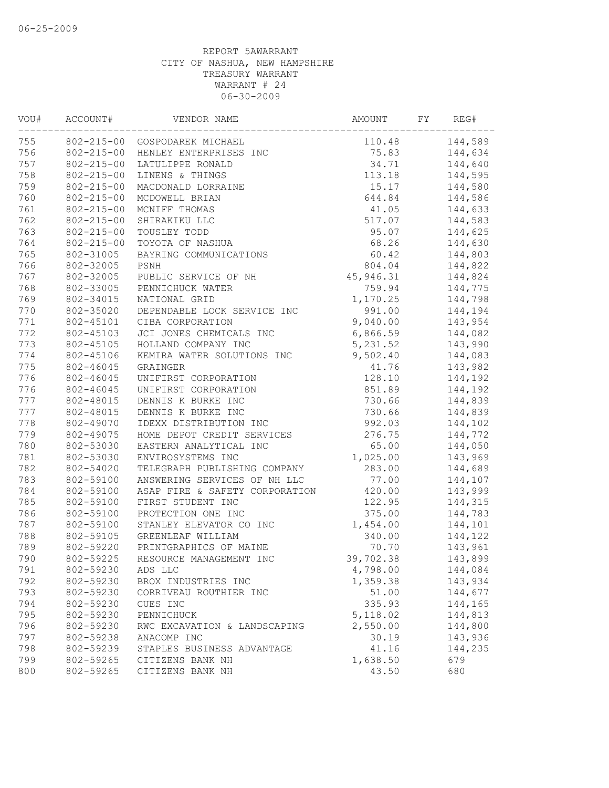| VOU# | ACCOUNT#         | VENDOR NAME                    | AMOUNT    | FY | REG#    |
|------|------------------|--------------------------------|-----------|----|---------|
| 755  |                  | 802-215-00 GOSPODAREK MICHAEL  | 110.48    |    | 144,589 |
| 756  | $802 - 215 - 00$ | HENLEY ENTERPRISES INC         | 75.83     |    | 144,634 |
| 757  | $802 - 215 - 00$ | LATULIPPE RONALD               | 34.71     |    | 144,640 |
| 758  | $802 - 215 - 00$ | LINENS & THINGS                | 113.18    |    | 144,595 |
| 759  | $802 - 215 - 00$ | MACDONALD LORRAINE             | 15.17     |    | 144,580 |
| 760  | $802 - 215 - 00$ | MCDOWELL BRIAN                 | 644.84    |    | 144,586 |
| 761  | $802 - 215 - 00$ | MCNIFF THOMAS                  | 41.05     |    | 144,633 |
| 762  | $802 - 215 - 00$ | SHIRAKIKU LLC                  | 517.07    |    | 144,583 |
| 763  | $802 - 215 - 00$ | TOUSLEY TODD                   | 95.07     |    | 144,625 |
| 764  | $802 - 215 - 00$ | TOYOTA OF NASHUA               | 68.26     |    | 144,630 |
| 765  | 802-31005        | BAYRING COMMUNICATIONS         | 60.42     |    | 144,803 |
| 766  | 802-32005        | PSNH                           | 804.04    |    | 144,822 |
| 767  | 802-32005        | PUBLIC SERVICE OF NH           | 45,946.31 |    | 144,824 |
| 768  | 802-33005        | PENNICHUCK WATER               | 759.94    |    | 144,775 |
| 769  | 802-34015        | NATIONAL GRID                  | 1,170.25  |    | 144,798 |
| 770  | 802-35020        | DEPENDABLE LOCK SERVICE INC    | 991.00    |    | 144,194 |
| 771  | 802-45101        | CIBA CORPORATION               | 9,040.00  |    | 143,954 |
| 772  | 802-45103        | JCI JONES CHEMICALS INC        | 6,866.59  |    | 144,082 |
| 773  | 802-45105        | HOLLAND COMPANY INC            | 5, 231.52 |    | 143,990 |
| 774  | 802-45106        | KEMIRA WATER SOLUTIONS INC     | 9,502.40  |    | 144,083 |
| 775  | 802-46045        | GRAINGER                       | 41.76     |    | 143,982 |
| 776  | 802-46045        | UNIFIRST CORPORATION           | 128.10    |    | 144,192 |
| 776  | 802-46045        | UNIFIRST CORPORATION           | 851.89    |    | 144,192 |
| 777  | 802-48015        | DENNIS K BURKE INC             | 730.66    |    | 144,839 |
| 777  | 802-48015        | DENNIS K BURKE INC             | 730.66    |    | 144,839 |
| 778  | 802-49070        | IDEXX DISTRIBUTION INC         | 992.03    |    | 144,102 |
| 779  | 802-49075        | HOME DEPOT CREDIT SERVICES     | 276.75    |    | 144,772 |
| 780  | 802-53030        | EASTERN ANALYTICAL INC         | 65.00     |    | 144,050 |
| 781  | 802-53030        | ENVIROSYSTEMS INC              | 1,025.00  |    | 143,969 |
| 782  | 802-54020        | TELEGRAPH PUBLISHING COMPANY   | 283.00    |    | 144,689 |
| 783  | 802-59100        | ANSWERING SERVICES OF NH LLC   | 77.00     |    | 144,107 |
| 784  | 802-59100        | ASAP FIRE & SAFETY CORPORATION | 420.00    |    | 143,999 |
| 785  | 802-59100        | FIRST STUDENT INC              | 122.95    |    | 144,315 |
| 786  | 802-59100        | PROTECTION ONE INC             | 375.00    |    | 144,783 |
| 787  | 802-59100        | STANLEY ELEVATOR CO INC        | 1,454.00  |    | 144,101 |
| 788  | 802-59105        | GREENLEAF WILLIAM              | 340.00    |    | 144,122 |
| 789  | 802-59220        | PRINTGRAPHICS OF MAINE         | 70.70     |    | 143,961 |
| 790  | 802-59225        | RESOURCE MANAGEMENT INC        | 39,702.38 |    | 143,899 |
| 791  | 802-59230        | ADS LLC                        | 4,798.00  |    | 144,084 |
| 792  | 802-59230        | BROX INDUSTRIES INC            | 1,359.38  |    | 143,934 |
| 793  | 802-59230        | CORRIVEAU ROUTHIER INC         | 51.00     |    | 144,677 |
| 794  | 802-59230        | CUES INC                       | 335.93    |    | 144,165 |
| 795  | 802-59230        | PENNICHUCK                     | 5, 118.02 |    | 144,813 |
| 796  | 802-59230        | RWC EXCAVATION & LANDSCAPING   | 2,550.00  |    | 144,800 |
| 797  | 802-59238        | ANACOMP INC                    | 30.19     |    | 143,936 |
| 798  | 802-59239        | STAPLES BUSINESS ADVANTAGE     | 41.16     |    | 144,235 |
| 799  | 802-59265        | CITIZENS BANK NH               | 1,638.50  |    | 679     |
| 800  | 802-59265        | CITIZENS BANK NH               | 43.50     |    | 680     |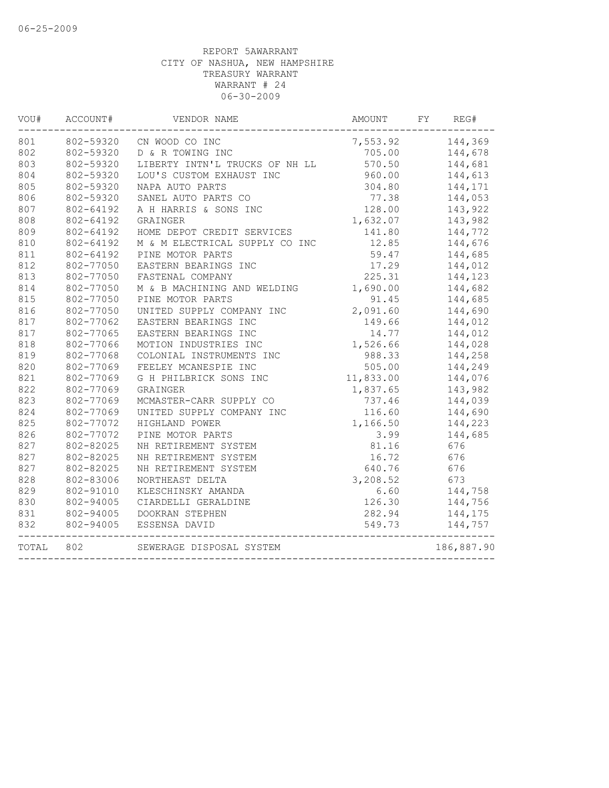| VOU#  | ACCOUNT#  | VENDOR NAME                    | AMOUNT    | FY<br>REG#       |
|-------|-----------|--------------------------------|-----------|------------------|
| 801   |           | 802-59320 CN WOOD CO INC       |           | 7,553.92 144,369 |
| 802   | 802-59320 | D & R TOWING INC               | 705.00    | 144,678          |
| 803   | 802-59320 | LIBERTY INTN'L TRUCKS OF NH LL | 570.50    | 144,681          |
| 804   | 802-59320 | LOU'S CUSTOM EXHAUST INC       | 960.00    | 144,613          |
| 805   | 802-59320 | NAPA AUTO PARTS                | 304.80    | 144,171          |
| 806   | 802-59320 | SANEL AUTO PARTS CO            | 77.38     | 144,053          |
| 807   | 802-64192 | A H HARRIS & SONS INC          | 128.00    | 143,922          |
| 808   | 802-64192 | GRAINGER                       | 1,632.07  | 143,982          |
| 809   | 802-64192 | HOME DEPOT CREDIT SERVICES     | 141.80    | 144,772          |
| 810   | 802-64192 | M & M ELECTRICAL SUPPLY CO INC | 12.85     | 144,676          |
| 811   | 802-64192 | PINE MOTOR PARTS               | 59.47     | 144,685          |
| 812   | 802-77050 | EASTERN BEARINGS INC           | 17.29     | 144,012          |
| 813   | 802-77050 | FASTENAL COMPANY               | 225.31    | 144,123          |
| 814   | 802-77050 | M & B MACHINING AND WELDING    | 1,690.00  | 144,682          |
| 815   | 802-77050 | PINE MOTOR PARTS               | 91.45     | 144,685          |
| 816   | 802-77050 | UNITED SUPPLY COMPANY INC      | 2,091.60  | 144,690          |
| 817   | 802-77062 | EASTERN BEARINGS INC           | 149.66    | 144,012          |
| 817   | 802-77065 | EASTERN BEARINGS INC           | 14.77     | 144,012          |
| 818   | 802-77066 | MOTION INDUSTRIES INC          | 1,526.66  | 144,028          |
| 819   | 802-77068 | COLONIAL INSTRUMENTS INC       | 988.33    | 144,258          |
| 820   | 802-77069 | FEELEY MCANESPIE INC           | 505.00    | 144,249          |
| 821   | 802-77069 | G H PHILBRICK SONS INC         | 11,833.00 | 144,076          |
| 822   | 802-77069 | GRAINGER                       | 1,837.65  | 143,982          |
| 823   | 802-77069 | MCMASTER-CARR SUPPLY CO        | 737.46    | 144,039          |
| 824   | 802-77069 | UNITED SUPPLY COMPANY INC      | 116.60    | 144,690          |
| 825   | 802-77072 | HIGHLAND POWER                 | 1,166.50  | 144,223          |
| 826   | 802-77072 | PINE MOTOR PARTS               | 3.99      | 144,685          |
| 827   | 802-82025 | NH RETIREMENT SYSTEM           | 81.16     | 676              |
| 827   | 802-82025 | NH RETIREMENT SYSTEM           | 16.72     | 676              |
| 827   | 802-82025 | NH RETIREMENT SYSTEM           | 640.76    | 676              |
| 828   | 802-83006 | NORTHEAST DELTA                | 3,208.52  | 673              |
| 829   | 802-91010 | KLESCHINSKY AMANDA             | 6.60      | 144,758          |
| 830   | 802-94005 | CIARDELLI GERALDINE            | 126.30    | 144,756          |
| 831   | 802-94005 | DOOKRAN STEPHEN                | 282.94    | 144,175          |
| 832   | 802-94005 | ESSENSA DAVID                  | 549.73    | 144,757          |
| TOTAL | 802       | SEWERAGE DISPOSAL SYSTEM       |           | 186,887.90       |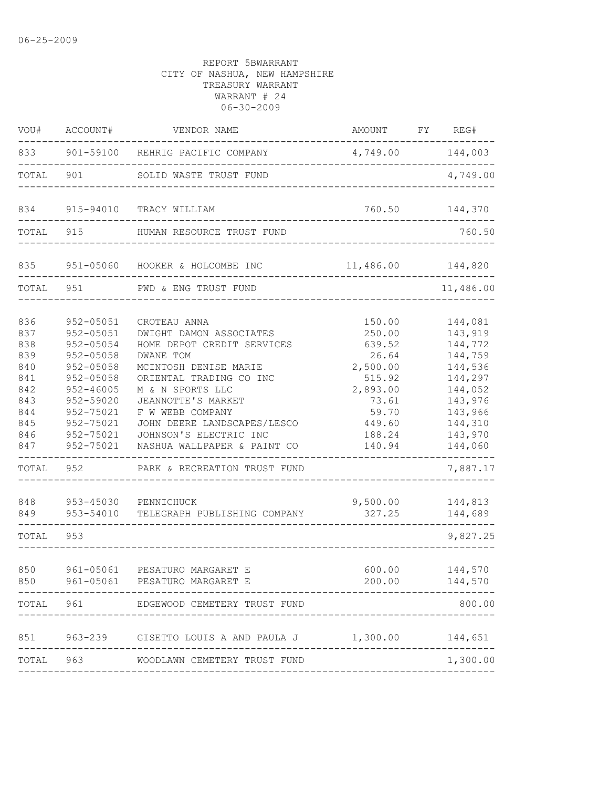| VOU#                                                                                                    | ACCOUNT#                                                                                                                                                                                                  | VENDOR NAME                                                                                                                                                                                                                                                                                                                                                                | AMOUNT FY REG#                                                                                                                              |                                                                                                                                                                    |
|---------------------------------------------------------------------------------------------------------|-----------------------------------------------------------------------------------------------------------------------------------------------------------------------------------------------------------|----------------------------------------------------------------------------------------------------------------------------------------------------------------------------------------------------------------------------------------------------------------------------------------------------------------------------------------------------------------------------|---------------------------------------------------------------------------------------------------------------------------------------------|--------------------------------------------------------------------------------------------------------------------------------------------------------------------|
| 833                                                                                                     |                                                                                                                                                                                                           | 901-59100 REHRIG PACIFIC COMPANY                                                                                                                                                                                                                                                                                                                                           | 4,749.00 144,003                                                                                                                            |                                                                                                                                                                    |
| TOTAL                                                                                                   | 901                                                                                                                                                                                                       | SOLID WASTE TRUST FUND                                                                                                                                                                                                                                                                                                                                                     |                                                                                                                                             | 4,749.00                                                                                                                                                           |
| 834                                                                                                     | 915-94010                                                                                                                                                                                                 | TRACY WILLIAM                                                                                                                                                                                                                                                                                                                                                              | 760.50                                                                                                                                      | 144,370                                                                                                                                                            |
| TOTAL                                                                                                   | 915                                                                                                                                                                                                       | HUMAN RESOURCE TRUST FUND                                                                                                                                                                                                                                                                                                                                                  |                                                                                                                                             | 760.50                                                                                                                                                             |
| 835                                                                                                     |                                                                                                                                                                                                           | 951-05060 HOOKER & HOLCOMBE INC                                                                                                                                                                                                                                                                                                                                            | 11,486.00 144,820                                                                                                                           |                                                                                                                                                                    |
| TOTAL                                                                                                   | 951                                                                                                                                                                                                       | PWD & ENG TRUST FUND                                                                                                                                                                                                                                                                                                                                                       |                                                                                                                                             | 11,486.00                                                                                                                                                          |
| 836<br>837<br>838<br>839<br>840<br>841<br>842<br>843<br>844<br>845<br>846<br>847<br>TOTAL<br>848<br>849 | 952-05051<br>952-05051<br>952-05054<br>$952 - 05058$<br>$952 - 05058$<br>$952 - 05058$<br>$952 - 46005$<br>952-59020<br>952-75021<br>952-75021<br>952-75021<br>952-75021<br>952<br>953-45030<br>953-54010 | CROTEAU ANNA<br>DWIGHT DAMON ASSOCIATES<br>HOME DEPOT CREDIT SERVICES<br>DWANE TOM<br>MCINTOSH DENISE MARIE<br>ORIENTAL TRADING CO INC<br>M & N SPORTS LLC<br>JEANNOTTE'S MARKET<br>F W WEBB COMPANY<br>JOHN DEERE LANDSCAPES/LESCO<br>JOHNSON'S ELECTRIC INC<br>NASHUA WALLPAPER & PAINT CO<br>PARK & RECREATION TRUST FUND<br>PENNICHUCK<br>TELEGRAPH PUBLISHING COMPANY | 150.00<br>250.00<br>639.52<br>26.64<br>2,500.00<br>515.92<br>2,893.00<br>73.61<br>59.70<br>449.60<br>188.24<br>140.94<br>9,500.00<br>327.25 | 144,081<br>143,919<br>144,772<br>144,759<br>144,536<br>144,297<br>144,052<br>143,976<br>143,966<br>144,310<br>143,970<br>144,060<br>7,887.17<br>144,813<br>144,689 |
| TOTAL                                                                                                   | 953                                                                                                                                                                                                       |                                                                                                                                                                                                                                                                                                                                                                            |                                                                                                                                             | 9,827.25                                                                                                                                                           |
| 850<br>850                                                                                              | 961-05061                                                                                                                                                                                                 | PESATURO MARGARET E<br>961-05061 PESATURO MARGARET E<br>TOTAL 961 EDGEWOOD CEMETERY TRUST FUND                                                                                                                                                                                                                                                                             | 200.00<br>------------                                                                                                                      | 600.00 144,570<br>144,570<br>800.00                                                                                                                                |
|                                                                                                         |                                                                                                                                                                                                           | 851 963-239 GISETTO LOUIS A AND PAULA J 1,300.00 144,651                                                                                                                                                                                                                                                                                                                   |                                                                                                                                             |                                                                                                                                                                    |
|                                                                                                         |                                                                                                                                                                                                           | TOTAL 963 WOODLAWN CEMETERY TRUST FUND                                                                                                                                                                                                                                                                                                                                     | ---------------------------                                                                                                                 | 1,300.00                                                                                                                                                           |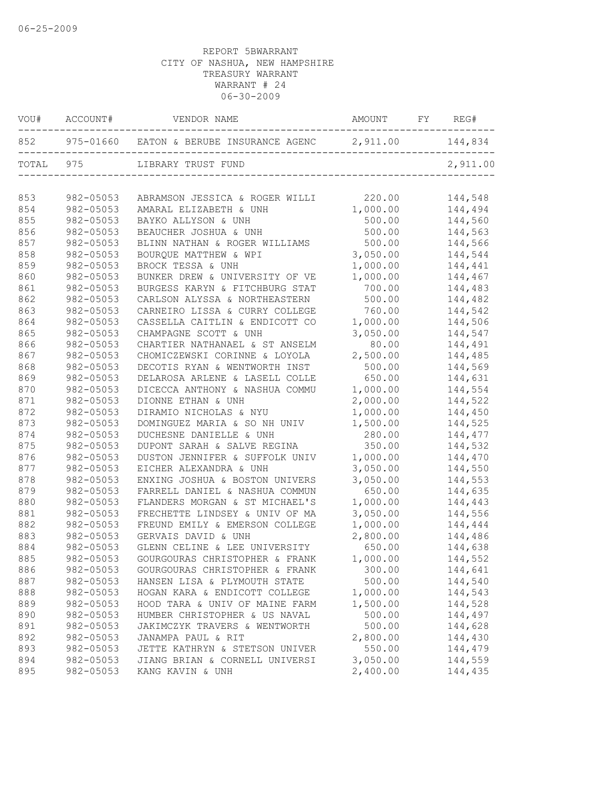| VOU#      | ACCOUNT#      | VENDOR NAME                                                 | AMOUNT FY REG# |          |
|-----------|---------------|-------------------------------------------------------------|----------------|----------|
| 852       |               | 975-01660 EATON & BERUBE INSURANCE AGENC 2, 911.00 144, 834 |                |          |
| TOTAL 975 |               | LIBRARY TRUST FUND                                          |                | 2,911.00 |
| 853       | 982-05053     | ABRAMSON JESSICA & ROGER WILLI                              | 220.00         | 144,548  |
| 854       | 982-05053     | AMARAL ELIZABETH & UNH                                      | 1,000.00       | 144,494  |
| 855       | 982-05053     | BAYKO ALLYSON & UNH                                         | 500.00         | 144,560  |
| 856       | 982-05053     | BEAUCHER JOSHUA & UNH                                       | 500.00         | 144,563  |
| 857       | 982-05053     | BLINN NATHAN & ROGER WILLIAMS                               | 500.00         | 144,566  |
| 858       | 982-05053     | BOURQUE MATTHEW & WPI                                       | 3,050.00       | 144,544  |
| 859       | 982-05053     | BROCK TESSA & UNH                                           | 1,000.00       | 144,441  |
| 860       | 982-05053     | BUNKER DREW & UNIVERSITY OF VE                              | 1,000.00       | 144,467  |
| 861       | 982-05053     | BURGESS KARYN & FITCHBURG STAT                              | 700.00         | 144,483  |
| 862       | 982-05053     | CARLSON ALYSSA & NORTHEASTERN                               | 500.00         | 144,482  |
| 863       | 982-05053     | CARNEIRO LISSA & CURRY COLLEGE                              | 760.00         | 144,542  |
| 864       | 982-05053     | CASSELLA CAITLIN & ENDICOTT CO                              | 1,000.00       | 144,506  |
| 865       | 982-05053     | CHAMPAGNE SCOTT & UNH                                       | 3,050.00       | 144,547  |
| 866       | 982-05053     | CHARTIER NATHANAEL & ST ANSELM                              | 80.00          | 144,491  |
| 867       | 982-05053     | CHOMICZEWSKI CORINNE & LOYOLA                               | 2,500.00       | 144,485  |
| 868       | 982-05053     | DECOTIS RYAN & WENTWORTH INST                               | 500.00         | 144,569  |
| 869       | $982 - 05053$ | DELAROSA ARLENE & LASELL COLLE                              | 650.00         | 144,631  |
| 870       | 982-05053     | DICECCA ANTHONY & NASHUA COMMU                              | 1,000.00       | 144,554  |
| 871       | 982-05053     | DIONNE ETHAN & UNH                                          | 2,000.00       | 144,522  |
| 872       | 982-05053     | DIRAMIO NICHOLAS & NYU                                      | 1,000.00       | 144,450  |
| 873       | 982-05053     | DOMINGUEZ MARIA & SO NH UNIV                                | 1,500.00       | 144,525  |
| 874       | 982-05053     | DUCHESNE DANIELLE & UNH                                     | 280.00         | 144,477  |
| 875       | 982-05053     | DUPONT SARAH & SALVE REGINA                                 | 350.00         | 144,532  |
| 876       | 982-05053     | DUSTON JENNIFER & SUFFOLK UNIV                              | 1,000.00       | 144,470  |
| 877       | 982-05053     | EICHER ALEXANDRA & UNH                                      | 3,050.00       | 144,550  |
| 878       | 982-05053     | ENXING JOSHUA & BOSTON UNIVERS                              | 3,050.00       | 144,553  |
| 879       | 982-05053     | FARRELL DANIEL & NASHUA COMMUN                              | 650.00         | 144,635  |
| 880       | 982-05053     | FLANDERS MORGAN & ST MICHAEL'S                              | 1,000.00       | 144,443  |
| 881       | 982-05053     | FRECHETTE LINDSEY & UNIV OF MA                              | 3,050.00       | 144,556  |
| 882       | 982-05053     | FREUND EMILY & EMERSON COLLEGE                              | 1,000.00       | 144,444  |
| 883       | 982-05053     | GERVAIS DAVID & UNH                                         | 2,800.00       | 144,486  |
| 884       | 982-05053     | GLENN CELINE & LEE UNIVERSITY                               | 650.00         | 144,638  |
| 885       | 982-05053     | GOURGOURAS CHRISTOPHER & FRANK                              | 1,000.00       | 144,552  |
| 886       | 982-05053     | GOURGOURAS CHRISTOPHER & FRANK                              | 300.00         | 144,641  |
| 887       | 982-05053     | HANSEN LISA & PLYMOUTH STATE                                | 500.00         | 144,540  |
| 888       | 982-05053     | HOGAN KARA & ENDICOTT COLLEGE                               | 1,000.00       | 144,543  |
| 889       | 982-05053     | HOOD TARA & UNIV OF MAINE FARM                              | 1,500.00       | 144,528  |
| 890       | 982-05053     | HUMBER CHRISTOPHER & US NAVAL                               | 500.00         | 144,497  |
| 891       | 982-05053     | JAKIMCZYK TRAVERS & WENTWORTH                               | 500.00         | 144,628  |
| 892       | 982-05053     | JANAMPA PAUL & RIT                                          | 2,800.00       | 144,430  |
| 893       | 982-05053     | JETTE KATHRYN & STETSON UNIVER                              | 550.00         | 144,479  |
| 894       | 982-05053     | JIANG BRIAN & CORNELL UNIVERSI                              | 3,050.00       | 144,559  |
| 895       | 982-05053     | KANG KAVIN & UNH                                            | 2,400.00       | 144,435  |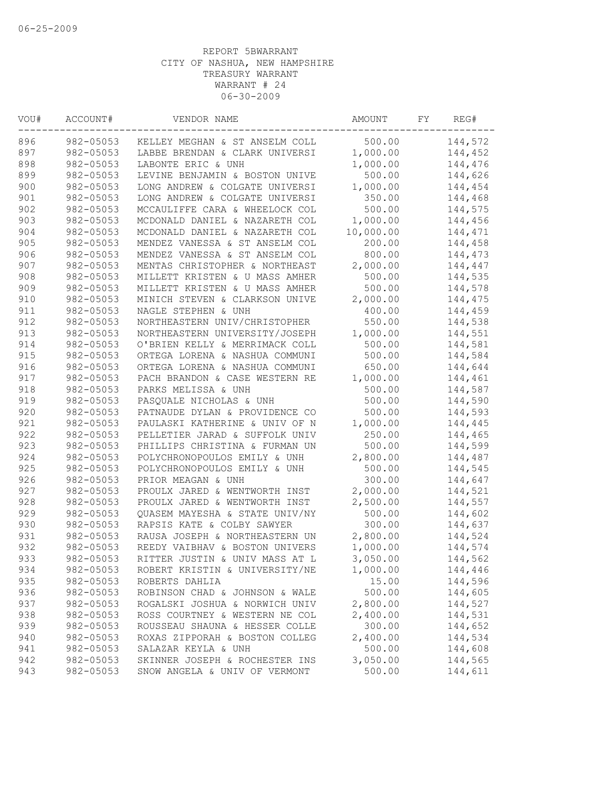| VOU# | ACCOUNT#  | VENDOR NAME                    | AMOUNT    | FΥ | REG#    |
|------|-----------|--------------------------------|-----------|----|---------|
| 896  | 982-05053 | KELLEY MEGHAN & ST ANSELM COLL | 500.00    |    | 144,572 |
| 897  | 982-05053 | LABBE BRENDAN & CLARK UNIVERSI | 1,000.00  |    | 144,452 |
| 898  | 982-05053 | LABONTE ERIC & UNH             | 1,000.00  |    | 144,476 |
| 899  | 982-05053 | LEVINE BENJAMIN & BOSTON UNIVE | 500.00    |    | 144,626 |
| 900  | 982-05053 | LONG ANDREW & COLGATE UNIVERSI | 1,000.00  |    | 144,454 |
| 901  | 982-05053 | LONG ANDREW & COLGATE UNIVERSI | 350.00    |    | 144,468 |
| 902  | 982-05053 | MCCAULIFFE CARA & WHEELOCK COL | 500.00    |    | 144,575 |
| 903  | 982-05053 | MCDONALD DANIEL & NAZARETH COL | 1,000.00  |    | 144,456 |
| 904  | 982-05053 | MCDONALD DANIEL & NAZARETH COL | 10,000.00 |    | 144,471 |
| 905  | 982-05053 | MENDEZ VANESSA & ST ANSELM COL | 200.00    |    | 144,458 |
| 906  | 982-05053 | MENDEZ VANESSA & ST ANSELM COL | 800.00    |    | 144,473 |
| 907  | 982-05053 | MENTAS CHRISTOPHER & NORTHEAST | 2,000.00  |    | 144,447 |
| 908  | 982-05053 | MILLETT KRISTEN & U MASS AMHER | 500.00    |    | 144,535 |
| 909  | 982-05053 | MILLETT KRISTEN & U MASS AMHER | 500.00    |    | 144,578 |
| 910  | 982-05053 | MINICH STEVEN & CLARKSON UNIVE | 2,000.00  |    | 144,475 |
| 911  | 982-05053 | NAGLE STEPHEN & UNH            | 400.00    |    | 144,459 |
| 912  | 982-05053 | NORTHEASTERN UNIV/CHRISTOPHER  | 550.00    |    | 144,538 |
| 913  | 982-05053 | NORTHEASTERN UNIVERSITY/JOSEPH | 1,000.00  |    | 144,551 |
| 914  | 982-05053 | O'BRIEN KELLY & MERRIMACK COLL | 500.00    |    | 144,581 |
| 915  | 982-05053 | ORTEGA LORENA & NASHUA COMMUNI | 500.00    |    | 144,584 |
| 916  | 982-05053 | ORTEGA LORENA & NASHUA COMMUNI | 650.00    |    | 144,644 |
| 917  | 982-05053 | PACH BRANDON & CASE WESTERN RE | 1,000.00  |    | 144,461 |
| 918  | 982-05053 | PARKS MELISSA & UNH            | 500.00    |    | 144,587 |
| 919  | 982-05053 | PASQUALE NICHOLAS & UNH        | 500.00    |    | 144,590 |
| 920  | 982-05053 | PATNAUDE DYLAN & PROVIDENCE CO | 500.00    |    | 144,593 |
| 921  | 982-05053 | PAULASKI KATHERINE & UNIV OF N | 1,000.00  |    | 144,445 |
| 922  | 982-05053 | PELLETIER JARAD & SUFFOLK UNIV | 250.00    |    | 144,465 |
| 923  | 982-05053 | PHILLIPS CHRISTINA & FURMAN UN | 500.00    |    | 144,599 |
| 924  | 982-05053 | POLYCHRONOPOULOS EMILY & UNH   | 2,800.00  |    | 144,487 |
| 925  | 982-05053 | POLYCHRONOPOULOS EMILY & UNH   | 500.00    |    | 144,545 |
| 926  | 982-05053 | PRIOR MEAGAN & UNH             | 300.00    |    | 144,647 |
| 927  | 982-05053 | PROULX JARED & WENTWORTH INST  | 2,000.00  |    | 144,521 |
| 928  | 982-05053 | PROULX JARED & WENTWORTH INST  | 2,500.00  |    | 144,557 |
| 929  | 982-05053 | QUASEM MAYESHA & STATE UNIV/NY | 500.00    |    | 144,602 |
| 930  | 982-05053 | RAPSIS KATE & COLBY SAWYER     | 300.00    |    | 144,637 |
| 931  | 982-05053 | RAUSA JOSEPH & NORTHEASTERN UN | 2,800.00  |    | 144,524 |
| 932  | 982-05053 | REEDY VAIBHAV & BOSTON UNIVERS | 1,000.00  |    | 144,574 |
| 933  | 982-05053 | RITTER JUSTIN & UNIV MASS AT L | 3,050.00  |    | 144,562 |
| 934  | 982-05053 | ROBERT KRISTIN & UNIVERSITY/NE | 1,000.00  |    | 144,446 |
| 935  | 982-05053 | ROBERTS DAHLIA                 | 15.00     |    | 144,596 |
| 936  | 982-05053 | ROBINSON CHAD & JOHNSON & WALE | 500.00    |    | 144,605 |
| 937  | 982-05053 | ROGALSKI JOSHUA & NORWICH UNIV | 2,800.00  |    | 144,527 |
| 938  | 982-05053 | ROSS COURTNEY & WESTERN NE COL | 2,400.00  |    | 144,531 |
| 939  | 982-05053 | ROUSSEAU SHAUNA & HESSER COLLE | 300.00    |    | 144,652 |
| 940  | 982-05053 | ROXAS ZIPPORAH & BOSTON COLLEG | 2,400.00  |    | 144,534 |
| 941  | 982-05053 | SALAZAR KEYLA & UNH            | 500.00    |    | 144,608 |
| 942  | 982-05053 | SKINNER JOSEPH & ROCHESTER INS | 3,050.00  |    | 144,565 |
| 943  | 982-05053 | SNOW ANGELA & UNIV OF VERMONT  | 500.00    |    | 144,611 |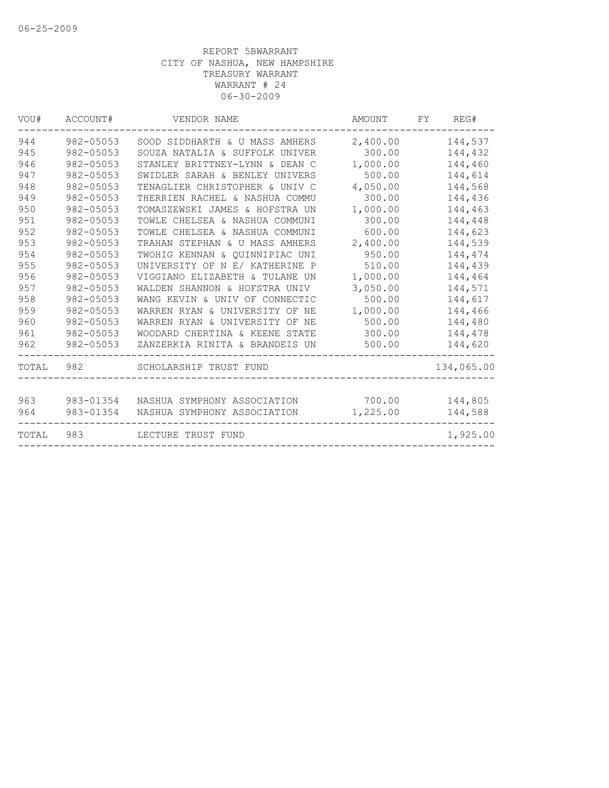| VOU#  | ACCOUNT#      | VENDOR NAME                       | AMOUNT   | REG#<br>FY |
|-------|---------------|-----------------------------------|----------|------------|
| 944   | 982-05053     | SOOD SIDDHARTH & U MASS AMHERS    | 2,400.00 | 144,537    |
| 945   | 982-05053     | SOUZA NATALIA & SUFFOLK UNIVER    | 300.00   | 144,432    |
| 946   | 982-05053     | STANLEY BRITTNEY-LYNN & DEAN C    | 1,000.00 | 144,460    |
| 947   | 982-05053     | SWIDLER SARAH & BENLEY UNIVERS    | 500.00   | 144,614    |
| 948   | 982-05053     | TENAGLIER CHRISTOPHER & UNIV C    | 4,050.00 | 144,568    |
| 949   | 982-05053     | THERRIEN RACHEL & NASHUA COMMU    | 300.00   | 144,436    |
| 950   | 982-05053     | TOMASZEWSKI JAMES & HOFSTRA UN    | 1,000.00 | 144,463    |
| 951   | 982-05053     | TOWLE CHELSEA & NASHUA COMMUNI    | 300.00   | 144,448    |
| 952   | 982-05053     | TOWLE CHELSEA & NASHUA COMMUNI    | 600.00   | 144,623    |
| 953   | $982 - 05053$ | TRAHAN STEPHAN & U MASS AMHERS    | 2,400.00 | 144,539    |
| 954   | 982-05053     | TWOHIG KENNAN & OUINNIPIAC UNI    | 950.00   | 144,474    |
| 955   | 982-05053     | UNIVERSITY OF N E/ KATHERINE P    | 510.00   | 144,439    |
| 956   | 982-05053     | VIGGIANO ELIZABETH & TULANE UN    | 1,000.00 | 144,464    |
| 957   | 982-05053     | WALDEN SHANNON & HOFSTRA UNIV     | 3,050.00 | 144,571    |
| 958   | 982-05053     | WANG KEVIN & UNIV OF CONNECTIC    | 500.00   | 144,617    |
| 959   | 982-05053     | WARREN RYAN & UNIVERSITY OF<br>ΝE | 1,000.00 | 144,466    |
| 960   | 982-05053     | WARREN RYAN & UNIVERSITY OF<br>NE | 500.00   | 144,480    |
| 961   | 982-05053     | WOODARD CHERTINA & KEENE STATE    | 300.00   | 144,478    |
| 962   | 982-05053     | ZANZERKIA RINITA & BRANDEIS UN    | 500.00   | 144,620    |
| TOTAL | 982           | SCHOLARSHIP TRUST FUND            |          | 134,065.00 |
| 963   | 983-01354     | NASHUA SYMPHONY ASSOCIATION       | 700.00   | 144,805    |
| 964   | 983-01354     | NASHUA SYMPHONY ASSOCIATION       | 1,225.00 | 144,588    |
| TOTAL | 983           | LECTURE TRUST FUND                |          | 1,925.00   |
|       |               |                                   |          |            |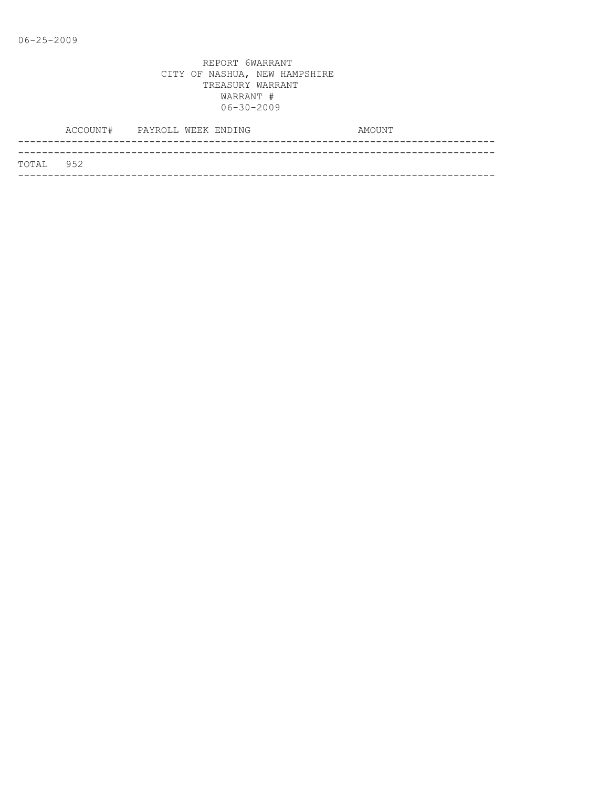|                   | ACCOUNT# PAYROLL WEEK ENDING |  |  | AMOUNT |
|-------------------|------------------------------|--|--|--------|
|                   |                              |  |  |        |
| <b>ТОТАІ. 952</b> |                              |  |  |        |
|                   |                              |  |  |        |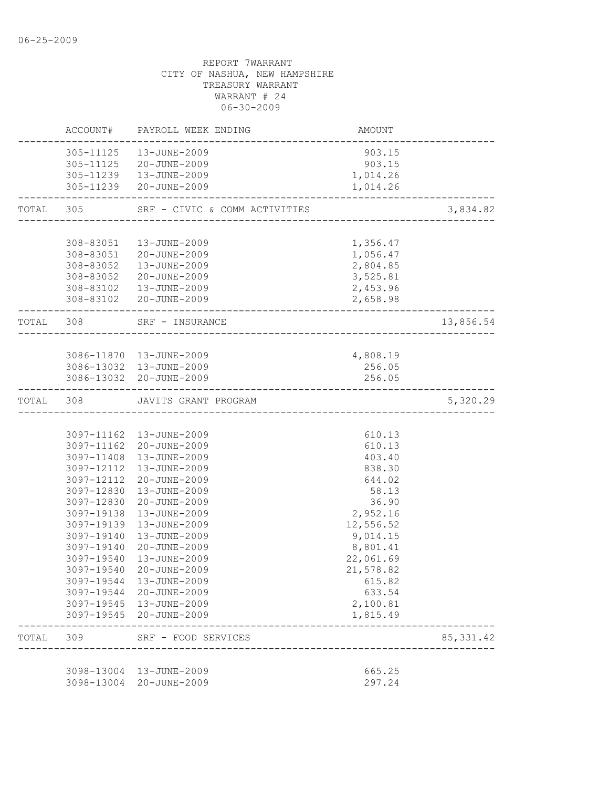|           |            | ACCOUNT# PAYROLL WEEK ENDING                                  | AMOUNT                                |            |
|-----------|------------|---------------------------------------------------------------|---------------------------------------|------------|
|           |            | 305-11125  13-JUNE-2009                                       | 903.15                                |            |
|           |            | 305-11125 20-JUNE-2009                                        | 903.15                                |            |
|           |            | 305-11239  13-JUNE-2009                                       | 1,014.26                              |            |
|           |            | 305-11239 20-JUNE-2009                                        | 1,014.26                              |            |
|           |            | TOTAL 305 SRF - CIVIC & COMM ACTIVITIES                       | _____________________________________ | 3,834.82   |
|           | 308-83051  | 13-JUNE-2009                                                  | 1,356.47                              |            |
|           |            | 308-83051 20-JUNE-2009                                        | 1,056.47                              |            |
|           |            | 308-83052  13-JUNE-2009                                       | 2,804.85                              |            |
|           |            | 308-83052 20-JUNE-2009                                        | 3,525.81                              |            |
|           |            | 308-83102  13-JUNE-2009                                       | 2,453.96                              |            |
|           |            | 308-83102 20-JUNE-2009                                        | 2,658.98                              |            |
| TOTAL 308 |            | SRF - INSURANCE                                               |                                       | 13,856.54  |
|           |            |                                                               |                                       |            |
|           |            | 3086-11870  13-JUNE-2009                                      | 4,808.19                              |            |
|           |            | 3086-13032 13-JUNE-2009                                       | 256.05                                |            |
|           |            | 3086-13032 20-JUNE-2009<br>---------------------------------- | 256.05                                |            |
|           |            | TOTAL 308 JAVITS GRANT PROGRAM                                |                                       | 5,320.29   |
|           |            |                                                               |                                       |            |
|           |            | 3097-11162  13-JUNE-2009                                      | 610.13                                |            |
|           |            | 3097-11162 20-JUNE-2009                                       | 610.13                                |            |
|           |            | 3097-11408 13-JUNE-2009                                       | 403.40                                |            |
|           |            | 3097-12112  13-JUNE-2009                                      | 838.30                                |            |
|           |            | 3097-12112 20-JUNE-2009<br>3097-12830  13-JUNE-2009           | 644.02<br>58.13                       |            |
|           |            | 3097-12830 20-JUNE-2009                                       | 36.90                                 |            |
|           | 3097-19138 | 13-JUNE-2009                                                  | 2,952.16                              |            |
|           | 3097-19139 | 13-JUNE-2009                                                  | 12,556.52                             |            |
|           | 3097-19140 | 13-JUNE-2009                                                  | 9,014.15                              |            |
|           | 3097-19140 | 20-JUNE-2009                                                  | 8,801.41                              |            |
|           | 3097-19540 | 13-JUNE-2009                                                  | 22,061.69                             |            |
|           |            | 3097-19540 20-JUNE-2009                                       | 21,578.82                             |            |
|           |            | 3097-19544 13-JUNE-2009                                       | 615.82                                |            |
|           |            | 3097-19544 20-JUNE-2009                                       | 633.54                                |            |
|           |            | 3097-19545  13-JUNE-2009                                      | 2,100.81                              |            |
|           |            | 3097-19545 20-JUNE-2009                                       | 1,815.49                              |            |
| TOTAL 309 |            | SRF - FOOD SERVICES<br>___________________                    |                                       | 85, 331.42 |
|           |            | 3098-13004 13-JUNE-2009                                       | 665.25                                |            |
|           |            | 3098-13004 20-JUNE-2009                                       | 297.24                                |            |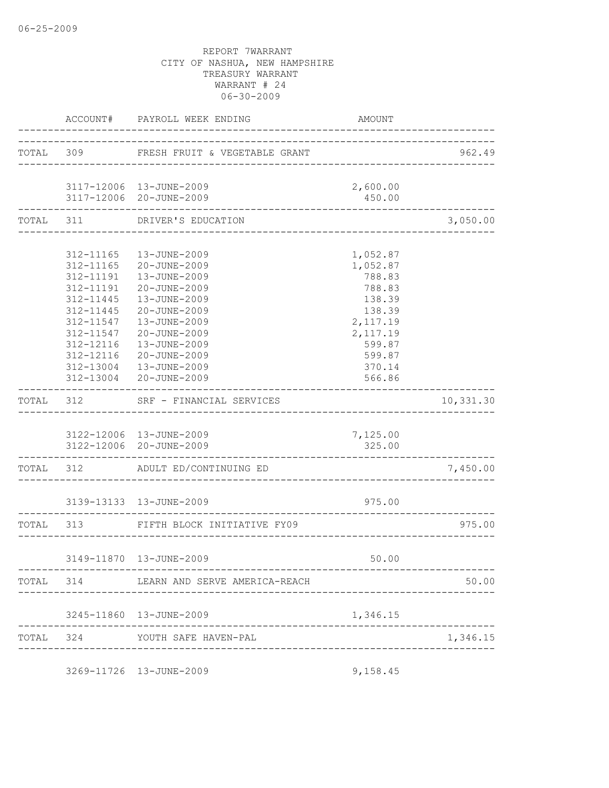|           |                     | ACCOUNT# PAYROLL WEEK ENDING                                           | AMOUNT                             |           |
|-----------|---------------------|------------------------------------------------------------------------|------------------------------------|-----------|
|           |                     | TOTAL 309 FRESH FRUIT & VEGETABLE GRANT                                |                                    | 962.49    |
|           |                     | 3117-12006 13-JUNE-2009                                                | 2,600.00                           |           |
|           |                     | 3117-12006 20-JUNE-2009                                                | 450.00                             |           |
|           |                     | TOTAL 311 DRIVER'S EDUCATION<br>-------------------------------------- |                                    | 3,050.00  |
|           |                     | 312-11165  13-JUNE-2009                                                | 1,052.87                           |           |
|           |                     | 312-11165 20-JUNE-2009                                                 | 1,052.87                           |           |
|           |                     | 312-11191  13-JUNE-2009                                                | 788.83                             |           |
|           |                     | 312-11191 20-JUNE-2009                                                 | 788.83                             |           |
|           | 312-11445           | 13-JUNE-2009                                                           | 138.39                             |           |
|           | 312-11445           | 20-JUNE-2009                                                           | 138.39                             |           |
|           | 312-11547           | 13-JUNE-2009                                                           | 2,117.19                           |           |
|           | 312-11547           | 20-JUNE-2009                                                           | 2, 117.19                          |           |
|           | 312-12116           | 13-JUNE-2009                                                           | 599.87                             |           |
|           | 312-12116           | 20-JUNE-2009                                                           | 599.87                             |           |
|           |                     | 312-13004  13-JUNE-2009                                                | 370.14                             |           |
|           | ------------------- | 312-13004 20-JUNE-2009                                                 | 566.86                             |           |
| TOTAL 312 |                     | SRF - FINANCIAL SERVICES                                               | __________________________________ | 10,331.30 |
|           |                     | 3122-12006 13-JUNE-2009                                                | 7,125.00                           |           |
|           |                     | 3122-12006 20-JUNE-2009                                                | 325.00                             |           |
|           |                     | TOTAL 312 ADULT ED/CONTINUING ED                                       |                                    | 7,450.00  |
|           |                     | 3139-13133  13-JUNE-2009                                               | 975.00                             |           |
|           |                     | TOTAL 313 FIFTH BLOCK INITIATIVE FY09                                  |                                    | 975.00    |
|           |                     |                                                                        |                                    |           |
|           |                     | 3149-11870  13-JUNE-2009                                               | 50.00                              |           |
|           |                     |                                                                        |                                    | 50.00     |
|           |                     | 3245-11860  13-JUNE-2009                                               | 1,346.15                           |           |
|           |                     | TOTAL 324 YOUTH SAFE HAVEN-PAL                                         |                                    | 1,346.15  |
|           |                     |                                                                        |                                    |           |
|           |                     | 3269-11726 13-JUNE-2009                                                | 9,158.45                           |           |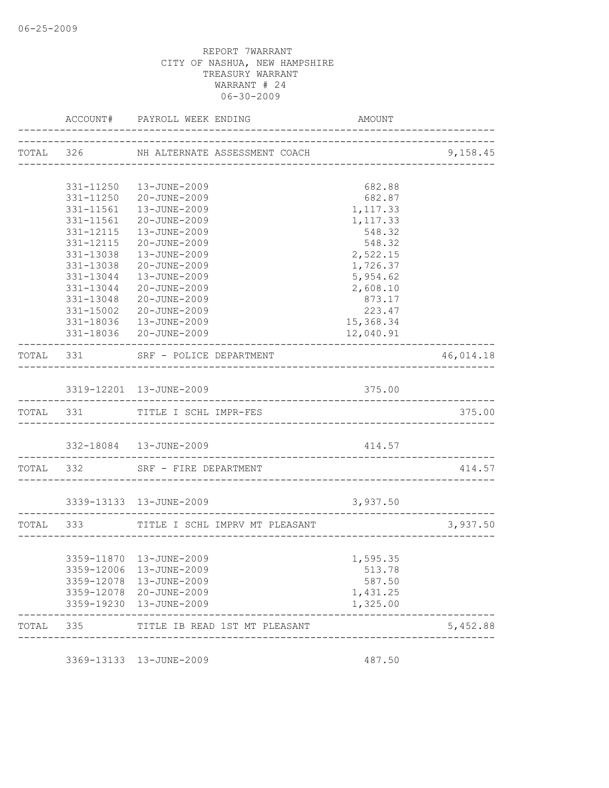|           | AMOUNT               |                                         | ACCOUNT# PAYROLL WEEK ENDING                       |                        |           |
|-----------|----------------------|-----------------------------------------|----------------------------------------------------|------------------------|-----------|
| 9,158.45  |                      | TOTAL 326 NH ALTERNATE ASSESSMENT COACH |                                                    |                        |           |
|           |                      |                                         |                                                    |                        |           |
|           | 682.88               |                                         | 331-11250    13-JUNE-2009                          |                        |           |
|           | 682.87               |                                         | 331-11250 20-JUNE-2009<br>13-JUNE-2009             |                        |           |
|           | 1,117.33<br>1,117.33 |                                         | 20-JUNE-2009                                       | 331-11561<br>331-11561 |           |
|           | 548.32               |                                         | 13-JUNE-2009                                       | 331-12115              |           |
|           | 548.32               |                                         | 20-JUNE-2009                                       | 331-12115              |           |
|           | 2,522.15             |                                         | 13-JUNE-2009                                       | $331 - 13038$          |           |
|           | 1,726.37             |                                         | 20-JUNE-2009                                       | 331-13038              |           |
|           | 5,954.62             |                                         | 13-JUNE-2009                                       | 331-13044              |           |
|           | 2,608.10             |                                         | 20-JUNE-2009                                       | 331-13044              |           |
|           | 873.17               |                                         | 20-JUNE-2009                                       | 331-13048              |           |
|           | 223.47               |                                         | 20-JUNE-2009                                       | 331-15002              |           |
|           | 15,368.34            |                                         | 331-18036  13-JUNE-2009                            |                        |           |
|           | 12,040.91            |                                         | 331-18036 20-JUNE-2009                             |                        |           |
| 46,014.18 |                      |                                         | TOTAL 331 SRF - POLICE DEPARTMENT                  |                        |           |
|           |                      |                                         |                                                    |                        |           |
|           | 375.00               |                                         | 3319-12201 13-JUNE-2009                            |                        |           |
| 375.00    |                      | ________________________________        | TOTAL 331 TITLE I SCHL IMPR-FES                    |                        |           |
|           | 414.57               |                                         | 332-18084  13-JUNE-2009                            |                        |           |
|           |                      |                                         | TOTAL 332 SRF - FIRE DEPARTMENT                    |                        |           |
| 414.57    |                      |                                         |                                                    |                        |           |
|           | 3,937.50             |                                         | 3339-13133 13-JUNE-2009                            |                        |           |
| 3,937.50  |                      | TITLE I SCHL IMPRV MT PLEASANT          |                                                    |                        | TOTAL 333 |
|           |                      |                                         |                                                    |                        |           |
|           | 1,595.35             |                                         | 3359-11870  13-JUNE-2009                           |                        |           |
|           | 513.78               |                                         | 3359-12006 13-JUNE-2009                            |                        |           |
|           | 587.50               |                                         | 3359-12078  13-JUNE-2009                           |                        |           |
|           | 1,431.25<br>1,325.00 |                                         | 3359-12078 20-JUNE-2009<br>3359-19230 13-JUNE-2009 |                        |           |
| 5,452.88  |                      | TITLE IB READ 1ST MT PLEASANT           |                                                    |                        | TOTAL 335 |

3369-13133 13-JUNE-2009 487.50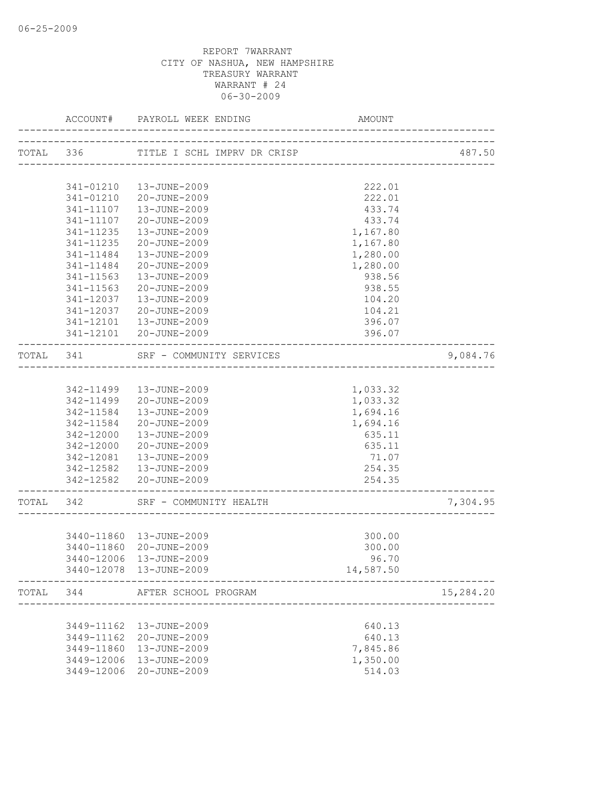|           |               | ACCOUNT# PAYROLL WEEK ENDING<br>----------------- | AMOUNT                                   |           |
|-----------|---------------|---------------------------------------------------|------------------------------------------|-----------|
|           |               | TOTAL 336 TITLE I SCHL IMPRV DR CRISP             |                                          | 487.50    |
|           |               |                                                   |                                          |           |
|           | 341-01210     | 13-JUNE-2009                                      | 222.01                                   |           |
|           | 341-01210     | 20-JUNE-2009                                      | 222.01                                   |           |
|           | 341-11107     | 13-JUNE-2009                                      | 433.74                                   |           |
|           | 341-11107     | 20-JUNE-2009                                      | 433.74                                   |           |
|           | 341-11235     | 13-JUNE-2009                                      | 1,167.80                                 |           |
|           | $341 - 11235$ | 20-JUNE-2009                                      | 1,167.80                                 |           |
|           | 341-11484     | 13-JUNE-2009                                      | 1,280.00                                 |           |
|           | 341-11484     | 20-JUNE-2009                                      | 1,280.00                                 |           |
|           | 341-11563     | 13-JUNE-2009                                      | 938.56                                   |           |
|           | 341-11563     | 20-JUNE-2009                                      | 938.55                                   |           |
|           | 341-12037     | 13-JUNE-2009                                      | 104.20                                   |           |
|           | 341-12037     | 20-JUNE-2009                                      | 104.21                                   |           |
|           | 341-12101     | 13-JUNE-2009                                      | 396.07                                   |           |
|           |               | 341-12101 20-JUNE-2009                            | 396.07                                   |           |
| TOTAL 341 |               | SRF - COMMUNITY SERVICES                          |                                          | 9,084.76  |
|           |               |                                                   |                                          |           |
|           |               | 342-11499   13-JUNE-2009                          | 1,033.32                                 |           |
|           | 342-11499     | 20-JUNE-2009                                      | 1,033.32                                 |           |
|           | 342-11584     | 13-JUNE-2009                                      | 1,694.16                                 |           |
|           | 342-11584     | 20-JUNE-2009                                      | 1,694.16                                 |           |
|           | 342-12000     | 13-JUNE-2009                                      | 635.11                                   |           |
|           | 342-12000     | 20-JUNE-2009                                      | 635.11                                   |           |
|           |               | 342-12081  13-JUNE-2009                           | 71.07                                    |           |
|           |               | 342-12582  13-JUNE-2009                           | 254.35                                   |           |
|           |               | 342-12582 20-JUNE-2009                            | 254.35<br>------------------------------ |           |
| TOTAL 342 |               | SRF - COMMUNITY HEALTH                            | ___________________________              | 7,304.95  |
|           |               |                                                   |                                          |           |
|           |               | 3440-11860  13-JUNE-2009                          | 300.00                                   |           |
|           |               | 3440-11860 20-JUNE-2009                           | 300.00                                   |           |
|           |               | 3440-12006 13-JUNE-2009                           | 96.70                                    |           |
|           |               | 3440-12078  13-JUNE-2009                          | 14,587.50                                |           |
| TOTAL     | 344           | AFTER SCHOOL PROGRAM                              |                                          | 15,284.20 |
|           |               |                                                   |                                          |           |
|           | 3449-11162    | 13-JUNE-2009                                      | 640.13                                   |           |
|           | 3449-11162    | 20-JUNE-2009                                      | 640.13                                   |           |
|           | 3449-11860    | 13-JUNE-2009                                      | 7,845.86                                 |           |
|           | 3449-12006    | 13-JUNE-2009                                      | 1,350.00                                 |           |
|           | 3449-12006    | 20-JUNE-2009                                      | 514.03                                   |           |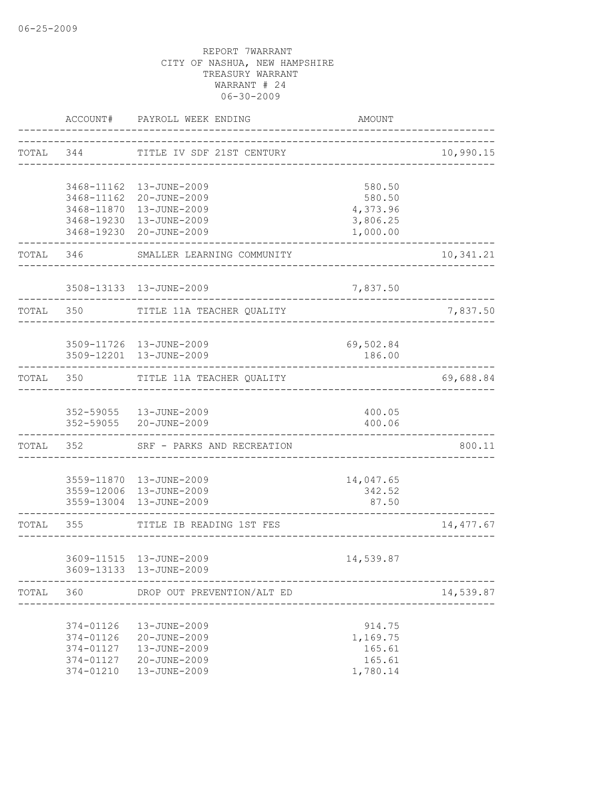|           | ACCOUNT#                                                      | PAYROLL WEEK ENDING                                                                                                                    | AMOUNT                                               |            |
|-----------|---------------------------------------------------------------|----------------------------------------------------------------------------------------------------------------------------------------|------------------------------------------------------|------------|
| TOTAL 344 |                                                               | TITLE IV SDF 21ST CENTURY                                                                                                              | _____________________________                        | 10,990.15  |
|           |                                                               | 3468-11162  13-JUNE-2009<br>3468-11162 20-JUNE-2009<br>3468-11870  13-JUNE-2009<br>3468-19230  13-JUNE-2009<br>3468-19230 20-JUNE-2009 | 580.50<br>580.50<br>4,373.96<br>3,806.25<br>1,000.00 |            |
|           | TOTAL 346                                                     | SMALLER LEARNING COMMUNITY                                                                                                             |                                                      | 10,341.21  |
|           |                                                               | 3508-13133  13-JUNE-2009                                                                                                               | 7,837.50                                             |            |
| TOTAL 350 |                                                               | TITLE 11A TEACHER QUALITY                                                                                                              |                                                      | 7,837.50   |
|           |                                                               | 3509-11726  13-JUNE-2009<br>3509-12201 13-JUNE-2009                                                                                    | 69,502.84<br>186.00                                  |            |
|           | TOTAL 350                                                     | TITLE 11A TEACHER QUALITY                                                                                                              |                                                      | 69,688.84  |
|           |                                                               | 352-59055   13-JUNE-2009<br>352-59055 20-JUNE-2009                                                                                     | 400.05<br>400.06                                     |            |
| TOTAL     | ---------------                                               | 352 SRF - PARKS AND RECREATION                                                                                                         |                                                      | 800.11     |
|           |                                                               | 3559-11870  13-JUNE-2009<br>3559-12006 13-JUNE-2009<br>3559-13004 13-JUNE-2009                                                         | 14,047.65<br>342.52<br>87.50                         |            |
| TOTAL 355 |                                                               | TITLE IB READING 1ST FES                                                                                                               | --------------------------------                     | 14, 477.67 |
|           |                                                               | 3609-11515  13-JUNE-2009<br>3609-13133 13-JUNE-2009                                                                                    | 14,539.87                                            |            |
| TOTAL     | 360                                                           | DROP OUT PREVENTION/ALT ED                                                                                                             |                                                      | 14,539.87  |
|           | 374-01126<br>374-01126<br>374-01127<br>374-01127<br>374-01210 | 13-JUNE-2009<br>20-JUNE-2009<br>13-JUNE-2009<br>20-JUNE-2009<br>13-JUNE-2009                                                           | 914.75<br>1,169.75<br>165.61<br>165.61<br>1,780.14   |            |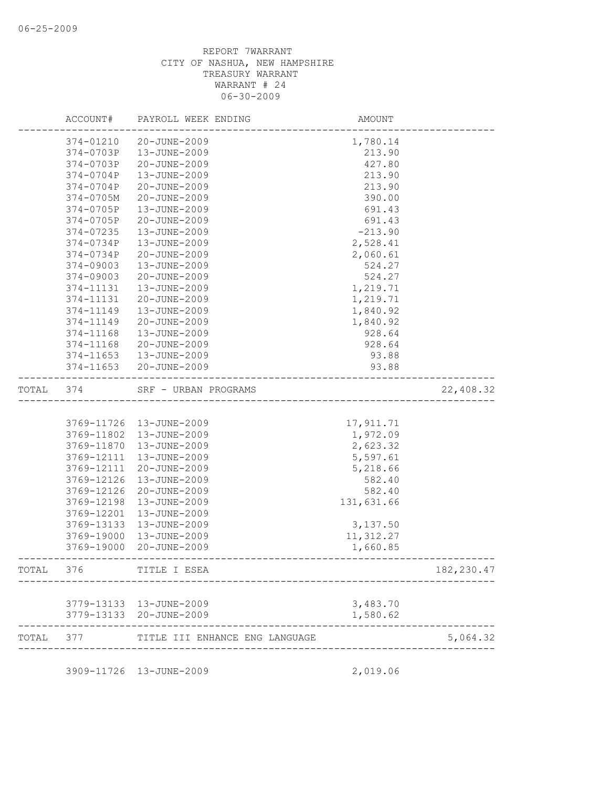|       | ACCOUNT#   | PAYROLL WEEK ENDING            | AMOUNT     |             |
|-------|------------|--------------------------------|------------|-------------|
|       | 374-01210  | 20-JUNE-2009                   | 1,780.14   |             |
|       | 374-0703P  | 13-JUNE-2009                   | 213.90     |             |
|       | 374-0703P  | 20-JUNE-2009                   | 427.80     |             |
|       | 374-0704P  | 13-JUNE-2009                   | 213.90     |             |
|       | 374-0704P  | 20-JUNE-2009                   | 213.90     |             |
|       | 374-0705M  | 20-JUNE-2009                   | 390.00     |             |
|       | 374-0705P  | 13-JUNE-2009                   | 691.43     |             |
|       | 374-0705P  | 20-JUNE-2009                   | 691.43     |             |
|       | 374-07235  | 13-JUNE-2009                   | $-213.90$  |             |
|       | 374-0734P  | 13-JUNE-2009                   | 2,528.41   |             |
|       | 374-0734P  | 20-JUNE-2009                   | 2,060.61   |             |
|       | 374-09003  | 13-JUNE-2009                   | 524.27     |             |
|       | 374-09003  | 20-JUNE-2009                   | 524.27     |             |
|       | 374-11131  | 13-JUNE-2009                   | 1,219.71   |             |
|       | 374-11131  | 20-JUNE-2009                   | 1,219.71   |             |
|       | 374-11149  | 13-JUNE-2009                   | 1,840.92   |             |
|       | 374-11149  | 20-JUNE-2009                   | 1,840.92   |             |
|       | 374-11168  | 13-JUNE-2009                   | 928.64     |             |
|       | 374-11168  | 20-JUNE-2009                   | 928.64     |             |
|       | 374-11653  | 13-JUNE-2009                   | 93.88      |             |
|       | 374-11653  | 20-JUNE-2009                   | 93.88      |             |
| TOTAL | 374        | SRF - URBAN PROGRAMS           |            | 22,408.32   |
|       |            |                                |            |             |
|       |            | 3769-11726  13-JUNE-2009       | 17, 911.71 |             |
|       | 3769-11802 | 13-JUNE-2009                   | 1,972.09   |             |
|       | 3769-11870 | 13-JUNE-2009                   | 2,623.32   |             |
|       | 3769-12111 | 13-JUNE-2009                   | 5,597.61   |             |
|       | 3769-12111 | 20-JUNE-2009                   | 5,218.66   |             |
|       | 3769-12126 | 13-JUNE-2009                   | 582.40     |             |
|       | 3769-12126 | 20-JUNE-2009                   | 582.40     |             |
|       | 3769-12198 | 13-JUNE-2009                   | 131,631.66 |             |
|       | 3769-12201 | 13-JUNE-2009                   |            |             |
|       | 3769-13133 | 13-JUNE-2009                   | 3,137.50   |             |
|       | 3769-19000 | 13-JUNE-2009                   | 11, 312.27 |             |
|       | 3769-19000 | 20-JUNE-2009                   | 1,660.85   |             |
| TOTAL | 376        | TITLE I ESEA                   |            | 182, 230.47 |
|       |            |                                |            |             |
|       |            | 3779-13133    13-JUNE-2009     | 3,483.70   |             |
|       |            | 3779-13133 20-JUNE-2009        | 1,580.62   |             |
| TOTAL | 377        | TITLE III ENHANCE ENG LANGUAGE |            | 5,064.32    |
|       |            | 3909-11726 13-JUNE-2009        | 2,019.06   |             |
|       |            |                                |            |             |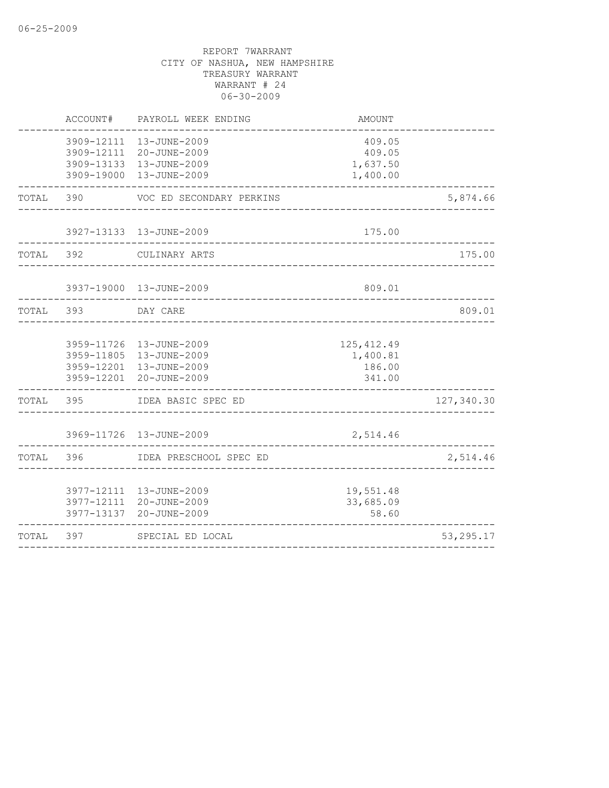|           | ACCOUNT# | PAYROLL WEEK ENDING                                                                                        | AMOUNT                                      |            |
|-----------|----------|------------------------------------------------------------------------------------------------------------|---------------------------------------------|------------|
|           |          | 3909-12111  13-JUNE-2009<br>3909-12111 20-JUNE-2009<br>3909-13133  13-JUNE-2009<br>3909-19000 13-JUNE-2009 | 409.05<br>409.05<br>1,637.50<br>1,400.00    |            |
| TOTAL     | 390      | VOC ED SECONDARY PERKINS                                                                                   |                                             | 5,874.66   |
|           |          | 3927-13133 13-JUNE-2009                                                                                    | 175.00                                      |            |
| TOTAL 392 |          | CULINARY ARTS                                                                                              |                                             | 175.00     |
|           |          | 3937-19000 13-JUNE-2009                                                                                    | 809.01                                      |            |
| TOTAL     | 393      | DAY CARE                                                                                                   |                                             | 809.01     |
|           |          | 3959-11726 13-JUNE-2009<br>3959-11805 13-JUNE-2009<br>3959-12201 13-JUNE-2009<br>3959-12201 20-JUNE-2009   | 125, 412.49<br>1,400.81<br>186.00<br>341.00 |            |
| TOTAL     | 395      | IDEA BASIC SPEC ED                                                                                         |                                             | 127,340.30 |
|           |          | 3969-11726 13-JUNE-2009                                                                                    | 2,514.46                                    |            |
| TOTAL     | 396      | IDEA PRESCHOOL SPEC ED                                                                                     |                                             | 2,514.46   |
|           |          | 3977-12111  13-JUNE-2009<br>3977-12111 20-JUNE-2009<br>3977-13137 20-JUNE-2009                             | 19,551.48<br>33,685.09<br>58.60             |            |
| TOTAL     | 397      | SPECIAL ED LOCAL                                                                                           |                                             | 53, 295.17 |
|           |          |                                                                                                            |                                             |            |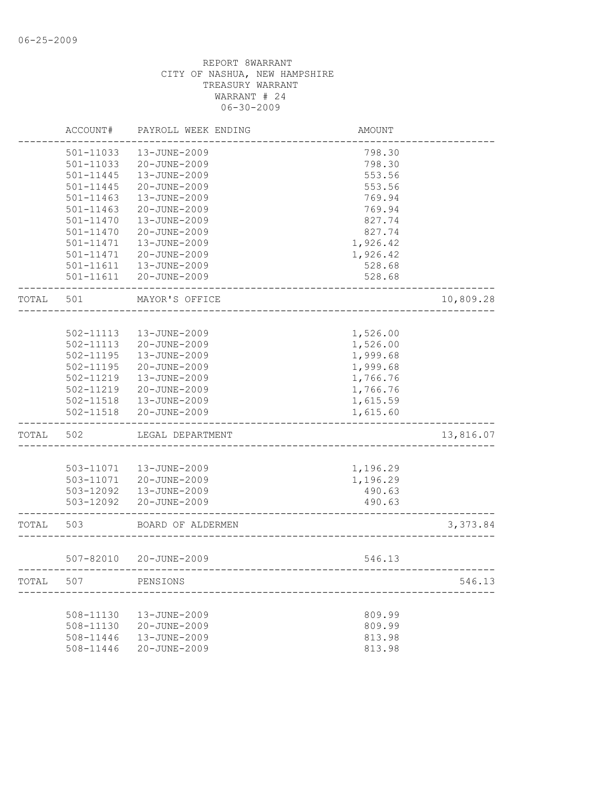|       | ACCOUNT#      | PAYROLL WEEK ENDING | AMOUNT   |           |
|-------|---------------|---------------------|----------|-----------|
|       | 501-11033     | 13-JUNE-2009        | 798.30   |           |
|       | 501-11033     | 20-JUNE-2009        | 798.30   |           |
|       | 501-11445     | 13-JUNE-2009        | 553.56   |           |
|       | $501 - 11445$ | 20-JUNE-2009        | 553.56   |           |
|       | $501 - 11463$ | 13-JUNE-2009        | 769.94   |           |
|       | $501 - 11463$ | 20-JUNE-2009        | 769.94   |           |
|       | 501-11470     | 13-JUNE-2009        | 827.74   |           |
|       | 501-11470     | 20-JUNE-2009        | 827.74   |           |
|       | $501 - 11471$ | 13-JUNE-2009        | 1,926.42 |           |
|       | 501-11471     | 20-JUNE-2009        | 1,926.42 |           |
|       | 501-11611     | 13-JUNE-2009        | 528.68   |           |
|       | $501 - 11611$ | 20-JUNE-2009        | 528.68   |           |
| TOTAL | 501           | MAYOR'S OFFICE      |          | 10,809.28 |
|       |               |                     |          |           |
|       | 502-11113     | 13-JUNE-2009        | 1,526.00 |           |
|       | 502-11113     | 20-JUNE-2009        | 1,526.00 |           |
|       | $502 - 11195$ | 13-JUNE-2009        | 1,999.68 |           |
|       | 502-11195     | 20-JUNE-2009        | 1,999.68 |           |
|       | 502-11219     | 13-JUNE-2009        | 1,766.76 |           |
|       | 502-11219     | 20-JUNE-2009        | 1,766.76 |           |
|       | 502-11518     | 13-JUNE-2009        | 1,615.59 |           |
|       | 502-11518     | 20-JUNE-2009        | 1,615.60 |           |
| TOTAL | 502           | LEGAL DEPARTMENT    |          | 13,816.07 |
|       |               |                     |          |           |
|       | 503-11071     | 13-JUNE-2009        | 1,196.29 |           |
|       | 503-11071     | 20-JUNE-2009        | 1,196.29 |           |
|       | 503-12092     | 13-JUNE-2009        | 490.63   |           |
|       | 503-12092     | 20-JUNE-2009        | 490.63   |           |
| TOTAL | 503           | BOARD OF ALDERMEN   |          | 3,373.84  |
|       | 507-82010     | 20-JUNE-2009        | 546.13   |           |
| TOTAL | 507           | PENSIONS            |          | 546.13    |
|       |               |                     |          |           |
|       | 508-11130     | 13-JUNE-2009        | 809.99   |           |
|       | $508 - 11130$ | 20-JUNE-2009        | 809.99   |           |
|       | 508-11446     | 13-JUNE-2009        | 813.98   |           |
|       | 508-11446     | 20-JUNE-2009        | 813.98   |           |
|       |               |                     |          |           |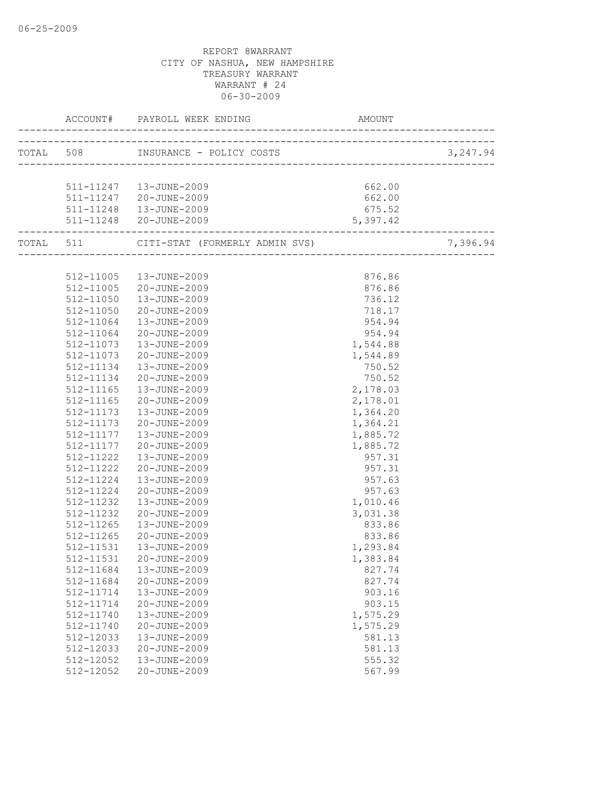|           |                                                   | AMOUNT   |          |
|-----------|---------------------------------------------------|----------|----------|
|           |                                                   |          |          |
|           |                                                   |          |          |
|           | 511-11247   13-JUNE-2009                          | 662.00   |          |
|           | 511-11247 20-JUNE-2009                            | 662.00   |          |
|           | 511-11248  13-JUNE-2009                           | 675.52   |          |
|           | 511-11248 20-JUNE-2009                            | 5,397.42 |          |
|           | TOTAL 511 CITI-STAT (FORMERLY ADMIN SVS) 7,396.94 |          | 7,396.94 |
|           |                                                   |          |          |
|           | 512-11005  13-JUNE-2009                           | 876.86   |          |
|           | 512-11005 20-JUNE-2009                            | 876.86   |          |
|           | 512-11050  13-JUNE-2009                           | 736.12   |          |
| 512-11050 | 20-JUNE-2009                                      | 718.17   |          |
| 512-11064 | 13-JUNE-2009                                      | 954.94   |          |
| 512-11064 | 20-JUNE-2009                                      | 954.94   |          |
| 512-11073 | 13-JUNE-2009                                      | 1,544.88 |          |
| 512-11073 | 20-JUNE-2009                                      | 1,544.89 |          |
| 512-11134 | 13-JUNE-2009                                      | 750.52   |          |
| 512-11134 | 20-JUNE-2009                                      | 750.52   |          |
| 512-11165 | 13-JUNE-2009                                      | 2,178.03 |          |
| 512-11165 | 20-JUNE-2009                                      | 2,178.01 |          |
| 512-11173 | 13-JUNE-2009                                      | 1,364.20 |          |
| 512-11173 | 20-JUNE-2009                                      | 1,364.21 |          |
| 512-11177 | 13-JUNE-2009                                      | 1,885.72 |          |
| 512-11177 | 20-JUNE-2009                                      | 1,885.72 |          |
| 512-11222 | 13-JUNE-2009                                      | 957.31   |          |
| 512-11222 | 20-JUNE-2009                                      | 957.31   |          |
| 512-11224 | 13-JUNE-2009                                      | 957.63   |          |
| 512-11224 | 20-JUNE-2009                                      | 957.63   |          |
| 512-11232 | 13-JUNE-2009                                      | 1,010.46 |          |
| 512-11232 | 20-JUNE-2009                                      | 3,031.38 |          |
| 512-11265 | 13-JUNE-2009                                      | 833.86   |          |
| 512-11265 | 20-JUNE-2009                                      | 833.86   |          |
| 512-11531 | 13-JUNE-2009                                      | 1,293.84 |          |
|           | 512-11531 20-JUNE-2009                            | 1,383.84 |          |
| 512-11684 | 13-JUNE-2009                                      | 827.74   |          |
| 512-11684 | 20-JUNE-2009                                      | 827.74   |          |
| 512-11714 | 13-JUNE-2009                                      | 903.16   |          |
| 512-11714 | 20-JUNE-2009                                      | 903.15   |          |
| 512-11740 | 13-JUNE-2009                                      | 1,575.29 |          |
| 512-11740 | 20-JUNE-2009                                      | 1,575.29 |          |
| 512-12033 | 13-JUNE-2009                                      | 581.13   |          |
| 512-12033 | 20-JUNE-2009                                      | 581.13   |          |
| 512-12052 | 13-JUNE-2009                                      | 555.32   |          |
| 512-12052 | 20-JUNE-2009                                      | 567.99   |          |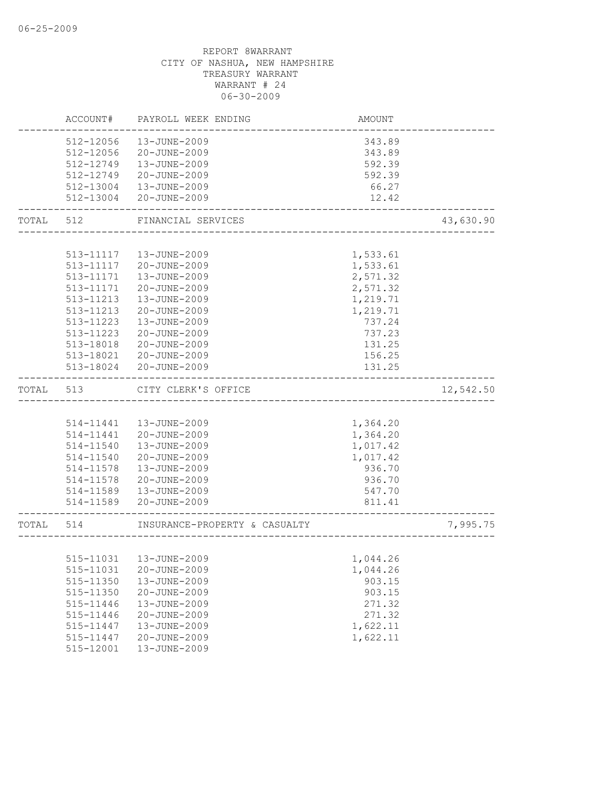|           | ACCOUNT#  | PAYROLL WEEK ENDING           | AMOUNT   |           |
|-----------|-----------|-------------------------------|----------|-----------|
|           | 512-12056 | 13-JUNE-2009                  | 343.89   |           |
|           | 512-12056 | 20-JUNE-2009                  | 343.89   |           |
|           | 512-12749 | 13-JUNE-2009                  | 592.39   |           |
|           | 512-12749 | 20-JUNE-2009                  | 592.39   |           |
|           |           | 512-13004  13-JUNE-2009       | 66.27    |           |
|           | 512-13004 | 20-JUNE-2009                  | 12.42    |           |
| TOTAL     | 512       | FINANCIAL SERVICES            |          | 43,630.90 |
|           |           |                               |          |           |
|           | 513-11117 | 13-JUNE-2009                  | 1,533.61 |           |
|           |           | 513-11117 20-JUNE-2009        | 1,533.61 |           |
|           | 513-11171 | 13-JUNE-2009                  | 2,571.32 |           |
|           | 513-11171 | 20-JUNE-2009                  | 2,571.32 |           |
|           | 513-11213 | 13-JUNE-2009                  | 1,219.71 |           |
|           | 513-11213 | 20-JUNE-2009                  | 1,219.71 |           |
|           | 513-11223 | 13-JUNE-2009                  | 737.24   |           |
|           | 513-11223 | 20-JUNE-2009                  | 737.23   |           |
|           | 513-18018 | 20-JUNE-2009                  | 131.25   |           |
|           | 513-18021 | 20-JUNE-2009                  | 156.25   |           |
|           |           | 513-18024 20-JUNE-2009        | 131.25   |           |
| TOTAL     | 513       | CITY CLERK'S OFFICE           |          | 12,542.50 |
|           |           |                               |          |           |
|           | 514-11441 | 13-JUNE-2009                  | 1,364.20 |           |
|           | 514-11441 | 20-JUNE-2009                  | 1,364.20 |           |
|           | 514-11540 | 13-JUNE-2009                  | 1,017.42 |           |
|           | 514-11540 | 20-JUNE-2009                  | 1,017.42 |           |
|           | 514-11578 | 13-JUNE-2009                  | 936.70   |           |
|           | 514-11578 | 20-JUNE-2009                  | 936.70   |           |
|           | 514-11589 | 13-JUNE-2009                  | 547.70   |           |
|           |           | 514-11589 20-JUNE-2009        | 811.41   |           |
| TOTAL 514 |           | INSURANCE-PROPERTY & CASUALTY |          | 7,995.75  |
|           |           |                               |          |           |
|           |           | 515-11031  13-JUNE-2009       | 1,044.26 |           |
|           | 515-11031 | 20-JUNE-2009                  | 1,044.26 |           |
|           | 515-11350 | 13-JUNE-2009                  | 903.15   |           |
|           | 515-11350 | 20-JUNE-2009                  | 903.15   |           |
|           | 515-11446 | 13-JUNE-2009                  | 271.32   |           |
|           | 515-11446 | 20-JUNE-2009                  | 271.32   |           |
|           | 515-11447 | 13-JUNE-2009                  | 1,622.11 |           |
|           | 515-11447 | 20-JUNE-2009                  | 1,622.11 |           |
|           | 515-12001 | 13-JUNE-2009                  |          |           |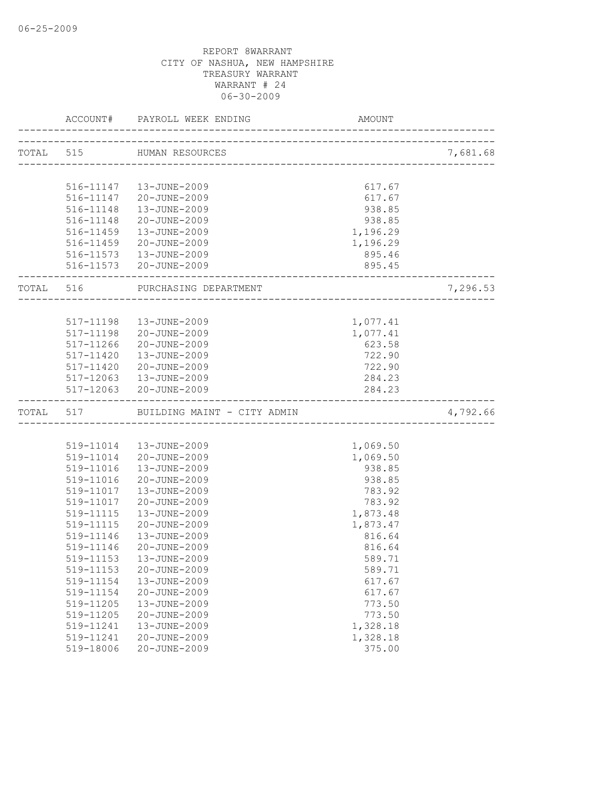|           |           | ACCOUNT# PAYROLL WEEK ENDING | AMOUNT                              |          |
|-----------|-----------|------------------------------|-------------------------------------|----------|
| TOTAL 515 |           | HUMAN RESOURCES              |                                     | 7,681.68 |
|           |           |                              | ___________________________________ |          |
|           |           | 516-11147   13-JUNE-2009     | 617.67                              |          |
|           |           | 516-11147 20-JUNE-2009       | 617.67                              |          |
|           |           | 516-11148  13-JUNE-2009      | 938.85                              |          |
|           | 516-11148 | 20-JUNE-2009                 | 938.85                              |          |
|           | 516-11459 | 13-JUNE-2009                 | 1,196.29                            |          |
|           |           | 516-11459 20-JUNE-2009       | 1,196.29                            |          |
|           |           | 516-11573  13-JUNE-2009      | 895.46                              |          |
|           |           | 516-11573 20-JUNE-2009       | 895.45                              |          |
| TOTAL 516 |           | PURCHASING DEPARTMENT        |                                     | 7,296.53 |
|           |           |                              |                                     |          |
|           | 517-11198 | 13-JUNE-2009                 | 1,077.41                            |          |
|           | 517-11198 | 20-JUNE-2009                 | 1,077.41                            |          |
|           | 517-11266 | 20-JUNE-2009                 | 623.58                              |          |
|           |           | 517-11420    13-JUNE-2009    | 722.90                              |          |
|           |           | 517-11420 20-JUNE-2009       | 722.90                              |          |
|           |           | 517-12063  13-JUNE-2009      | 284.23                              |          |
|           |           | 517-12063 20-JUNE-2009       | 284.23                              |          |
| TOTAL 517 |           | BUILDING MAINT - CITY ADMIN  |                                     | 4,792.66 |
|           |           |                              |                                     |          |
|           |           | 519-11014  13-JUNE-2009      | 1,069.50                            |          |
|           |           | 519-11014 20-JUNE-2009       | 1,069.50                            |          |
|           | 519-11016 | 13-JUNE-2009                 | 938.85                              |          |
|           | 519-11016 | 20-JUNE-2009                 | 938.85                              |          |
|           | 519-11017 | 13-JUNE-2009                 | 783.92                              |          |
|           | 519-11017 | 20-JUNE-2009                 | 783.92                              |          |
|           | 519-11115 | 13-JUNE-2009                 | 1,873.48                            |          |
|           | 519-11115 | 20-JUNE-2009                 | 1,873.47                            |          |
|           | 519-11146 | 13-JUNE-2009                 | 816.64                              |          |
|           | 519-11146 | 20-JUNE-2009                 | 816.64                              |          |
|           |           | 519-11153  13-JUNE-2009      | 589.71                              |          |
|           | 519-11153 | 20-JUNE-2009                 | 589.71                              |          |
|           | 519-11154 | 13-JUNE-2009                 | 617.67                              |          |
|           | 519-11154 | 20-JUNE-2009                 | 617.67                              |          |
|           | 519-11205 | 13-JUNE-2009                 | 773.50                              |          |
|           | 519-11205 | 20-JUNE-2009                 | 773.50                              |          |
|           | 519-11241 | 13-JUNE-2009                 | 1,328.18                            |          |
|           | 519-11241 | 20-JUNE-2009                 | 1,328.18                            |          |
|           | 519-18006 | 20-JUNE-2009                 | 375.00                              |          |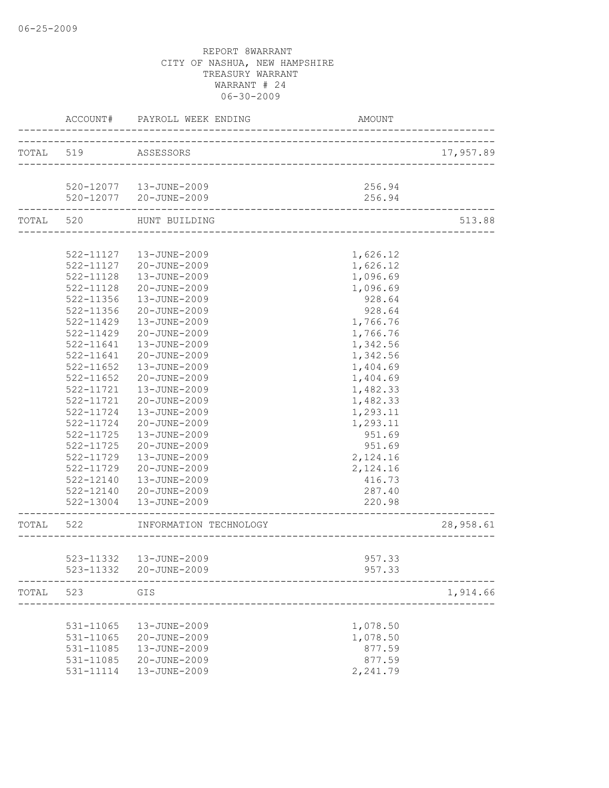|           | ACCOUNT#      | PAYROLL WEEK ENDING<br>------------------ | AMOUNT                        |           |
|-----------|---------------|-------------------------------------------|-------------------------------|-----------|
| TOTAL 519 |               | ASSESSORS                                 |                               | 17,957.89 |
|           |               |                                           |                               |           |
|           |               | 520-12077   13-JUNE-2009                  | 256.94                        |           |
|           |               | 520-12077 20-JUNE-2009                    | 256.94                        |           |
|           | TOTAL 520     | HUNT BUILDING                             | _____________________________ | 513.88    |
|           |               |                                           |                               |           |
|           |               | 522-11127  13-JUNE-2009                   | 1,626.12                      |           |
|           |               | 522-11127 20-JUNE-2009                    | 1,626.12                      |           |
|           | 522-11128     | 13-JUNE-2009                              | 1,096.69                      |           |
|           | 522-11128     | 20-JUNE-2009                              | 1,096.69                      |           |
|           | 522-11356     | 13-JUNE-2009                              | 928.64                        |           |
|           | 522-11356     | 20-JUNE-2009                              | 928.64                        |           |
|           | 522-11429     | 13-JUNE-2009                              | 1,766.76                      |           |
|           | 522-11429     | 20-JUNE-2009                              | 1,766.76                      |           |
|           | 522-11641     | $13 - JUNE - 2009$                        | 1,342.56                      |           |
|           | 522-11641     | 20-JUNE-2009                              | 1,342.56                      |           |
|           | $522 - 11652$ | 13-JUNE-2009                              | 1,404.69                      |           |
|           | $522 - 11652$ | 20-JUNE-2009                              | 1,404.69                      |           |
|           | 522-11721     | 13-JUNE-2009                              | 1,482.33                      |           |
|           | 522-11721     | 20-JUNE-2009                              | 1,482.33                      |           |
|           | 522-11724     | 13-JUNE-2009                              | 1,293.11                      |           |
|           | $522 - 11724$ | 20-JUNE-2009                              | 1,293.11                      |           |
|           | 522-11725     | 13-JUNE-2009                              | 951.69                        |           |
|           | 522-11725     | 20-JUNE-2009                              | 951.69                        |           |
|           | 522-11729     | 13-JUNE-2009                              | 2,124.16                      |           |
|           | 522-11729     | 20-JUNE-2009                              | 2,124.16                      |           |
|           | 522-12140     | 13-JUNE-2009                              | 416.73                        |           |
|           | 522-12140     | 20-JUNE-2009                              | 287.40                        |           |
|           |               | 522-13004  13-JUNE-2009                   | 220.98<br>______________      |           |
| TOTAL 522 |               | INFORMATION TECHNOLOGY                    |                               | 28,958.61 |
|           |               |                                           |                               |           |
|           |               | 523-11332    13-JUNE-2009                 | 957.33                        |           |
|           | 523-11332     | 20-JUNE-2009                              | 957.33                        |           |
| TOTAL     | 523           | GIS                                       |                               | 1,914.66  |
|           |               |                                           |                               |           |
|           | 531-11065     | 13-JUNE-2009                              | 1,078.50                      |           |
|           | 531-11065     | 20-JUNE-2009                              | 1,078.50                      |           |
|           | 531-11085     | 13-JUNE-2009                              | 877.59                        |           |
|           | 531-11085     | 20-JUNE-2009                              | 877.59                        |           |
|           | 531-11114     | 13-JUNE-2009                              | 2,241.79                      |           |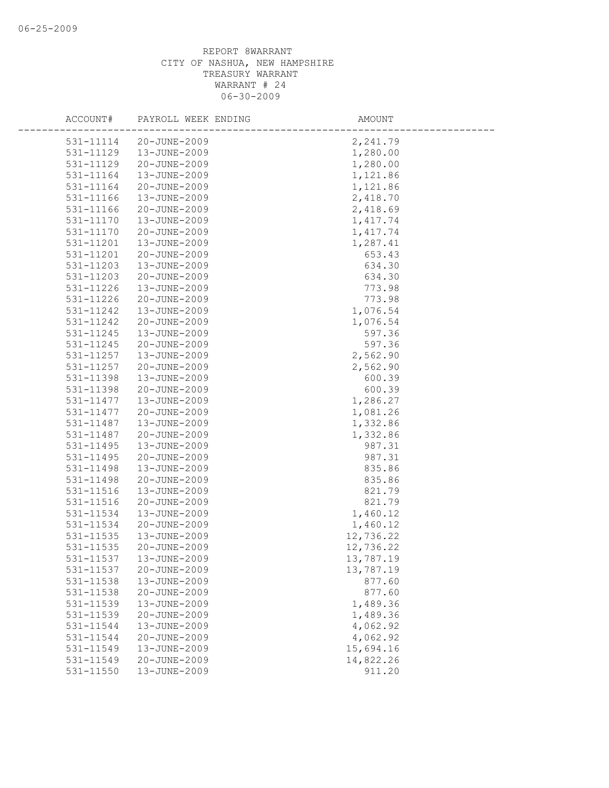| ACCOUNT#               | PAYROLL WEEK ENDING          | AMOUNT               |
|------------------------|------------------------------|----------------------|
| 531-11114              | 20-JUNE-2009                 | 2,241.79             |
| 531-11129              | 13-JUNE-2009                 | 1,280.00             |
| 531-11129              | 20-JUNE-2009                 | 1,280.00             |
| 531-11164              | 13-JUNE-2009                 | 1,121.86             |
| 531-11164              | 20-JUNE-2009                 | 1,121.86             |
| 531-11166              | 13-JUNE-2009                 | 2,418.70             |
| 531-11166              | 20-JUNE-2009                 | 2,418.69             |
| 531-11170              | 13-JUNE-2009                 | 1, 417.74            |
| 531-11170              | 20-JUNE-2009                 | 1, 417.74            |
| 531-11201              | 13-JUNE-2009                 | 1,287.41             |
| 531-11201              | 20-JUNE-2009                 | 653.43               |
| 531-11203              | 13-JUNE-2009                 | 634.30               |
| 531-11203              | 20-JUNE-2009                 | 634.30               |
| 531-11226              | 13-JUNE-2009                 | 773.98               |
| 531-11226              | 20-JUNE-2009                 | 773.98               |
| 531-11242              | 13-JUNE-2009                 | 1,076.54             |
| 531-11242              | 20-JUNE-2009                 | 1,076.54             |
| 531-11245              | 13-JUNE-2009                 | 597.36               |
| 531-11245              | 20-JUNE-2009                 | 597.36               |
| 531-11257              | 13-JUNE-2009                 | 2,562.90             |
| 531-11257              | 20-JUNE-2009                 | 2,562.90             |
| 531-11398              | 13-JUNE-2009                 | 600.39               |
| 531-11398              | 20-JUNE-2009                 | 600.39               |
| 531-11477              | 13-JUNE-2009                 | 1,286.27             |
| 531-11477              | 20-JUNE-2009                 | 1,081.26             |
| 531-11487              | 13-JUNE-2009                 | 1,332.86             |
| 531-11487              | 20-JUNE-2009                 | 1,332.86             |
| 531-11495              | 13-JUNE-2009                 | 987.31               |
| 531-11495              | 20-JUNE-2009                 | 987.31               |
| 531-11498              | 13-JUNE-2009                 | 835.86               |
| 531-11498              | 20-JUNE-2009                 | 835.86               |
| 531-11516              | 13-JUNE-2009                 | 821.79               |
| 531-11516              | 20-JUNE-2009                 | 821.79               |
| 531-11534              | 13-JUNE-2009                 | 1,460.12             |
| 531-11534              | 20-JUNE-2009                 | 1,460.12             |
| 531-11535              | 13-JUNE-2009                 | 12,736.22            |
| 531-11535              | 20-JUNE-2009                 | 12,736.22            |
| 531-11537              | 13-JUNE-2009                 | 13,787.19            |
| 531-11537              | 20-JUNE-2009                 | 13,787.19            |
| 531-11538              | 13-JUNE-2009                 | 877.60               |
| 531-11538<br>531-11539 | 20-JUNE-2009<br>13-JUNE-2009 | 877.60               |
|                        |                              | 1,489.36             |
| 531-11539<br>531-11544 | 20-JUNE-2009<br>13-JUNE-2009 | 1,489.36<br>4,062.92 |
| 531-11544              | 20-JUNE-2009                 | 4,062.92             |
| 531-11549              | 13-JUNE-2009                 | 15,694.16            |
| 531-11549              | 20-JUNE-2009                 | 14,822.26            |
| 531-11550              | 13-JUNE-2009                 | 911.20               |
|                        |                              |                      |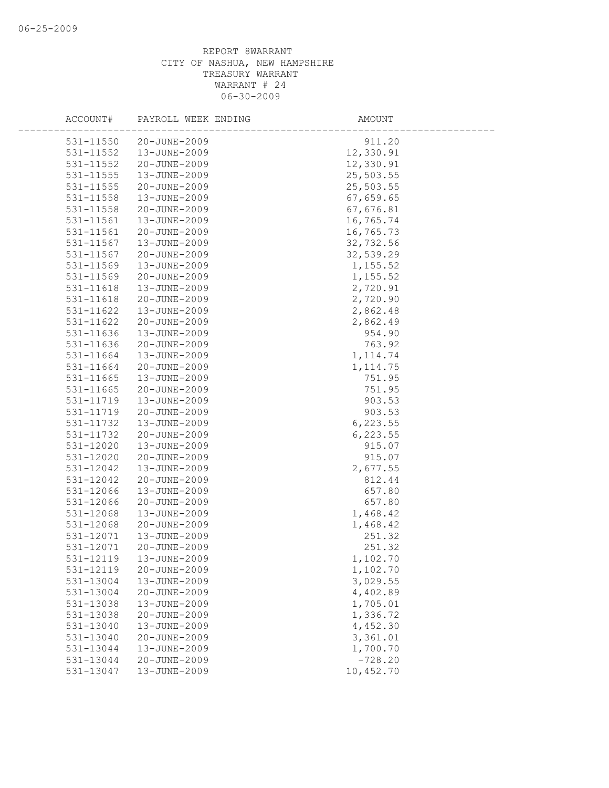| ACCOUNT#               | PAYROLL WEEK ENDING          | AMOUNT                 |
|------------------------|------------------------------|------------------------|
|                        |                              |                        |
| 531-11550<br>531-11552 | 20-JUNE-2009<br>13-JUNE-2009 | 911.20                 |
|                        |                              | 12,330.91              |
| 531-11552              | 20-JUNE-2009                 | 12,330.91              |
| 531-11555              | 13-JUNE-2009                 | 25,503.55              |
| 531-11555              | 20-JUNE-2009                 | 25,503.55              |
| 531-11558              | 13-JUNE-2009                 | 67,659.65              |
| 531-11558              | 20-JUNE-2009                 | 67,676.81              |
| 531-11561              | 13-JUNE-2009<br>20-JUNE-2009 | 16,765.74<br>16,765.73 |
| 531-11561<br>531-11567 | 13-JUNE-2009                 |                        |
| 531-11567              | 20-JUNE-2009                 | 32,732.56<br>32,539.29 |
| 531-11569              | 13-JUNE-2009                 |                        |
| 531-11569              | 20-JUNE-2009                 | 1,155.52<br>1,155.52   |
| 531-11618              | 13-JUNE-2009                 | 2,720.91               |
| 531-11618              | 20-JUNE-2009                 | 2,720.90               |
| 531-11622              | 13-JUNE-2009                 | 2,862.48               |
| 531-11622              | 20-JUNE-2009                 | 2,862.49               |
| 531-11636              | 13-JUNE-2009                 | 954.90                 |
| 531-11636              | 20-JUNE-2009                 | 763.92                 |
| 531-11664              | 13-JUNE-2009                 | 1, 114.74              |
| 531-11664              | 20-JUNE-2009                 | 1, 114.75              |
| 531-11665              | 13-JUNE-2009                 | 751.95                 |
| 531-11665              | 20-JUNE-2009                 | 751.95                 |
| 531-11719              | 13-JUNE-2009                 | 903.53                 |
| 531-11719              | 20-JUNE-2009                 | 903.53                 |
| 531-11732              | 13-JUNE-2009                 | 6, 223.55              |
| 531-11732              | 20-JUNE-2009                 | 6, 223.55              |
| 531-12020              | 13-JUNE-2009                 | 915.07                 |
| 531-12020              | 20-JUNE-2009                 | 915.07                 |
| 531-12042              | 13-JUNE-2009                 | 2,677.55               |
| 531-12042              | 20-JUNE-2009                 | 812.44                 |
| 531-12066              | 13-JUNE-2009                 | 657.80                 |
| 531-12066              | 20-JUNE-2009                 | 657.80                 |
| $531 - 12068$          | 13-JUNE-2009                 | 1,468.42               |
| 531-12068              | 20-JUNE-2009                 | 1,468.42               |
| 531-12071              | 13-JUNE-2009                 | 251.32                 |
| 531-12071              | 20-JUNE-2009                 | 251.32                 |
| 531-12119              | 13-JUNE-2009                 | 1,102.70               |
| 531-12119              | 20-JUNE-2009                 | 1,102.70               |
| 531-13004              | 13-JUNE-2009                 | 3,029.55               |
| 531-13004              | 20-JUNE-2009                 | 4,402.89               |
| 531-13038              | 13-JUNE-2009                 | 1,705.01               |
| 531-13038              | 20-JUNE-2009                 | 1,336.72               |
| 531-13040              | 13-JUNE-2009                 | 4,452.30               |
| 531-13040              | 20-JUNE-2009                 | 3,361.01               |
| 531-13044              | 13-JUNE-2009                 | 1,700.70               |
| 531-13044              | 20-JUNE-2009                 | $-728.20$              |
| 531-13047              | 13-JUNE-2009                 | 10,452.70              |
|                        |                              |                        |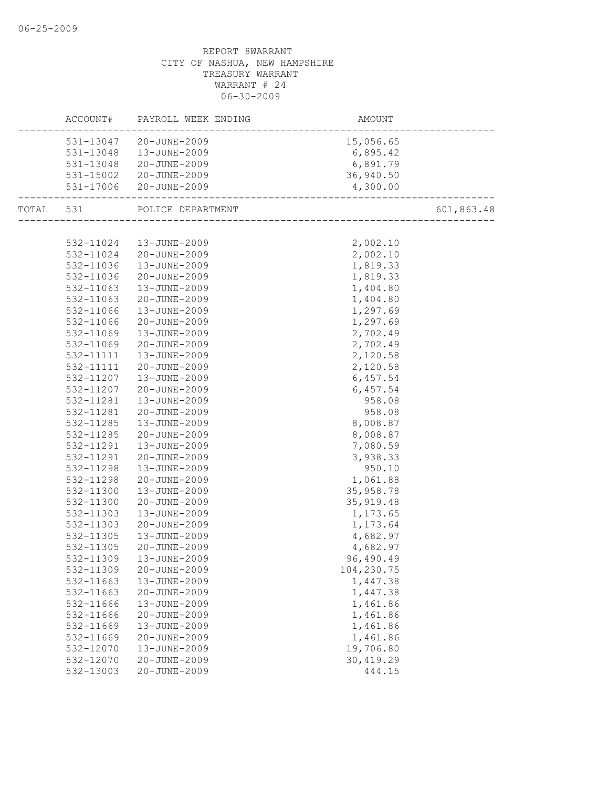|           |           | ACCOUNT# PAYROLL WEEK ENDING | AMOUNT     |            |
|-----------|-----------|------------------------------|------------|------------|
|           |           | 531-13047 20-JUNE-2009       | 15,056.65  |            |
|           |           | 531-13048  13-JUNE-2009      | 6,895.42   |            |
|           |           | 531-13048 20-JUNE-2009       | 6,891.79   |            |
|           |           | 531-15002 20-JUNE-2009       | 36,940.50  |            |
|           |           | 531-17006 20-JUNE-2009       | 4,300.00   |            |
| TOTAL 531 |           | POLICE DEPARTMENT            |            | 601,863.48 |
|           |           |                              |            |            |
|           | 532-11024 | 13-JUNE-2009                 | 2,002.10   |            |
|           | 532-11024 | 20-JUNE-2009                 | 2,002.10   |            |
|           | 532-11036 | 13-JUNE-2009                 | 1,819.33   |            |
|           | 532-11036 | 20-JUNE-2009                 | 1,819.33   |            |
|           | 532-11063 | 13-JUNE-2009                 | 1,404.80   |            |
|           | 532-11063 | 20-JUNE-2009                 | 1,404.80   |            |
|           | 532-11066 | 13-JUNE-2009                 | 1,297.69   |            |
|           | 532-11066 | 20-JUNE-2009                 | 1,297.69   |            |
|           | 532-11069 | 13-JUNE-2009                 | 2,702.49   |            |
|           | 532-11069 | 20-JUNE-2009                 | 2,702.49   |            |
|           | 532-11111 | 13-JUNE-2009                 | 2,120.58   |            |
|           | 532-11111 | 20-JUNE-2009                 | 2,120.58   |            |
|           | 532-11207 | 13-JUNE-2009                 | 6,457.54   |            |
|           | 532-11207 | 20-JUNE-2009                 | 6,457.54   |            |
|           | 532-11281 | 13-JUNE-2009                 | 958.08     |            |
|           | 532-11281 | 20-JUNE-2009                 | 958.08     |            |
|           | 532-11285 | 13-JUNE-2009                 | 8,008.87   |            |
|           | 532-11285 | 20-JUNE-2009                 | 8,008.87   |            |
|           | 532-11291 | 13-JUNE-2009                 | 7,080.59   |            |
|           | 532-11291 | 20-JUNE-2009                 | 3,938.33   |            |
|           | 532-11298 | 13-JUNE-2009                 | 950.10     |            |
|           | 532-11298 | 20-JUNE-2009                 | 1,061.88   |            |
|           | 532-11300 | 13-JUNE-2009                 | 35,958.78  |            |
|           | 532-11300 | 20-JUNE-2009                 | 35, 919.48 |            |
|           | 532-11303 | 13-JUNE-2009                 | 1,173.65   |            |
|           | 532-11303 | 20-JUNE-2009                 | 1,173.64   |            |
|           | 532-11305 | 13-JUNE-2009                 | 4,682.97   |            |
|           | 532-11305 | 20-JUNE-2009                 | 4,682.97   |            |
|           | 532-11309 | 13-JUNE-2009                 | 96,490.49  |            |
|           | 532-11309 | 20-JUNE-2009                 | 104,230.75 |            |
|           | 532-11663 | 13-JUNE-2009                 | 1,447.38   |            |
|           | 532-11663 | 20-JUNE-2009                 | 1,447.38   |            |
|           | 532-11666 | 13-JUNE-2009                 | 1,461.86   |            |
|           | 532-11666 | 20-JUNE-2009                 | 1,461.86   |            |
|           | 532-11669 | 13-JUNE-2009                 | 1,461.86   |            |
|           | 532-11669 | 20-JUNE-2009                 | 1,461.86   |            |
|           | 532-12070 | 13-JUNE-2009                 | 19,706.80  |            |
|           | 532-12070 | 20-JUNE-2009                 | 30, 419.29 |            |
|           | 532-13003 | 20-JUNE-2009                 | 444.15     |            |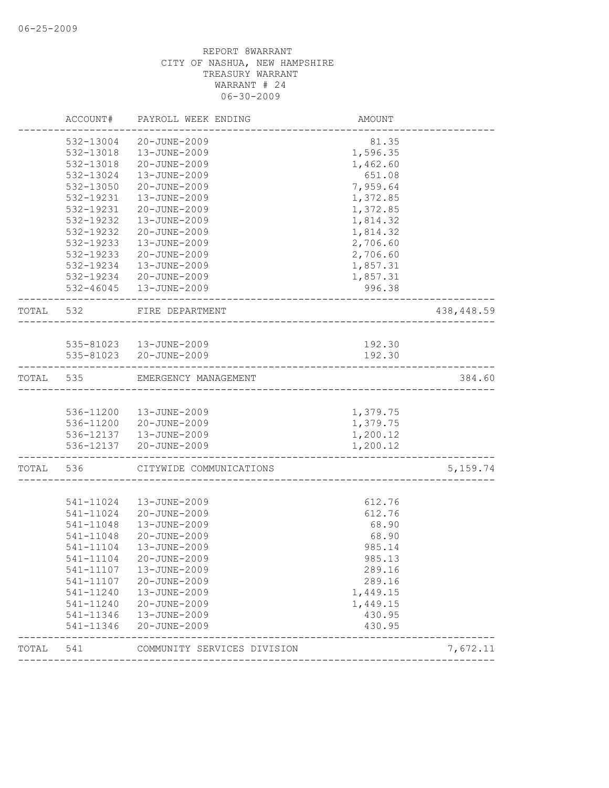|           | ACCOUNT#                    | PAYROLL WEEK ENDING         | AMOUNT   |            |
|-----------|-----------------------------|-----------------------------|----------|------------|
|           | 532-13004                   | 20-JUNE-2009                | 81.35    |            |
|           | 532-13018                   | 13-JUNE-2009                | 1,596.35 |            |
|           | 532-13018                   | 20-JUNE-2009                | 1,462.60 |            |
|           | 532-13024                   | 13-JUNE-2009                | 651.08   |            |
|           | 532-13050                   | 20-JUNE-2009                | 7,959.64 |            |
|           | 532-19231                   | 13-JUNE-2009                | 1,372.85 |            |
|           | 532-19231                   | 20-JUNE-2009                | 1,372.85 |            |
|           | 532-19232                   | 13-JUNE-2009                | 1,814.32 |            |
|           | 532-19232                   | 20-JUNE-2009                | 1,814.32 |            |
|           | 532-19233                   | 13-JUNE-2009                | 2,706.60 |            |
|           | 532-19233                   | 20-JUNE-2009                | 2,706.60 |            |
|           |                             | 532-19234   13-JUNE-2009    | 1,857.31 |            |
|           |                             | 532-19234 20-JUNE-2009      | 1,857.31 |            |
|           |                             | 532-46045   13-JUNE-2009    | 996.38   |            |
| TOTAL 532 |                             | FIRE DEPARTMENT             |          | 438,448.59 |
|           |                             |                             |          |            |
|           |                             | 535-81023  13-JUNE-2009     | 192.30   |            |
|           |                             | 535-81023 20-JUNE-2009      | 192.30   |            |
|           | . _ _ _ _ _ _ _ _ _ _ _ _ _ |                             |          |            |
| TOTAL 535 |                             | EMERGENCY MANAGEMENT        |          | 384.60     |
|           |                             |                             |          |            |
|           |                             | 536-11200  13-JUNE-2009     | 1,379.75 |            |
|           |                             | 536-11200 20-JUNE-2009      | 1,379.75 |            |
|           |                             | 536-12137   13-JUNE-2009    | 1,200.12 |            |
|           |                             | 536-12137 20-JUNE-2009      | 1,200.12 |            |
| TOTAL 536 |                             | CITYWIDE COMMUNICATIONS     |          | 5, 159. 74 |
|           |                             |                             |          |            |
|           | 541-11024                   | 13-JUNE-2009                | 612.76   |            |
|           | 541-11024                   | 20-JUNE-2009                | 612.76   |            |
|           | 541-11048                   | 13-JUNE-2009                | 68.90    |            |
|           | 541-11048                   | 20-JUNE-2009                | 68.90    |            |
|           | 541-11104                   | 13-JUNE-2009                | 985.14   |            |
|           | 541-11104                   | 20-JUNE-2009                | 985.13   |            |
|           | 541-11107                   | 13-JUNE-2009                | 289.16   |            |
|           | 541-11107                   | 20-JUNE-2009                | 289.16   |            |
|           | 541-11240                   | 13-JUNE-2009                | 1,449.15 |            |
|           | 541-11240                   | 20-JUNE-2009                | 1,449.15 |            |
|           | 541-11346                   | 13-JUNE-2009                | 430.95   |            |
|           | 541-11346                   | 20-JUNE-2009                | 430.95   |            |
| TOTAL     | 541                         | COMMUNITY SERVICES DIVISION |          | 7,672.11   |
|           |                             |                             |          |            |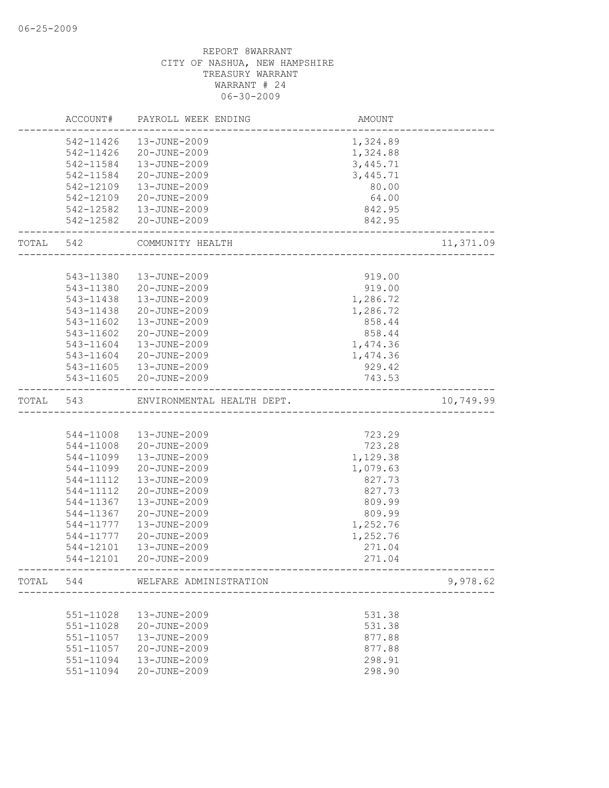|           | ACCOUNT#  | PAYROLL WEEK ENDING                     | AMOUNT   |           |
|-----------|-----------|-----------------------------------------|----------|-----------|
|           | 542-11426 | 13-JUNE-2009                            | 1,324.89 |           |
|           | 542-11426 | 20-JUNE-2009                            | 1,324.88 |           |
|           | 542-11584 | 13-JUNE-2009                            | 3,445.71 |           |
|           | 542-11584 | 20-JUNE-2009                            | 3,445.71 |           |
|           | 542-12109 | 13-JUNE-2009                            | 80.00    |           |
|           | 542-12109 | 20-JUNE-2009                            | 64.00    |           |
|           | 542-12582 | 13-JUNE-2009                            | 842.95   |           |
|           | 542-12582 | 20-JUNE-2009                            | 842.95   |           |
| TOTAL 542 |           | COMMUNITY HEALTH<br>___________________ |          | 11,371.09 |
|           |           |                                         |          |           |
|           | 543-11380 | 13-JUNE-2009                            | 919.00   |           |
|           | 543-11380 | 20-JUNE-2009                            | 919.00   |           |
|           | 543-11438 | 13-JUNE-2009                            | 1,286.72 |           |
|           | 543-11438 | 20-JUNE-2009                            | 1,286.72 |           |
|           | 543-11602 | 13-JUNE-2009                            | 858.44   |           |
|           | 543-11602 | 20-JUNE-2009                            | 858.44   |           |
|           | 543-11604 | 13-JUNE-2009                            | 1,474.36 |           |
|           | 543-11604 | 20-JUNE-2009                            | 1,474.36 |           |
|           |           | 543-11605  13-JUNE-2009                 | 929.42   |           |
|           | 543-11605 | 20-JUNE-2009                            | 743.53   |           |
| TOTAL     | 543       | ENVIRONMENTAL HEALTH DEPT.              |          | 10,749.99 |
|           |           |                                         |          |           |
|           |           | 544-11008  13-JUNE-2009                 | 723.29   |           |
|           | 544-11008 | 20-JUNE-2009                            | 723.28   |           |
|           | 544-11099 | 13-JUNE-2009                            | 1,129.38 |           |
|           | 544-11099 | 20-JUNE-2009                            | 1,079.63 |           |
|           | 544-11112 | 13-JUNE-2009                            | 827.73   |           |
|           | 544-11112 | 20-JUNE-2009                            | 827.73   |           |
|           | 544-11367 | 13-JUNE-2009                            | 809.99   |           |
|           | 544-11367 | 20-JUNE-2009                            | 809.99   |           |
|           | 544-11777 | 13-JUNE-2009                            | 1,252.76 |           |
|           | 544-11777 | 20-JUNE-2009                            | 1,252.76 |           |
|           | 544-12101 | 13-JUNE-2009                            | 271.04   |           |
|           | 544-12101 | 20-JUNE-2009                            | 271.04   |           |
| TOTAL     | 544       | WELFARE ADMINISTRATION                  |          | 9,978.62  |
|           |           |                                         |          |           |
|           | 551-11028 | 13-JUNE-2009                            | 531.38   |           |
|           | 551-11028 | 20-JUNE-2009                            | 531.38   |           |
|           | 551-11057 | 13-JUNE-2009                            | 877.88   |           |
|           | 551-11057 | 20-JUNE-2009                            | 877.88   |           |
|           | 551-11094 | 13-JUNE-2009                            | 298.91   |           |
|           | 551-11094 | 20-JUNE-2009                            | 298.90   |           |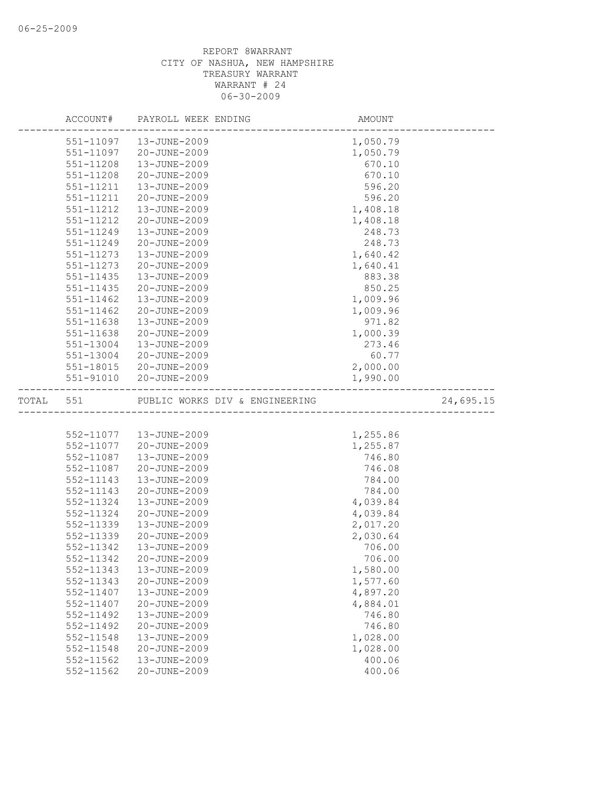|           | ACCOUNT#  | PAYROLL WEEK ENDING            | AMOUNT   |           |
|-----------|-----------|--------------------------------|----------|-----------|
|           |           | 551-11097   13-JUNE-2009       | 1,050.79 |           |
|           | 551-11097 | 20-JUNE-2009                   | 1,050.79 |           |
|           | 551-11208 | 13-JUNE-2009                   | 670.10   |           |
|           | 551-11208 | 20-JUNE-2009                   | 670.10   |           |
|           | 551-11211 | 13-JUNE-2009                   | 596.20   |           |
|           | 551-11211 | 20-JUNE-2009                   | 596.20   |           |
|           | 551-11212 | 13-JUNE-2009                   | 1,408.18 |           |
|           | 551-11212 | 20-JUNE-2009                   | 1,408.18 |           |
|           | 551-11249 | 13-JUNE-2009                   | 248.73   |           |
|           | 551-11249 | 20-JUNE-2009                   | 248.73   |           |
|           | 551-11273 | 13-JUNE-2009                   | 1,640.42 |           |
|           | 551-11273 | 20-JUNE-2009                   | 1,640.41 |           |
|           | 551-11435 | 13-JUNE-2009                   | 883.38   |           |
|           | 551-11435 | 20-JUNE-2009                   | 850.25   |           |
|           | 551-11462 | 13-JUNE-2009                   | 1,009.96 |           |
|           | 551-11462 | 20-JUNE-2009                   | 1,009.96 |           |
|           | 551-11638 | 13-JUNE-2009                   | 971.82   |           |
|           | 551-11638 | 20-JUNE-2009                   | 1,000.39 |           |
|           | 551-13004 | $13 - JUNE - 2009$             | 273.46   |           |
|           | 551-13004 | 20-JUNE-2009                   | 60.77    |           |
|           |           | 551-18015 20-JUNE-2009         | 2,000.00 |           |
|           | 551-91010 | 20-JUNE-2009                   | 1,990.00 |           |
| TOTAL 551 |           | PUBLIC WORKS DIV & ENGINEERING |          | 24,695.15 |
|           |           |                                |          |           |
|           |           | 552-11077   13-JUNE-2009       | 1,255.86 |           |
|           |           | 552-11077 20-JUNE-2009         | 1,255.87 |           |
|           | 552-11087 | 13-JUNE-2009                   | 746.80   |           |
|           | 552-11087 | 20-JUNE-2009                   | 746.08   |           |
|           | 552-11143 | 13-JUNE-2009                   | 784.00   |           |
|           | 552-11143 | 20-JUNE-2009                   | 784.00   |           |
|           | 552-11324 | 13-JUNE-2009                   | 4,039.84 |           |
|           | 552-11324 | 20-JUNE-2009                   | 4,039.84 |           |
|           | 552-11339 | 13-JUNE-2009                   | 2,017.20 |           |
|           | 552-11339 | 20-JUNE-2009                   | 2,030.64 |           |
|           | 552-11342 | 13-JUNE-2009                   | 706.00   |           |
|           | 552-11342 | 20-JUNE-2009                   | 706.00   |           |
|           | 552-11343 | 13-JUNE-2009                   | 1,580.00 |           |
|           | 552-11343 | 20-JUNE-2009                   | 1,577.60 |           |
|           | 552-11407 | 13-JUNE-2009                   | 4,897.20 |           |
|           | 552-11407 | 20-JUNE-2009                   | 4,884.01 |           |
|           | 552-11492 | 13-JUNE-2009                   | 746.80   |           |
|           | 552-11492 | 20-JUNE-2009                   | 746.80   |           |
|           | 552-11548 | 13-JUNE-2009                   | 1,028.00 |           |
|           | 552-11548 | 20-JUNE-2009                   | 1,028.00 |           |
|           | 552-11562 | 13-JUNE-2009                   | 400.06   |           |
|           | 552-11562 | 20-JUNE-2009                   | 400.06   |           |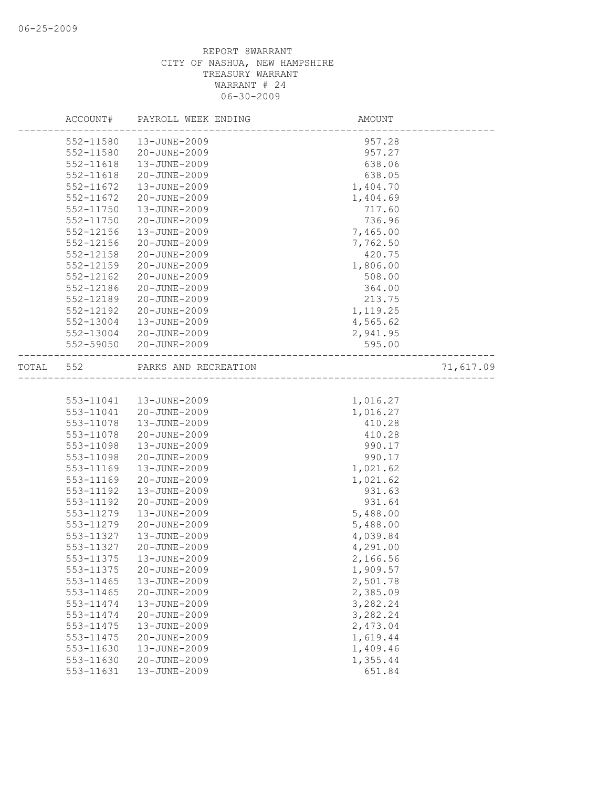|       | ACCOUNT#  | PAYROLL WEEK ENDING  | AMOUNT   |           |
|-------|-----------|----------------------|----------|-----------|
|       | 552-11580 | 13-JUNE-2009         | 957.28   |           |
|       | 552-11580 | 20-JUNE-2009         | 957.27   |           |
|       | 552-11618 | 13-JUNE-2009         | 638.06   |           |
|       | 552-11618 | 20-JUNE-2009         | 638.05   |           |
|       | 552-11672 | 13-JUNE-2009         | 1,404.70 |           |
|       | 552-11672 | 20-JUNE-2009         | 1,404.69 |           |
|       | 552-11750 | 13-JUNE-2009         | 717.60   |           |
|       | 552-11750 | 20-JUNE-2009         | 736.96   |           |
|       | 552-12156 | 13-JUNE-2009         | 7,465.00 |           |
|       | 552-12156 | 20-JUNE-2009         | 7,762.50 |           |
|       | 552-12158 | 20-JUNE-2009         | 420.75   |           |
|       | 552-12159 | 20-JUNE-2009         | 1,806.00 |           |
|       | 552-12162 | 20-JUNE-2009         | 508.00   |           |
|       | 552-12186 | 20-JUNE-2009         | 364.00   |           |
|       | 552-12189 | 20-JUNE-2009         | 213.75   |           |
|       | 552-12192 | 20-JUNE-2009         | 1,119.25 |           |
|       | 552-13004 | 13-JUNE-2009         | 4,565.62 |           |
|       | 552-13004 | 20-JUNE-2009         | 2,941.95 |           |
|       | 552-59050 | 20-JUNE-2009         | 595.00   |           |
| TOTAL | 552       | PARKS AND RECREATION |          | 71,617.09 |
|       |           |                      |          |           |
|       | 553-11041 | 13-JUNE-2009         | 1,016.27 |           |
|       | 553-11041 | 20-JUNE-2009         | 1,016.27 |           |
|       | 553-11078 | 13-JUNE-2009         | 410.28   |           |
|       | 553-11078 | 20-JUNE-2009         | 410.28   |           |
|       | 553-11098 | 13-JUNE-2009         | 990.17   |           |
|       | 553-11098 | 20-JUNE-2009         | 990.17   |           |
|       | 553-11169 | 13-JUNE-2009         | 1,021.62 |           |
|       | 553-11169 | 20-JUNE-2009         | 1,021.62 |           |
|       | 553-11192 | 13-JUNE-2009         | 931.63   |           |
|       | 553-11192 | 20-JUNE-2009         | 931.64   |           |
|       | 553-11279 | 13-JUNE-2009         | 5,488.00 |           |
|       | 553-11279 | 20-JUNE-2009         | 5,488.00 |           |
|       | 553-11327 | 13-JUNE-2009         | 4,039.84 |           |
|       | 553-11327 | 20-JUNE-2009         | 4,291.00 |           |
|       | 553-11375 | 13-JUNE-2009         | 2,166.56 |           |
|       | 553-11375 | 20-JUNE-2009         | 1,909.57 |           |
|       | 553-11465 | 13-JUNE-2009         | 2,501.78 |           |
|       | 553-11465 | 20-JUNE-2009         | 2,385.09 |           |
|       | 553-11474 | 13-JUNE-2009         | 3,282.24 |           |
|       | 553-11474 | 20-JUNE-2009         | 3,282.24 |           |
|       | 553-11475 | 13-JUNE-2009         | 2,473.04 |           |
|       | 553-11475 | 20-JUNE-2009         | 1,619.44 |           |
|       | 553-11630 | 13-JUNE-2009         | 1,409.46 |           |
|       | 553-11630 | 20-JUNE-2009         | 1,355.44 |           |
|       | 553-11631 | 13-JUNE-2009         | 651.84   |           |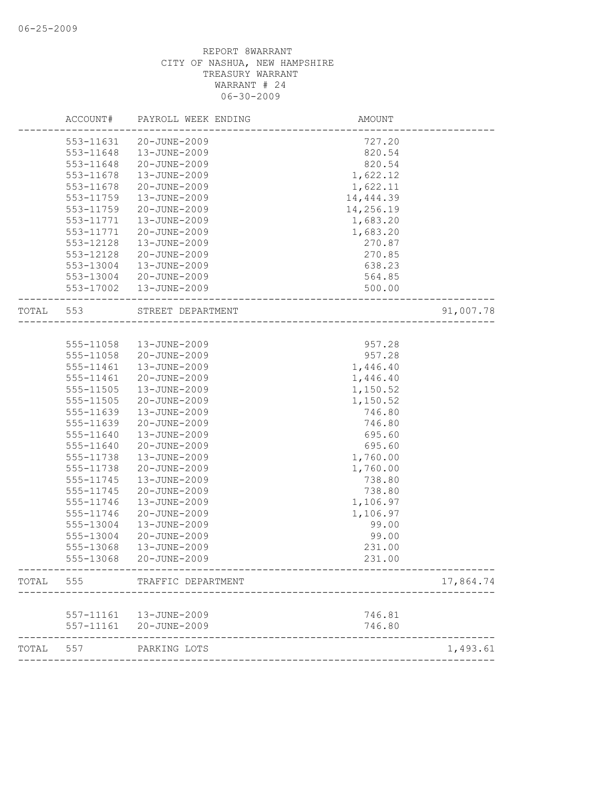|       | ACCOUNT#  | PAYROLL WEEK ENDING | AMOUNT    |           |
|-------|-----------|---------------------|-----------|-----------|
|       | 553-11631 | 20-JUNE-2009        | 727.20    |           |
|       | 553-11648 | 13-JUNE-2009        | 820.54    |           |
|       | 553-11648 | 20-JUNE-2009        | 820.54    |           |
|       | 553-11678 | 13-JUNE-2009        | 1,622.12  |           |
|       | 553-11678 | 20-JUNE-2009        | 1,622.11  |           |
|       | 553-11759 | 13-JUNE-2009        | 14,444.39 |           |
|       | 553-11759 | 20-JUNE-2009        | 14,256.19 |           |
|       | 553-11771 | 13-JUNE-2009        | 1,683.20  |           |
|       | 553-11771 | 20-JUNE-2009        | 1,683.20  |           |
|       | 553-12128 | $13 - JUNE - 2009$  | 270.87    |           |
|       | 553-12128 | 20-JUNE-2009        | 270.85    |           |
|       | 553-13004 | 13-JUNE-2009        | 638.23    |           |
|       | 553-13004 | 20-JUNE-2009        | 564.85    |           |
|       | 553-17002 | 13-JUNE-2009        | 500.00    |           |
| TOTAL | 553       | STREET DEPARTMENT   |           | 91,007.78 |
|       |           |                     |           |           |
|       | 555-11058 | 13-JUNE-2009        | 957.28    |           |
|       | 555-11058 | 20-JUNE-2009        | 957.28    |           |
|       | 555-11461 | 13-JUNE-2009        | 1,446.40  |           |
|       | 555-11461 | 20-JUNE-2009        | 1,446.40  |           |
|       | 555-11505 | 13-JUNE-2009        | 1,150.52  |           |
|       | 555-11505 | 20-JUNE-2009        | 1,150.52  |           |
|       | 555-11639 | 13-JUNE-2009        | 746.80    |           |
|       | 555-11639 | 20-JUNE-2009        | 746.80    |           |
|       | 555-11640 | 13-JUNE-2009        | 695.60    |           |
|       | 555-11640 | 20-JUNE-2009        | 695.60    |           |
|       | 555-11738 | 13-JUNE-2009        | 1,760.00  |           |
|       | 555-11738 | 20-JUNE-2009        | 1,760.00  |           |
|       | 555-11745 | 13-JUNE-2009        | 738.80    |           |
|       | 555-11745 | 20-JUNE-2009        | 738.80    |           |
|       | 555-11746 | 13-JUNE-2009        | 1,106.97  |           |
|       | 555-11746 | 20-JUNE-2009        | 1,106.97  |           |
|       | 555-13004 | 13-JUNE-2009        | 99.00     |           |
|       | 555-13004 | 20-JUNE-2009        | 99.00     |           |
|       | 555-13068 | 13-JUNE-2009        | 231.00    |           |
|       | 555-13068 | 20-JUNE-2009        | 231.00    |           |
| TOTAL | 555       | TRAFFIC DEPARTMENT  |           | 17,864.74 |
|       |           |                     |           |           |
|       | 557-11161 | 13-JUNE-2009        | 746.81    |           |
|       | 557-11161 | 20-JUNE-2009        | 746.80    |           |
| TOTAL | 557       | PARKING LOTS        |           | 1,493.61  |
|       |           |                     |           |           |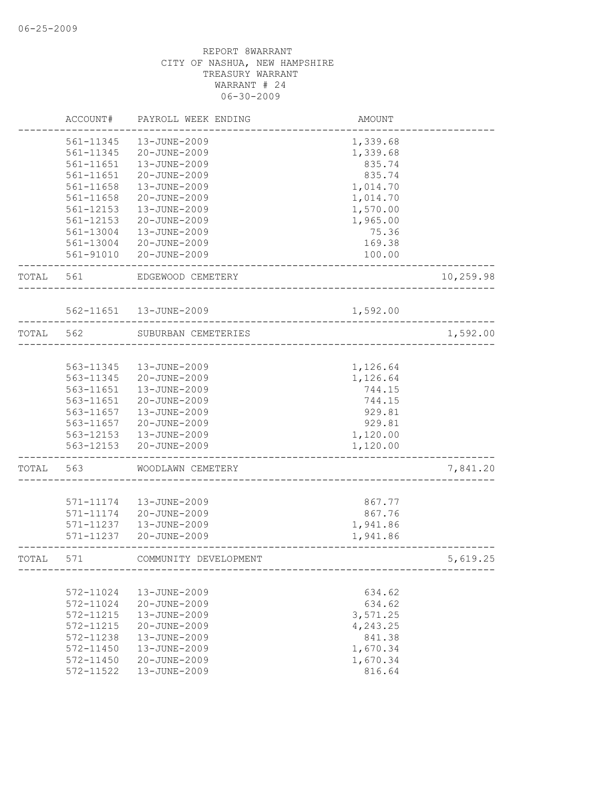|       | ACCOUNT#  | PAYROLL WEEK ENDING     | AMOUNT   |           |
|-------|-----------|-------------------------|----------|-----------|
|       | 561-11345 | 13-JUNE-2009            | 1,339.68 |           |
|       | 561-11345 | 20-JUNE-2009            | 1,339.68 |           |
|       | 561-11651 | 13-JUNE-2009            | 835.74   |           |
|       | 561-11651 | 20-JUNE-2009            | 835.74   |           |
|       | 561-11658 | 13-JUNE-2009            | 1,014.70 |           |
|       | 561-11658 | 20-JUNE-2009            | 1,014.70 |           |
|       | 561-12153 | 13-JUNE-2009            | 1,570.00 |           |
|       | 561-12153 | 20-JUNE-2009            | 1,965.00 |           |
|       | 561-13004 | 13-JUNE-2009            | 75.36    |           |
|       | 561-13004 | 20-JUNE-2009            | 169.38   |           |
|       | 561-91010 | 20-JUNE-2009            | 100.00   |           |
| TOTAL | 561       | EDGEWOOD CEMETERY       |          | 10,259.98 |
|       |           |                         |          |           |
|       |           | 562-11651  13-JUNE-2009 | 1,592.00 |           |
| TOTAL | 562       | SUBURBAN CEMETERIES     |          | 1,592.00  |
|       |           |                         |          |           |
|       | 563-11345 | 13-JUNE-2009            | 1,126.64 |           |
|       | 563-11345 | 20-JUNE-2009            | 1,126.64 |           |
|       | 563-11651 | 13-JUNE-2009            | 744.15   |           |
|       | 563-11651 | 20-JUNE-2009            | 744.15   |           |
|       | 563-11657 | 13-JUNE-2009            | 929.81   |           |
|       | 563-11657 | 20-JUNE-2009            | 929.81   |           |
|       | 563-12153 | 13-JUNE-2009            | 1,120.00 |           |
|       | 563-12153 | 20-JUNE-2009            | 1,120.00 |           |
| TOTAL | 563       | WOODLAWN CEMETERY       |          | 7,841.20  |
|       |           |                         |          |           |
|       | 571-11174 | 13-JUNE-2009            | 867.77   |           |
|       | 571-11174 | 20-JUNE-2009            | 867.76   |           |
|       | 571-11237 | 13-JUNE-2009            | 1,941.86 |           |
|       | 571-11237 | 20-JUNE-2009            | 1,941.86 |           |
| TOTAL | 571       | COMMUNITY DEVELOPMENT   |          | 5,619.25  |
|       |           |                         |          |           |
|       | 572-11024 | 13-JUNE-2009            | 634.62   |           |
|       | 572-11024 | 20-JUNE-2009            | 634.62   |           |
|       | 572-11215 | 13-JUNE-2009            | 3,571.25 |           |
|       | 572-11215 | 20-JUNE-2009            | 4,243.25 |           |
|       | 572-11238 | 13-JUNE-2009            | 841.38   |           |
|       | 572-11450 | 13-JUNE-2009            | 1,670.34 |           |
|       | 572-11450 | 20-JUNE-2009            | 1,670.34 |           |
|       | 572-11522 | 13-JUNE-2009            | 816.64   |           |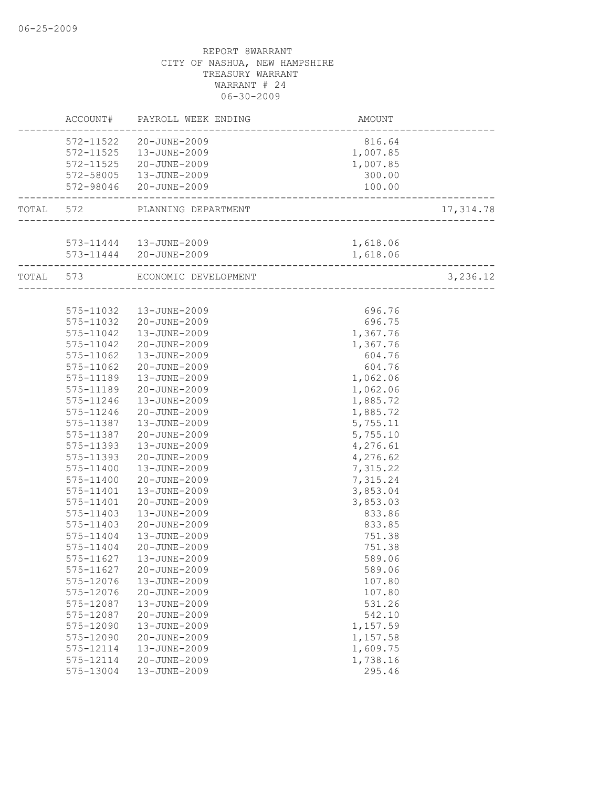|           | ACCOUNT#               | PAYROLL WEEK ENDING                               | AMOUNT               |            |
|-----------|------------------------|---------------------------------------------------|----------------------|------------|
|           | 572-11522              | 20-JUNE-2009                                      | 816.64               |            |
|           |                        | 572-11525  13-JUNE-2009<br>572-11525 20-JUNE-2009 | 1,007.85<br>1,007.85 |            |
|           |                        | 572-58005  13-JUNE-2009                           | 300.00               |            |
|           |                        | 572-98046 20-JUNE-2009                            | 100.00               |            |
|           |                        |                                                   |                      |            |
| TOTAL 572 |                        | PLANNING DEPARTMENT                               |                      | 17, 314.78 |
|           |                        |                                                   |                      |            |
|           |                        | 573-11444   13-JUNE-2009                          | 1,618.06             |            |
|           |                        | 573-11444 20-JUNE-2009                            | 1,618.06             |            |
|           | TOTAL 573              | ECONOMIC DEVELOPMENT                              | ___________________  | 3,236.12   |
|           |                        |                                                   |                      |            |
|           | 575-11032              | 13-JUNE-2009                                      | 696.76               |            |
|           | 575-11032              | 20-JUNE-2009                                      | 696.75               |            |
|           | 575-11042              | 13-JUNE-2009                                      | 1,367.76             |            |
|           | 575-11042              | 20-JUNE-2009                                      | 1,367.76             |            |
|           | 575-11062              | 13-JUNE-2009                                      | 604.76               |            |
|           | 575-11062              | 20-JUNE-2009                                      | 604.76               |            |
|           | 575-11189              | 13-JUNE-2009                                      | 1,062.06             |            |
|           | 575-11189              | 20-JUNE-2009                                      | 1,062.06             |            |
|           | 575-11246              | 13-JUNE-2009                                      | 1,885.72             |            |
|           | 575-11246              | 20-JUNE-2009                                      | 1,885.72             |            |
|           | 575-11387              | 13-JUNE-2009                                      | 5,755.11             |            |
|           | 575-11387              | 20-JUNE-2009                                      | 5,755.10             |            |
|           | 575-11393              | 13-JUNE-2009                                      | 4,276.61             |            |
|           | 575-11393              | 20-JUNE-2009                                      | 4,276.62             |            |
|           | 575-11400              | 13-JUNE-2009                                      | 7,315.22             |            |
|           | 575-11400              | 20-JUNE-2009                                      | 7,315.24             |            |
|           | 575-11401              | 13-JUNE-2009                                      | 3,853.04             |            |
|           | 575-11401              | 20-JUNE-2009                                      | 3,853.03             |            |
|           | 575-11403              | 13-JUNE-2009                                      | 833.86               |            |
|           | 575-11403              | 20-JUNE-2009                                      | 833.85               |            |
|           | 575-11404              | 13-JUNE-2009                                      | 751.38               |            |
|           | 575-11404              | 20-JUNE-2009                                      | 751.38               |            |
|           | 575-11627              | 13-JUNE-2009                                      | 589.06               |            |
|           | 575-11627              | 20-JUNE-2009                                      | 589.06               |            |
|           | 575-12076              | 13-JUNE-2009                                      | 107.80               |            |
|           | 575-12076              | 20-JUNE-2009                                      | 107.80               |            |
|           | 575-12087              | 13-JUNE-2009<br>20-JUNE-2009                      | 531.26               |            |
|           | 575-12087              | 13-JUNE-2009                                      | 542.10               |            |
|           | 575-12090<br>575-12090 | 20-JUNE-2009                                      | 1,157.59<br>1,157.58 |            |
|           | 575-12114              | 13-JUNE-2009                                      |                      |            |
|           | 575-12114              | 20-JUNE-2009                                      | 1,609.75<br>1,738.16 |            |
|           | 575-13004              | 13-JUNE-2009                                      | 295.46               |            |
|           |                        |                                                   |                      |            |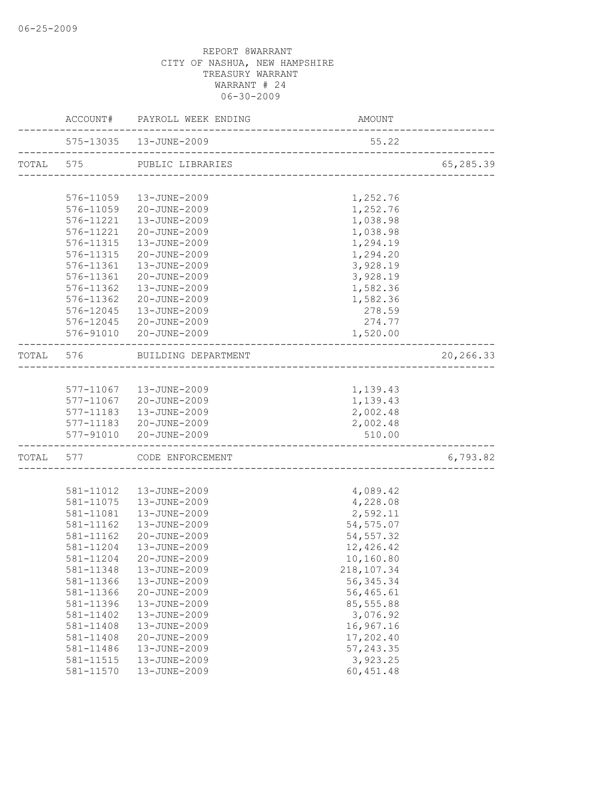|       |           | ACCOUNT# PAYROLL WEEK ENDING                                | AMOUNT                                |           |
|-------|-----------|-------------------------------------------------------------|---------------------------------------|-----------|
|       |           | 575-13035  13-JUNE-2009<br>________________________________ | 55.22                                 |           |
|       |           | TOTAL 575 PUBLIC LIBRARIES                                  |                                       | 65,285.39 |
|       |           |                                                             |                                       |           |
|       | 576-11059 | 13-JUNE-2009                                                | 1,252.76                              |           |
|       | 576-11059 | 20-JUNE-2009                                                | 1,252.76                              |           |
|       | 576-11221 | 13-JUNE-2009                                                | 1,038.98                              |           |
|       | 576-11221 | 20-JUNE-2009                                                | 1,038.98                              |           |
|       | 576-11315 | 13-JUNE-2009                                                | 1,294.19                              |           |
|       | 576-11315 | 20-JUNE-2009                                                | 1,294.20                              |           |
|       |           | 576-11361  13-JUNE-2009                                     | 3,928.19                              |           |
|       | 576-11361 | 20-JUNE-2009                                                | 3,928.19                              |           |
|       | 576-11362 | 13-JUNE-2009                                                | 1,582.36                              |           |
|       | 576-11362 | 20-JUNE-2009                                                | 1,582.36                              |           |
|       | 576-12045 | 13-JUNE-2009                                                | 278.59                                |           |
|       | 576-12045 | 20-JUNE-2009                                                | 274.77                                |           |
|       |           | 576-91010 20-JUNE-2009                                      | 1,520.00                              |           |
| TOTAL |           | 576 BUILDING DEPARTMENT                                     | ------------------------------------- | 20,266.33 |
|       |           |                                                             |                                       |           |
|       |           | 577-11067  13-JUNE-2009                                     | 1,139.43                              |           |
|       |           | 577-11067 20-JUNE-2009                                      | 1,139.43                              |           |
|       | 577-11183 | 13-JUNE-2009                                                | 2,002.48                              |           |
|       |           | 577-11183 20-JUNE-2009                                      | 2,002.48                              |           |
|       |           | 577-91010 20-JUNE-2009                                      | 510.00                                |           |
|       |           | TOTAL 577 CODE ENFORCEMENT                                  |                                       | 6,793.82  |
|       |           |                                                             |                                       |           |
|       | 581-11012 | 13-JUNE-2009                                                | 4,089.42                              |           |
|       | 581-11075 | 13-JUNE-2009                                                | 4,228.08                              |           |
|       | 581-11081 | 13-JUNE-2009                                                | 2,592.11                              |           |
|       | 581-11162 | 13-JUNE-2009                                                | 54, 575.07                            |           |
|       | 581-11162 | 20-JUNE-2009                                                | 54, 557.32                            |           |
|       | 581-11204 | 13-JUNE-2009                                                | 12,426.42                             |           |
|       | 581-11204 | 20-JUNE-2009                                                | 10,160.80                             |           |
|       | 581-11348 | 13-JUNE-2009                                                | 218, 107.34                           |           |
|       | 581-11366 | 13-JUNE-2009                                                | 56, 345.34                            |           |
|       | 581-11366 | 20-JUNE-2009                                                | 56,465.61                             |           |
|       | 581-11396 | 13-JUNE-2009                                                | 85,555.88                             |           |
|       | 581-11402 | 13-JUNE-2009                                                | 3,076.92                              |           |
|       | 581-11408 | 13-JUNE-2009                                                | 16,967.16                             |           |
|       | 581-11408 | 20-JUNE-2009                                                | 17,202.40                             |           |
|       | 581-11486 | 13-JUNE-2009                                                | 57, 243.35                            |           |
|       | 581-11515 | 13-JUNE-2009                                                | 3,923.25                              |           |
|       | 581-11570 | 13-JUNE-2009                                                | 60, 451.48                            |           |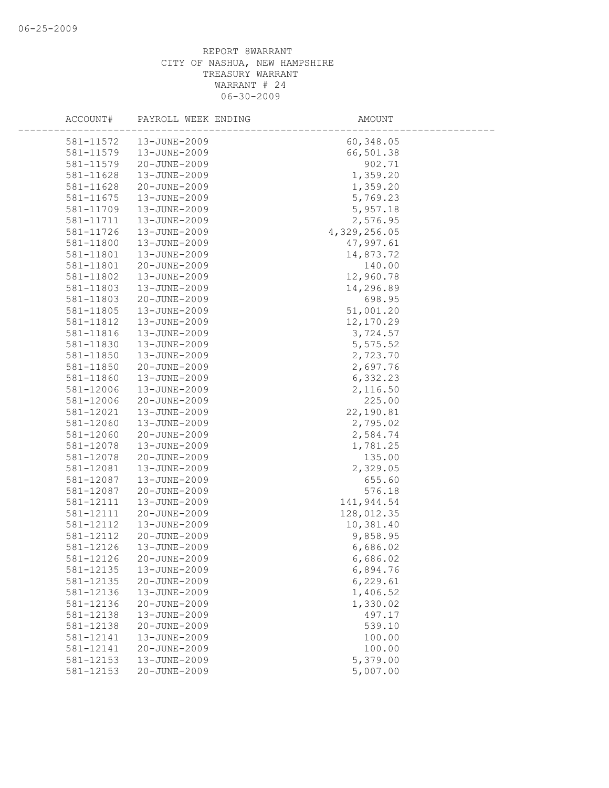| ACCOUNT#               | PAYROLL WEEK ENDING          | AMOUNT               |
|------------------------|------------------------------|----------------------|
| 581-11572              | 13-JUNE-2009                 | 60,348.05            |
| 581-11579              | 13-JUNE-2009                 | 66,501.38            |
| 581-11579              | 20-JUNE-2009                 | 902.71               |
| 581-11628              | 13-JUNE-2009                 | 1,359.20             |
| 581-11628              | 20-JUNE-2009                 | 1,359.20             |
| 581-11675              | 13-JUNE-2009                 | 5,769.23             |
| 581-11709              | 13-JUNE-2009                 | 5,957.18             |
| 581-11711              | 13-JUNE-2009                 | 2,576.95             |
| 581-11726              | 13-JUNE-2009                 | 4,329,256.05         |
| 581-11800              | 13-JUNE-2009                 | 47,997.61            |
| 581-11801              | 13-JUNE-2009                 | 14,873.72            |
| 581-11801              | 20-JUNE-2009                 | 140.00               |
| 581-11802              | 13-JUNE-2009                 | 12,960.78            |
| 581-11803              | 13-JUNE-2009                 | 14,296.89            |
| 581-11803              | 20-JUNE-2009                 | 698.95               |
| 581-11805              | 13-JUNE-2009                 | 51,001.20            |
| 581-11812              | 13-JUNE-2009                 | 12,170.29            |
| 581-11816              | 13-JUNE-2009                 | 3,724.57             |
| 581-11830              | 13-JUNE-2009                 | 5,575.52             |
| 581-11850              | 13-JUNE-2009                 | 2,723.70             |
| 581-11850              | 20-JUNE-2009                 | 2,697.76             |
| 581-11860              | 13-JUNE-2009                 | 6,332.23             |
| 581-12006              | 13-JUNE-2009                 | 2,116.50             |
| 581-12006              | 20-JUNE-2009                 | 225.00               |
| 581-12021              | 13-JUNE-2009                 | 22,190.81            |
| 581-12060              | 13-JUNE-2009                 | 2,795.02             |
| 581-12060              | 20-JUNE-2009                 | 2,584.74             |
| 581-12078              | 13-JUNE-2009                 | 1,781.25             |
| 581-12078              | 20-JUNE-2009                 | 135.00               |
| 581-12081              | 13-JUNE-2009                 | 2,329.05             |
| 581-12087              | 13-JUNE-2009                 | 655.60               |
| 581-12087              | 20-JUNE-2009                 | 576.18               |
| 581-12111              | 13-JUNE-2009                 | 141,944.54           |
| 581-12111              | 20-JUNE-2009                 | 128,012.35           |
| 581-12112              | 13-JUNE-2009                 | 10,381.40            |
| 581-12112              | 20-JUNE-2009                 | 9,858.95             |
| 581-12126              | 13-JUNE-2009                 | 6,686.02<br>6,686.02 |
| 581-12126<br>581-12135 | 20-JUNE-2009                 |                      |
| 581-12135              | 13-JUNE-2009<br>20-JUNE-2009 | 6,894.76<br>6,229.61 |
| 581-12136              | 13-JUNE-2009                 | 1,406.52             |
| 581-12136              | 20-JUNE-2009                 | 1,330.02             |
| 581-12138              | 13-JUNE-2009                 | 497.17               |
| 581-12138              | 20-JUNE-2009                 | 539.10               |
| 581-12141              | 13-JUNE-2009                 | 100.00               |
| 581-12141              | 20-JUNE-2009                 | 100.00               |
| 581-12153              | 13-JUNE-2009                 | 5,379.00             |
| 581-12153              | 20-JUNE-2009                 | 5,007.00             |
|                        |                              |                      |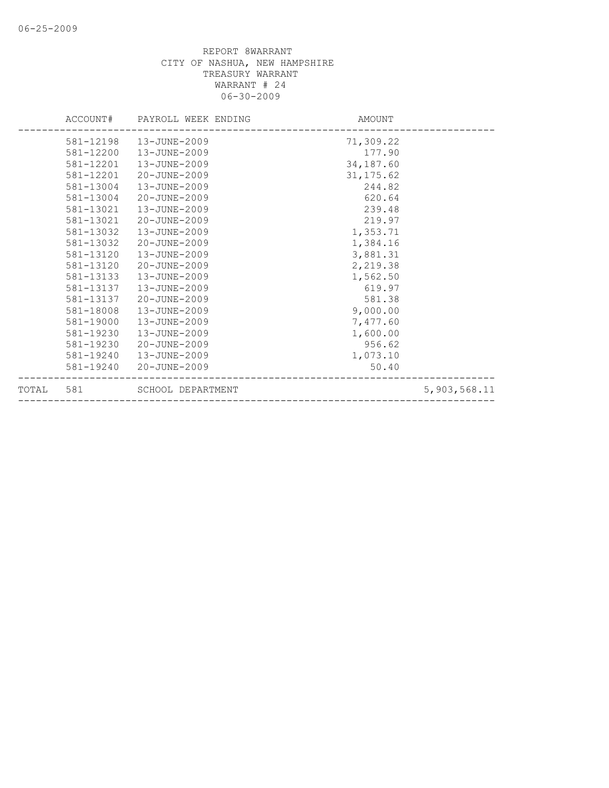|           |           | ACCOUNT# PAYROLL WEEK ENDING | AMOUNT     |              |
|-----------|-----------|------------------------------|------------|--------------|
|           | 581-12198 | 13-JUNE-2009                 | 71,309.22  |              |
|           | 581-12200 | 13-JUNE-2009                 | 177.90     |              |
|           | 581-12201 | 13-JUNE-2009                 | 34,187.60  |              |
|           | 581-12201 | 20-JUNE-2009                 | 31, 175.62 |              |
|           | 581-13004 | 13-JUNE-2009                 | 244.82     |              |
|           | 581-13004 | $20 - JUNE - 2009$           | 620.64     |              |
|           | 581-13021 | $13 - JUNE - 2009$           | 239.48     |              |
|           | 581-13021 | 20-JUNE-2009                 | 219.97     |              |
|           | 581-13032 | 13-JUNE-2009                 | 1,353.71   |              |
|           | 581-13032 | 20-JUNE-2009                 | 1,384.16   |              |
|           | 581-13120 | 13-JUNE-2009                 | 3,881.31   |              |
|           | 581-13120 | 20-JUNE-2009                 | 2,219.38   |              |
|           | 581-13133 | 13-JUNE-2009                 | 1,562.50   |              |
|           | 581-13137 | 13-JUNE-2009                 | 619.97     |              |
|           | 581-13137 | 20-JUNE-2009                 | 581.38     |              |
|           | 581-18008 | 13-JUNE-2009                 | 9,000.00   |              |
|           | 581-19000 | 13-JUNE-2009                 | 7,477.60   |              |
|           | 581-19230 | 13-JUNE-2009                 | 1,600.00   |              |
|           | 581-19230 | 20-JUNE-2009                 | 956.62     |              |
|           | 581-19240 | 13-JUNE-2009                 | 1,073.10   |              |
|           |           | 581-19240 20-JUNE-2009       | 50.40      |              |
| TOTAL 581 |           | SCHOOL DEPARTMENT            |            | 5,903,568.11 |
|           |           |                              |            |              |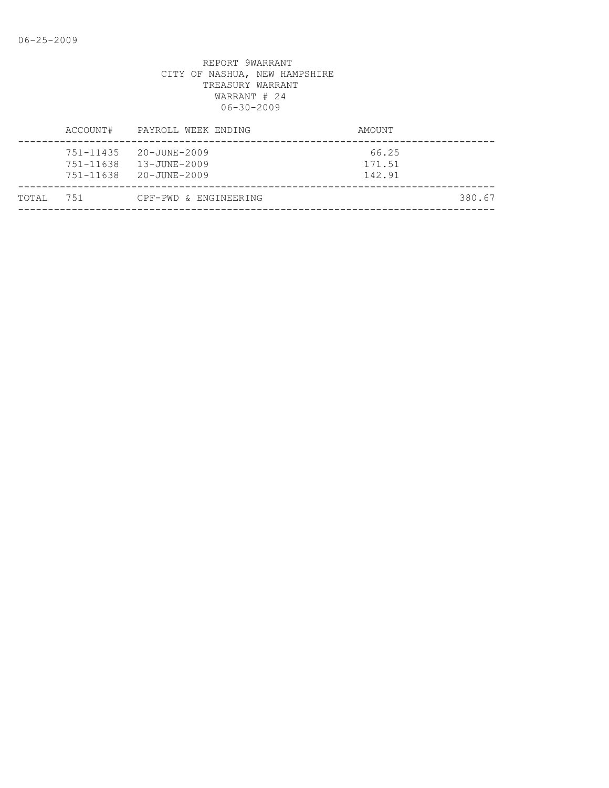|       | ACCOUNT#                            | PAYROLL WEEK ENDING                          | AMOUNT                    |
|-------|-------------------------------------|----------------------------------------------|---------------------------|
|       | 751-11435<br>751-11638<br>751-11638 | 20-JUNE-2009<br>13-JUNE-2009<br>20-JUNE-2009 | 66.25<br>171.51<br>142.91 |
| TOTAL | 751                                 | CPF-PWD & ENGINEERING                        | 380.67                    |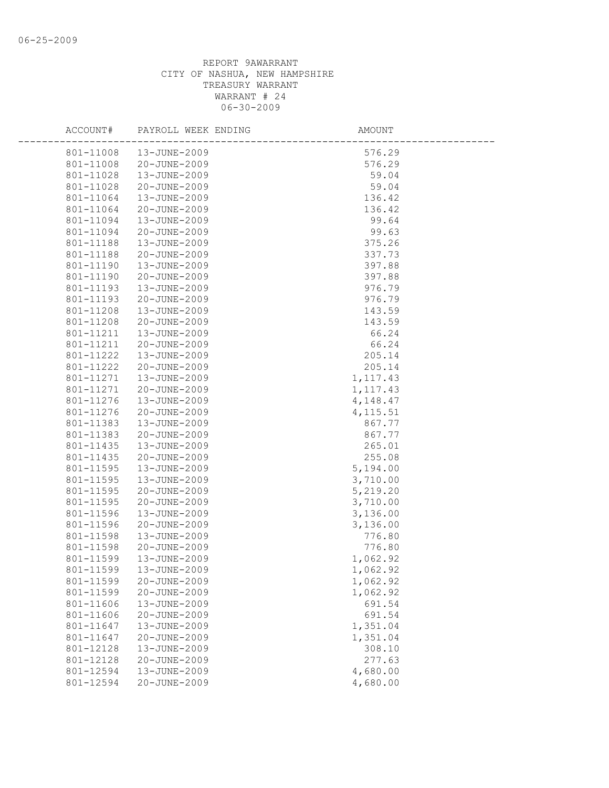| ACCOUNT#  | PAYROLL WEEK ENDING | AMOUNT    |
|-----------|---------------------|-----------|
| 801-11008 | 13-JUNE-2009        | 576.29    |
| 801-11008 | 20-JUNE-2009        | 576.29    |
| 801-11028 | 13-JUNE-2009        | 59.04     |
| 801-11028 | 20-JUNE-2009        | 59.04     |
| 801-11064 | 13-JUNE-2009        | 136.42    |
| 801-11064 | 20-JUNE-2009        | 136.42    |
| 801-11094 | 13-JUNE-2009        | 99.64     |
| 801-11094 | 20-JUNE-2009        | 99.63     |
| 801-11188 | 13-JUNE-2009        | 375.26    |
| 801-11188 | 20-JUNE-2009        | 337.73    |
| 801-11190 | 13-JUNE-2009        | 397.88    |
| 801-11190 | 20-JUNE-2009        | 397.88    |
| 801-11193 | 13-JUNE-2009        | 976.79    |
| 801-11193 | 20-JUNE-2009        | 976.79    |
| 801-11208 | 13-JUNE-2009        | 143.59    |
| 801-11208 | 20-JUNE-2009        | 143.59    |
| 801-11211 | 13-JUNE-2009        | 66.24     |
| 801-11211 | 20-JUNE-2009        | 66.24     |
| 801-11222 | 13-JUNE-2009        | 205.14    |
| 801-11222 | 20-JUNE-2009        | 205.14    |
| 801-11271 | 13-JUNE-2009        | 1, 117.43 |
| 801-11271 | 20-JUNE-2009        | 1, 117.43 |
| 801-11276 | 13-JUNE-2009        | 4,148.47  |
| 801-11276 | 20-JUNE-2009        | 4, 115.51 |
| 801-11383 | 13-JUNE-2009        | 867.77    |
| 801-11383 | 20-JUNE-2009        | 867.77    |
| 801-11435 | 13-JUNE-2009        | 265.01    |
| 801-11435 | 20-JUNE-2009        | 255.08    |
| 801-11595 | 13-JUNE-2009        | 5,194.00  |
| 801-11595 | 13-JUNE-2009        | 3,710.00  |
| 801-11595 | 20-JUNE-2009        | 5,219.20  |
| 801-11595 | 20-JUNE-2009        | 3,710.00  |
| 801-11596 | 13-JUNE-2009        | 3,136.00  |
| 801-11596 | 20-JUNE-2009        | 3,136.00  |
| 801-11598 | 13-JUNE-2009        | 776.80    |
| 801-11598 | 20-JUNE-2009        | 776.80    |
| 801-11599 | 13-JUNE-2009        | 1,062.92  |
| 801-11599 | 13-JUNE-2009        | 1,062.92  |
| 801-11599 | 20-JUNE-2009        | 1,062.92  |
| 801-11599 | 20-JUNE-2009        | 1,062.92  |
| 801-11606 | 13-JUNE-2009        | 691.54    |
| 801-11606 | 20-JUNE-2009        | 691.54    |
| 801-11647 | 13-JUNE-2009        | 1,351.04  |
| 801-11647 | 20-JUNE-2009        | 1,351.04  |
| 801-12128 | 13-JUNE-2009        | 308.10    |
| 801-12128 | 20-JUNE-2009        | 277.63    |
| 801-12594 | 13-JUNE-2009        | 4,680.00  |
| 801-12594 | 20-JUNE-2009        | 4,680.00  |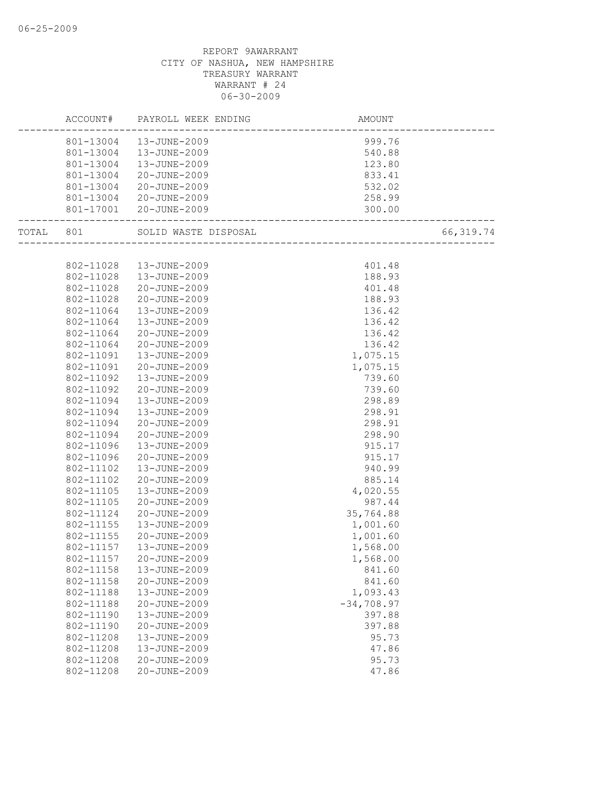## REPORT 9AWARRANT CITY OF NASHUA, NEW HAMPSHIRE TREASURY WARRANT WARRANT # 24 06-30-2009

| 801-13004  13-JUNE-2009<br>999.76<br>801-13004<br>13-JUNE-2009<br>540.88<br>801-13004<br>13-JUNE-2009<br>123.80<br>801-13004<br>20-JUNE-2009<br>833.41<br>801-13004<br>20-JUNE-2009<br>532.02<br>801-13004<br>20-JUNE-2009<br>258.99<br>801-17001 20-JUNE-2009<br>300.00<br>---------------------<br>SOLID WASTE DISPOSAL<br>66, 319.74<br>TOTAL 801<br>~~~<br>------------------------<br>802-11028<br>13-JUNE-2009<br>401.48<br>802-11028<br>13-JUNE-2009<br>188.93<br>802-11028<br>20-JUNE-2009<br>401.48<br>802-11028<br>20-JUNE-2009<br>188.93<br>802-11064<br>13-JUNE-2009<br>136.42<br>802-11064<br>136.42<br>13-JUNE-2009<br>802-11064<br>20-JUNE-2009<br>136.42<br>20-JUNE-2009<br>802-11064<br>136.42<br>802-11091<br>13-JUNE-2009<br>1,075.15<br>20-JUNE-2009<br>802-11091<br>1,075.15<br>802-11092<br>13-JUNE-2009<br>739.60<br>802-11092<br>20-JUNE-2009<br>739.60<br>802-11094<br>13-JUNE-2009<br>298.89<br>802-11094<br>13-JUNE-2009<br>298.91<br>802-11094<br>20-JUNE-2009<br>298.91<br>298.90<br>802-11094<br>20-JUNE-2009<br>802-11096<br>13-JUNE-2009<br>915.17<br>802-11096<br>20-JUNE-2009<br>915.17<br>13-JUNE-2009<br>940.99<br>802-11102<br>802-11102<br>20-JUNE-2009<br>885.14<br>802-11105<br>13-JUNE-2009<br>4,020.55<br>987.44<br>802-11105<br>20-JUNE-2009<br>802-11124<br>20-JUNE-2009<br>35,764.88<br>802-11155<br>1,001.60<br>13-JUNE-2009<br>1,001.60<br>802-11155<br>20-JUNE-2009<br>802-11157<br>13-JUNE-2009<br>1,568.00<br>802-11157<br>20-JUNE-2009<br>1,568.00<br>802-11158<br>13-JUNE-2009<br>841.60<br>802-11158<br>20-JUNE-2009<br>841.60<br>13-JUNE-2009<br>1,093.43<br>802-11188<br>$-34,708.97$<br>802-11188<br>20-JUNE-2009<br>802-11190<br>13-JUNE-2009<br>397.88<br>802-11190<br>20-JUNE-2009<br>397.88<br>802-11208<br>13-JUNE-2009<br>95.73<br>802-11208<br>13-JUNE-2009<br>47.86<br>802-11208<br>20-JUNE-2009<br>95.73<br>802-11208<br>20-JUNE-2009<br>47.86 |  | ACCOUNT# | PAYROLL WEEK ENDING | AMOUNT |  |
|-----------------------------------------------------------------------------------------------------------------------------------------------------------------------------------------------------------------------------------------------------------------------------------------------------------------------------------------------------------------------------------------------------------------------------------------------------------------------------------------------------------------------------------------------------------------------------------------------------------------------------------------------------------------------------------------------------------------------------------------------------------------------------------------------------------------------------------------------------------------------------------------------------------------------------------------------------------------------------------------------------------------------------------------------------------------------------------------------------------------------------------------------------------------------------------------------------------------------------------------------------------------------------------------------------------------------------------------------------------------------------------------------------------------------------------------------------------------------------------------------------------------------------------------------------------------------------------------------------------------------------------------------------------------------------------------------------------------------------------------------------------------------------------------------------------------------------------------------------------------------------------------------------------------|--|----------|---------------------|--------|--|
|                                                                                                                                                                                                                                                                                                                                                                                                                                                                                                                                                                                                                                                                                                                                                                                                                                                                                                                                                                                                                                                                                                                                                                                                                                                                                                                                                                                                                                                                                                                                                                                                                                                                                                                                                                                                                                                                                                                 |  |          |                     |        |  |
|                                                                                                                                                                                                                                                                                                                                                                                                                                                                                                                                                                                                                                                                                                                                                                                                                                                                                                                                                                                                                                                                                                                                                                                                                                                                                                                                                                                                                                                                                                                                                                                                                                                                                                                                                                                                                                                                                                                 |  |          |                     |        |  |
|                                                                                                                                                                                                                                                                                                                                                                                                                                                                                                                                                                                                                                                                                                                                                                                                                                                                                                                                                                                                                                                                                                                                                                                                                                                                                                                                                                                                                                                                                                                                                                                                                                                                                                                                                                                                                                                                                                                 |  |          |                     |        |  |
|                                                                                                                                                                                                                                                                                                                                                                                                                                                                                                                                                                                                                                                                                                                                                                                                                                                                                                                                                                                                                                                                                                                                                                                                                                                                                                                                                                                                                                                                                                                                                                                                                                                                                                                                                                                                                                                                                                                 |  |          |                     |        |  |
|                                                                                                                                                                                                                                                                                                                                                                                                                                                                                                                                                                                                                                                                                                                                                                                                                                                                                                                                                                                                                                                                                                                                                                                                                                                                                                                                                                                                                                                                                                                                                                                                                                                                                                                                                                                                                                                                                                                 |  |          |                     |        |  |
|                                                                                                                                                                                                                                                                                                                                                                                                                                                                                                                                                                                                                                                                                                                                                                                                                                                                                                                                                                                                                                                                                                                                                                                                                                                                                                                                                                                                                                                                                                                                                                                                                                                                                                                                                                                                                                                                                                                 |  |          |                     |        |  |
|                                                                                                                                                                                                                                                                                                                                                                                                                                                                                                                                                                                                                                                                                                                                                                                                                                                                                                                                                                                                                                                                                                                                                                                                                                                                                                                                                                                                                                                                                                                                                                                                                                                                                                                                                                                                                                                                                                                 |  |          |                     |        |  |
|                                                                                                                                                                                                                                                                                                                                                                                                                                                                                                                                                                                                                                                                                                                                                                                                                                                                                                                                                                                                                                                                                                                                                                                                                                                                                                                                                                                                                                                                                                                                                                                                                                                                                                                                                                                                                                                                                                                 |  |          |                     |        |  |
|                                                                                                                                                                                                                                                                                                                                                                                                                                                                                                                                                                                                                                                                                                                                                                                                                                                                                                                                                                                                                                                                                                                                                                                                                                                                                                                                                                                                                                                                                                                                                                                                                                                                                                                                                                                                                                                                                                                 |  |          |                     |        |  |
|                                                                                                                                                                                                                                                                                                                                                                                                                                                                                                                                                                                                                                                                                                                                                                                                                                                                                                                                                                                                                                                                                                                                                                                                                                                                                                                                                                                                                                                                                                                                                                                                                                                                                                                                                                                                                                                                                                                 |  |          |                     |        |  |
|                                                                                                                                                                                                                                                                                                                                                                                                                                                                                                                                                                                                                                                                                                                                                                                                                                                                                                                                                                                                                                                                                                                                                                                                                                                                                                                                                                                                                                                                                                                                                                                                                                                                                                                                                                                                                                                                                                                 |  |          |                     |        |  |
|                                                                                                                                                                                                                                                                                                                                                                                                                                                                                                                                                                                                                                                                                                                                                                                                                                                                                                                                                                                                                                                                                                                                                                                                                                                                                                                                                                                                                                                                                                                                                                                                                                                                                                                                                                                                                                                                                                                 |  |          |                     |        |  |
|                                                                                                                                                                                                                                                                                                                                                                                                                                                                                                                                                                                                                                                                                                                                                                                                                                                                                                                                                                                                                                                                                                                                                                                                                                                                                                                                                                                                                                                                                                                                                                                                                                                                                                                                                                                                                                                                                                                 |  |          |                     |        |  |
|                                                                                                                                                                                                                                                                                                                                                                                                                                                                                                                                                                                                                                                                                                                                                                                                                                                                                                                                                                                                                                                                                                                                                                                                                                                                                                                                                                                                                                                                                                                                                                                                                                                                                                                                                                                                                                                                                                                 |  |          |                     |        |  |
|                                                                                                                                                                                                                                                                                                                                                                                                                                                                                                                                                                                                                                                                                                                                                                                                                                                                                                                                                                                                                                                                                                                                                                                                                                                                                                                                                                                                                                                                                                                                                                                                                                                                                                                                                                                                                                                                                                                 |  |          |                     |        |  |
|                                                                                                                                                                                                                                                                                                                                                                                                                                                                                                                                                                                                                                                                                                                                                                                                                                                                                                                                                                                                                                                                                                                                                                                                                                                                                                                                                                                                                                                                                                                                                                                                                                                                                                                                                                                                                                                                                                                 |  |          |                     |        |  |
|                                                                                                                                                                                                                                                                                                                                                                                                                                                                                                                                                                                                                                                                                                                                                                                                                                                                                                                                                                                                                                                                                                                                                                                                                                                                                                                                                                                                                                                                                                                                                                                                                                                                                                                                                                                                                                                                                                                 |  |          |                     |        |  |
|                                                                                                                                                                                                                                                                                                                                                                                                                                                                                                                                                                                                                                                                                                                                                                                                                                                                                                                                                                                                                                                                                                                                                                                                                                                                                                                                                                                                                                                                                                                                                                                                                                                                                                                                                                                                                                                                                                                 |  |          |                     |        |  |
|                                                                                                                                                                                                                                                                                                                                                                                                                                                                                                                                                                                                                                                                                                                                                                                                                                                                                                                                                                                                                                                                                                                                                                                                                                                                                                                                                                                                                                                                                                                                                                                                                                                                                                                                                                                                                                                                                                                 |  |          |                     |        |  |
|                                                                                                                                                                                                                                                                                                                                                                                                                                                                                                                                                                                                                                                                                                                                                                                                                                                                                                                                                                                                                                                                                                                                                                                                                                                                                                                                                                                                                                                                                                                                                                                                                                                                                                                                                                                                                                                                                                                 |  |          |                     |        |  |
|                                                                                                                                                                                                                                                                                                                                                                                                                                                                                                                                                                                                                                                                                                                                                                                                                                                                                                                                                                                                                                                                                                                                                                                                                                                                                                                                                                                                                                                                                                                                                                                                                                                                                                                                                                                                                                                                                                                 |  |          |                     |        |  |
|                                                                                                                                                                                                                                                                                                                                                                                                                                                                                                                                                                                                                                                                                                                                                                                                                                                                                                                                                                                                                                                                                                                                                                                                                                                                                                                                                                                                                                                                                                                                                                                                                                                                                                                                                                                                                                                                                                                 |  |          |                     |        |  |
|                                                                                                                                                                                                                                                                                                                                                                                                                                                                                                                                                                                                                                                                                                                                                                                                                                                                                                                                                                                                                                                                                                                                                                                                                                                                                                                                                                                                                                                                                                                                                                                                                                                                                                                                                                                                                                                                                                                 |  |          |                     |        |  |
|                                                                                                                                                                                                                                                                                                                                                                                                                                                                                                                                                                                                                                                                                                                                                                                                                                                                                                                                                                                                                                                                                                                                                                                                                                                                                                                                                                                                                                                                                                                                                                                                                                                                                                                                                                                                                                                                                                                 |  |          |                     |        |  |
|                                                                                                                                                                                                                                                                                                                                                                                                                                                                                                                                                                                                                                                                                                                                                                                                                                                                                                                                                                                                                                                                                                                                                                                                                                                                                                                                                                                                                                                                                                                                                                                                                                                                                                                                                                                                                                                                                                                 |  |          |                     |        |  |
|                                                                                                                                                                                                                                                                                                                                                                                                                                                                                                                                                                                                                                                                                                                                                                                                                                                                                                                                                                                                                                                                                                                                                                                                                                                                                                                                                                                                                                                                                                                                                                                                                                                                                                                                                                                                                                                                                                                 |  |          |                     |        |  |
|                                                                                                                                                                                                                                                                                                                                                                                                                                                                                                                                                                                                                                                                                                                                                                                                                                                                                                                                                                                                                                                                                                                                                                                                                                                                                                                                                                                                                                                                                                                                                                                                                                                                                                                                                                                                                                                                                                                 |  |          |                     |        |  |
|                                                                                                                                                                                                                                                                                                                                                                                                                                                                                                                                                                                                                                                                                                                                                                                                                                                                                                                                                                                                                                                                                                                                                                                                                                                                                                                                                                                                                                                                                                                                                                                                                                                                                                                                                                                                                                                                                                                 |  |          |                     |        |  |
|                                                                                                                                                                                                                                                                                                                                                                                                                                                                                                                                                                                                                                                                                                                                                                                                                                                                                                                                                                                                                                                                                                                                                                                                                                                                                                                                                                                                                                                                                                                                                                                                                                                                                                                                                                                                                                                                                                                 |  |          |                     |        |  |
|                                                                                                                                                                                                                                                                                                                                                                                                                                                                                                                                                                                                                                                                                                                                                                                                                                                                                                                                                                                                                                                                                                                                                                                                                                                                                                                                                                                                                                                                                                                                                                                                                                                                                                                                                                                                                                                                                                                 |  |          |                     |        |  |
|                                                                                                                                                                                                                                                                                                                                                                                                                                                                                                                                                                                                                                                                                                                                                                                                                                                                                                                                                                                                                                                                                                                                                                                                                                                                                                                                                                                                                                                                                                                                                                                                                                                                                                                                                                                                                                                                                                                 |  |          |                     |        |  |
|                                                                                                                                                                                                                                                                                                                                                                                                                                                                                                                                                                                                                                                                                                                                                                                                                                                                                                                                                                                                                                                                                                                                                                                                                                                                                                                                                                                                                                                                                                                                                                                                                                                                                                                                                                                                                                                                                                                 |  |          |                     |        |  |
|                                                                                                                                                                                                                                                                                                                                                                                                                                                                                                                                                                                                                                                                                                                                                                                                                                                                                                                                                                                                                                                                                                                                                                                                                                                                                                                                                                                                                                                                                                                                                                                                                                                                                                                                                                                                                                                                                                                 |  |          |                     |        |  |
|                                                                                                                                                                                                                                                                                                                                                                                                                                                                                                                                                                                                                                                                                                                                                                                                                                                                                                                                                                                                                                                                                                                                                                                                                                                                                                                                                                                                                                                                                                                                                                                                                                                                                                                                                                                                                                                                                                                 |  |          |                     |        |  |
|                                                                                                                                                                                                                                                                                                                                                                                                                                                                                                                                                                                                                                                                                                                                                                                                                                                                                                                                                                                                                                                                                                                                                                                                                                                                                                                                                                                                                                                                                                                                                                                                                                                                                                                                                                                                                                                                                                                 |  |          |                     |        |  |
|                                                                                                                                                                                                                                                                                                                                                                                                                                                                                                                                                                                                                                                                                                                                                                                                                                                                                                                                                                                                                                                                                                                                                                                                                                                                                                                                                                                                                                                                                                                                                                                                                                                                                                                                                                                                                                                                                                                 |  |          |                     |        |  |
|                                                                                                                                                                                                                                                                                                                                                                                                                                                                                                                                                                                                                                                                                                                                                                                                                                                                                                                                                                                                                                                                                                                                                                                                                                                                                                                                                                                                                                                                                                                                                                                                                                                                                                                                                                                                                                                                                                                 |  |          |                     |        |  |
|                                                                                                                                                                                                                                                                                                                                                                                                                                                                                                                                                                                                                                                                                                                                                                                                                                                                                                                                                                                                                                                                                                                                                                                                                                                                                                                                                                                                                                                                                                                                                                                                                                                                                                                                                                                                                                                                                                                 |  |          |                     |        |  |
|                                                                                                                                                                                                                                                                                                                                                                                                                                                                                                                                                                                                                                                                                                                                                                                                                                                                                                                                                                                                                                                                                                                                                                                                                                                                                                                                                                                                                                                                                                                                                                                                                                                                                                                                                                                                                                                                                                                 |  |          |                     |        |  |
|                                                                                                                                                                                                                                                                                                                                                                                                                                                                                                                                                                                                                                                                                                                                                                                                                                                                                                                                                                                                                                                                                                                                                                                                                                                                                                                                                                                                                                                                                                                                                                                                                                                                                                                                                                                                                                                                                                                 |  |          |                     |        |  |
|                                                                                                                                                                                                                                                                                                                                                                                                                                                                                                                                                                                                                                                                                                                                                                                                                                                                                                                                                                                                                                                                                                                                                                                                                                                                                                                                                                                                                                                                                                                                                                                                                                                                                                                                                                                                                                                                                                                 |  |          |                     |        |  |
|                                                                                                                                                                                                                                                                                                                                                                                                                                                                                                                                                                                                                                                                                                                                                                                                                                                                                                                                                                                                                                                                                                                                                                                                                                                                                                                                                                                                                                                                                                                                                                                                                                                                                                                                                                                                                                                                                                                 |  |          |                     |        |  |
|                                                                                                                                                                                                                                                                                                                                                                                                                                                                                                                                                                                                                                                                                                                                                                                                                                                                                                                                                                                                                                                                                                                                                                                                                                                                                                                                                                                                                                                                                                                                                                                                                                                                                                                                                                                                                                                                                                                 |  |          |                     |        |  |
|                                                                                                                                                                                                                                                                                                                                                                                                                                                                                                                                                                                                                                                                                                                                                                                                                                                                                                                                                                                                                                                                                                                                                                                                                                                                                                                                                                                                                                                                                                                                                                                                                                                                                                                                                                                                                                                                                                                 |  |          |                     |        |  |
|                                                                                                                                                                                                                                                                                                                                                                                                                                                                                                                                                                                                                                                                                                                                                                                                                                                                                                                                                                                                                                                                                                                                                                                                                                                                                                                                                                                                                                                                                                                                                                                                                                                                                                                                                                                                                                                                                                                 |  |          |                     |        |  |
|                                                                                                                                                                                                                                                                                                                                                                                                                                                                                                                                                                                                                                                                                                                                                                                                                                                                                                                                                                                                                                                                                                                                                                                                                                                                                                                                                                                                                                                                                                                                                                                                                                                                                                                                                                                                                                                                                                                 |  |          |                     |        |  |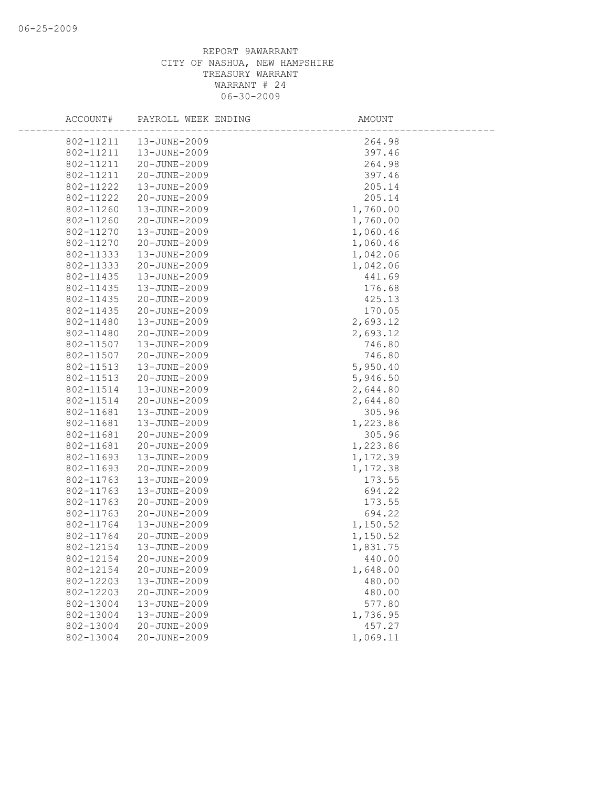## REPORT 9AWARRANT CITY OF NASHUA, NEW HAMPSHIRE TREASURY WARRANT WARRANT # 24 06-30-2009

| ACCOUNT#  | PAYROLL WEEK ENDING | AMOUNT   |
|-----------|---------------------|----------|
| 802-11211 | 13-JUNE-2009        | 264.98   |
| 802-11211 | 13-JUNE-2009        | 397.46   |
| 802-11211 | 20-JUNE-2009        | 264.98   |
| 802-11211 | 20-JUNE-2009        | 397.46   |
| 802-11222 | 13-JUNE-2009        | 205.14   |
| 802-11222 | 20-JUNE-2009        | 205.14   |
| 802-11260 | 13-JUNE-2009        | 1,760.00 |
| 802-11260 | 20-JUNE-2009        | 1,760.00 |
| 802-11270 | 13-JUNE-2009        | 1,060.46 |
| 802-11270 | 20-JUNE-2009        | 1,060.46 |
| 802-11333 | 13-JUNE-2009        | 1,042.06 |
| 802-11333 | 20-JUNE-2009        | 1,042.06 |
| 802-11435 | 13-JUNE-2009        | 441.69   |
| 802-11435 | 13-JUNE-2009        | 176.68   |
| 802-11435 | 20-JUNE-2009        | 425.13   |
| 802-11435 | 20-JUNE-2009        | 170.05   |
| 802-11480 | 13-JUNE-2009        | 2,693.12 |
| 802-11480 | 20-JUNE-2009        | 2,693.12 |
| 802-11507 | 13-JUNE-2009        | 746.80   |
| 802-11507 | 20-JUNE-2009        | 746.80   |
| 802-11513 | 13-JUNE-2009        | 5,950.40 |
| 802-11513 | 20-JUNE-2009        | 5,946.50 |
| 802-11514 | 13-JUNE-2009        | 2,644.80 |
| 802-11514 | 20-JUNE-2009        | 2,644.80 |
| 802-11681 | 13-JUNE-2009        | 305.96   |
| 802-11681 | 13-JUNE-2009        | 1,223.86 |
| 802-11681 | 20-JUNE-2009        | 305.96   |
| 802-11681 | 20-JUNE-2009        | 1,223.86 |
| 802-11693 | 13-JUNE-2009        | 1,172.39 |
| 802-11693 | 20-JUNE-2009        | 1,172.38 |
| 802-11763 | 13-JUNE-2009        | 173.55   |
| 802-11763 | 13-JUNE-2009        | 694.22   |
| 802-11763 | 20-JUNE-2009        | 173.55   |
| 802-11763 | 20-JUNE-2009        | 694.22   |
| 802-11764 | 13-JUNE-2009        | 1,150.52 |
| 802-11764 | 20-JUNE-2009        | 1,150.52 |
| 802-12154 | 13-JUNE-2009        | 1,831.75 |
| 802-12154 | 20-JUNE-2009        | 440.00   |
| 802-12154 | 20-JUNE-2009        | 1,648.00 |
| 802-12203 | 13-JUNE-2009        | 480.00   |
| 802-12203 | 20-JUNE-2009        | 480.00   |
| 802-13004 | 13-JUNE-2009        | 577.80   |
| 802-13004 | 13-JUNE-2009        | 1,736.95 |
| 802-13004 | 20-JUNE-2009        | 457.27   |
| 802-13004 | 20-JUNE-2009        | 1,069.11 |
|           |                     |          |